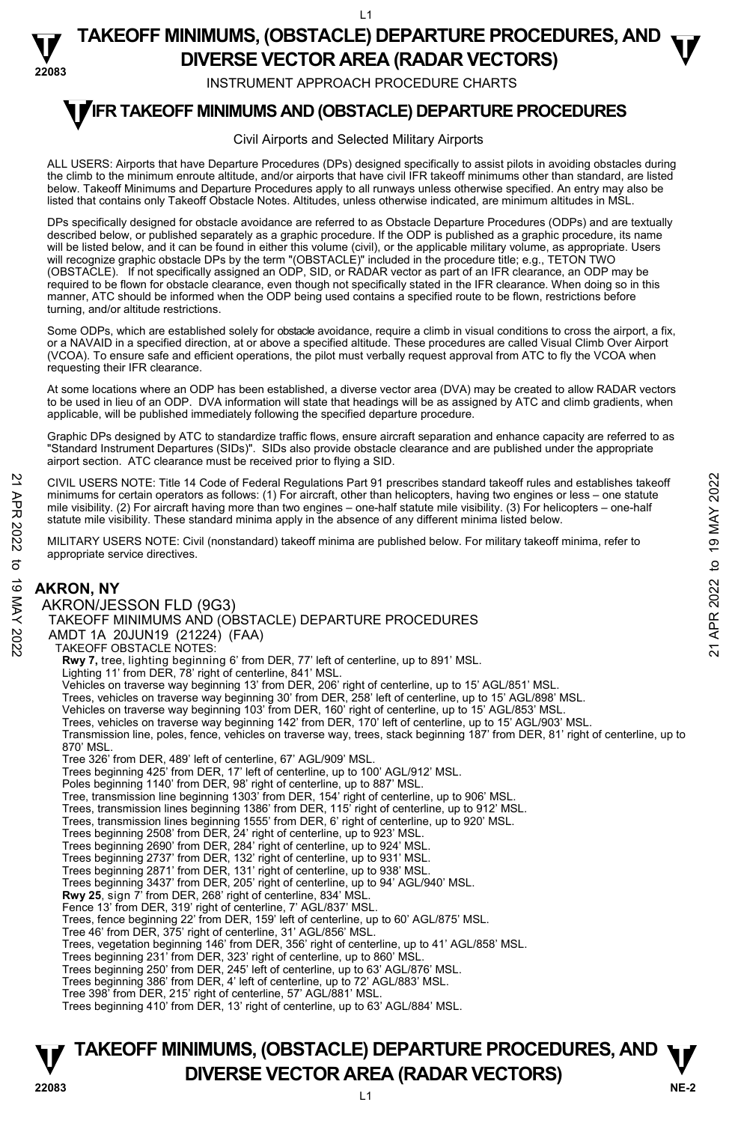$\overline{11}$ 

#### **22083 TAKEOFF MINIMUMS, (OBSTACLE) DEPARTURE PROCEDURES, AND**  $\mathbf{\nabla}$ **DIVERSE VECTOR AREA (RADAR VECTORS)**

INSTRUMENT APPROACH PROCEDURE CHARTS

## **TIFR TAKEOFF MINIMUMS AND (OBSTACLE) DEPARTURE PROCEDURES**

#### Civil Airports and Selected Military Airports

ALL USERS: Airports that have Departure Procedures (DPs) designed specifically to assist pilots in avoiding obstacles during the climb to the minimum enroute altitude, and/or airports that have civil IFR takeoff minimums other than standard, are listed below. Takeoff Minimums and Departure Procedures apply to all runways unless otherwise specified. An entry may also be listed that contains only Takeoff Obstacle Notes. Altitudes, unless otherwise indicated, are minimum altitudes in MSL.

DPs specifically designed for obstacle avoidance are referred to as Obstacle Departure Procedures (ODPs) and are textually described below, or published separately as a graphic procedure. If the ODP is published as a graphic procedure, its name<br>will be listed below, and it can be found in either this volume (civil), or the applicable military will recognize graphic obstacle DPs by the term "(OBSTACLE)" included in the procedure title; e.g., TETON TWO (OBSTACLE). If not specifically assigned an ODP, SID, or RADAR vector as part of an IFR clearance, an ODP may be required to be flown for obstacle clearance, even though not specifically stated in the IFR clearance. When doing so in this manner, ATC should be informed when the ODP being used contains a specified route to be flown, restrictions before turning, and/or altitude restrictions.

Some ODPs, which are established solely for obstacle avoidance, require a climb in visual conditions to cross the airport, a fix, or a NAVAID in a specified direction, at or above a specified altitude. These procedures are called Visual Climb Over Airport (VCOA). To ensure safe and efficient operations, the pilot must verbally request approval from ATC to fly the VCOA when requesting their IFR clearance.

At some locations where an ODP has been established, a diverse vector area (DVA) may be created to allow RADAR vectors to be used in lieu of an ODP. DVA information will state that headings will be as assigned by ATC and climb gradients, when applicable, will be published immediately following the specified departure procedure.

Graphic DPs designed by ATC to standardize traffic flows, ensure aircraft separation and enhance capacity are referred to as "Standard Instrument Departures (SIDs)". SIDs also provide obstacle clearance and are published under the appropriate airport section. ATC clearance must be received prior to flying a SID.

CIVIL USERS NOTE: Title 14 Code of Federal Regulations Part 91 prescribes standard takeoff rules and establishes takeoff minimums for certain operators as follows: (1) For aircraft, other than helicopters, having two engines or less – one statute mile visibility. (2) For aircraft having more than two engines – one-half statute mile visibility. (3) For helicopters – one-half statute mile visibility. These standard minima apply in the absence of any different minima listed below.

MILITARY USERS NOTE: Civil (nonstandard) takeoff minima are published below. For military takeoff minima, refer to appropriate service directives.

### **AKRON, NY**

AKRON/JESSON FLD (9G3) TAKEOFF MINIMUMS AND (OBSTACLE) DEPARTURE PROCEDURES AMDT 1A 20JUN19 (21224) (FAA) TAKEOFF OBSTACLE NOTES: **Rwy 7,** tree, lighting beginning 6' from DER, 77' left of centerline, up to 891' MSL.<br>Lighting 11' from DER, 78' right of centerline, 841' MSL. Vehicles on traverse way beginning 13' from DER, 206' right of centerline, up to 15' AGL/851' MSL. Trees, vehicles on traverse way beginning 30' from DER, 258' left of centerline, up to 15' AGL/898' MSL. Vehicles on traverse way beginning 103' from DER, 160' right of centerline, up to 15' AGL/853' MSL. Trees, vehicles on traverse way beginning 142' from DER, 170' left of centerline, up to 15' AGL/903' MSL. Transmission line, poles, fence, vehicles on traverse way, trees, stack beginning 187' from DER, 81' right of centerline, up to 870' MSL. Tree 326' from DER, 489' left of centerline, 67' AGL/909' MSL. Trees beginning 425' from DER, 17' left of centerline, up to 100' AGL/912' MSL. Poles beginning 1140' from DER, 98' right of centerline, up to 887' MSL. Tree, transmission line beginning 1303' from DER, 154' right of centerline, up to 906' MSL. Trees, transmission lines beginning 1386' from DER, 115' right of centerline, up to 912' MSL. Trees, transmission lines beginning 1555' from DER, 6' right of centerline, up to 920' MSL. Trees beginning 2508' from DER, 24' right of centerline, up to 923' MSL. Trees beginning 2690' from DER, 284' right of centerline, up to 924' MSL. Trees beginning 2737' from DER, 132' right of centerline, up to 931' MSL. Trees beginning 2871' from DER, 131' right of centerline, up to 938' MSL. Trees beginning 3437' from DER, 205' right of centerline, up to 94' AGL/940' MSL. **Rwy 25**, sign 7' from DER, 268' right of centerline, 834' MSL. Fence 13' from DER, 319' right of centerline, 7' AGL/837' MSL. Trees, fence beginning 22' from DER, 159' left of centerline, up to 60' AGL/875' MSL. Tree 46' from DER, 375' right of centerline, 31' AGL/856' MSL. Trees, vegetation beginning 146' from DER, 356' right of centerline, up to 41' AGL/858' MSL. Trees beginning 231' from DER, 323' right of centerline, up to 860' MSL. Trees beginning 250' from DER, 245' left of centerline, up to 63' AGL/876' MSL. Trees beginning 386' from DER, 4' left of centerline, up to 72' AGL/883' MSL. Tree 398' from DER, 215' right of centerline, 57' AGL/881' MSL. Trees beginning 410' from DER, 13' right of centerline, up to 63' AGL/884' MSL. CIVIL USERS NOTE: Title 14 Code of Federal Regulations Part 91 prescribes standard takeoff rules and establishes takeoff<br>
minimums for certain operators as follows: (1) For aircraft, there than the leigopters, having two

### **NE-2** L1 **TAKEOFF MINIMUMS, (OBSTACLE) DEPARTURE PROCEDURES, AND**  $\Psi$ **V**<br>22083 DIVERSE VECTOR AREA (RADAR VECTORS)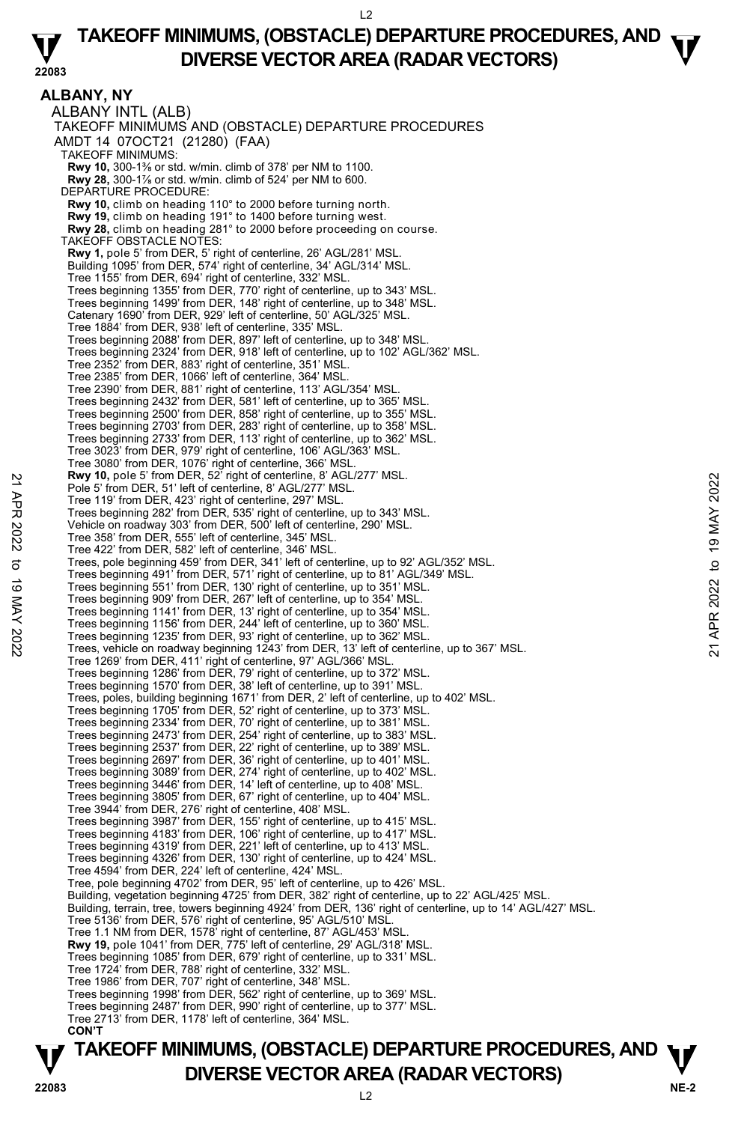### **TAKEOFF MINIMUMS, (OBSTACLE) DEPARTURE PROCEDURES, AND**  $\mathbf{\nabla}$ **DIVERSE VECTOR AREA (RADAR VECTORS)**

**22083** 

**ALBANY, NY**  ALBANY INTL (ALB) TAKEOFF MINIMUMS AND (OBSTACLE) DEPARTURE PROCEDURES AMDT 14 07OCT21 (21280) (FAA) TAKEOFF MINIMUMS: **Rwy 10,** 300-1⅜ or std. w/min. climb of 378' per NM to 1100. **Rwy 28,** 300-1⅞ or std. w/min. climb of 524' per NM to 600. DEPARTURE PROCEDURE: **Rwy 10,** climb on heading 110° to 2000 before turning north.  **Rwy 19,** climb on heading 191° to 1400 before turning west. **Rwy 28,** climb on heading 281° to 2000 before proceeding on course. TAKEOFF OBSTACLE NOTES: **Rwy 1,** pole 5' from DER, 5' right of centerline, 26' AGL/281' MSL. Building 1095' from DER, 574' right of centerline, 34' AGL/314' MSL. Tree 1155' from DER, 694' right of centerline, 332' MSL. Trees beginning 1355' from DER, 770' right of centerline, up to 343' MSL. Trees beginning 1499' from DER, 148' right of centerline, up to 348' MSL. Catenary 1690' from DER, 929' left of centerline, 50' AGL/325' MSL. Tree 1884' from DER, 938' left of centerline, 335' MSL. Trees beginning 2088' from DER, 897' left of centerline, up to 348' MSL. Trees beginning 2324' from DER, 918' left of centerline, up to 102' AGL/362' MSL. Tree 2352' from DER, 883' right of centerline, 351' MSL. Tree 2385' from DER, 1066' left of centerline, 364' MSL. Tree 2390' from DER, 881' right of centerline, 113' AGL/354' MSL. Trees beginning 2432' from DER, 581' left of centerline, up to 365' MSL. Trees beginning 2500' from DER, 858' right of centerline, up to 355' MSL. Trees beginning 2703' from DER, 283' right of centerline, up to 358' MSL. Trees beginning 2733' from DER, 113' right of centerline, up to 362' MSL. Tree 3023' from DER, 979' right of centerline, 106' AGL/363' MSL. Tree 3080' from DER, 1076' right of centerline, 366' MSL. **Rwy 10,** pole 5' from DER, 52' right of centerline, 8' AGL/277' MSL. Pole 5' from DER, 51' left of centerline, 8' AGL/277' MSL. Tree 119' from DER, 423' right of centerline, 297' MSL. Trees beginning 282' from DER, 535' right of centerline, up to 343' MSL. Vehicle on roadway 303' from DER, 500' left of centerline, 290' MSL. Tree 358' from DER, 555' left of centerline, 345' MSL. Tree 422' from DER, 582' left of centerline, 346' MSL. Trees, pole beginning 459' from DER, 341' left of centerline, up to 92' AGL/352' MSL. Trees beginning 491' from DER, 571' right of centerline, up to 81' AGL/349' MSL. Trees beginning 551' from DER, 130' right of centerline, up to 351' MSL. Trees beginning 909' from DER, 267' left of centerline, up to 354' MSL. Trees beginning 1141' from DER, 13' right of centerline, up to 354' MSL. Trees beginning 1156' from DER, 244' left of centerline, up to 360' MSL. Now 10, pole 5' from DER, 43' right of centerline, 8' AGL/277' MSL.<br>
Trees beginning 282' from DER, 535' right of centerline, 290' MSL.<br>
Trees beginning 123' from DER, 550' left of centerline, up to 343' MSL.<br>
Yehicle on Tree 1269' from DER, 411' right of centerline, 97' AGL/366' MSL. Trees beginning 1286' from DER, 79' right of centerline, up to 372' MSL. Trees beginning 1570' from DER, 38' left of centerline, up to 391' MSL. Trees, poles, building beginning 1671' from DER, 2' left of centerline, up to 402' MSL. Trees beginning 1705' from DER, 52' right of centerline, up to 373' MSL. Trees beginning 2334' from DER, 70' right of centerline, up to 381' MSL. Trees beginning 2473' from DER, 254' right of centerline, up to 383' MSL. Trees beginning 2537' from DER, 22' right of centerline, up to 389' MSL.<br>Trees beginning 2697' from DER, 36' right of centerline, up to 401' MSL.<br>Trees beginning 3089' from DER, 374' right of centerline, up to 402' MSL.<br>Tr Trees beginning 3805' from DER, 67' right of centerline, up to 404' MSL. Tree 3944' from DER, 276' right of centerline, 408' MSL. Trees beginning 3987' from DER, 155' right of centerline, up to 415' MSL. Trees beginning 4183' from DER, 106' right of centerline, up to 417' MSL. Trees beginning 4319' from DER, 221' left of centerline, up to 413' MSL. Trees beginning 4326' from DER, 130' right of centerline, up to 424' MSL. Tree 4594' from DER, 224' left of centerline, 424' MSL. Tree, pole beginning 4702' from DER, 95' left of centerline, up to 426' MSL. Building, vegetation beginning 4725' from DER, 382' right of centerline, up to 22' AGL/425' MSL. Building, terrain, tree, towers beginning 4924' from DER, 136' right of centerline, up to 14' AGL/427' MSL. Tree 5136' from DER, 576' right of centerline, 95' AGL/510' MSL. Tree 1.1 NM from DER, 1578' right of centerline, 87' AGL/453' MSL. **Rwy 19,** pole 1041' from DER, 775' left of centerline, 29' AGL/318' MSL. Trees beginning 1085' from DER, 679' right of centerline, up to 331' MSL. Tree 1724' from DER, 788' right of centerline, 332' MSL. Tree 1986' from DER, 707' right of centerline, 348' MSL. Trees beginning 1998' from DER, 562' right of centerline, up to 369' MSL. Trees beginning 2487' from DER, 990' right of centerline, up to 377' MSL. Tree 2713' from DER, 1178' left of centerline, 364' MSL.  **CON'T**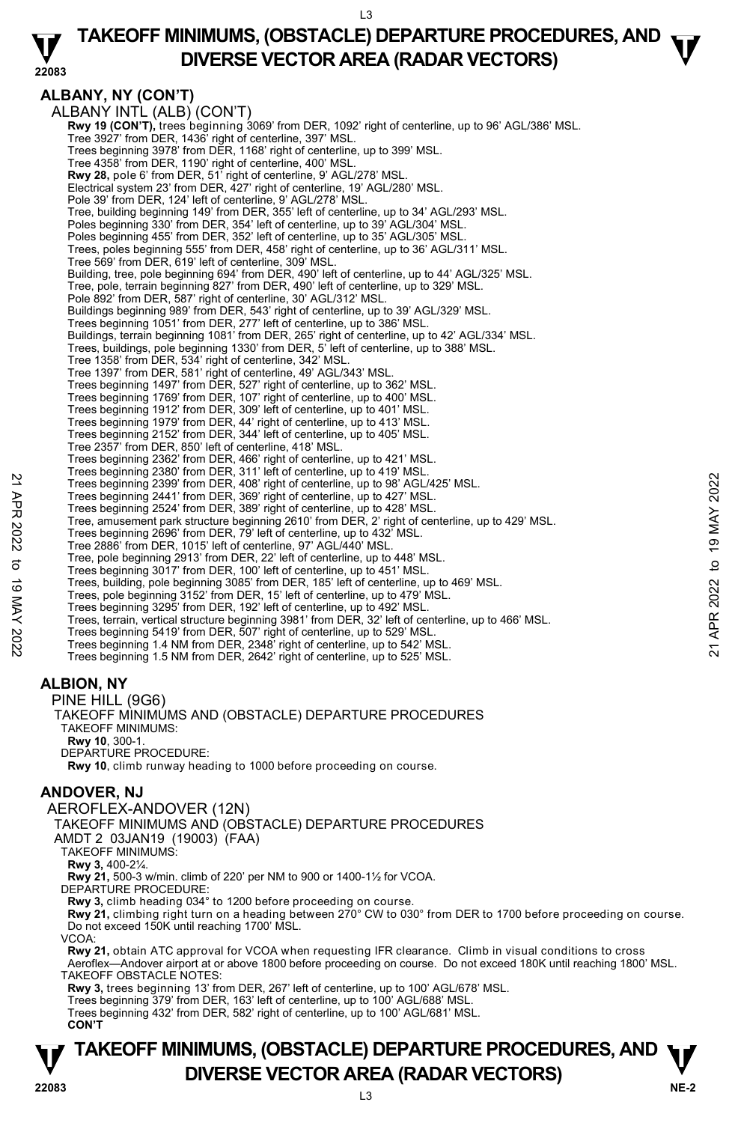$\overline{1}$ 

### **TAKEOFF MINIMUMS, (OBSTACLE) DEPARTURE PROCEDURES, AND**  $\mathbf{\nabla}$ **DIVERSE VECTOR AREA (RADAR VECTORS)**

### **ALBANY, NY (CON'T)**

**22083** 

 ALBANY INTL (ALB) (CON'T) **Rwy 19 (CON'T),** trees beginning 3069' from DER, 1092' right of centerline, up to 96' AGL/386' MSL.<br>Tree 3927' from DER, 1436' right of centerline, 397' MSL. Trees beginning 3978' from DER, 1168' right of centerline, up to 399' MSL. Tree 4358' from DER, 1190' right of centerline, 400' MSL. **Rwy 28,** pole 6' from DER, 51' right of centerline, 9' AGL/278' MSL. Electrical system 23' from DER, 427' right of centerline, 19' AGL/280' MSL. Pole 39' from DER, 124' left of centerline, 9' AGL/278' MSL. Tree, building beginning 149' from DER, 355' left of centerline, up to 34' AGL/293' MSL. Poles beginning 330' from DER, 354' left of centerline, up to 39' AGL/304' MSL. Poles beginning 455' from DER, 352' left of centerline, up to 35' AGL/305' MSL. Trees, poles beginning 555' from DER, 458' right of centerline, up to 36' AGL/311' MSL. Tree 569' from DER, 619' left of centerline, 309' MSL. Building, tree, pole beginning 694' from DER, 490' left of centerline, up to 44' AGL/325' MSL. Tree, pole, terrain beginning 827' from DER, 490' left of centerline, up to 329' MSL. Pole 892' from DER, 587' right of centerline, 30' AGL/312' MSL. Buildings beginning 989' from DER, 543' right of centerline, up to 39' AGL/329' MSL. Trees beginning 1051' from DER, 277' left of centerline, up to 386' MSL. Buildings, terrain beginning 1081' from DER, 265' right of centerline, up to 42' AGL/334' MSL. Trees, buildings, pole beginning 1330' from DER, 5' left of centerline, up to 388' MSL. Tree 1358' from DER, 534' right of centerline, 342' MSL. Tree 1397' from DER, 581' right of centerline, 49' AGL/343' MSL.<br>Trees beginning 1497' from DER, 527' right of centerline, up to 362' MSL.<br>Trees beginning 1769' from DER, 107' right of centerline, up to 400' MSL.<br>Trees beg Trees beginning 1979' from DER, 44' right of centerline, up to 413' MSL. Trees beginning 2152' from DER, 344' left of centerline, up to 405' MSL. Tree 2357' from DER, 850' left of centerline, 418' MSL. Trees beginning 2362' from DER, 466' right of centerline, up to 421' MSL. Trees beginning 2380' from DER, 311' left of centerline, up to 419' MSL. Trees beginning 2399' from DER, 408' right of centerline, up to 98' AGL/425' MSL. Trees beginning 2441' from DER, 369' right of centerline, up to 427' MSL. Trees beginning 2524' from DER, 389' right of centerline, up to 428' MSL. Tree, amusement park structure beginning 2610' from DER, 2' right of centerline, up to 429' MSL. Trees beginning 2696' from DER, 79' left of centerline, up to 432' MSL. Tree 2886' from DER, 1015' left of centerline, 97' AGL/440' MSL. Tree, pole beginning 2913' from DER, 22' left of centerline, up to 448' MSL. Trees beginning 3017' from DER, 100' left of centerline, up to 451' MSL. Trees, building, pole beginning 3085' from DER, 185' left of centerline, up to 469' MSL. Trees, pole beginning 3152' from DER, 15' left of centerline, up to 479' MSL. Trees beginning 3295' from DER, 192' left of centerline, up to 492' MSL. Trees, terrain, vertical structure beginning 3981' from DER, 32' left of centerline, up to 466' MSL. Trees beginning 5419' from DER, 507' right of centerline, up to 529' MSL. Trees beginning 1.4 NM from DER, 2348' right of centerline, up to 542' MSL. Trees beginning 1.5 NM from DER, 2642' right of centerline, up to 525' MSL. 22 Trees beginning 2009 'form DER, 408' right of centerline, up to 98' AGL/425' MSL.<br>
Trees beginning 2399' from DER, 389' right of centerline, up to 428' MSL.<br>
Trees beginning 2641' from DER, 389' right of centerline, up

### **ALBION, NY**

 PINE HILL (9G6) TAKEOFF MINIMUMS AND (OBSTACLE) DEPARTURE PROCEDURES TAKEOFF MINIMUMS: **Rwy 10**, 300-1. DEPARTURE PROCEDURE: **Rwy 10**, climb runway heading to 1000 before proceeding on course.

### **ANDOVER, NJ**

AEROFLEX-ANDOVER (12N)

TAKEOFF MINIMUMS AND (OBSTACLE) DEPARTURE PROCEDURES

AMDT 2 03JAN19 (19003) (FAA)

TAKEOFF MINIMUMS: **Rwy 3,** 400-2¼.

**Rwy 21,** 500-3 w/min. climb of 220' per NM to 900 or 1400-1½ for VCOA.

DEPARTURE PROCEDURE:

**Rwy 3,** climb heading 034° to 1200 before proceeding on course.<br>**Rwy 21,** climbing right turn on a heading between 270° CW to 030° from DER to 1700 before proceeding on course. Do not exceed 150K until reaching 1700' MSL.

VCOA:

**Rwy 21,** obtain ATC approval for VCOA when requesting IFR clearance. Climb in visual conditions to cross Aeroflex—Andover airport at or above 1800 before proceeding on course. Do not exceed 180K until reaching 1800' MSL.

TAKEOFF OBSTACLE NOTES:

**Rwy 3,** trees beginning 13' from DER, 267' left of centerline, up to 100' AGL/678' MSL.<br>Trees beginning 379' from DER, 163' left of centerline, up to 100' AGL/688' MSL.

Trees beginning 432' from DER, 582' right of centerline, up to 100' AGL/681' MSL.

**CON'T** 

### **NE-2** L3 **TAKEOFF MINIMUMS, (OBSTACLE) DEPARTURE PROCEDURES, AND**  $\Psi$ **DIVERSE VECTOR AREA (RADAR VECTORS) 22083**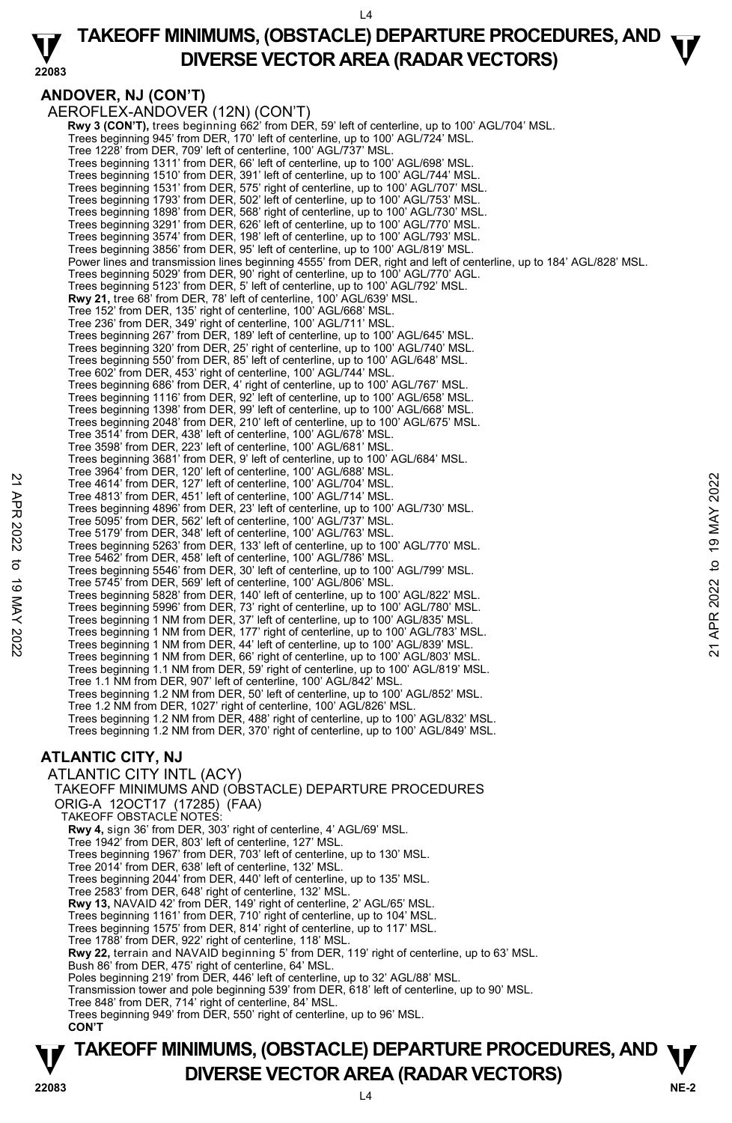$\overline{14}$ 

#### **22083 TAKEOFF MINIMUMS, (OBSTACLE) DEPARTURE PROCEDURES, AND**  $\mathbf{\nabla}$ **DIVERSE VECTOR AREA (RADAR VECTORS)**

### **ANDOVER, NJ (CON'T)**

AEROFLEX-ANDOVER (12N) (CON'T) **Rwy 3 (CON'T),** trees beginning 662' from DER, 59' left of centerline, up to 100' AGL/704' MSL. Trees beginning 945' from DER, 170' left of centerline, up to 100' AGL/724' MSL. Tree 1228' from DER, 709' left of centerline, 100' AGL/737' MSL. Trees beginning 1311' from DER, 66' left of centerline, up to 100' AGL/698' MSL. Trees beginning 1510' from DER, 391' left of centerline, up to 100' AGL/744' MSL. Trees beginning 1531' from DER, 575' right of centerline, up to 100' AGL/707' MSL. Trees beginning 1793' from DER, 502' left of centerline, up to 100' AGL/753' MSL. Trees beginning 1898' from DER, 568' right of centerline, up to 100' AGL/730' MSL. Trees beginning 3291' from DER, 626' left of centerline, up to 100' AGL/770' MSL. Trees beginning 3574' from DER, 198' left of centerline, up to 100' AGL/793' MSL. Trees beginning 3856' from DER, 95' left of centerline, up to 100' AGL/819' MSL. Power lines and transmission lines beginning 4555' from DER, right and left of centerline, up to 184' AGL/828' MSL. Trees beginning 5029' from DER, 90' right of centerline, up to 100' AGL/770' AGL. Trees beginning 5123' from DER, 5' left of centerline, up to 100' AGL/792' MSL. **Rwy 21,** tree 68' from DER, 78' left of centerline, 100' AGL/639' MSL. Tree 152' from DER, 135' right of centerline, 100' AGL/668' MSL. Tree 236' from DER, 349' right of centerline, 100' AGL/711' MSL. Trees beginning 267' from DER, 189' left of centerline, up to 100' AGL/645' MSL. Trees beginning 320' from DER, 25' right of centerline, up to 100' AGL/740' MSL. Trees beginning 550' from DER, 85' left of centerline, up to 100' AGL/648' MSL. Tree 602' from DER, 453' right of centerline, 100' AGL/744' MSL. Trees beginning 686' from DER, 4' right of centerline, up to 100' AGL/767' MSL. Trees beginning 1116' from DER, 92' left of centerline, up to 100' AGL/658' MSL. Trees beginning 1398' from DER, 99' left of centerline, up to 100' AGL/668' MSL. Trees beginning 2048' from DER, 210' left of centerline, up to 100' AGL/675' MSL. Tree 3514' from DER, 438' left of centerline, 100' AGL/678' MSL. Tree 3598' from DER, 223' left of centerline, 100' AGL/681' MSL. Trees beginning 3681' from DER, 9' left of centerline, up to 100' AGL/684' MSL. Tree 3964' from DER, 120' left of centerline, 100' AGL/688' MSL. Tree 4614' from DER, 127' left of centerline, 100' AGL/704' MSL. Tree 4813' from DER, 451' left of centerline, 100' AGL/714' MSL. Trees beginning 4896' from DER, 23' left of centerline, up to 100' AGL/730' MSL. Tree 5095' from DER, 562' left of centerline, 100' AGL/737' MSL. Tree 5179' from DER, 348' left of centerline, 100' AGL/763' MSL. Trees beginning 5263' from DER, 133' left of centerline, up to 100' AGL/770' MSL. Tree 5462' from DER, 458' left of centerline, 100' AGL/786' MSL. Trees beginning 5546' from DER, 30' left of centerline, up to 100' AGL/799' MSL. Tree 5745' from DER, 569' left of centerline, 100' AGL/806' MSL. Trees beginning 5828' from DER, 140' left of centerline, up to 100' AGL/822' MSL. Trees beginning 5996' from DER, 73' right of centerline, up to 100' AGL/780' MSL. Trees beginning 1 NM from DER, 37' left of centerline, up to 100' AGL/835' MSL. Trees beginning 1 NM from DER, 177' right of centerline, up to 100' AGL/783' MSL. Trees beginning 1 NM from DER, 44' left of centerline, up to 100' AGL/839' MSL. Trees beginning 1 NM from DER, 66' right of centerline, up to 100' AGL/803' MSL. Trees beginning 1.1 NM from DER, 59' right of centerline, up to 100' AGL/819' MSL. Tree 1.1 NM from DER, 907' left of centerline, 100' AGL/842' MSL. Trees beginning 1.2 NM from DER, 50' left of centerline, up to 100' AGL/852' MSL. Tree 1.2 NM from DER, 1027' right of centerline, 100' AGL/826' MSL. Trees beginning 1.2 NM from DER, 488' right of centerline, up to 100' AGL/832' MSL. Trees beginning 1.2 NM from DER, 370' right of centerline, up to 100' AGL/849' MSL. **ATLANTIC CITY, NJ**  ATLANTIC CITY INTL (ACY) TAKEOFF MINIMUMS AND (OBSTACLE) DEPARTURE PROCEDURES Tree 4614' from DER, 127' left of centerline, 100' AGL/704' MSL.<br>
Tree 4614' from DER, 127' left of centerline, 100' AGL/744' MSL.<br>
Tree beginning 4896' from DER, 23' left of centerline, 100' AGL/730' MSL.<br>
Tree 5095' fro

ORIG-A 12OCT17 (17285) (FAA)

TAKEOFF OBSTACLE NOTES:

**Rwy 4,** sign 36' from DER, 303' right of centerline, 4' AGL/69' MSL.

Tree 1942' from DER, 803' left of centerline, 127' MSL. Trees beginning 1967' from DER, 703' left of centerline, up to 130' MSL.

Tree 2014' from DER, 638' left of centerline, 132' MSL.

Trees beginning 2044' from DER, 440' left of centerline, up to 135' MSL.

Tree 2583' from DER, 648' right of centerline, 132' MSL. **Rwy 13,** NAVAID 42' from DER, 149' right of centerline, 2' AGL/65' MSL.

Trees beginning 1161' from DER, 710' right of centerline, up to 104' MSL.

Trees beginning 1575' from DER, 814' right of centerline, up to 117' MSL. Tree 1788' from DER, 922' right of centerline, 118' MSL.

**Rwy 22,** terrain and NAVAID beginning 5' from DER, 119' right of centerline, up to 63' MSL.

Bush 86' from DER, 475' right of centerline, 64' MSL. Poles beginning 219' from DER, 446' left of centerline, up to 32' AGL/88' MSL.

Transmission tower and pole beginning 539' from DER, 618' left of centerline, up to 90' MSL.

Tree 848' from DER, 714' right of centerline, 84' MSL.

Trees beginning 949' from DER, 550' right of centerline, up to 96' MSL.

 **CON'T** 

### **NE-2** L4 **TAKEOFF MINIMUMS, (OBSTACLE) DEPARTURE PROCEDURES, AND**  $\Psi$ **P**<br> **DIVERSE VECTOR AREA (RADAR VECTORS)**<br>  $\frac{1}{4}$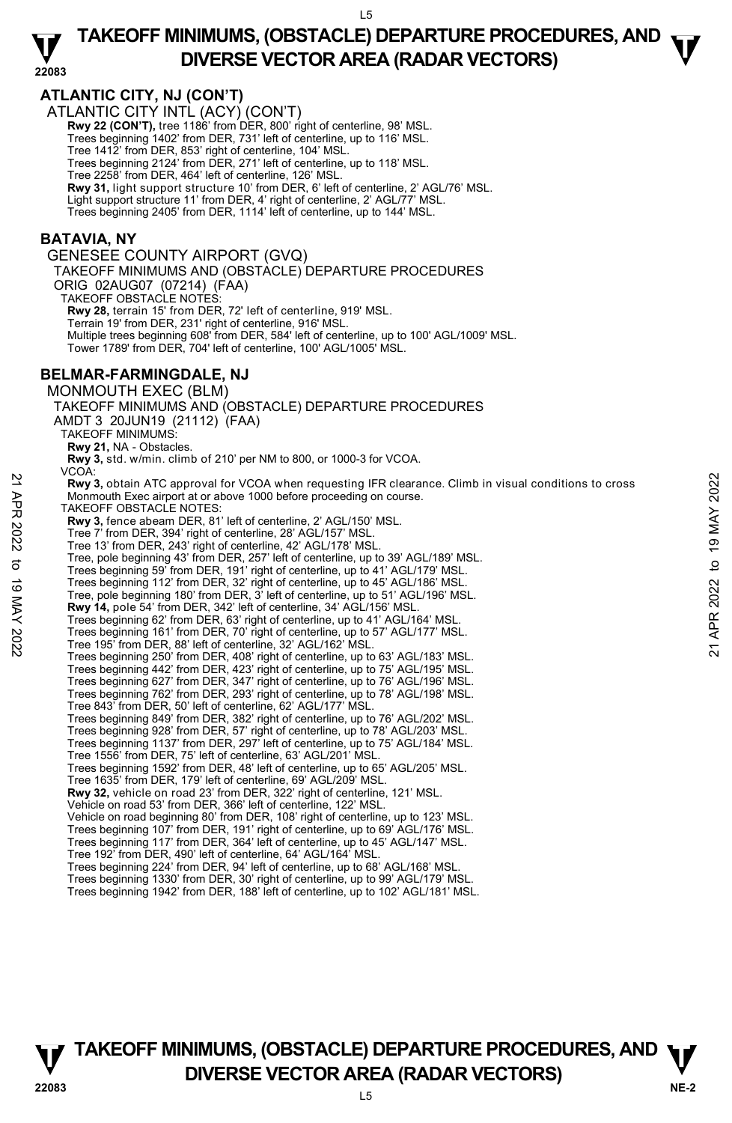$L<sub>5</sub>$ 

### **22083 TAKEOFF MINIMUMS, (OBSTACLE) DEPARTURE PROCEDURES, AND**  $\mathbf{\nabla}$ **DIVERSE VECTOR AREA (RADAR VECTORS)**

### **ATLANTIC CITY, NJ (CON'T)**

ATLANTIC CITY INTL (ACY) (CON'T) **Rwy 22 (CON'T),** tree 1186' from DER, 800' right of centerline, 98' MSL. Trees beginning 1402' from DER, 731' left of centerline, up to 116' MSL. Tree 1412' from DER, 853' right of centerline, 104' MSL. Trees beginning 2124' from DER, 271' left of centerline, up to 118' MSL. Tree 2258' from DER, 464' left of centerline, 126' MSL. **Rwy 31,** light support structure 10' from DER, 6' left of centerline, 2' AGL/76' MSL. Light support structure 11' from DER, 4' right of centerline, 2' AGL/77' MSL. Trees beginning 2405' from DER, 1114' left of centerline, up to 144' MSL.

#### **BATAVIA, NY**

GENESEE COUNTY AIRPORT (GVQ) TAKEOFF MINIMUMS AND (OBSTACLE) DEPARTURE PROCEDURES ORIG 02AUG07 (07214) (FAA) TAKEOFF OBSTACLE NOTES: **Rwy 28,** terrain 15' from DER, 72' left of centerline, 919' MSL. Terrain 19' from DER, 231' right of centerline, 916' MSL. Multiple trees beginning 608' from DER, 584' left of centerline, up to 100' AGL/1009' MSL. Tower 1789' from DER, 704' left of centerline, 100' AGL/1005' MSL. **BELMAR-FARMINGDALE, NJ**  MONMOUTH EXEC (BLM) TAKEOFF MINIMUMS AND (OBSTACLE) DEPARTURE PROCEDURES AMDT 3 20JUN19 (21112) (FAA) TAKEOFF MINIMUMS: **Rwy 21,** NA - Obstacles. **Rwy 3,** std. w/min. climb of 210' per NM to 800, or 1000-3 for VCOA. VCOA: **Rwy 3,** obtain ATC approval for VCOA when requesting IFR clearance. Climb in visual conditions to cross Monmouth Exec airport at or above 1000 before proceeding on course. TAKEOFF OBSTACLE NOTES: **Rwy 3,** fence abeam DER, 81' left of centerline, 2' AGL/150' MSL. Tree 7' from DER, 394' right of centerline, 28' AGL/157' MSL. Tree 13' from DER, 243' right of centerline, 42' AGL/178' MSL. Tree, pole beginning 43' from DER, 257' left of centerline, up to 39' AGL/189' MSL. Trees beginning 59' from DER, 191' right of centerline, up to 41' AGL/179' MSL. Trees beginning 112' from DER, 32' right of centerline, up to 45' AGL/186' MSL. Tree, pole beginning 180' from DER, 3' left of centerline, up to 51' AGL/196' MSL. **Rwy 14,** pole 54' from DER, 342' left of centerline, 34' AGL/156' MSL. Trees beginning 62' from DER, 63' right of centerline, up to 41' AGL/164' MSL. Trees beginning 161' from DER, 70' right of centerline, up to 57' AGL/177' MSL. Tree 195' from DER, 88' left of centerline, 32' AGL/162' MSL. Trees beginning 250' from DER, 408' right of centerline, up to 63' AGL/183' MSL. Trees beginning 442' from DER, 423' right of centerline, up to 75' AGL/195' MSL. Trees beginning 627' from DER, 347' right of centerline, up to 76' AGL/196' MSL. Trees beginning 762' from DER, 293' right of centerline, up to 78' AGL/198' MSL. Tree 843' from DER, 50' left of centerline, 62' AGL/177' MSL. Trees beginning 849' from DER, 382' right of centerline, up to 76' AGL/202' MSL. Trees beginning 928' from DER, 57' right of centerline, up to 78' AGL/203' MSL. Trees beginning 1137' from DER, 297' left of centerline, up to 75' AGL/184' MSL. Tree 1556' from DER, 75' left of centerline, 63' AGL/201' MSL. Trees beginning 1592' from DER, 48' left of centerline, up to 65' AGL/205' MSL. Tree 1635' from DER, 179' left of centerline, 69' AGL/209' MSL. **Rwy 32,** vehicle on road 23' from DER, 322' right of centerline, 121' MSL. Vehicle on road 53' from DER, 366' left of centerline, 122' MSL. Vehicle on road beginning 80' from DER, 108' right of centerline, up to 123' MSL. Trees beginning 107' from DER, 191' right of centerline, up to 69' AGL/176' MSL. Trees beginning 117' from DER, 364' left of centerline, up to 45' AGL/147' MSL. Tree 192' from DER, 490' left of centerline, 64' AGL/164' MSL. Trees beginning 224' from DER, 94' left of centerline, up to 68' AGL/168' MSL. 22 **Example 19** A a A a A a a move of COA when requesting IFR clearance. Climb in visual conditions to cross<br>
22 Monmouth Exec airport at or above 1000 before proceeding on course.<br>
22 TAKEOFF OBSTACLE NOTES:<br>
22 THE 7' f

Trees beginning 1330' from DER, 30' right of centerline, up to 99' AGL/179' MSL. Trees beginning 1942' from DER, 188' left of centerline, up to 102' AGL/181' MSL.

**NE-2** L5 **TAKEOFF MINIMUMS, (OBSTACLE) DEPARTURE PROCEDURES, AND**  $\Psi$ **DIVERSE VECTOR AREA (RADAR VECTORS) 22083**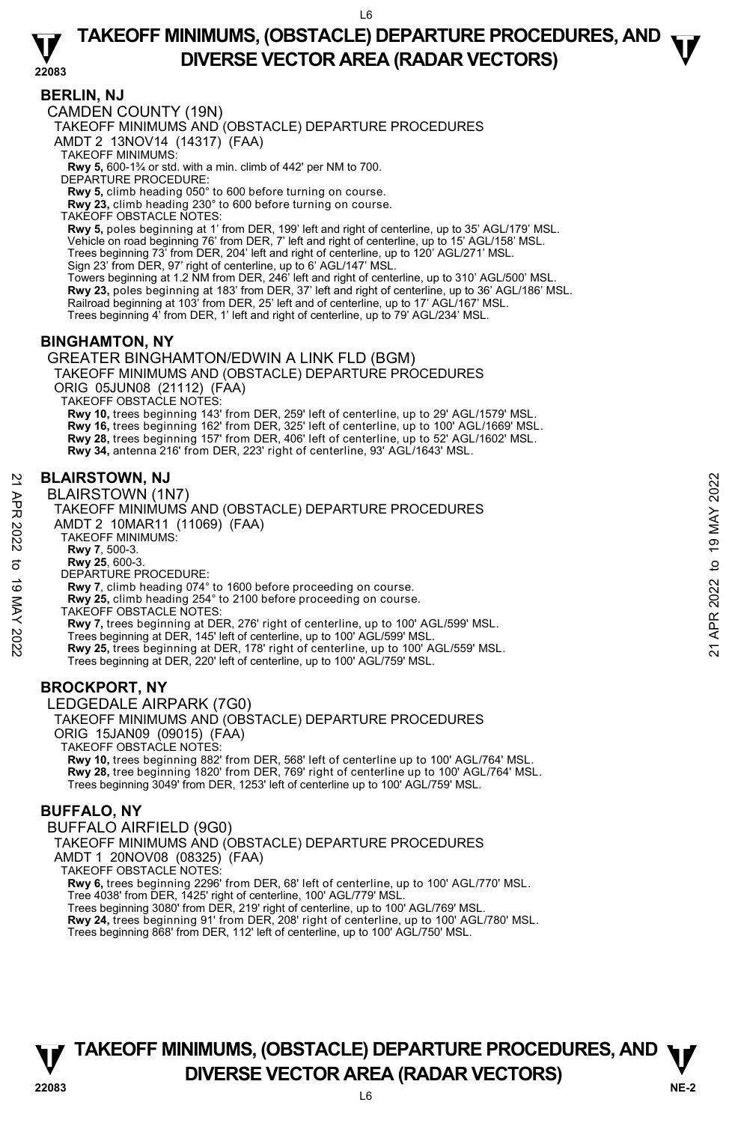$\overline{6}$ 

### **TAKEOFF MINIMUMS, (OBSTACLE) DEPARTURE PROCEDURES, AND**  $\mathbf{\nabla}$ **DIVERSE VECTOR AREA (RADAR VECTORS)**

#### **22083**

**BERLIN, NJ** 

CAMDEN COUNTY (19N)

TAKEOFF MINIMUMS AND (OBSTACLE) DEPARTURE PROCEDURES

AMDT 2 13NOV14 (14317) (FAA)

TAKEOFF MINIMUMS:

**Rwy 5,** 600-1¾ or std. with a min. climb of 442' per NM to 700.

DEPARTURE PROCEDURE:

**Rwy 5,** climb heading 050° to 600 before turning on course.

**Rwy 23,** climb heading 230° to 600 before turning on course.

TAKEOFF OBSTACLE NOTES:

**Rwy 5,** poles beginning at 1' from DER, 199' left and right of centerline, up to 35' AGL/179' MSL. Vehicle on road beginning 76' from DER, 7' left and right of centerline, up to 15' AGL/158' MSL. Trees beginning 73' from DER, 204' left and right of centerline, up to 120' AGL/271' MSL. Sign 23' from DER, 97' right of centerline, up to 6' AGL/147' MSL.

Towers beginning at 1.2 NM from DER, 246' left and right of centerline, up to 310' AGL/500' MSL. **Rwy 23,** poles beginning at 183' from DER, 37' left and right of centerline, up to 36' AGL/186' MSL.<br>Railroad beginning at 103' from DER, 25' left and of centerline, up to 17' AGL/167' MSL. Trees beginning 4' from DER, 1' left and right of centerline, up to 79' AGL/234' MSL.

### **BINGHAMTON, NY**

GREATER BINGHAMTON/EDWIN A LINK FLD (BGM)

TAKEOFF MINIMUMS AND (OBSTACLE) DEPARTURE PROCEDURES

ORIG 05JUN08 (21112) (FAA)

TAKEOFF OBSTACLE NOTES:

**Rwy 10,** trees beginning 143' from DER, 259' left of centerline, up to 29' AGL/1579' MSL. **Rwy 16,** trees beginning 162' from DER, 325' left of centerline, up to 100' AGL/1669' MSL.<br>**Rwy 28,** trees beginning 157' from DER, 406' left of centerline, up to 52' AGL/1602' MSL. **Rwy 34,** antenna 216' from DER, 223' right of centerline, 93' AGL/1643' MSL.

### **BLAIRSTOWN, NJ**

BLAIRSTOWN (1N7)

TAKEOFF MINIMUMS AND (OBSTACLE) DEPARTURE PROCEDURES AMDT 2 10MAR11 (11069) (FAA)

TAKEOFF MINIMUMS:

**Rwy 7**, 500-3. **Rwy 25**, 600-3.

DEPARTURE PROCEDURE:

**Rwy 7**, climb heading 074° to 1600 before proceeding on course.

**Rwy 25,** climb heading 254° to 2100 before proceeding on course.

TAKEOFF OBSTACLE NOTES:

**Rwy 7,** trees beginning at DER, 276' right of centerline, up to 100' AGL/599' MSL. **BLAIRSTOWN, NJ**<br>  $\geq$  BLAIRSTOWN (1N7)<br>
TAKEOFF MINIMUMS AND (OBSTACLE) DEPARTURE PROCEDURES<br>
ANDT 2 10MAR11 (11069) (FAA)<br>
TAKEOFF MINIMUMS:<br>
RWY 7, climb heading 074<sup>9</sup> to 1600 before proceeding on course.<br>
RWY 7, cli

Trees beginning at DER, 145' left of centerline, up to 100' AGL/599' MSL.<br>**Rwy 25,** trees beginning at DER, 178' right of centerline, up to 100' AGL/559' MSL. Trees beginning at DER, 220' left of centerline, up to 100' AGL/759' MSL.

### **BROCKPORT, NY**

LEDGEDALE AIRPARK (7G0)

TAKEOFF MINIMUMS AND (OBSTACLE) DEPARTURE PROCEDURES ORIG 15JAN09 (09015) (FAA)

TAKEOFF OBSTACLE NOTES:

**Rwy 10,** trees beginning 882' from DER, 568' left of centerline up to 100' AGL/764' MSL.<br>**Rwy 28,** tree beginning 1820' from DER, 769' right of centerline up to 100' AGL/764' MSL. Trees beginning 3049' from DER, 1253' left of centerline up to 100' AGL/759' MSL.

### **BUFFALO, NY**

BUFFALO AIRFIELD (9G0) TAKEOFF MINIMUMS AND (OBSTACLE) DEPARTURE PROCEDURES AMDT 1 20NOV08 (08325) (FAA) TAKEOFF OBSTACLE NOTES: **Rwy 6,** trees beginning 2296' from DER, 68' left of centerline, up to 100' AGL/770' MSL.<br>Tree 4038' from DER, 1425' right of centerline, 100' AGL/779' MSL. Trees beginning 3080' from DER, 219' right of centerline, up to 100' AGL/769' MSL.

**Rwy 24,** trees beginning 91' from DER, 208' right of centerline, up to 100' AGL/780' MSL. Trees beginning 868' from DER, 112' left of centerline, up to 100' AGL/750' MSL.

### **NE-2** L6 **TAKEOFF MINIMUMS, (OBSTACLE) DEPARTURE PROCEDURES, AND**  $\Psi$ **P**<br>22083 DIVERSE VECTOR AREA (RADAR VECTORS)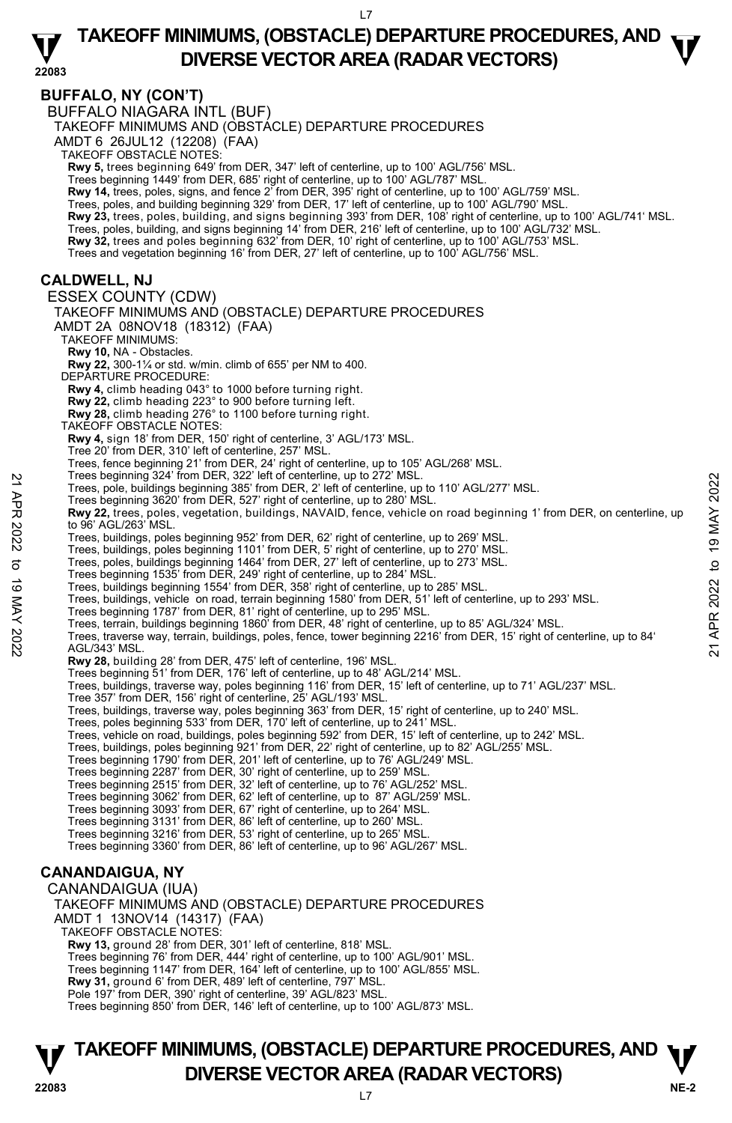**22083 BUFFALO, NY (CON'T)**  BUFFALO NIAGARA INTL (BUF) TAKEOFF MINIMUMS AND (OBSTACLE) DEPARTURE PROCEDURES AMDT 6 26JUL12 (12208) (FAA) TAKEOFF OBSTACLE NOTES: **Rwy 5,** trees beginning 649' from DER, 347' left of centerline, up to 100' AGL/756' MSL. Trees beginning 1449' from DER, 685' right of centerline, up to 100' AGL/787' MSL. **Rwy 14,** trees, poles, signs, and fence 2' from DER, 395' right of centerline, up to 100' AGL/759' MSL. Trees, poles, and building beginning 329' from DER, 17' left of centerline, up to 100' AGL/790' MSL. **Rwy 23,** trees, poles, building, and signs beginning 393' from DER, 108' right of centerline, up to 100' AGL/741' MSL.<br>Trees, poles, building, and signs beginning 14' from DER, 216' left of centerline, up to 100' AGL/732' **Rwy 32,** trees and poles beginning 632' from DER, 10' right of centerline, up to 100' AGL/753' MSL. Trees and vegetation beginning 16' from DER, 27' left of centerline, up to 100' AGL/756' MSL. **CALDWELL, NJ**  ESSEX COUNTY (CDW) TAKEOFF MINIMUMS AND (OBSTACLE) DEPARTURE PROCEDURES AMDT 2A 08NOV18 (18312) (FAA) TAKEOFF MINIMUMS: **Rwy 10,** NA - Obstacles. **Rwy 22,** 300-1¼ or std. w/min. climb of 655' per NM to 400. DEPARTURE PROCEDURE: **Rwy 4,** climb heading 043° to 1000 before turning right. **Rwy 22,** climb heading 223° to 900 before turning left. **Rwy 28,** climb heading 276° to 1100 before turning right. TAKEOFF OBSTACLE NOTES: **Rwy 4,** sign 18' from DER, 150' right of centerline, 3' AGL/173' MSL. Tree 20' from DER, 310' left of centerline, 257' MSL. Trees, fence beginning 21' from DER, 24' right of centerline, up to 105' AGL/268' MSL. Trees beginning 324' from DER, 322' left of centerline, up to 272' MSL. Trees, pole, buildings beginning 385' from DER, 2' left of centerline, up to 110' AGL/277' MSL. Trees beginning 3620' from DER, 527' right of centerline, up to 280' MSL. **Rwy 22,** trees, poles, vegetation, buildings, NAVAID, fence, vehicle on road beginning 1' from DER, on centerline, up to 96' AGL/263' MSL. Trees, buildings, poles beginning 952' from DER, 62' right of centerline, up to 269' MSL. Trees, buildings, poles beginning 1101' from DER, 5' right of centerline, up to 270' MSL.<br>Trees, poles, buildings beginning 1464' from DER, 27' left of centerline, up to 273' MSL.<br>Trees beginning 1535' from DER, 249' right Trees, buildings beginning 1554' from DER, 358' right of centerline, up to 285' MSL. Trees, buildings, vehicle on road, terrain beginning 1580' from DER, 51' left of centerline, up to 293' MSL. Trees beginning 1787' from DER, 81' right of centerline, up to 295' MSL. Trees, terrain, buildings beginning 1860' from DER, 48' right of centerline, up to 85' AGL/324' MSL. Trees, traverse way, terrain, buildings, poles, fence, tower beginning 2216' from DER, 15' right of centerline, up to 84' AGL/343' MSL. **Rwy 28,** building 28' from DER, 475' left of centerline, 196' MSL. Trees beginning 51' from DER, 176' left of centerline, up to 48' AGL/214' MSL. Trees, buildings, traverse way, poles beginning 116' from DER, 15' left of centerline, up to 71' AGL/237' MSL. Tree 357' from DER, 156' right of centerline, 25' AGL/193' MSL. Trees, buildings, traverse way, poles beginning 363' from DER, 15' right of centerline, up to 240' MSL. Trees, poles beginning 533' from DER, 170' left of centerline, up to 241' MSL. Trees, vehicle on road, buildings, poles beginning 592' from DER, 15' left of centerline, up to 242' MSL. Trees, buildings, poles beginning 921' from DER, 22' right of centerline, up to 82' AGL/255' MSL. Trees beginning 1790' from DER, 201' left of centerline, up to 76' AGL/249' MSL.<br>Trees beginning 2287' from DER, 30' right of centerline, up to 259' MSL.<br>Trees beginning 2515' from DER, 32' left of centerline, up to 76' AG Trees beginning 3062' from DER, 62' left of centerline, up to 87' AGL/259' MSL. Trees beginning 3093' from DER, 67' right of centerline, up to 264' MSL. Trees beginning 3131' from DER, 86' left of centerline, up to 260' MSL. Trees beginning 3216' from DER, 53' right of centerline, up to 265' MSL. Trees beginning 3360' from DER, 86' left of centerline, up to 96' AGL/267' MSL. **CANANDAIGUA, NY**  CANANDAIGUA (IUA) TAKEOFF MINIMUMS AND (OBSTACLE) DEPARTURE PROCEDURES AMDT 1 13NOV14 (14317) (FAA) TAKEOFF OBSTACLE NOTES: **Rwy 13,** ground 28' from DER, 301' left of centerline, 818' MSL. Trees beginning 76' from DER, 444' right of centerline, up to 100' AGL/901' MSL. Trees beginning 1147' from DER, 164' left of centerline, up to 100' AGL/855' MSL. **Rwy 31,** ground 6' from DER, 489' left of centerline, 797' MSL. Pole 197' from DER, 390' right of centerline, 39' AGL/823' MSL. Trees beginning 850' from DER, 146' left of centerline, up to 100' AGL/873' MSL. Trees peginning 324 Trom DER, 32' lett of centerline, up to 272' MSL.<br>
Trees, pole, buildings beginning 385' from DER, 2' left of centerline, up to 110' AGL/277' MSL.<br>
Trees beginning 3620' from DER, 527' right of centerli

### **NE-2** L7 **TAKEOFF MINIMUMS, (OBSTACLE) DEPARTURE PROCEDURES, AND**  $\Psi$ **P**<br> **DIVERSE VECTOR AREA (RADAR VECTORS)**<br>  $\frac{17}{100}$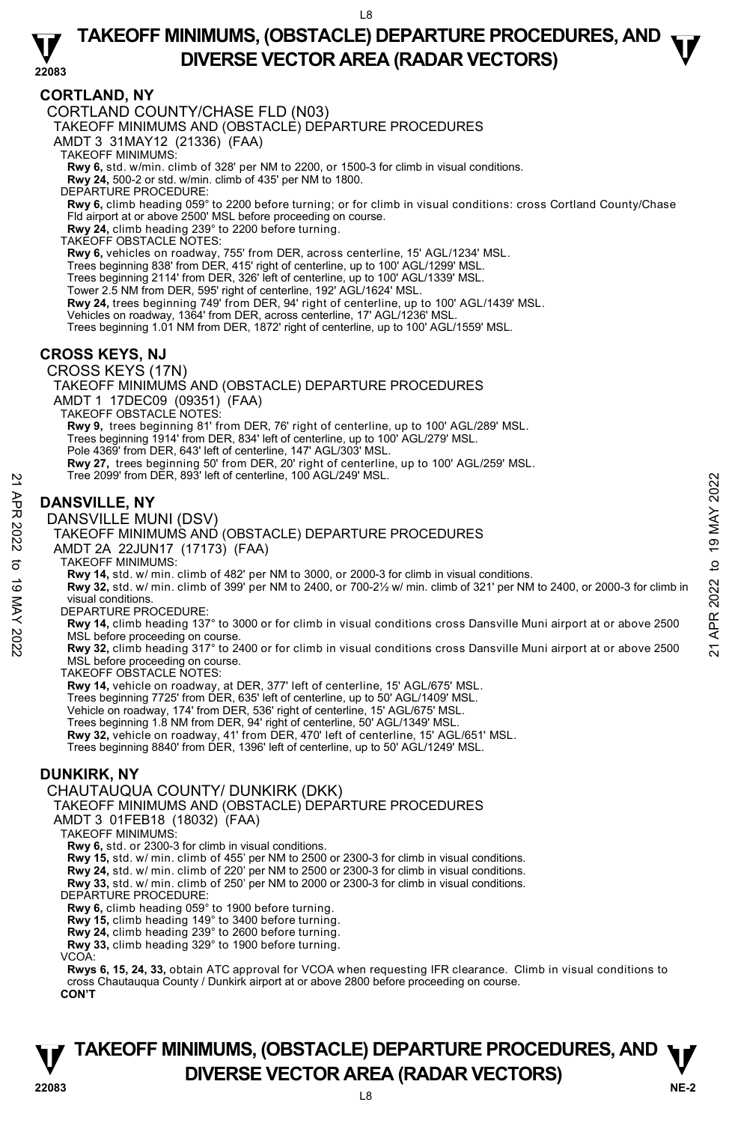### **22083 TAKEOFF MINIMUMS, (OBSTACLE) DEPARTURE PROCEDURES, AND**  $\mathbf{\nabla}$ **DIVERSE VECTOR AREA (RADAR VECTORS)**

### **CORTLAND, NY**

CORTLAND COUNTY/CHASE FLD (N03)

TAKEOFF MINIMUMS AND (OBSTACLE) DEPARTURE PROCEDURES

AMDT 3 31MAY12 (21336) (FAA)

TAKEOFF MINIMUMS:

**Rwy 6,** std. w/min. climb of 328' per NM to 2200, or 1500-3 for climb in visual conditions. **Rwy 24,** 500-2 or std. w/min. climb of 435' per NM to 1800.

DEPARTURE PROCEDURE:

**Rwy 6,** climb heading 059° to 2200 before turning; or for climb in visual conditions: cross Cortland County/Chase Fld airport at or above 2500' MSL before proceeding on course. **Rwy 24,** climb heading 239° to 2200 before turning.

TAKEOFF OBSTACLE NOTES:

**Rwy 6,** vehicles on roadway, 755' from DER, across centerline, 15' AGL/1234' MSL. Trees beginning 838' from DER, 415' right of centerline, up to 100' AGL/1299' MSL.

Trees beginning 2114' from DER, 326' left of centerline, up to 100' AGL/1339' MSL.

Tower 2.5 NM from DER, 595' right of centerline, 192' AGL/1624' MSL.

**Rwy 24,** trees beginning 749' from DER, 94' right of centerline, up to 100' AGL/1439' MSL.

Vehicles on roadway, 1364' from DER, across centerline, 17' AGL/1236' MSL.

Trees beginning 1.01 NM from DER, 1872' right of centerline, up to 100' AGL/1559' MSL.

### **CROSS KEYS, NJ**

CROSS KEYS (17N)

TAKEOFF MINIMUMS AND (OBSTACLE) DEPARTURE PROCEDURES AMDT 1 17DEC09 (09351) (FAA) TAKEOFF OBSTACLE NOTES: **Rwy 9,** trees beginning 81' from DER, 76' right of centerline, up to 100' AGL/289' MSL.<br>Trees beginning 1914' from DER, 834' left of centerline, up to 100' AGL/279' MSL. Pole 4369' from DER, 643' left of centerline, 147' AGL/303' MSL.

### **DANSVILLE, NY**

DANSVILLE MUNI (DSV)



**Rwy 14,** std. w/ min. climb of 482' per NM to 3000, or 2000-3 for climb in visual conditions. **Rwy 32,** std. w/ min. climb of 399' per NM to 2400, or 700-2½ w/ min. climb of 321' per NM to 2400, or 2000-3 for climb in visual conditions.

DEPARTURE PROCEDURE:

**Rwy 14,** climb heading 137° to 3000 or for climb in visual conditions cross Dansville Muni airport at or above 2500 MSL before proceeding on course.

**Rwy 32,** climb heading 317° to 2400 or for climb in visual conditions cross Dansville Muni airport at or above 2500 MSL before proceeding on course.

TAKEOFF OBSTACLE NOTES:

**Rwy 14,** vehicle on roadway, at DER, 377' left of centerline, 15' AGL/675' MSL.

Trees beginning 7725' from DER, 635' left of centerline, up to 50' AGL/1409' MSL. Vehicle on roadway, 174' from DER, 536' right of centerline, 15' AGL/675' MSL.

Trees beginning 1.8 NM from DER, 94' right of centerline, 50' AGL/1349' MSL.

**Rwy 32,** vehicle on roadway, 41' from DER, 470' left of centerline, 15' AGL/651' MSL.

Trees beginning 8840' from DER, 1396' left of centerline, up to 50' AGL/1249' MSL.

### **DUNKIRK, NY**

#### CHAUTAUQUA COUNTY/ DUNKIRK (DKK)

TAKEOFF MINIMUMS AND (OBSTACLE) DEPARTURE PROCEDURES

AMDT 3 01FEB18 (18032) (FAA)

TAKEOFF MINIMUMS:

**Rwy 6,** std. or 2300-3 for climb in visual conditions.

**Rwy 15,** std. w/ min. climb of 455' per NM to 2500 or 2300-3 for climb in visual conditions.

**Rwy 24,** std. w/ min. climb of 220' per NM to 2500 or 2300-3 for climb in visual conditions.

**Rwy 33,** std. w/ min. climb of 250' per NM to 2000 or 2300-3 for climb in visual conditions. DEPARTURE PROCEDURE:

**Rwy 6,** climb heading 059° to 1900 before turning.

**Rwy 15,** climb heading 149° to 3400 before turning. **Rwy 24,** climb heading 239° to 2600 before turning.

**Rwy 33,** climb heading 329° to 1900 before turning.

VCOA:

**Rwys 6, 15, 24, 33,** obtain ATC approval for VCOA when requesting IFR clearance. Climb in visual conditions to cross Chautauqua County / Dunkirk airport at or above 2800 before proceeding on course.

#### **CON'T**

### **NE-2** L8 **TAKEOFF MINIMUMS, (OBSTACLE) DEPARTURE PROCEDURES, AND**  $\Psi$ **DIVERSE VECTOR AREA (RADAR VECTORS) 22083**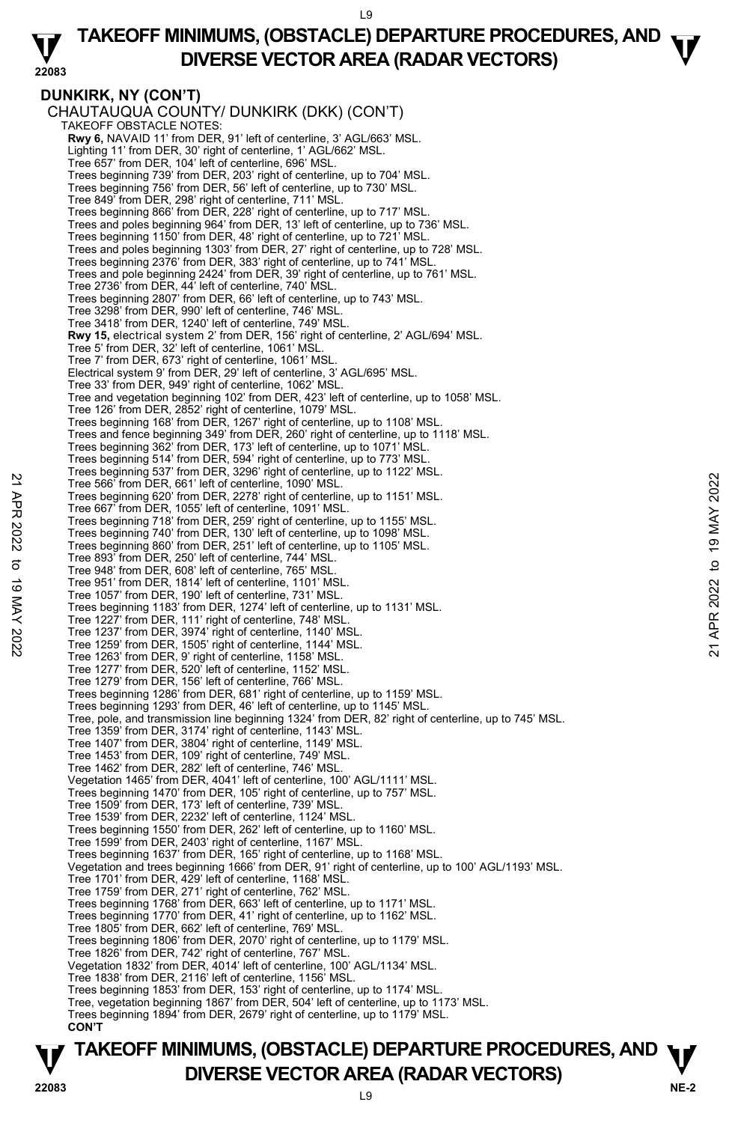$\overline{9}$ 

#### **22083 TAKEOFF MINIMUMS, (OBSTACLE) DEPARTURE PROCEDURES, AND**  $\mathbf{\nabla}$ **DIVERSE VECTOR AREA (RADAR VECTORS)**

**DUNKIRK, NY (CON'T)**  CHAUTAUQUA COUNTY/ DUNKIRK (DKK) (CON'T) TAKEOFF OBSTACLE NOTES: **Rwy 6,** NAVAID 11' from DER, 91' left of centerline, 3' AGL/663' MSL. Lighting 11' from DER, 30' right of centerline, 1' AGL/662' MSL. Tree 657' from DER, 104' left of centerline, 696' MSL. Trees beginning 739' from DER, 203' right of centerline, up to 704' MSL. Trees beginning 756' from DER, 56' left of centerline, up to 730' MSL. Tree 849' from DER, 298' right of centerline, 711' MSL. Trees beginning 866' from DER, 228' right of centerline, up to 717' MSL. Trees and poles beginning 964' from DER, 13' left of centerline, up to 736' MSL. Trees beginning 1150' from DER, 48' right of centerline, up to 721' MSL. Trees and poles beginning 1303' from DER, 27' right of centerline, up to 728' MSL. Trees beginning 2376' from DER, 383' right of centerline, up to 741' MSL. Trees and pole beginning 2424' from DER, 39' right of centerline, up to 761' MSL. Tree 2736' from DER, 44' left of centerline, 740' MSL. Trees beginning 2807' from DER, 66' left of centerline, up to 743' MSL. Tree 3298' from DER, 990' left of centerline, 746' MSL. Tree 3418' from DER, 1240' left of centerline, 749' MSL. **Rwy 15,** electrical system 2' from DER, 156' right of centerline, 2' AGL/694' MSL.<br>Tree 5' from DER, 32' left of centerline, 1061' MSL. Tree 7' from DER, 673' right of centerline, 1061' MSL. Electrical system 9' from DER, 29' left of centerline, 3' AGL/695' MSL. Tree 33' from DER, 949' right of centerline, 1062' MSL. Tree and vegetation beginning 102' from DER, 423' left of centerline, up to 1058' MSL. Tree 126' from DER, 2852' right of centerline, 1079' MSL. Trees beginning 168' from DER, 1267' right of centerline, up to 1108' MSL. Trees and fence beginning 349' from DER, 260' right of centerline, up to 1118' MSL. Trees beginning 362' from DER, 173' left of centerline, up to 1071' MSL. Trees beginning 514' from DER, 594' right of centerline, up to 773' MSL. Trees beginning 537' from DER, 3296' right of centerline, up to 1122' MSL. Tree 566' from DER, 661' left of centerline, 1090' MSL. Trees beginning 620' from DER, 2278' right of centerline, up to 1151' MSL. Tree 667' from DER, 1055' left of centerline, 1091' MSL. Trees beginning 718' from DER, 259' right of centerline, up to 1155' MSL. Trees beginning 740' from DER, 130' left of centerline, up to 1098' MSL. Trees beginning 860' from DER, 251' left of centerline, up to 1105' MSL. Tree 893' from DER, 250' left of centerline, 744' MSL. Tree 948' from DER, 608' left of centerline, 765' MSL. Tree 951' from DER, 1814' left of centerline, 1101' MSL. Tree 1057' from DER, 190' left of centerline, 731' MSL. Trees beginning 1183' from DER, 1274' left of centerline, up to 1131' MSL. Tree 1227' from DER, 111' right of centerline, 748' MSL. Tree 1237' from DER, 3974' right of centerline, 1140' MSL. Tree 1259' from DER, 1505' right of centerline, 1144' MSL. Tree 1263' from DER, 9' right of centerline, 1158' MSL. Tree 1277' from DER, 520' left of centerline, 1152' MSL. Tree 1279' from DER, 156' left of centerline, 766' MSL. Trees beginning 1286' from DER, 681' right of centerline, up to 1159' MSL. Trees beginning 1293' from DER, 46' left of centerline, up to 1145' MSL. Tree, pole, and transmission line beginning 1324' from DER, 82' right of centerline, up to 745' MSL. Tree 1359' from DER, 3174' right of centerline, 1143' MSL. Tree 1407' from DER, 3804' right of centerline, 1149' MSL. Tree 1453' from DER, 109' right of centerline, 749' MSL. Tree 1462' from DER, 282' left of centerline, 746' MSL. Vegetation 1465' from DER, 4041' left of centerline, 100' AGL/1111' MSL. Trees beginning 1470' from DER, 105' right of centerline, up to 757' MSL. Tree 1509' from DER, 173' left of centerline, 739' MSL. Tree 1539' from DER, 2232' left of centerline, 1124' MSL. Trees beginning 1550' from DER, 262' left of centerline, up to 1160' MSL. Tree 1599' from DER, 2403' right of centerline, 1167' MSL. Trees beginning 1637' from DER, 165' right of centerline, up to 1168' MSL. Vegetation and trees beginning 1666' from DER, 91' right of centerline, up to 100' AGL/1193' MSL. Tree 1701' from DER, 429' left of centerline, 1168' MSL. Tree 1759' from DER, 271' right of centerline, 762' MSL. Trees beginning 1768' from DER, 663' left of centerline, up to 1171' MSL. Trees beginning 1770' from DER, 41' right of centerline, up to 1162' MSL. Tree 1805' from DER, 662' left of centerline, 769' MSL. Trees beginning 1806' from DER, 2070' right of centerline, up to 1179' MSL. Tree 1826' from DER, 742' right of centerline, 767' MSL. Vegetation 1832' from DER, 4014' left of centerline, 100' AGL/1134' MSL. Tree 1838' from DER, 2116' left of centerline, 1156' MSL. Trees beginning 1853' from DER, 153' right of centerline, up to 1174' MSL. Tree, vegetation beginning 1867' from DER, 504' left of centerline, up to 1173' MSL. Trees beginning 1894' from DER, 2679' right of centerline, up to 1179' MSL. **CON'T**  22 Tree 566 from DER, 661' left of centerline, 1090' MSL.<br>
Tree 566 from DER, 1055' left of centerline, 1090' MSL.<br>
Tree 667 from DER, 1055' left of centerline, 1091' MSL.<br>
Tree 667 from DER, 1055' left of centerline, up t

### **NE-2** L9 **TAKEOFF MINIMUMS, (OBSTACLE) DEPARTURE PROCEDURES, AND**  $\Psi$ **DIVERSE VECTOR AREA (RADAR VECTORS) 22083**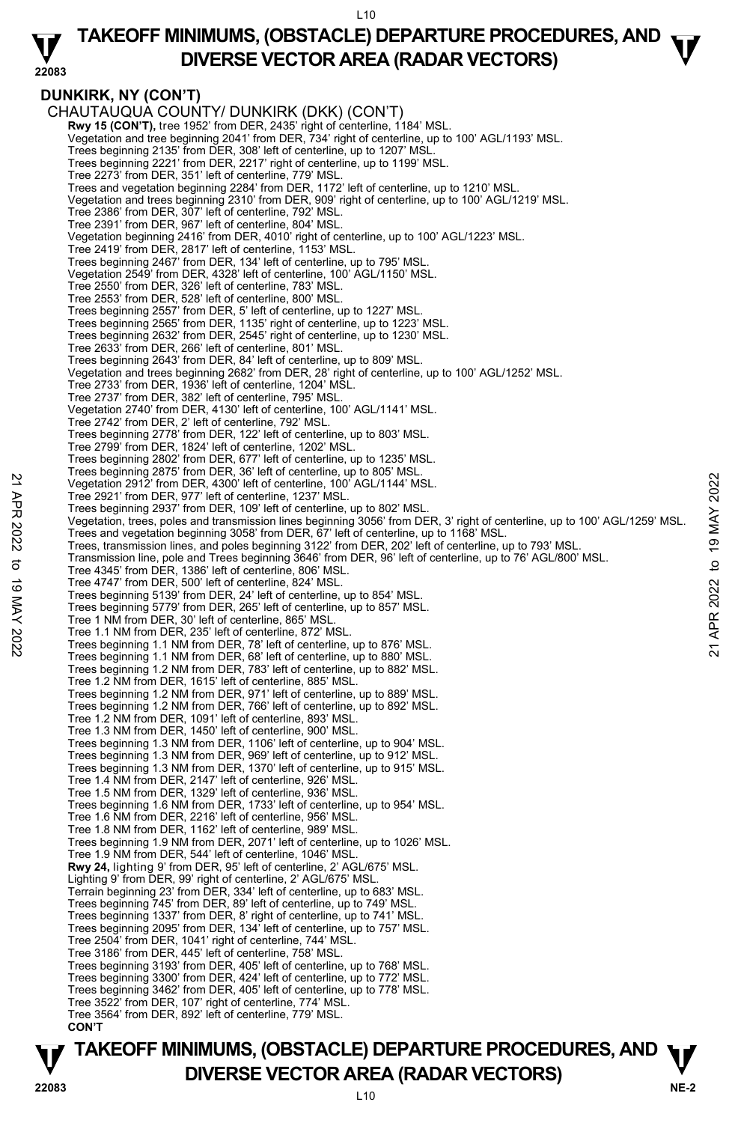### **TAKEOFF MINIMUMS, (OBSTACLE) DEPARTURE PROCEDURES, AND**  $\mathbf{\nabla}$ **DIVERSE VECTOR AREA (RADAR VECTORS)**

## **DUNKIRK, NY (CON'T)**

**22083** 

CHAUTAUQUA COUNTY/ DUNKIRK (DKK) (CON'T)  **Rwy 15 (CON'T),** tree 1952' from DER, 2435' right of centerline, 1184' MSL. Vegetation and tree beginning 2041' from DER, 734' right of centerline, up to 100' AGL/1193' MSL. Trees beginning 2135' from DER, 308' left of centerline, up to 1207' MSL. Trees beginning 2221' from DER, 2217' right of centerline, up to 1199' MSL. Tree 2273' from DER, 351' left of centerline, 779' MSL. Trees and vegetation beginning 2284' from DER, 1172' left of centerline, up to 1210' MSL. Vegetation and trees beginning 2310' from DER, 909' right of centerline, up to 100' AGL/1219' MSL. Tree 2386' from DER, 307' left of centerline, 792' MSL. Tree 2391' from DER, 967' left of centerline, 804' MSL. Vegetation beginning 2416' from DER, 4010' right of centerline, up to 100' AGL/1223' MSL. Tree 2419' from DER, 2817' left of centerline, 1153' MSL. Trees beginning 2467' from DER, 134' left of centerline, up to 795' MSL. Vegetation 2549' from DER, 4328' left of centerline, 100' AGL/1150' MSL. Tree 2550' from DER, 326' left of centerline, 783' MSL. Tree 2553' from DER, 528' left of centerline, 800' MSL. Trees beginning 2557' from DER, 5' left of centerline, up to 1227' MSL. Trees beginning 2565' from DER, 1135' right of centerline, up to 1223' MSL. Trees beginning 2632' from DER, 2545' right of centerline, up to 1230' MSL. Tree 2633' from DER, 266' left of centerline, 801' MSL. Trees beginning 2643' from DER, 84' left of centerline, up to 809' MSL. Vegetation and trees beginning 2682' from DER, 28' right of centerline, up to 100' AGL/1252' MSL. Tree 2733' from DER, 1936' left of centerline, 1204' MSL. Tree 2737' from DER, 382' left of centerline, 795' MSL. Vegetation 2740' from DER, 4130' left of centerline, 100' AGL/1141' MSL. Tree 2742' from DER, 2' left of centerline, 792' MSL. Trees beginning 2778' from DER, 122' left of centerline, up to 803' MSL. Tree 2799' from DER, 1824' left of centerline, 1202' MSL. Trees beginning 2802' from DER, 677' left of centerline, up to 1235' MSL. Trees beginning 2875' from DER, 36' left of centerline, up to 805' MSL. Vegetation 2912' from DER, 4300' left of centerline, 100' AGL/1144' MSL. Tree 2921' from DER, 977' left of centerline, 1237' MSL. Trees beginning 2937' from DER, 109' left of centerline, up to 802' MSI Vegetation, trees, poles and transmission lines beginning 3056' from DER, 3' right of centerline, up to 100' AGL/1259' MSL. Trees and vegetation beginning 3058' from DER, 67' left of centerline, up to 1168' MSL. Trees, transmission lines, and poles beginning 3122' from DER, 202' left of centerline, up to 793' MSL.<br>Transmission line, pole and Trees beginning 3646' from DER, 96' left of centerline, up to 76' AGL/800' MSL. Tree 4345' from DER, 1386' left of centerline, 806' MSL. Tree 4747' from DER, 500' left of centerline, 824' MSL. Trees beginning 5139' from DER, 24' left of centerline, up to 854' MSL. Trees beginning 5779' from DER, 265' left of centerline, up to 857' MSL. Tree 1 NM from DER, 30' left of centerline, 865' MSL. Tree 1.1 NM from DER, 235' left of centerline, 872' MSL. Trees beginning 1.1 NM from DER, 78' left of centerline, up to 876' MSL. Trees beginning 1.1 NM from DER, 68' left of centerline, up to 880' MSL. Trees beginning 1.2 NM from DER, 783' left of centerline, up to 882' MSL. Tree 1.2 NM from DER, 1615' left of centerline, 885' MSL. Trees beginning 1.2 NM from DER, 971' left of centerline, up to 889' MSL. Trees beginning 1.2 NM from DER, 766' left of centerline, up to 892' MSL. Tree 1.2 NM from DER, 1091' left of centerline, 893' MSL. Tree 1.3 NM from DER, 1450' left of centerline, 900' MSL. Trees beginning 1.3 NM from DER, 1106' left of centerline, up to 904' MSL. Trees beginning 1.3 NM from DER, 969' left of centerline, up to 912' MSL. Trees beginning 1.3 NM from DER, 1370' left of centerline, up to 915' MSL. Tree 1.4 NM from DER, 2147' left of centerline, 926' MSL. Tree 1.5 NM from DER, 1329' left of centerline, 936' MSL. Trees beginning 1.6 NM from DER, 1733' left of centerline, up to 954' MSL. Tree 1.6 NM from DER, 2216' left of centerline, 956' MSL. Tree 1.8 NM from DER, 1162' left of centerline, 989' MSL. Trees beginning 1.9 NM from DER, 2071' left of centerline, up to 1026' MSL. Tree 1.9 NM from DER, 544' left of centerline, 1046' MSL. **Rwy 24,** lighting 9' from DER, 95' left of centerline, 2' AGL/675' MSL. Lighting 9' from DER, 99' right of centerline, 2' AGL/675' MSL. Terrain beginning 23' from DER, 334' left of centerline, up to 683' MSL. Trees beginning 745' from DER, 89' left of centerline, up to 749' MSL. Trees beginning 1337' from DER, 8' right of centerline, up to 741' MSL. Trees beginning 2095' from DER, 134' left of centerline, up to 757' MSL. Tree 2504' from DER, 1041' right of centerline, 744' MSL. Tree 3186' from DER, 445' left of centerline, 758' MSL. Trees beginning 3193' from DER, 405' left of centerline, up to 768' MSL. Trees beginning 3300' from DER, 424' left of centerline, up to 772' MSL. Trees beginning 3462' from DER, 405' left of centerline, up to 778' MSL. Tree 3522' from DER, 107' right of centerline, 774' MSL. Tree 3564' from DER, 892' left of centerline, 779' MSL. **CON'T**  22 Vegetation 2912' from DER, 4300' left of centerline, 100' AGL/1144' MSL.<br>
Tree 2921' from DER, 4300' left of centerline, 100' AGL/1144' MSL.<br>
Tree beginning 2937' from DER, 109' left of centerline, up to 802' MSL.<br>
Veg

### **NE-2** L10 **TAKEOFF MINIMUMS, (OBSTACLE) DEPARTURE PROCEDURES, AND**  $\Psi$ **DIVERSE VECTOR AREA (RADAR VECTORS) 22083**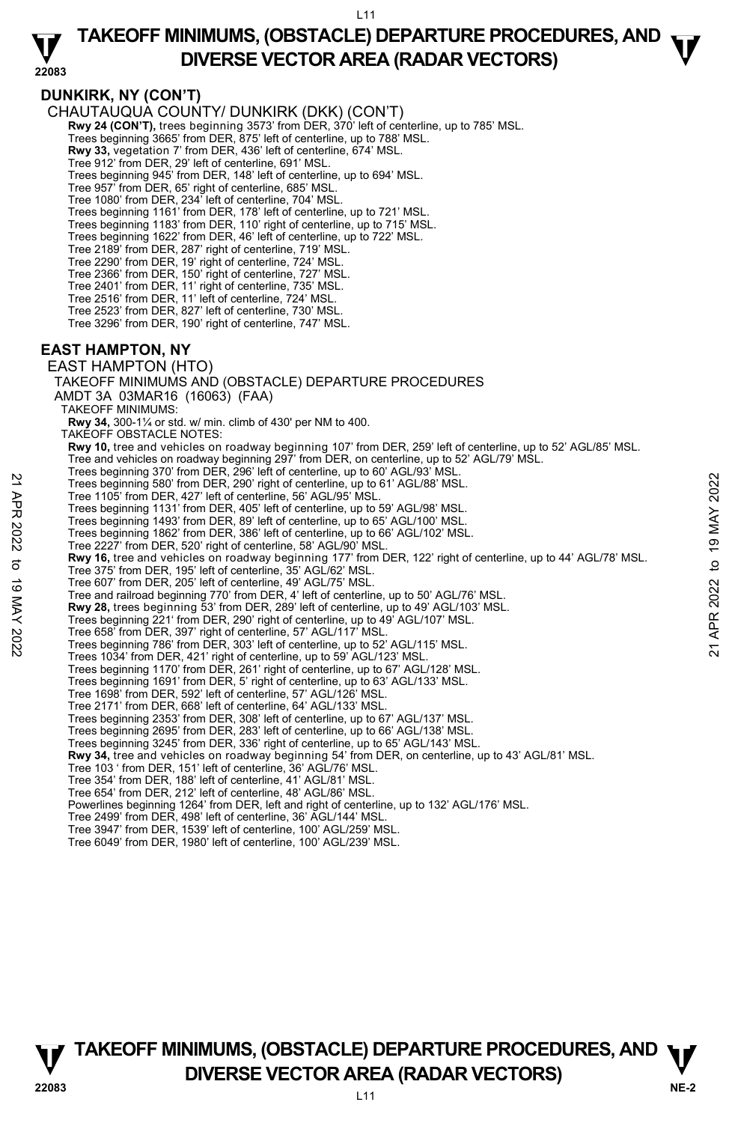### **TAKEOFF MINIMUMS, (OBSTACLE) DEPARTURE PROCEDURES, AND**  $\mathbf{\nabla}$ **DIVERSE VECTOR AREA (RADAR VECTORS)**

### **22083**

### **DUNKIRK, NY (CON'T)**

CHAUTAUQUA COUNTY/ DUNKIRK (DKK) (CON'T)

- **Rwy 24 (CON'T),** trees beginning 3573' from DER, 370' left of centerline, up to 785' MSL.
- Trees beginning 3665' from DER, 875' left of centerline, up to 788' MSL.
- **Rwy 33,** vegetation 7' from DER, 436' left of centerline, 674' MSL.
- Tree 912' from DER, 29' left of centerline, 691' MSL.
- Trees beginning 945' from DER, 148' left of centerline, up to 694' MSL.
- Tree 957' from DER, 65' right of centerline, 685' MSL. Tree 1080' from DER, 234' left of centerline, 704' MSL.
- 
- Trees beginning 1161' from DER, 178' left of centerline, up to 721' MSL. Trees beginning 1183' from DER, 110' right of centerline, up to 715' MSL.
- Trees beginning 1622' from DER, 46' left of centerline, up to 722' MSL.
- 
- Tree 2189' from DER, 287' right of centerline, 719' MSL. Tree 2290' from DER, 19' right of centerline, 724' MSL.
- Tree 2366' from DER, 150' right of centerline, 727' MSL.
- Tree 2401' from DER, 11' right of centerline, 735' MSL.
- 
- Tree 2516' from DER, 11' left of centerline, 724' MSL. Tree 2523' from DER, 827' left of centerline, 730' MSL.
- Tree 3296' from DER, 190' right of centerline, 747' MSL.

#### **EAST HAMPTON, NY**

EAST HAMPTON (HTO)

TAKEOFF MINIMUMS AND (OBSTACLE) DEPARTURE PROCEDURES

- AMDT 3A 03MAR16 (16063) (FAA)
- TAKEOFF MINIMUMS:
- **Rwy 34,** 300-1¼ or std. w/ min. climb of 430' per NM to 400. TAKEOFF OBSTACLE NOTES:
- 
- **Rwy 10,** tree and vehicles on roadway beginning 107' from DER, 259' left of centerline, up to 52' AGL/85' MSL.
- Tree and vehicles on roadway beginning 297' from DER, on centerline, up to 52' AGL/79' MSL. Trees beginning 370' from DER, 296' left of centerline, up to 60' AGL/93' MSL.
- Trees beginning 580' from DER, 290' right of centerline, up to 61' AGL/88' MSL.
- Tree 1105' from DER, 427' left of centerline, 56' AGL/95' MSL.
- 
- Trees beginning 1131' from DER, 405' left of centerline, up to 59' AGL/98' MSL. Trees beginning 1493' from DER, 89' left of centerline, up to 65' AGL/100' MSL.
- Trees beginning 1862' from DER, 386' left of centerline, up to 66' AGL/102' MSL.
- Tree 2227' from DER, 520' right of centerline, 58' AGL/90' MSL.
- **Rwy 16,** tree and vehicles on roadway beginning 177' from DER, 122' right of centerline, up to 44' AGL/78' MSL. 22 Trees beginning 580 from DER, 290 right of centerline, up to 61' AGL/88' MSL.<br>
Trees beginning 580 from DER, 290 right of centerline, up to 61' AGL/88' MSL.<br>
Trees beginning 1131' from DER, 405' left of centerline, up t
	- Tree 375' from DER, 195' left of centerline, 35' AGL/62' MSL.
	- Tree 607' from DER, 205' left of centerline, 49' AGL/75' MSL.
	- Tree and railroad beginning 770' from DER, 4' left of centerline, up to 50' AGL/76' MSL.
	- **Rwy 28,** trees beginning 53' from DER, 289' left of centerline, up to 49' AGL/103' MSL.
	- Trees beginning 221' from DER, 290' right of centerline, up to 49' AGL/107' MSL.
	- Tree 658' from DER, 397' right of centerline, 57' AGL/117' MSL.
	- Trees beginning 786' from DER, 303' left of centerline, up to 52' AGL/115' MSL.
	- Trees 1034' from DER, 421' right of centerline, up to 59' AGL/123' MSL.
	- Trees beginning 1170' from DER, 261' right of centerline, up to 67' AGL/128' MSL.
	- Trees beginning 1691' from DER, 5' right of centerline, up to 63' AGL/133' MSL.
	- Tree 1698' from DER, 592' left of centerline, 57' AGL/126' MSL.
	- Tree 2171' from DER, 668' left of centerline, 64' AGL/133' MSL.
	-
	- Trees beginning 2353' from DER, 308' left of centerline, up to 67' AGL/137' MSL. Trees beginning 2695' from DER, 283' left of centerline, up to 66' AGL/138' MSL.
	- Trees beginning 3245' from DER, 336' right of centerline, up to 65' AGL/143' MSL.
	- **Rwy 34,** tree and vehicles on roadway beginning 54' from DER, on centerline, up to 43' AGL/81' MSL.<br>Tree 103 ' from DER, 151' left of centerline, 36' AGL/76' MSL.
	-
	- Tree 354' from DER, 188' left of centerline, 41' AGL/81' MSL.
	- Tree 654' from DER, 212' left of centerline, 48' AGL/86' MSL.
	- Powerlines beginning 1264' from DER, left and right of centerline, up to 132' AGL/176' MSL. Tree 2499' from DER, 498' left of centerline, 36' AGL/144' MSL.
	-
	- Tree 3947' from DER, 1539' left of centerline, 100' AGL/259' MSL.
	- Tree 6049' from DER, 1980' left of centerline, 100' AGL/239' MSL.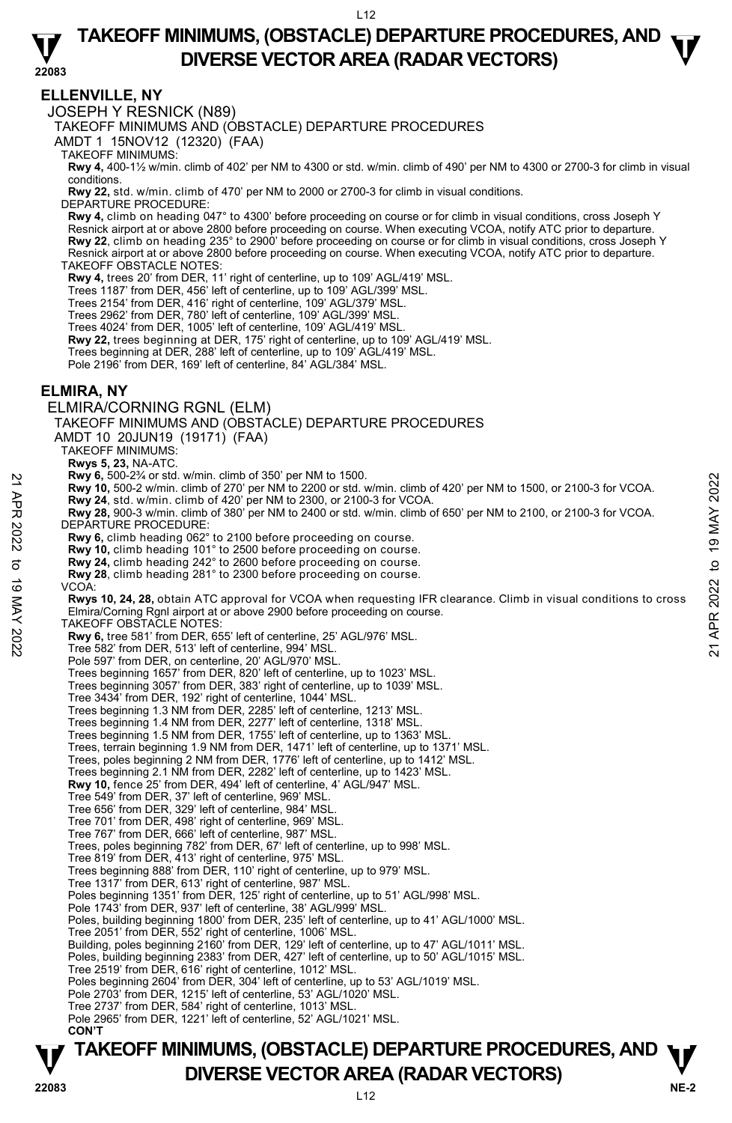L<sub>12</sub>

### **TAKEOFF MINIMUMS, (OBSTACLE) DEPARTURE PROCEDURES, AND**  $\mathbf{\nabla}$ **DIVERSE VECTOR AREA (RADAR VECTORS)**

**22083** 

#### **ELLENVILLE, NY**

JOSEPH Y RESNICK (N89)

TAKEOFF MINIMUMS AND (OBSTACLE) DEPARTURE PROCEDURES

AMDT 1 15NOV12 (12320) (FAA)

TAKEOFF MINIMUMS:

**Rwy 4,** 400-1½ w/min. climb of 402' per NM to 4300 or std. w/min. climb of 490' per NM to 4300 or 2700-3 for climb in visual conditions.

**Rwy 22,** std. w/min. climb of 470' per NM to 2000 or 2700-3 for climb in visual conditions. DEPARTURE PROCEDURE:

**Rwy 4,** climb on heading 047° to 4300' before proceeding on course or for climb in visual conditions, cross Joseph Y Resnick airport at or above 2800 before proceeding on course. When executing VCOA, notify ATC prior to departure. **Rwy 22**, climb on heading 235° to 2900' before proceeding on course or for climb in visual conditions, cross Joseph Y Resnick airport at or above 2800 before proceeding on course. When executing VCOA, notify ATC prior to departure. TAKEOFF OBSTACLE NOTES:

**Rwy 4,** trees 20' from DER, 11' right of centerline, up to 109' AGL/419' MSL.

Trees 1187' from DER, 456' left of centerline, up to 109' AGL/399' MSL.

Trees Tron Hom DER, 450 for or contentine, up to 100 AGL/379' MSL.

Trees 2962' from DER, 780' left of centerline, 109' AGL/399' MSL.

Trees 4024' from DER, 1005' left of centerline, 109' AGL/419' MSL.

**Rwy 22,** trees beginning at DER, 175' right of centerline, up to 109' AGL/419' MSL.<br>Trees beginning at DER, 288' left of centerline, up to 109' AGL/419' MSL.

Pole 2196' from DER, 169' left of centerline, 84' AGL/384' MSL.

#### **ELMIRA, NY**

ELMIRA/CORNING RGNL (ELM) TAKEOFF MINIMUMS AND (OBSTACLE) DEPARTURE PROCEDURES AMDT 10 20JUN19 (19171) (FAA) TAKEOFF MINIMUMS: **Rwys 5, 23,** NA-ATC. **Rwy 6,** 500-2¾ or std. w/min. climb of 350' per NM to 1500. **Rwy 10,** 500-2 w/min. climb of 270' per NM to 2200 or std. w/min. climb of 420' per NM to 1500, or 2100-3 for VCOA. **Rwy 24**, std. w/min. climb of 420' per NM to 2300, or 2100-3 for VCOA. **Rwy 28,** 900-3 w/min. climb of 380' per NM to 2400 or std. w/min. climb of 650' per NM to 2100, or 2100-3 for VCOA. DEPARTURE PROCEDURE: **Rwy 6,** climb heading 062° to 2100 before proceeding on course. **Rwy 10,** climb heading 101° to 2500 before proceeding on course. **Rwy 24,** climb heading 242° to 2600 before proceeding on course. **Rwy 28**, climb heading 281° to 2300 before proceeding on course. VCOA: **Rwys 10, 24, 28,** obtain ATC approval for VCOA when requesting IFR clearance. Climb in visual conditions to cross Elmira/Corning Rgnl airport at or above 2900 before proceeding on course. TAKEOFF OBSTACLE NOTES: **Rwy 6,** tree 581' from DER, 655' left of centerline, 25' AGL/976' MSL. Tree 582' from DER, 513' left of centerline, 994' MSL. Pole 597' from DER, on centerline, 20' AGL/970' MSL. Trees beginning 1657' from DER, 820' left of centerline, up to 1023' MSL. Trees beginning 3057' from DER, 383' right of centerline, up to 1039' MSL. Tree 3434' from DER, 192' right of centerline, 1044' MSL. Trees beginning 1.3 NM from DER, 2285' left of centerline, 1213' MSL. Trees beginning 1.4 NM from DER, 2277' left of centerline, 1318' MSL. Trees beginning 1.5 NM from DER, 1755' left of centerline, up to 1363' MSL. Trees, terrain beginning 1.9 NM from DER, 1471' left of centerline, up to 1371' MSL. Trees, poles beginning 2 NM from DER, 1776' left of centerline, up to 1412' MSL. Trees beginning 2.1 NM from DER, 2282' left of centerline, up to 1423' MSL. **Rwy 10,** fence 25' from DER, 494' left of centerline, 4' AGL/947' MSL. Tree 549' from DER, 37' left of centerline, 969' MSL. Tree 656' from DER, 329' left of centerline, 984' MSL. Tree 701' from DER, 498' right of centerline, 969' MSL. Tree 767' from DER, 666' left of centerline, 987' MSL. Trees, poles beginning 782' from DER, 67' left of centerline, up to 998' MSL. Tree 819' from DER, 413' right of centerline, 975' MSL. Trees beginning 888' from DER, 110' right of centerline, up to 979' MSL. Tree 1317' from DER, 613' right of centerline, 987' MSL. Poles beginning 1351' from DER, 125' right of centerline, up to 51' AGL/998' MSL. Pole 1743' from DER, 937' left of centerline, 38' AGL/999' MSL. Poles, building beginning 1800' from DER, 235' left of centerline, up to 41' AGL/1000' MSL. Tree 2051' from DER, 552' right of centerline, 1006' MSL. Building, poles beginning 2160' from DER, 129' left of centerline, up to 47' AGL/1011' MSL. Poles, building beginning 2383' from DER, 427' left of centerline, up to 50' AGL/1015' MSL. Tree 2519' from DER, 616' right of centerline, 1012' MSL. Poles beginning 2604' from DER, 304' left of centerline, up to 53' AGL/1019' MSL. Pole 2703' from DER, 1215' left of centerline, 53' AGL/1020' MSL. Tree 2737' from DER, 584' right of centerline, 1013' MSL. Pole 2965' from DER, 1221' left of centerline, 52' AGL/1021' MSL. **CON'T EXAMP 6,** 500-224 or stat. Winn. climb of 300 per NM to 1500.<br> **21 APR 2022** to 19 MAY 24, std. w/min. climb of 420' per NM to 2200 or std. w/min. climb of 420' per NM to 1500, or 2100-3 for VCOA.<br> **221 APR 2022** to 19 M

### **NE-2** L12 **TAKEOFF MINIMUMS, (OBSTACLE) DEPARTURE PROCEDURES, AND**  $\Psi$ **P**<br>22083 **DIVERSE VECTOR AREA (RADAR VECTORS)**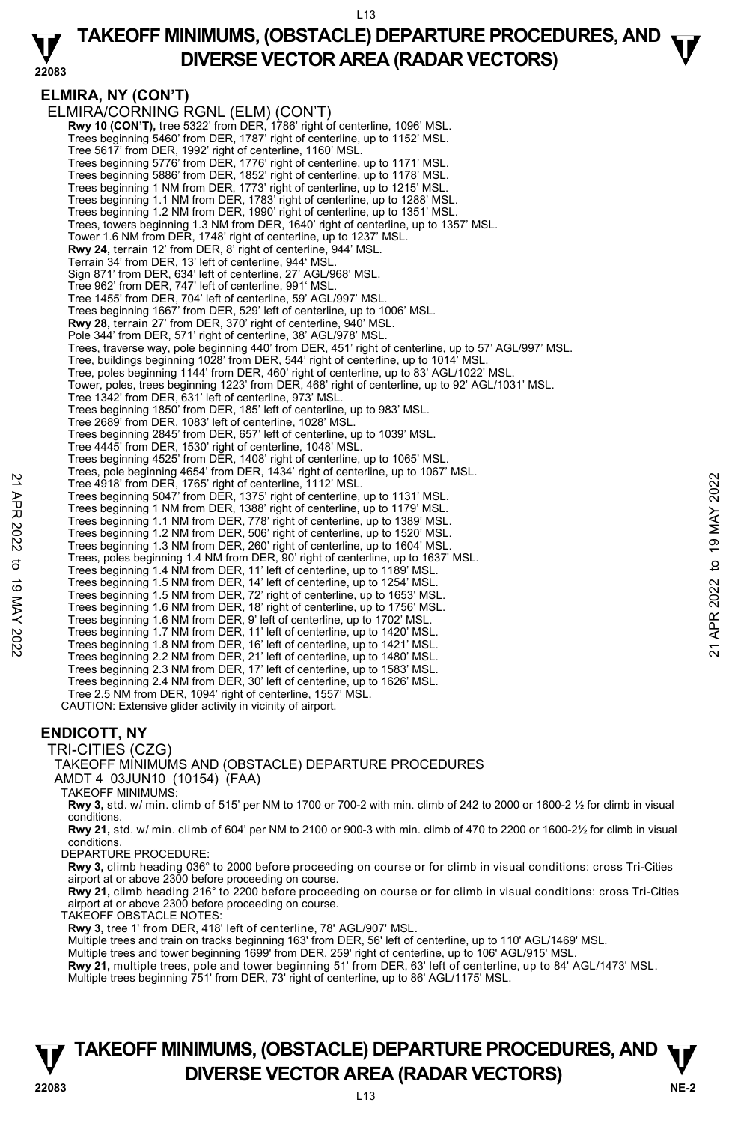#### **22083 TAKEOFF MINIMUMS, (OBSTACLE) DEPARTURE PROCEDURES, AND**  $\mathbf{\nabla}$ **DIVERSE VECTOR AREA (RADAR VECTORS)**

#### **ELMIRA, NY (CON'T)**  ELMIRA/CORNING RGNL (ELM) (CON'T) **Rwy 10 (CON'T),** tree 5322' from DER, 1786' right of centerline, 1096' MSL. Trees beginning 5460' from DER, 1787' right of centerline, up to 1152' MSL. Tree 5617' from DER, 1992' right of centerline, 1160' MSL. Trees beginning 5776' from DER, 1776' right of centerline, up to 1171' MSL. Trees beginning 5886' from DER, 1852' right of centerline, up to 1178' MSL. Trees beginning 1 NM from DER, 1773' right of centerline, up to 1215' MSL. Trees beginning 1.1 NM from DER, 1783' right of centerline, up to 1288' MSL. Trees beginning 1.2 NM from DER, 1990' right of centerline, up to 1351' MSL. Trees, towers beginning 1.3 NM from DER, 1640' right of centerline, up to 1357' MSL. Tower 1.6 NM from DER, 1748' right of centerline, up to 1237' MSL. **Rwy 24,** terrain 12' from DER, 8' right of centerline, 944' MSL. Terrain 34' from DER, 13' left of centerline, 944' MSL. Sign 871' from DER, 634' left of centerline, 27' AGL/968' MSL. Tree 962' from DER, 747' left of centerline, 991' MSL. Tree 1455' from DER, 704' left of centerline, 59' AGL/997' MSL. Trees beginning 1667' from DER, 529' left of centerline, up to 1006' MSL. **Rwy 28,** terrain 27' from DER, 370' right of centerline, 940' MSL. Pole 344' from DER, 571' right of centerline, 38' AGL/978' MSL. Trees, traverse way, pole beginning 440' from DER, 451' right of centerline, up to 57' AGL/997' MSL. Tree, buildings beginning 1028' from DER, 544' right of centerline, up to 1014' MSL. Tree, poles beginning 1144' from DER, 460' right of centerline, up to 83' AGL/1022' MSL. Tower, poles, trees beginning 1223' from DER, 468' right of centerline, up to 92' AGL/1031' MSL. Tree 1342' from DER, 631' left of centerline, 973' MSL. Trees beginning 1850' from DER, 185' left of centerline, up to 983' MSL. Tree 2689' from DER, 1083' left of centerline, 1028' MSL. Trees beginning 2845' from DER, 657' left of centerline, up to 1039' MSL. Tree 4445' from DER, 1530' right of centerline, 1048' MSL. Trees beginning 4525' from DER, 1408' right of centerline, up to 1065' MSL Trees, pole beginning 4654' from DER, 1434' right of centerline, up to 1067' MSL. Tree 4918' from DER, 1765' right of centerline, 1112' MSL. Trees beginning 5047' from DER, 1375' right of centerline, up to 1131' MSL. Trees beginning 1 NM from DER, 1388' right of centerline, up to 1179' MSL. Trees beginning 1.1 NM from DER, 778' right of centerline, up to 1389' MSL. Trees beginning 1.2 NM from DER, 506' right of centerline, up to 1520' MSL. Trees beginning 1.3 NM from DER, 260' right of centerline, up to 1604' MSL. Trees, poles beginning 1.4 NM from DER, 90' right of centerline, up to 1637' MSL. Trees beginning 1.4 NM from DER, 11' left of centerline, up to 1189' MSL. Trees beginning 1.5 NM from DER, 14' left of centerline, up to 1254' MSL. Trees beginning 1.5 NM from DER, 72' right of centerline, up to 1653' MSL. Trees beginning 1.6 NM from DER, 18' right of centerline, up to 1756' MSL. Trees beginning 1.6 NM from DER, 9' left of centerline, up to 1702' MSL. Trees beginning 1.7 NM from DER, 11' left of centerline, up to 1420' MSL. Trees beginning 1.8 NM from DER, 16' left of centerline, up to 1421' MSL. Trees beginning 2.2 NM from DER, 21' left of centerline, up to 1480' MSL. Trees beginning 2.3 NM from DER, 17' left of centerline, up to 1583' MSL. Trees beginning 2.4 NM from DER, 30' left of centerline, up to 1626' MSL. Tree 2.5 NM from DER, 1094' right of centerline, 1557' MSL. CAUTION: Extensive glider activity in vicinity of airport. Tree 4918 from DER, 1765 right of centerline, 1112 MSL.<br>Tree 4918 from DER, 1765 right of centerline, 1112 MSL.<br>Trees beginning 5047' from DER, 1378' right of centerline, up to 1131' MSL.<br>Trees beginning 1.1 NM from DER, 7

### **ENDICOTT, NY**

#### TRI-CITIES (CZG)

TAKEOFF MINIMUMS AND (OBSTACLE) DEPARTURE PROCEDURES AMDT 4 03JUN10 (10154) (FAA)

#### TAKEOFF MINIMUMS:

**Rwy 3,** std. w/ min. climb of 515' per NM to 1700 or 700-2 with min. climb of 242 to 2000 or 1600-2 ½ for climb in visual conditions.

**Rwy 21,** std. w/ min. climb of 604' per NM to 2100 or 900-3 with min. climb of 470 to 2200 or 1600-2½ for climb in visual conditions.

DEPARTURE PROCEDURE:

**Rwy 3,** climb heading 036° to 2000 before proceeding on course or for climb in visual conditions: cross Tri-Cities airport at or above 2300 before proceeding on course.

**Rwy 21,** climb heading 216° to 2200 before proceeding on course or for climb in visual conditions: cross Tri-Cities<br>airport at or above 2300 before proceeding on course.

TAKEOFF OBSTACLE NOTES:

**Rwy 3,** tree 1' from DER, 418' left of centerline, 78' AGL/907' MSL.<br>Multiple trees and train on tracks beginning 163' from DER, 56' left of centerline, up to 110' AGL/1469' MSL.

Multiple trees and tower beginning 1699' from DER, 259' right of centerline, up to 106' AGL/915' MSL.

**Rwy 21,** multiple trees, pole and tower beginning 51' from DER, 63' left of centerline, up to 84' AGL/1473' MSL.<br>Multiple trees beginning 751' from DER, 73' right of centerline, up to 86' AGL/1175' MSL.

### **NE-2** L13 **TAKEOFF MINIMUMS, (OBSTACLE) DEPARTURE PROCEDURES, AND**  $\Psi$ **DIVERSE VECTOR AREA (RADAR VECTORS) 22083**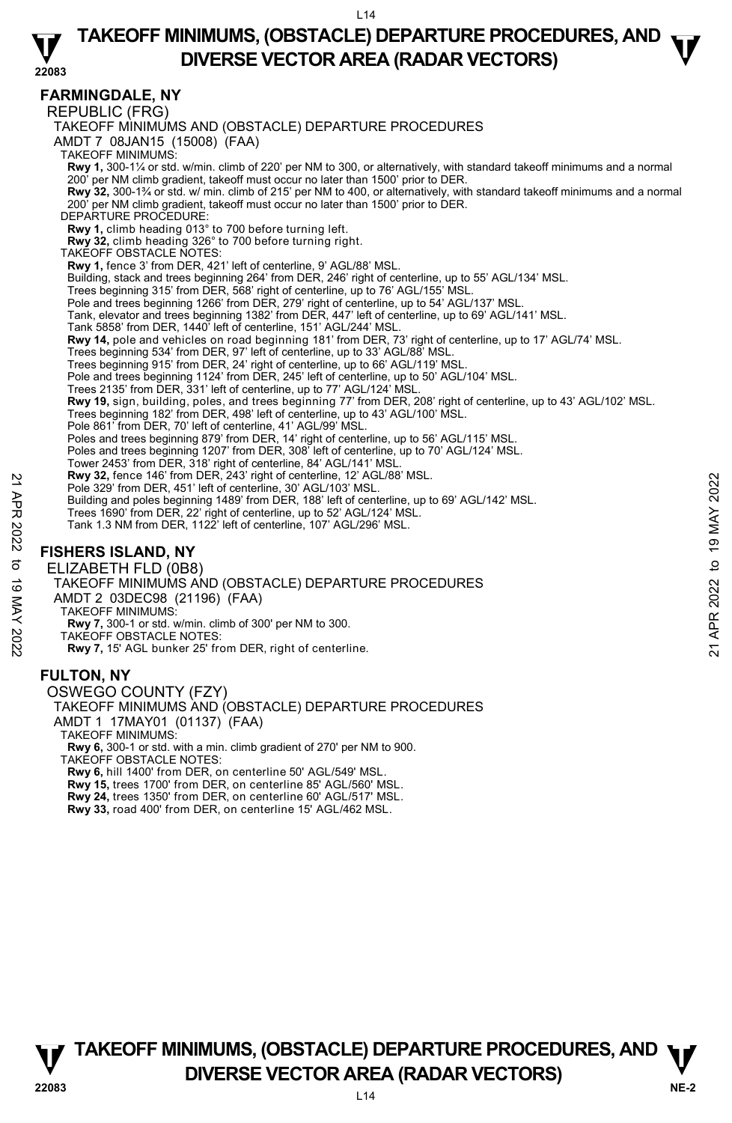### **TAKEOFF MINIMUMS, (OBSTACLE) DEPARTURE PROCEDURES, AND**  $\mathbf{\nabla}$ **DIVERSE VECTOR AREA (RADAR VECTORS)**

#### **22083**

**FARMINGDALE, NY** 

REPUBLIC (FRG)

TAKEOFF MINIMUMS AND (OBSTACLE) DEPARTURE PROCEDURES

AMDT 7 08JAN15 (15008) (FAA)

TAKEOFF MINIMUMS:

**Rwy 1,** 300-1¼ or std. w/min. climb of 220' per NM to 300, or alternatively, with standard takeoff minimums and a normal

Rwy 32, 300-1<sup>3</sup>/<sub>4</sub> or std. w/ min. climb of 215' per NM to 400, or alternatively, with standard takeoff minimums and a normal 200' per NM climb gradient, takeoff must occur no later than 1500' prior to DER.

DEPARTURE PROCEDURE:

**Rwy 1,** climb heading 013° to 700 before turning left.

**Rwy 32,** climb heading 326° to 700 before turning right.

TAKEOFF OBSTACLE NOTES:

**Rwy 1,** fence 3' from DER, 421' left of centerline, 9' AGL/88' MSL.

Building, stack and trees beginning 264' from DER, 246' right of centerline, up to 55' AGL/134' MSL.

Trees beginning 315' from DER, 568' right of centerline, up to 76' AGL/155' MSL.

Pole and trees beginning 1266' from DER, 279' right of centerline, up to 54' AGL/137' MSL.

Tank, elevator and trees beginning 1382' from DER, 447' left of centerline, up to 69' AGL/141' MSL.

Tank 5858' from DER, 1440' left of centerline, 151' AGL/244' MSL.

**Rwy 14,** pole and vehicles on road beginning 181' from DER, 73' right of centerline, up to 17' AGL/74' MSL.

Trees beginning 534' from DER, 97' left of centerline, up to 33' AGL/88' MSL.

Trees beginning 915' from DER, 24' right of centerline, up to 66' AGL/119' MSL.

Pole and trees beginning 1124' from DER, 245' left of centerline, up to 50' AGL/104' MSL. Trees 2135' from DER, 331' left of centerline, up to 77' AGL/124' MSL.

**Rwy 19,** sign, building, poles, and trees beginning 77' from DER, 208' right of centerline, up to 43' AGL/102' MSL.

Trees beginning 182' from DER, 498' left of centerline, up to 43' AGL/100' MSL.

Pole 861' from DER, 70' left of centerline, 41' AGL/99' MSL.<br>Poles and trees beginning 879' from DER, 14' right of centerline, up to 56' AGL/115' MSL.

Poles and trees beginning 1207' from DER, 308' left of centerline, up to 70' AGL/124' MSL.

Tower 2453' from DER, 318' right of centerline, 84' AGL/141' MSL.<br>**Rwy 32,** fence 146' from DER, 243' right of centerline, 12' AGL/88' MSL.

Pole 329' from DER, 451' left of centerline, 30' AGL/103' MSL.

Building and poles beginning 1489' from DER, 188' left of centerline, up to 69' AGL/142' MSL.

Trees 1690' from DER, 22' right of centerline, up to 52' AGL/124' MSL.

Tank 1.3 NM from DER, 1122' left of centerline, 107' AGL/296' MSL.

### **FISHERS ISLAND, NY**

ELIZABETH FLD (0B8)

TAKEOFF MINIMUMS AND (OBSTACLE) DEPARTURE PROCEDURES Pole 329' from DER, 451' left of center inner, 12' AGL/93' MSL.<br>
Pole 329' from DER, 451' left of center inne, 30' AGL/103' MSL.<br>
Building and poles beginning 1489' from DER, 188' left of center line, up to 69' AGL/142' M

AMDT 2 03DEC98 (21196) (FAA)

TAKEOFF MINIMUMS:

**Rwy 7,** 300-1 or std. w/min. climb of 300' per NM to 300.

TAKEOFF OBSTACLE NOTES:

**Rwy 7,** 15' AGL bunker 25' from DER, right of centerline.

#### **FULTON, NY**

OSWEGO COUNTY (FZY) TAKEOFF MINIMUMS AND (OBSTACLE) DEPARTURE PROCEDURES AMDT 1 17MAY01 (01137) (FAA) TAKEOFF MINIMUMS: **Rwy 6,** 300-1 or std. with a min. climb gradient of 270' per NM to 900. TAKEOFF OBSTACLE NOTES: **Rwy 6,** hill 1400' from DER, on centerline 50' AGL/549' MSL. **Rwy 15,** trees 1700' from DER, on centerline 85' AGL/560' MSL.

**Rwy 24,** trees 1350' from DER, on centerline 60' AGL/517' MSL.

**Rwy 33,** road 400' from DER, on centerline 15' AGL/462 MSL.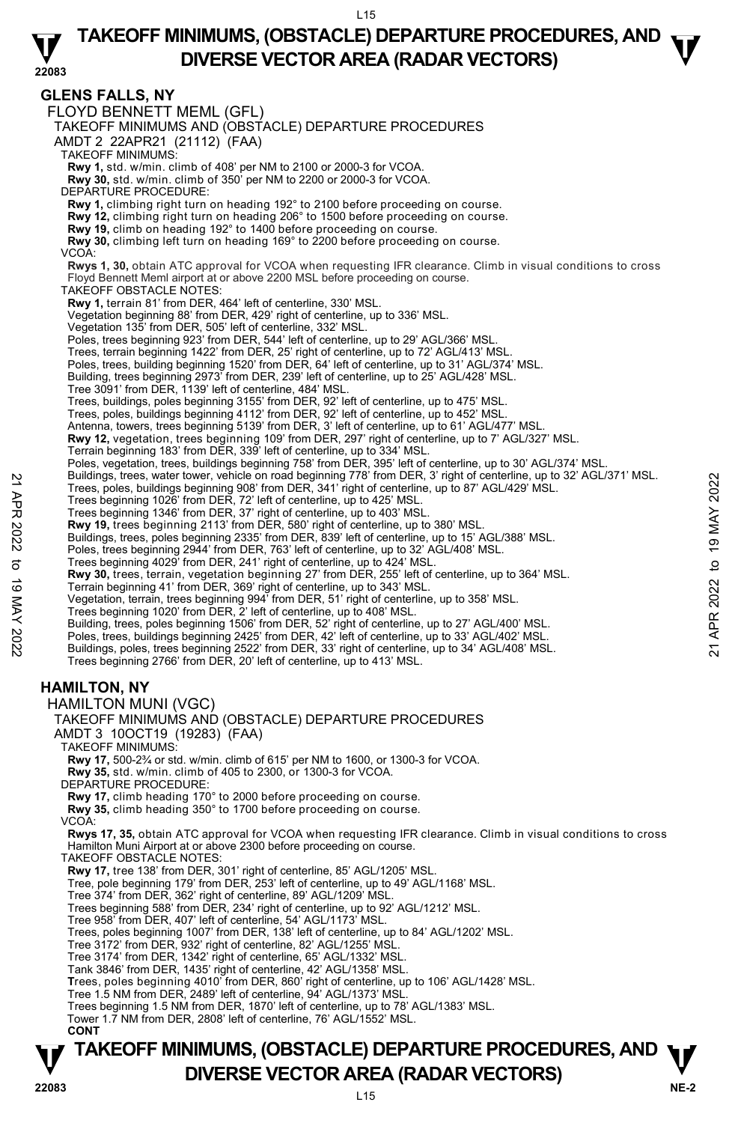L<sub>15</sub>

### **TAKEOFF MINIMUMS, (OBSTACLE) DEPARTURE PROCEDURES, AND**  $\mathbf{\nabla}$ **DIVERSE VECTOR AREA (RADAR VECTORS)**

**22083 TAKEOFF MINIMUMS, (OBSTACLE) DEPARTURE PROCEDURES, AND**  $\Psi$ **GLENS FALLS, NY**  FLOYD BENNETT MEML (GFL) TAKEOFF MINIMUMS AND (OBSTACLE) DEPARTURE PROCEDURES AMDT 2 22APR21 (21112) (FAA) TAKEOFF MINIMUMS: **Rwy 1,** std. w/min. climb of 408' per NM to 2100 or 2000-3 for VCOA. **Rwy 30,** std. w/min. climb of 350' per NM to 2200 or 2000-3 for VCOA. DEPARTURE PROCEDURE: **Rwy 1,** climbing right turn on heading 192° to 2100 before proceeding on course.  **Rwy 12,** climbing right turn on heading 206° to 1500 before proceeding on course.  **Rwy 19,** climb on heading 192° to 1400 before proceeding on course.  **Rwy 30,** climbing left turn on heading 169° to 2200 before proceeding on course. VCOA: **Rwys 1, 30,** obtain ATC approval for VCOA when requesting IFR clearance. Climb in visual conditions to cross Floyd Bennett Meml airport at or above 2200 MSL before proceeding on course. TAKEOFF OBSTACLE NOTES: **Rwy 1,** terrain 81' from DER, 464' left of centerline, 330' MSL. Vegetation beginning 88' from DER, 429' right of centerline, up to 336' MSL. Vegetation 135' from DER, 505' left of centerline, 332' MSL. Poles, trees beginning 923' from DER, 544' left of centerline, up to 29' AGL/366' MSL Trees, terrain beginning 1422' from DER, 25' right of centerline, up to 72' AGL/413' MSL. Poles, trees, building beginning 1520' from DER, 64' left of centerline, up to 31' AGL/374' MSL. Building, trees beginning 2973' from DER, 239' left of centerline, up to 25' AGL/428' MSL. Tree 3091' from DER, 1139' left of centerline, 484' MSL. Trees, buildings, poles beginning 3155' from DER, 92' left of centerline, up to 475' MSL. Trees, poles, buildings beginning 4112' from DER, 92' left of centerline, up to 452' MSL. Antenna, towers, trees beginning 5139' from DER, 3' left of centerline, up to 61' AGL/477' MSL.<br>**Rwy 12,** vegetation, trees beginning 109' from DER, 297' right of centerline, up to 7' AGL/327' MSL. Terrain beginning 183' from DER, 339' left of centerline, up to 334' MSL. Poles, vegetation, trees, buildings beginning 758' from DER, 395' left of centerline, up to 30' AGL/374' MSL.<br>Buildings, trees, water tower, vehicle on road beginning 778' from DER, 3' right of centerline, up to 32' AGL/37 Trees, poles, buildings beginning 908' from DER, 341' right of centerline, up to 87' AGL/429' MSL. Trees beginning 1026' from DER, 72' left of centerline, up to 425' MSL. Trees beginning 1346' from DER, 37' right of centerline, up to 403' MSL. **Rwy 19,** trees beginning 2113' from DER, 580' right of centerline, up to 380' MSL. Buildings, trees, poles beginning 2335' from DER, 839' left of centerline, up to 15' AGL/388' MSL. Poles, trees beginning 2944' from DER, 763' left of centerline, up to 32' AGL/408' MSL. Trees beginning 4029' from DER, 241' right of centerline, up to 424' MSL. **Rwy 30,** trees, terrain, vegetation beginning 27' from DER, 255' left of centerline, up to 364' MSL. Terrain beginning 41' from DER, 369' right of centerline, up to 343' MSL.<br>Vegetation, terrain, trees beginning 994' from DER, 51' right of centerline, up to 358' MSL.<br>Trees beginning 1020' from DER, 2' left of centerline, Building, trees, poles beginning 1506' from DER, 52' right of centerline, up to 27' AGL/400' MSL. Poles, trees, buildings beginning 2425' from DER, 42' left of centerline, up to 33' AGL/402' MSL. Buildings, poles, trees beginning 2522' from DER, 33' right of centerline, up to 34' AGL/408' MSL. Trees beginning 2766' from DER, 20' left of centerline, up to 413' MSL. **HAMILTON, NY**  HAMILTON MUNI (VGC) TAKEOFF MINIMUMS AND (OBSTACLE) DEPARTURE PROCEDURES AMDT 3 10OCT19 (19283) (FAA) TAKEOFF MINIMUMS: **Rwy 17,** 500-2¾ or std. w/min. climb of 615' per NM to 1600, or 1300-3 for VCOA. **Rwy 35,** std. w/min. climb of 405 to 2300, or 1300-3 for VCOA. DEPARTURE PROCEDURE: **Rwy 17,** climb heading 170° to 2000 before proceeding on course. **Rwy 35,** climb heading 350° to 1700 before proceeding on course. VCOA: **Rwys 17, 35,** obtain ATC approval for VCOA when requesting IFR clearance. Climb in visual conditions to cross Hamilton Muni Airport at or above 2300 before proceeding on course. TAKEOFF OBSTACLE NOTES: **Rwy 17,** tree 138' from DER, 301' right of centerline, 85' AGL/1205' MSL. Tree, pole beginning 179' from DER, 253' left of centerline, up to 49' AGL/1168' MSL. Tree 374' from DER, 362' right of centerline, 89' AGL/1209' MSL. Trees beginning 588' from DER, 234' right of centerline, up to 92' AGL/1212' MSL. Tree 958' from DER, 407' left of centerline, 54' AGL/1173' MSL. Trees, poles beginning 1007' from DER, 138' left of centerline, up to 84' AGL/1202' MSL. Tree 3172' from DER, 932' right of centerline, 82' AGL/1255' MSL. Tree 3174' from DER, 1342' right of centerline, 65' AGL/1332' MSL. Tank 3846' from DER, 1435' right of centerline, 42' AGL/1358' MSL. **T**rees, poles beginning 4010' from DER, 860' right of centerline, up to 106' AGL/1428' MSL. Tree 1.5 NM from DER, 2489' left of centerline, 94' AGL/1373' MSL. Trees beginning 1.5 NM from DER, 1870' left of centerline, up to 78' AGL/1383' MSL. Tower 1.7 NM from DER, 2808' left of centerline, 76' AGL/1552' MSL. **CONT**  Example, rees, boles, buildings beginning 908' from DER, 341' right of center ine, up to 37' AGL/429' MSL.<br>
Trees beginning 1026' from DER, 72' left of centerline, up to 425' MSL.<br>
Trees beginning 1026' from DER, 72' left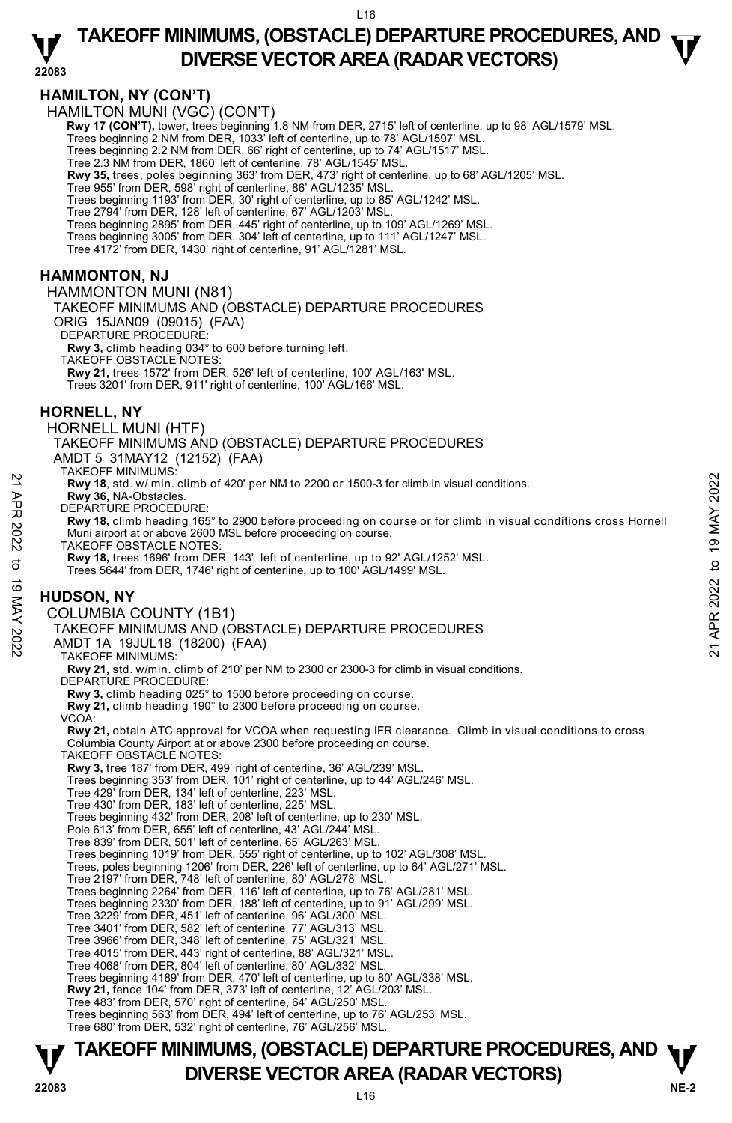### **22083 TAKEOFF MINIMUMS, (OBSTACLE) DEPARTURE PROCEDURES, AND**  $\mathbf{\nabla}$ **DIVERSE VECTOR AREA (RADAR VECTORS)**

### **HAMILTON, NY (CON'T)**

HAMILTON MUNI (VGC) (CON'T)

**Rwy 17 (CON'T),** tower, trees beginning 1.8 NM from DER, 2715' left of centerline, up to 98' AGL/1579' MSL.<br>Trees beginning 2 NM from DER, 1033' left of centerline, up to 78' AGL/1597' MSL.

Trees beginning 2.2 NM from DER, 66' right of centerline, up to 74' AGL/1517' MSL.

Tree 2.3 NM from DER, 1860' left of centerline, 78' AGL/1545' MSL.

**Rwy 35,** trees, poles beginning 363' from DER, 473' right of centerline, up to 68' AGL/1205' MSL.

Tree 955' from DER, 598' right of centerline, 86' AGL/1235' MSL.

Trees beginning 1193' from DER, 30' right of centerline, up to 85' AGL/1242' MSL.

Tree 2794' from DER, 128' left of centerline, 67' AGL/1203' MSL.<br>Trees beginning 2895' from DER, 445' right of centerline, up to 109' AGL/1269' MSL.

Trees beginning 3005' from DER, 304' left of centerline, up to 111' AGL/1247' MSL.

Tree 4172' from DER, 1430' right of centerline, 91' AGL/1281' MSL.

### **HAMMONTON, NJ**

HAMMONTON MUNI (N81) TAKEOFF MINIMUMS AND (OBSTACLE) DEPARTURE PROCEDURES ORIG 15JAN09 (09015) (FAA) DEPARTURE PROCEDURE: **Rwy 3,** climb heading 034° to 600 before turning left.

TAKEOFF OBSTACLE NOTES: **Rwy 21,** trees 1572' from DER, 526' left of centerline, 100' AGL/163' MSL. Trees 3201' from DER, 911' right of centerline, 100' AGL/166' MSL.

### **HORNELL, NY**

HORNELL MUNI (HTF)

TAKEOFF MINIMUMS AND (OBSTACLE) DEPARTURE PROCEDURES

AMDT 5 31MAY12 (12152) (FAA)

TAKEOFF MINIMUMS:

**Rwy 18**, std. w/ min. climb of 420' per NM to 2200 or 1500-3 for climb in visual conditions.

**Rwy 36,** NA-Obstacles. DEPARTURE PROCEDURE

**Rwy 18,** climb heading 165° to 2900 before proceeding on course or for climb in visual conditions cross Hornell Muni airport at or above 2600 MSL before proceeding on course. RW 18, std. w/min. climb of 420' per NM to 2200 or 1500-3 for climb in visual conditions.<br>
22 RW 18, SM-Obstacles.<br>
DEPARTURE PROCEDURE:<br>
NEW 18, climb heading 165° to 2900 before proceeding on course or for climb in visua

TAKEOFF OBSTACLE NOTES:

**Rwy 18,** trees 1696' from DER, 143' left of centerline, up to 92' AGL/1252' MSL.

Trees 5644' from DER, 1746' right of centerline, up to 100' AGL/1499' MSL.

### **HUDSON, NY**

#### COLUMBIA COUNTY (1B1)

TAKEOFF MINIMUMS AND (OBSTACLE) DEPARTURE PROCEDURES

AMDT 1A 19JUL18 (18200) (FAA)

TAKEOFF MINIMUMS:

**Rwy 21,** std. w/min. climb of 210' per NM to 2300 or 2300-3 for climb in visual conditions. DEPARTURE PROCEDURE:

**Rwy 3,** climb heading 025° to 1500 before proceeding on course.

**Rwy 21,** climb heading 190° to 2300 before proceeding on course.

VCOA:

**Rwy 21,** obtain ATC approval for VCOA when requesting IFR clearance. Climb in visual conditions to cross Columbia County Airport at or above 2300 before proceeding on course.

TAKEOFF OBSTACLE NOTES:

**Rwy 3,** tree 187' from DER, 499' right of centerline, 36' AGL/239' MSL.

Trees beginning 353' from DER, 101' right of centerline, up to 44' AGL/246' MSL.

Tree 429' from DER, 134' left of centerline, 223' MSL.

Tree 430' from DER, 183' left of centerline, 225' MSL.

Trees beginning 432' from DER, 208' left of centerline, up to 230' MSL.

Pole 613' from DER, 655' left of centerline, 43' AGL/244' MSL.

Tree 839' from DER, 501' left of centerline, 65' AGL/263' MSL.

Trees beginning 1019' from DER, 555' right of centerline, up to 102' AGL/308' MSL.

Trees, poles beginning 1206' from DER, 226' left of centerline, up to 64' AGL/271' MSL.

Tree 2197' from DER, 748' left of centerline, 80' AGL/278' MSL.

Trees beginning 2264' from DER, 116' left of centerline, up to 76' AGL/281' MSL. Trees beginning 2330' from DER, 188' left of centerline, up to 91' AGL/299' MSL.

Tree 3229' from DER, 451' left of centerline, 96' AGL/300' MSL.

Tree 3401' from DER, 582' left of centerline, 77' AGL/313' MSL. Tree 3966' from DER, 348' left of centerline, 75' AGL/321' MSL.

Tree 4015' from DER, 443' right of centerline, 88' AGL/321' MSL.

Tree 4068' from DER, 804' left of centerline, 80' AGL/332' MSL. Trees beginning 4189' from DER, 470' left of centerline, up to 80' AGL/338' MSL.

**Rwy 21,** fence 104' from DER, 373' left of centerline, 12' AGL/203' MSL.

Tree 483' from DER, 570' right of centerline, 64' AGL/250' MSL.

Trees beginning 563' from DER, 494' left of centerline, up to 76' AGL/253' MSL. Tree 680' from DER, 532' right of centerline, 76' AGL/256' MSL.

## **TAKEOFF MINIMUMS, (OBSTACLE) DEPARTURE PROCEDURES, AND**  $\Psi$ **DIVERSE VECTOR AREA (RADAR VECTORS) 22083**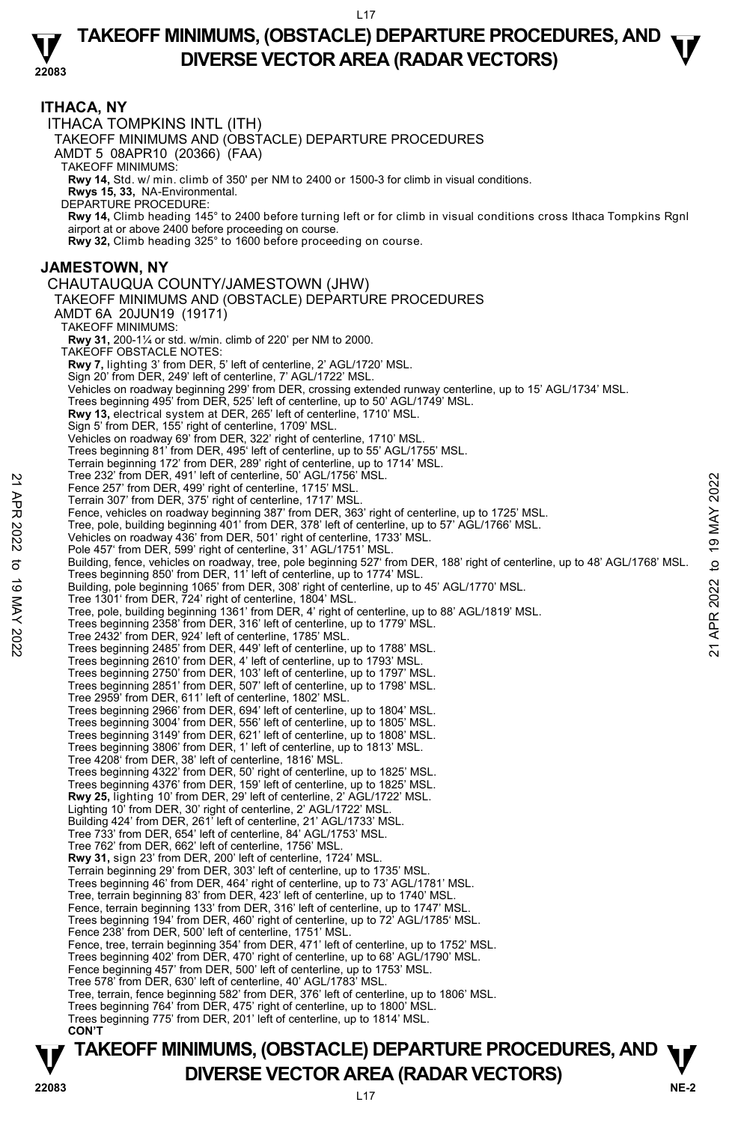#### **22083 TAKEOFF MINIMUMS, (OBSTACLE) DEPARTURE PROCEDURES, AND**  $\mathbf{\nabla}$ **DIVERSE VECTOR AREA (RADAR VECTORS)**

#### **ITHACA, NY**  ITHACA TOMPKINS INTL (ITH) TAKEOFF MINIMUMS AND (OBSTACLE) DEPARTURE PROCEDURES AMDT 5 08APR10 (20366) (FAA) TAKEOFF MINIMUMS: **Rwy 14,** Std. w/ min. climb of 350' per NM to 2400 or 1500-3 for climb in visual conditions. **Rwys 15, 33,** NA-Environmental. DEPARTURE PROCEDURE: **Rwy 14,** Climb heading 145° to 2400 before turning left or for climb in visual conditions cross Ithaca Tompkins Rgnl airport at or above 2400 before proceeding on course. **Rwy 32,** Climb heading 325° to 1600 before proceeding on course. **JAMESTOWN, NY**  CHAUTAUQUA COUNTY/JAMESTOWN (JHW) TAKEOFF MINIMUMS AND (OBSTACLE) DEPARTURE PROCEDURES AMDT 6A 20JUN19 (19171) TAKEOFF MINIMUMS: **Rwy 31,** 200-1¼ or std. w/min. climb of 220' per NM to 2000. TAKEOFF OBSTACLE NOTES: **Rwy 7,** lighting 3' from DER, 5' left of centerline, 2' AGL/1720' MSL. Sign 20' from DER, 249' left of centerline, 7' AGL/1722' MSL. Vehicles on roadway beginning 299' from DER, crossing extended runway centerline, up to 15' AGL/1734' MSL. Trees beginning 495' from DER, 525' left of centerline, up to 50' AGL/1749' MSL. **Rwy 13,** electrical system at DER, 265' left of centerline, 1710' MSL. Sign 5' from DER, 155' right of centerline, 1709' MSL. Vehicles on roadway 69' from DER, 322' right of centerline, 1710' MSL. Trees beginning 81' from DER, 495' left of centerline, up to 55' AGL/1755' MSL. Terrain beginning 172' from DER, 289' right of centerline, up to 1714' MSL. Tree 232' from DER, 491' left of centerline, 50' AGL/1756' MSL. Fence 257' from DER, 499' right of centerline, 1715' MSL. Terrain 307' from DER, 375' right of centerline, 1717' MSL. Fence, vehicles on roadway beginning 387' from DER, 363' right of centerline, up to 1725' MSL. Tree, pole, building beginning 401' from DER, 378' left of centerline, up to 57' AGL/1766' MSL. Vehicles on roadway 436' from DER, 501' right of centerline, 1733' MSL. Pole 457' from DER, 599' right of centerline, 31' AGL/1751' MSL. Building, fence, vehicles on roadway, tree, pole beginning 527' from DER, 188' right of centerline, up to 48' AGL/1768' MSL.<br>Trees beginning 850' from DER, 11' left of centerline, up to 1774' MSL. Building, pole beginning 1065' from DER, 308' right of centerline, up to 45' AGL/1770' MSL. Tree 1301' from DER, 724' right of centerline, 1804' MSL. Tree, pole, building beginning 1361' from DER, 4' right of centerline, up to 88' AGL/1819' MSL. Trees beginning 2358' from DER, 316' left of centerline, up to 1779' MSL. Tree 2432' from DER, 924' left of centerline, 1785' MSL. Trees beginning 2485' from DER, 449' left of centerline, up to 1788' MSL. Trees beginning 2610' from DER, 4' left of centerline, up to 1793' MSL. Trees beginning 2750' from DER, 103' left of centerline, up to 1797' MSL. Trees beginning 2851' from DER, 507' left of centerline, up to 1798' MSL. Tree 2959' from DER, 611' left of centerline, 1802' MSL. Trees beginning 2966' from DER, 694' left of centerline, up to 1804' MSL. Trees beginning 3004' from DER, 556' left of centerline, up to 1805' MSL. Trees beginning 3149' from DER, 621' left of centerline, up to 1808' MSL. Trees beginning 3806' from DER, 1' left of centerline, up to 1813' MSL. Tree 4208' from DER, 38' left of centerline, 1816' MSL. Trees beginning 4322' from DER, 50' right of centerline, up to 1825' MSL. Trees beginning 4376' from DER, 159' left of centerline, up to 1825' MSL. **Rwy 25,** lighting 10' from DER, 29' left of centerline, 2' AGL/1722' MSL.<br>Lighting 10' from DER, 30' right of centerline, 2' AGL/1722' MSL. Building 424' from DER, 261' left of centerline, 21' AGL/1733' MSL. Tree 733' from DER, 654' left of centerline, 84' AGL/1753' MSL. Tree 762' from DER, 662' left of centerline, 1756' MSL. **Rwy 31,** sign 23' from DER, 200' left of centerline, 1724' MSL. Terrain beginning 29' from DER, 303' left of centerline, up to 1735' MSL. Trees beginning 46' from DER, 464' right of centerline, up to 73' AGL/1781' MSL. Tree, terrain beginning 83' from DER, 423' left of centerline, up to 1740' MSL. Fence, terrain beginning 133' from DER, 316' left of centerline, up to 1747' MSL. Trees beginning 194' from DER, 460' right of centerline, up to 72' AGL/1785' MSL. Fence 238' from DER, 500' left of centerline, 1751' MSL. Fence, tree, terrain beginning 354' from DER, 471' left of centerline, up to 1752' MSL. Trees beginning 402' from DER, 470' right of centerline, up to 68' AGL/1790' MSL. Fence beginning 457' from DER, 500' left of centerline, up to 1753' MSL. Tree 578' from DER, 630' left of centerline, 40' AGL/1783' MSL. Tree, terrain, fence beginning 582' from DER, 376' left of centerline, up to 1806' MSL. Trees beginning 764' from DER, 475' right of centerline, up to 1800' MSL. Trees beginning 775' from DER, 201' left of centerline, up to 1814' MSL. **CON'T**  Fene 237' from DER, 499' riet of centerline, 50 Yol AI/175 MSL.<br>
Fence 257' from DER, 375' right of centerline, 1715' MSL.<br>
Terrain 307' from DER, 375' right of centerline, 1717' MSL.<br>
Tence, pole building beginning 387' f

**TAKEOFF MINIMUMS, (OBSTACLE) DEPARTURE PROCEDURES, AND**  $\Psi$ **P**<br>22083 **DIVERSE VECTOR AREA (RADAR VECTORS)**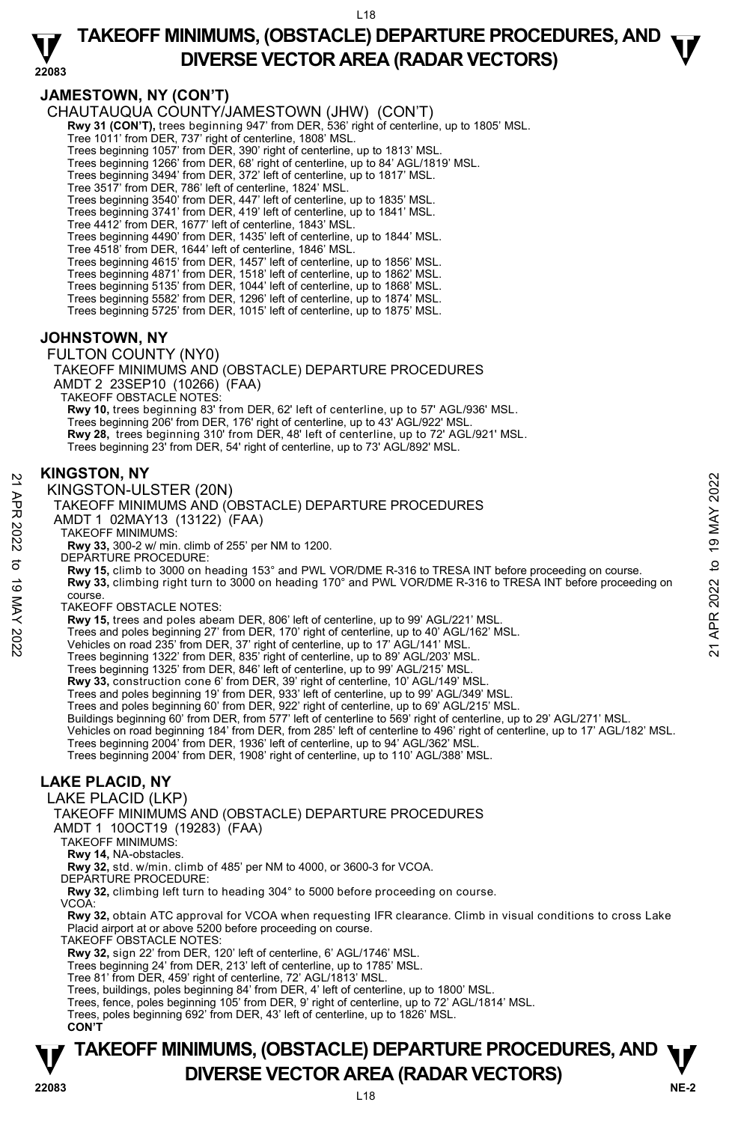### **TAKEOFF MINIMUMS, (OBSTACLE) DEPARTURE PROCEDURES, AND**  $\mathbf{\nabla}$ **DIVERSE VECTOR AREA (RADAR VECTORS)**

### **JAMESTOWN, NY (CON'T)**

**22083** 

CHAUTAUQUA COUNTY/JAMESTOWN (JHW) (CON'T) **Rwy 31 (CON'T),** trees beginning 947' from DER, 536' right of centerline, up to 1805' MSL.<br>Tree 1011' from DER, 737' right of centerline, 1808' MSL. Trees beginning 1057' from DER, 390' right of centerline, up to 1813' MSL.<br>Trees beginning 1266' from DER, 68' right of centerline, up to 84' AGL/1819' MSL.<br>Trees beginning 3494' from DER, 372' left of centerline, up to 18 Tree 3517' from DER, 786' left of centerline, 1824' MSL. Trees beginning 3540' from DER, 447' left of centerline, up to 1835' MSL. Trees beginning 3741' from DER, 419' left of centerline, up to 1841' MSL. Tree 4412' from DER, 1677' left of centerline, 1843' MSL. Trees beginning 4490' from DER, 1435' left of centerline, up to 1844' MSL. Tree 4518' from DER, 1644' left of centerline, 1846' MSL. Trees beginning 4615' from DER, 1457' left of centerline, up to 1856' MSL. Trees beginning 4871' from DER, 1518' left of centerline, up to 1862' MSL. Trees beginning 5135' from DER, 1044' left of centerline, up to 1868' MSL. Trees beginning 5582' from DER, 1296' left of centerline, up to 1874' MSL. Trees beginning 5725' from DER, 1015' left of centerline, up to 1875' MSL.

### **JOHNSTOWN, NY**

FULTON COUNTY (NY0)

TAKEOFF MINIMUMS AND (OBSTACLE) DEPARTURE PROCEDURES AMDT 2 23SEP10 (10266) (FAA) TAKEOFF OBSTACLE NOTES: **Rwy 10,** trees beginning 83' from DER, 62' left of centerline, up to 57' AGL/936' MSL. Trees beginning 206' from DER, 176' right of centerline, up to 43' AGL/922' MSL.<br>**Rwy 28,** trees beginning 310' from DER, 48' left of centerline, up to 72' AGL/921' MSL. Trees beginning 23' from DER, 54' right of centerline, up to 73' AGL/892' MSL.

#### **KINGSTON, NY**

KINGSTON-ULSTER (20N)

#### TAKEOFF MINIMUMS AND (OBSTACLE) DEPARTURE PROCEDURES

AMDT 1 02MAY13 (13122) (FAA)

TAKEOFF MINIMUMS:

**Rwy 33,** 300-2 w/ min. climb of 255' per NM to 1200. DEPARTURE PROCEDURE:

**Rwy 15,** climb to 3000 on heading 153° and PWL VOR/DME R-316 to TRESA INT before proceeding on course. **Rwy 33,** climbing right turn to 3000 on heading 170° and PWL VOR/DME R-316 to TRESA INT before proceeding on course. **EXECTS TO APPENDIX AND CONSTACLE)**<br>
21 **AND THE 2022** TAKE OFF MINIMUMS AND (OBSTACLE) DEPARTURE PROCEDURES<br>
22 AMDT 1 02MAY13 (13122) (FAA)<br>
23 TAKE OFF MINIMUMS:<br>
23 TAKE OFF MINIMUMS:<br>
23 TAKE OFF MINIMUMS:<br>
23 TAKE O

TAKEOFF OBSTACLE NOTES:

**Rwy 15,** trees and poles abeam DER, 806' left of centerline, up to 99' AGL/221' MSL.

Trees and poles beginning 27' from DER, 170' right of centerline, up to 40' AGL/162' MSL.

Vehicles on road 235' from DER, 37' right of centerline, up to 17' AGL/141' MSL.

Trees beginning 1322' from DER, 835' right of centerline, up to 89' AGL/203' MSL. Trees beginning 1325' from DER, 846' left of centerline, up to 99' AGL/215' MSL.

**Rwy 33,** construction cone 6' from DER, 39' right of centerline, 10' AGL/149' MSL.

Trees and poles beginning 19' from DER, 933' left of centerline, up to 99' AGL/349' MSL.

Trees and poles beginning 60' from DER, 922' right of centerline, up to 69' AGL/215' MSL.

Buildings beginning 60' from DER, from 577' left of centerline to 569' right of centerline, up to 29' AGL/271' MSL.<br>Vehicles on road beginning 184' from DER, from 285' left of centerline to 496' right of centerline, up to

Trees beginning 2004' from DER, 1936' left of centerline, up to 94' AGL/362' MSL. Trees beginning 2004' from DER, 1908' right of centerline, up to 110' AGL/388' MSL.

### **LAKE PLACID, NY**

LAKE PLACID (LKP)

TAKEOFF MINIMUMS AND (OBSTACLE) DEPARTURE PROCEDURES

AMDT 1 10OCT19 (19283) (FAA)

TAKEOFF MINIMUMS:

**Rwy 14,** NA-obstacles.

**Rwy 32,** std. w/min. climb of 485' per NM to 4000, or 3600-3 for VCOA.

DEPARTURE PROCEDURE:

**Rwy 32,** climbing left turn to heading 304° to 5000 before proceeding on course. VCOA:

**Rwy 32,** obtain ATC approval for VCOA when requesting IFR clearance. Climb in visual conditions to cross Lake Placid airport at or above 5200 before proceeding on course.

TAKEOFF OBSTACLE NOTES:

**Rwy 32,** sign 22' from DER, 120' left of centerline, 6' AGL/1746' MSL.

Trees beginning 24' from DER, 213' left of centerline, up to 1785' MSL. Tree 81' from DER, 459' right of centerline, 72' AGL/1813' MSL.

Trees, buildings, poles beginning 84' from DER, 4' left of centerline, up to 1800' MSL.

Trees, fence, poles beginning 105' from DER, 9' right of centerline, up to 72' AGL/1814' MSL.

Trees, poles beginning 692' from DER, 43' left of centerline, up to 1826' MSL.

**CON'T** 

### **NE-2** L18 **TAKEOFF MINIMUMS, (OBSTACLE) DEPARTURE PROCEDURES, AND**  $\Psi$ **P**<br> **DIVERSE VECTOR AREA (RADAR VECTORS)**<br>  $^{18}$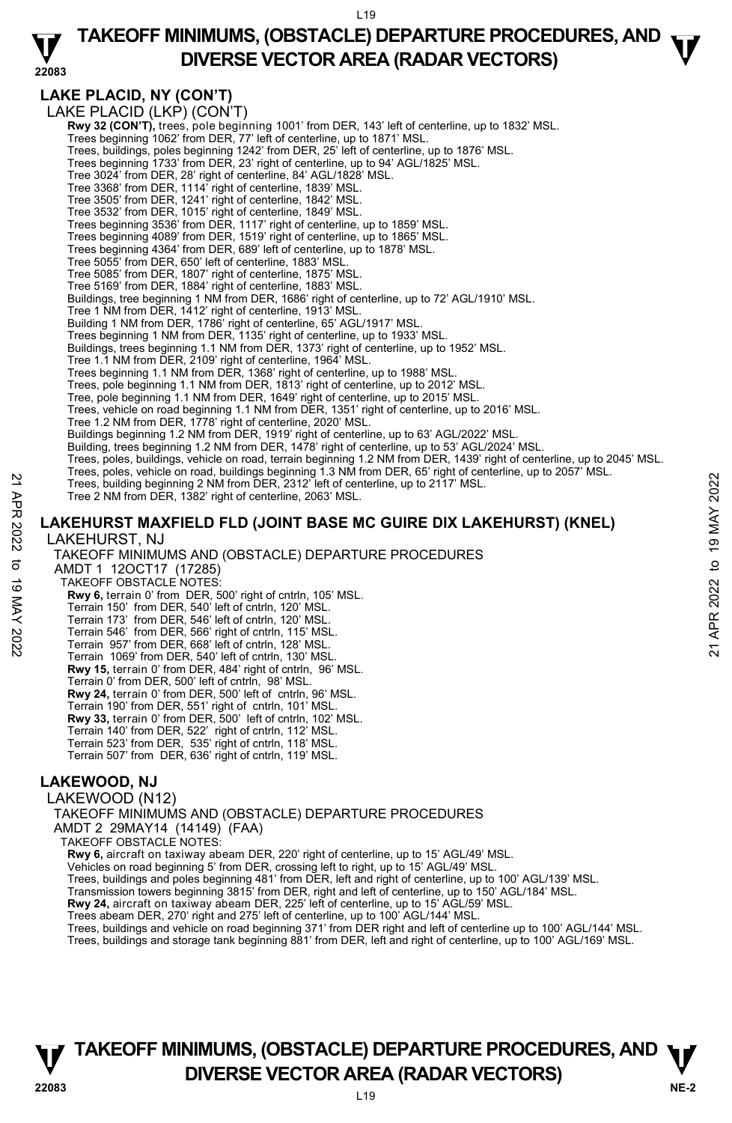### **22083 TAKEOFF MINIMUMS, (OBSTACLE) DEPARTURE PROCEDURES, AND**  $\mathbf{\nabla}$ **DIVERSE VECTOR AREA (RADAR VECTORS)**

### **LAKE PLACID, NY (CON'T)**

LAKE PLACID (LKP) (CON'T) **Rwy 32 (CON'T),** trees, pole beginning 1001' from DER, 143' left of centerline, up to 1832' MSL. Trees beginning 1062' from DER, 77' left of centerline, up to 1871' MSL. Trees, buildings, poles beginning 1242' from DER, 25' left of centerline, up to 1876' MSL. Trees beginning 1733' from DER, 23' right of centerline, up to 94' AGL/1825' MSL. Tree 3024' from DER, 28' right of centerline, 84' AGL/1828' MSL. Tree 3368' from DER, 1114' right of centerline, 1839' MSL. Tree 3505' from DER, 1241' right of centerline, 1842' MSL. Tree 3532' from DER, 1015' right of centerline, 1849' MSL. Trees beginning 3536' from DER, 1117' right of centerline, up to 1859' MSL. Trees beginning 4089' from DER, 1519' right of centerline, up to 1865' MSL. Trees beginning 4364' from DER, 689' left of centerline, up to 1878' MSL. Tree 5055' from DER, 650' left of centerline, 1883' MSL. Tree 5085' from DER, 1807' right of centerline, 1875' MSL. Tree 5169' from DER, 1884' right of centerline, 1883' MSL. Buildings, tree beginning 1 NM from DER, 1686' right of centerline, up to 72' AGL/1910' MSL.<br>Tree 1 NM from DER, 1412' right of centerline, 1913' MSL. Building 1 NM from DER, 1786' right of centerline, 65' AGL/1917' MSL. Trees beginning 1 NM from DER, 1135' right of centerline, up to 1933' MSL. Buildings, trees beginning 1.1 NM from DER, 1373' right of centerline, up to 1952' MSL. Tree 1.1 NM from DER, 2109' right of centerline, 1964' MSL. Trees beginning 1.1 NM from DER, 1368' right of centerline, up to 1988' MSL. Trees, pole beginning 1.1 NM from DER, 1813' right of centerline, up to 2012' MSL. Tree, pole beginning 1.1 NM from DER, 1649' right of centerline, up to 2015' MSL. Trees, vehicle on road beginning 1.1 NM from DER, 1351' right of centerline, up to 2016' MSL. Tree 1.2 NM from DER, 1778' right of centerline, 2020' MSL. Buildings beginning 1.2 NM from DER, 1919' right of centerline, up to 63' AGL/2022' MSL. Building, trees beginning 1.2 NM from DER, 1478' right of centerline, up to 53' AGL/2024' MSL. Trees, poles, buildings, vehicle on road, terrain beginning 1.2 NM from DER, 1439' right of centerline, up to 2045' MSL.<br>Trees, poles, vehicle on road, buildings beginning 1.3 NM from DER, 65' right of centerline, up to 20 Trees, building beginning 2 NM from DER, 2312' left of centerline, up to 2117' MSL. Tree 2 NM from DER, 1382' right of centerline, 2063' MSL. **LAKEHURST MAXFIELD FLD (JOINT BASE MC GUIRE DIX LAKEHURST) (KNEL)**  LAKEHURST, NJ TAKEOFF MINIMUMS AND (OBSTACLE) DEPARTURE PROCEDURES AMDT 1 12OCT17 (17285) TAKEOFF OBSTACLE NOTES: **Rwy 6,** terrain 0' from DER, 500' right of cntrln, 105' MSL. Terrain 150' from DER, 540' left of cntrln, 120' MSL. Terrain 173' from DER, 546' left of cntrln, 120' MSL. Terrain 546' from DER, 566' right of cntrln, 115' MSL. Terrain 957' from DER, 668' left of cntrln, 128' MSL. Terrain 1069' from DER, 540' left of cntrln, 130' MSL. **Rwy 15,** terrain 0' from DER, 484' right of cntrln, 96' MSL. Terrain 0' from DER, 500' left of cntrln, 98' MSL. **Rwy 24,** terrain 0' from DER, 500' left of cntrln, 96' MSL. Terrain 190' from DER, 551' right of cntrln, 101' MSL. **Rwy 33,** terrain 0' from DER, 500' left of cntrln, 102' MSL. Terrain 140' from DER, 522' right of cntrln, 112' MSL. Terrain 523' from DER, 535' right of cntrln, 118' MSL. Terrain 507' from DER, 636' right of cntrln, 119' MSL. Trees, building beginning 2 NM from DER, 2312' left of centerline, up to 2117 MSL.<br>
Tree 2 NM from DER, 1382' right of centerline, 2063' MSL.<br>
Tree 2 NM from DER, 1382' right of centerline, 2063' MSL.<br> **LAKEHURST MAXFIELD** 

### **LAKEWOOD, NJ**

LAKEWOOD (N12)

TAKEOFF MINIMUMS AND (OBSTACLE) DEPARTURE PROCEDURES AMDT 2 29MAY14 (14149) (FAA)

TAKEOFF OBSTACLE NOTES:

**Rwy 6,** aircraft on taxiway abeam DER, 220' right of centerline, up to 15' AGL/49' MSL.

Vehicles on road beginning 5' from DER, crossing left to right, up to 15' AGL/49' MSL.

Trees, buildings and poles beginning 481' from DER, left and right of centerline, up to 100' AGL/139' MSL.

Transmission towers beginning 3815' from DER, right and left of centerline, up to 150' AGL/184' MSL.<br>**Rwy 24,** aircraft on taxiway abeam DER, 225' left of centerline, up to 15' AGL/59' MSL.

Trees abeam DER, 270' right and 275' left of centerline, up to 100' AGL/144' MSL.

Trees, buildings and vehicle on road beginning 371' from DER right and left of centerline up to 100' AGL/144' MSL.<br>Trees, buildings and storage tank beginning 881' from DER, left and right of centerline, up to 100' AGL/169

### **NE-2** L19 **TAKEOFF MINIMUMS, (OBSTACLE) DEPARTURE PROCEDURES, AND**  $\Psi$ **DIVERSE VECTOR AREA (RADAR VECTORS) 22083**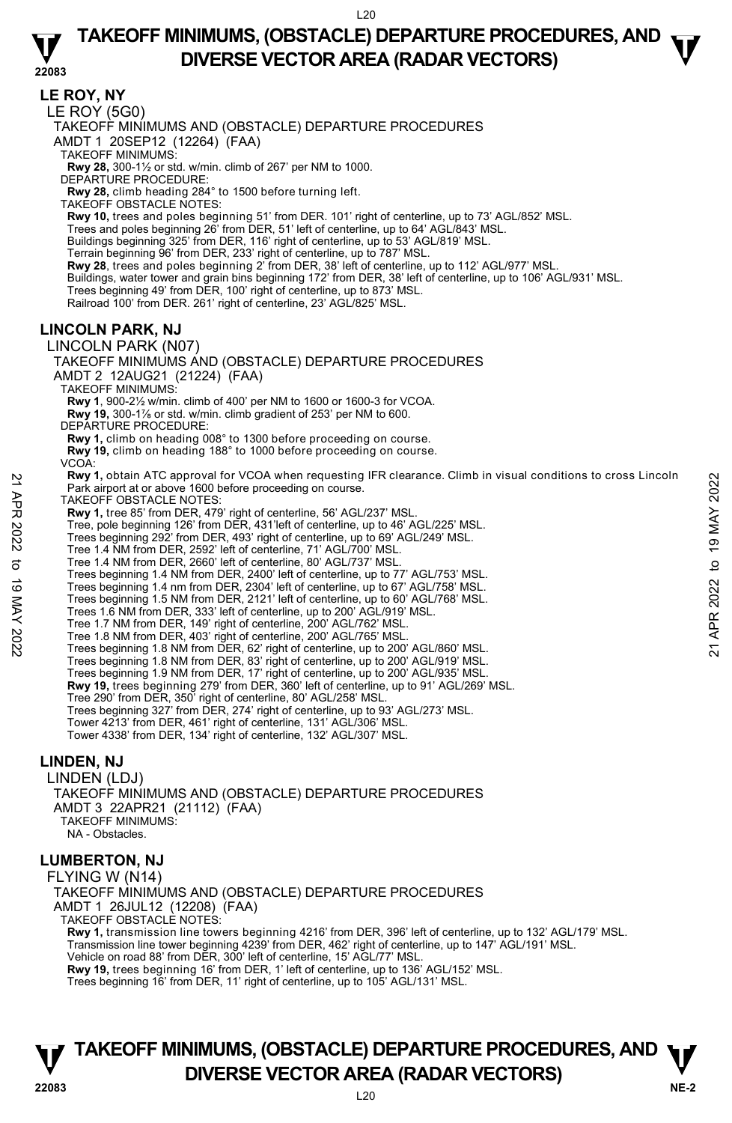### **TAKEOFF MINIMUMS, (OBSTACLE) DEPARTURE PROCEDURES, AND**  $\mathbf{\nabla}$ **DIVERSE VECTOR AREA (RADAR VECTORS)**

**22083 LE ROY, NY**  LE ROY (5G0) TAKEOFF MINIMUMS AND (OBSTACLE) DEPARTURE PROCEDURES AMDT 1 20SEP12 (12264) (FAA) TAKEOFF MINIMUMS: **Rwy 28,** 300-1½ or std. w/min. climb of 267' per NM to 1000. DEPARTURE PROCEDURE: **Rwy 28,** climb heading 284° to 1500 before turning left. TAKEOFF OBSTACLE NOTES: **Rwy 10,** trees and poles beginning 51' from DER. 101' right of centerline, up to 73' AGL/852' MSL.<br>Trees and poles beginning 26' from DER, 51' left of centerline, up to 64' AGL/843' MSL. Buildings beginning 325' from DER, 116' right of centerline, up to 53' AGL/819' MSL. Terrain beginning 96' from DER, 233' right of centerline, up to 787' MSL. **Rwy 28**, trees and poles beginning 2' from DER, 38' left of centerline, up to 112' AGL/977' MSL. Buildings, water tower and grain bins beginning 172' from DER, 38' left of centerline, up to 106' AGL/931' MSL. Trees beginning 49' from DER, 100' right of centerline, up to 873' MSL. Railroad 100' from DER. 261' right of centerline, 23' AGL/825' MSL. **LINCOLN PARK, NJ**  LINCOLN PARK (N07) TAKEOFF MINIMUMS AND (OBSTACLE) DEPARTURE PROCEDURES AMDT 2 12AUG21 (21224) (FAA) TAKEOFF MINIMUMS: **Rwy 1**, 900-2½ w/min. climb of 400' per NM to 1600 or 1600-3 for VCOA.  **Rwy 19,** 300-1⅞ or std. w/min. climb gradient of 253' per NM to 600. DEPARTURE PROCEDURE: **Rwy 1,** climb on heading 008° to 1300 before proceeding on course. **Rwy 19,** climb on heading 188° to 1000 before proceeding on course. VCOA: **Rwy 1,** obtain ATC approval for VCOA when requesting IFR clearance. Climb in visual conditions to cross Lincoln Park airport at or above 1600 before proceeding on course. TAKEOFF OBSTACLE NOTES **Rwy 1,** tree 85' from DER, 479' right of centerline, 56' AGL/237' MSL. Tree, pole beginning 126' from DER, 431'left of centerline, up to 46' AGL/225' MSL. Trees beginning 292' from DER, 493' right of centerline, up to 69' AGL/249' MSL. Tree 1.4 NM from DER, 2592' left of centerline, 71' AGL/700' MSL. Tree 1.4 NM from DER, 2660' left of centerline, 80' AGL/737' MSL. Trees beginning 1.4 NM from DER, 2400' left of centerline, up to 77' AGL/753' MSL. Trees beginning 1.4 nm from DER, 2304' left of centerline, up to 67' AGL/758' MSL. Trees beginning 1.5 NM from DER, 2121' left of centerline, up to 60' AGL/768' MSL. Trees 1.6 NM from DER, 333' left of centerline, up to 200' AGL/919' MSL. Tree 1.7 NM from DER, 149' right of centerline, 200' AGL/762' MSL. Tree 1.8 NM from DER, 403' right of centerline, 200' AGL/765' MSL. Trees beginning 1.8 NM from DER, 62' right of centerline, up to 200' AGL/860' MSL. Trees beginning 1.8 NM from DER, 83' right of centerline, up to 200' AGL/919' MSL. Trees beginning 1.9 NM from DER, 17' right of centerline, up to 200' AGL/935' MSL.<br>**Rwy 19,** trees beginning 279' from DER, 360' left of centerline, up to 91' AGL/269' MSL. Tree 290' from DER, 350' right of centerline, 80' AGL/258' MSL. Trees beginning 327' from DER, 274' right of centerline, up to 93' AGL/273' MSL. Tower 4213' from DER, 461' right of centerline, 131' AGL/306' MSL. Tower 4338' from DER, 134' right of centerline, 132' AGL/307' MSL. **LINDEN, NJ**  LINDEN (LDJ) TAKEOFF MINIMUMS AND (OBSTACLE) DEPARTURE PROCEDURES AMDT 3 22APR21 (21112) (FAA) TAKEOFF MINIMUMS: NA - Obstacles. Park airpor a IC approval Tor VCDA when requesting IFR clearance. Climb in visual conditions to cross Lincoln<br>
The AKEOFF OBSTACLE NOTES:<br>
The ass from DER, 433 "left of centerline, ap to 46' AGL/237' MSL.<br>
Tree, pole beg

#### **LUMBERTON, NJ**

FLYING W (N14) TAKEOFF MINIMUMS AND (OBSTACLE) DEPARTURE PROCEDURES AMDT 1 26JUL12 (12208) (FAA) TAKEOFF OBSTACLE NOTES:

**Rwy 1,** transmission line towers beginning 4216' from DER, 396' left of centerline, up to 132' AGL/179' MSL. Transmission line tower beginning 4239' from DER, 462' right of centerline, up to 147' AGL/191' MSL. Vehicle on road 88' from DER, 300' left of centerline, 15' AGL/77' MSL. **Rwy 19,** trees beginning 16' from DER, 1' left of centerline, up to 136' AGL/152' MSL. Trees beginning 16' from DER, 11' right of centerline, up to 105' AGL/131' MSL.

### **NE-2** L20 **TAKEOFF MINIMUMS, (OBSTACLE) DEPARTURE PROCEDURES, AND**  $\Psi$ **P**<br>22083 **DIVERSE VECTOR AREA (RADAR VECTORS)**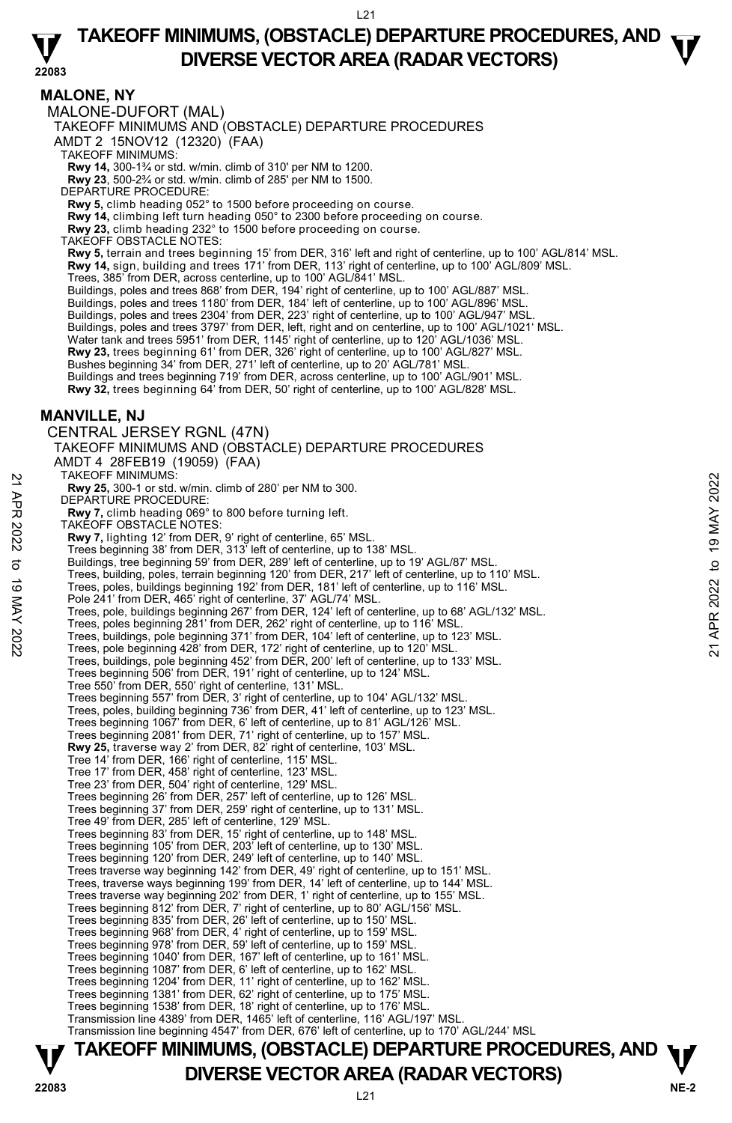### **TAKEOFF MINIMUMS, (OBSTACLE) DEPARTURE PROCEDURES, AND**  $\mathbf{\nabla}$ **DIVERSE VECTOR AREA (RADAR VECTORS)**

**22083** 

#### **MALONE, NY**

MALONE-DUFORT (MAL)

TAKEOFF MINIMUMS AND (OBSTACLE) DEPARTURE PROCEDURES

AMDT 2 15NOV12 (12320) (FAA)

TAKEOFF MINIMUMS:

**Rwy 14,** 300-1¾ or std. w/min. climb of 310' per NM to 1200. **Rwy 23**, 500-2¾ or std. w/min. climb of 285' per NM to 1500.

DEPARTURE PROCEDURE:

**Rwy 5,** climb heading 052° to 1500 before proceeding on course.

**Rwy 14,** climbing left turn heading 050° to 2300 before proceeding on course.<br>**Rwy 23,** climb heading 232° to 1500 before proceeding on course.<br>TAKEOFF OBSTACLE NOTES:

**Rwy 5,** terrain and trees beginning 15' from DER, 316' left and right of centerline, up to 100' AGL/814' MSL.<br>**Rwy 14,** sign, building and trees 171' from DER, 113' right of centerline, up to 100' AGL/809' MSL. Trees, 385' from DER, across centerline, up to 100' AGL/841' MSL.

Buildings, poles and trees 868' from DER, 194' right of centerline, up to 100' AGL/887' MSL. Buildings, poles and trees 1180' from DER, 184' left of centerline, up to 100' AGL/896' MSL. Buildings, poles and trees 2304' from DER, 223' right of centerline, up to 100' AGL/947' MSL. Buildings, poles and trees 3797' from DER, left, right and on centerline, up to 100' AGL/1021' MSL. Water tank and trees 5951' from DER, 1145' right of centerline, up to 120' AGL/1036' MSL. **Rwy 23,** trees beginning 61' from DER, 326' right of centerline, up to 100' AGL/827' MSL. Bushes beginning 34' from DER, 271' left of centerline, up to 20' AGL/781' MSL. Buildings and trees beginning 719' from DER, across centerline, up to 100' AGL/901' MSL.<br>**Rwy 32,** trees beginning 64' from DER, 50' right of centerline, up to 100' AGL/828' MSL.

#### **MANVILLE, NJ**

CENTRAL JERSEY RGNL (47N) TAKEOFF MINIMUMS AND (OBSTACLE) DEPARTURE PROCEDURES AMDT 4 28FEB19 (19059) (FAA) TAKEOFF MINIMUMS: **Rwy 25,** 300-1 or std. w/min. climb of 280' per NM to 300. DEPARTURE PROCEDURE **Rwy 7,** climb heading 069° to 800 before turning left. TAKEOFF OBSTACLE NOTES: **Rwy 7,** lighting 12' from DER, 9' right of centerline, 65' MSL. Trees beginning 38' from DER, 313' left of centerline, up to 138' MSL. Buildings, tree beginning 59' from DER, 289' left of centerline, up to 19' AGL/87' MSL. Trees, building, poles, terrain beginning 120' from DER, 217' left of centerline, up to 110' MSL. Trees, poles, buildings beginning 192' from DER, 181' left of centerline, up to 116' MSL. Pole 241' from DER, 465' right of centerline, 37' AGL/74' MSL. Trees, pole, buildings beginning 267' from DER, 124' left of centerline, up to 68' AGL/132' MSL. Trees, poles beginning 281' from DER, 262' right of centerline, up to 116' MSL. Trees, buildings, pole beginning 371' from DER, 104' left of centerline, up to 123' MSL. Trees, pole beginning 428' from DER, 172' right of centerline, up to 120' MSL. Trees, buildings, pole beginning 452' from DER, 200' left of centerline, up to 133' MSL. Trees beginning 506' from DER, 191' right of centerline, up to 124' MSL. Tree 550' from DER, 550' right of centerline, 131' MSL. Trees beginning 557' from DER, 3' right of centerline, up to 104' AGL/132' MSL. Trees, poles, building beginning 736' from DER, 41' left of centerline, up to 123' MSL. Trees beginning 1067' from DER, 6' left of centerline, up to 81' AGL/126' MSL. Trees beginning 2081' from DER, 71' right of centerline, up to 157' MSL. **Rwy 25,** traverse way 2' from DER, 82' right of centerline, 103' MSL. Tree 14' from DER, 166' right of centerline, 115' MSL. Tree 17' from DER, 458' right of centerline, 123' MSL. Tree 23' from DER, 504' right of centerline, 129' MSL. Trees beginning 26' from DER, 257' left of centerline, up to 126' MSL. Trees beginning 37' from DER, 259' right of centerline, up to 131' MSL. Tree 49' from DER, 285' left of centerline, 129' MSL. Trees beginning 83' from DER, 15' right of centerline, up to 148' MSL. Trees beginning 105' from DER, 203' left of centerline, up to 130' MSL. Trees beginning 120' from DER, 249' left of centerline, up to 140' MSL. Trees traverse way beginning 142' from DER, 49' right of centerline, up to 151' MSL. Trees, traverse ways beginning 199' from DER, 14' left of centerline, up to 144' MSL. Trees traverse way beginning 202' from DER, 1' right of centerline, up to 155' MSL. Trees beginning 812' from DER, 7' right of centerline, up to 80' AGL/156' MSL. Trees beginning 835' from DER, 26' left of centerline, up to 150' MSL. Trees beginning 968' from DER, 4' right of centerline, up to 159' MSL. Trees beginning 978' from DER, 59' left of centerline, up to 159' MSL. Trees beginning 1040' from DER, 167' left of centerline, up to 161' MSL. Trees beginning 1087' from DER, 6' left of centerline, up to 162' MSL. Trees beginning 1204' from DER, 11' right of centerline, up to 162' MSL. Trees beginning 1381' from DER, 62' right of centerline, up to 175' MSL. Trees beginning 1538' from DER, 18' right of centerline, up to 176' MSL. Transmission line 4389' from DER, 1465' left of centerline, 116' AGL/197' MSL. Transmission line beginning 4547' from DER, 676' left of centerline, up to 170' AGL/244' MSL 21 AKEOFF MINIMUMIS:<br>
22 **Rwy 25,** 300-1 or std. w/min. climb of 280' per NM to 300.<br>
DEPARTURE PROCEDURE:<br>
22 TAKEOFF OBSTACLE NOTES:<br>
22 TAKEOFF OBSTACLE NOTES:<br>
22 TAKEOFF OBSTACLE NOTES:<br>
23 TAKEOFF OBSTACLE NOTES:<br>
2

# **TAKEOFF MINIMUMS, (OBSTACLE) DEPARTURE PROCEDURES, AND**  $\Psi$ **P**<br>22083 **DIVERSE VECTOR AREA (RADAR VECTORS)**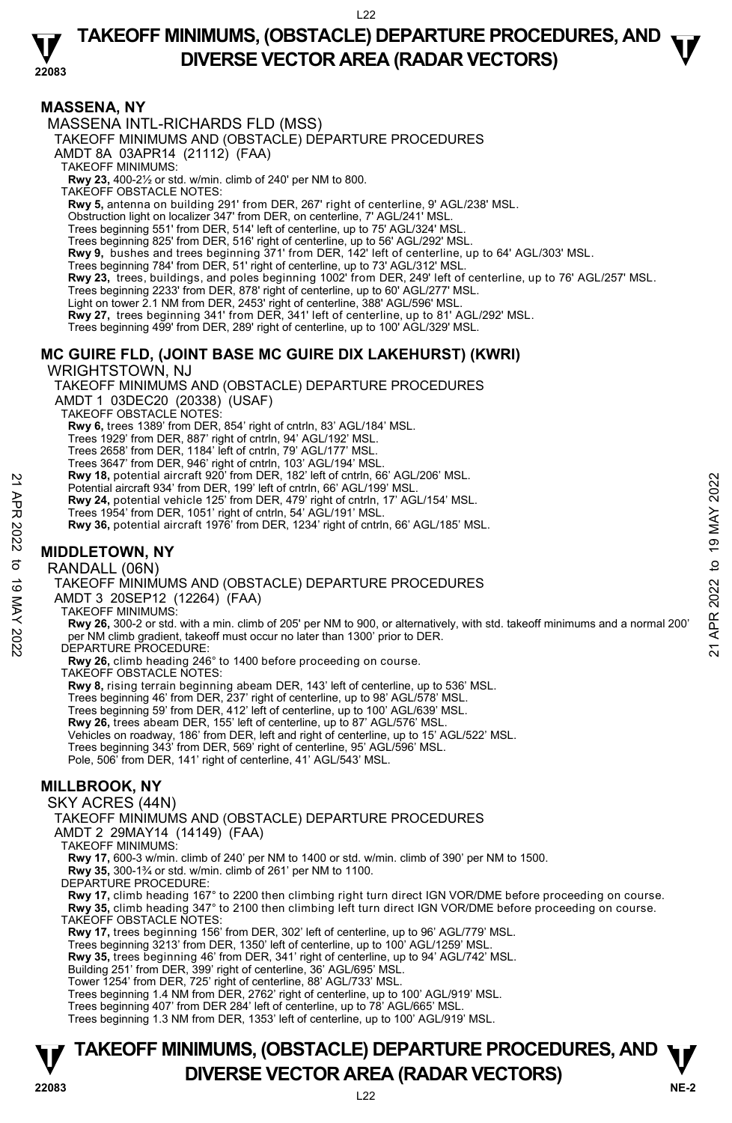### **TAKEOFF MINIMUMS, (OBSTACLE) DEPARTURE PROCEDURES, AND**  $\mathbf{\nabla}$ **DIVERSE VECTOR AREA (RADAR VECTORS)**

**22083** 

### **MASSENA, NY**

MASSENA INTL-RICHARDS FLD (MSS)

TAKEOFF MINIMUMS AND (OBSTACLE) DEPARTURE PROCEDURES

AMDT 8A 03APR14 (21112) (FAA)

TAKEOFF MINIMUMS:

**Rwy 23,** 400-2½ or std. w/min. climb of 240' per NM to 800.

TAKEOFF OBSTACLE NOTES:

**Rwy 5,** antenna on building 291' from DER, 267' right of centerline, 9' AGL/238' MSL.

Obstruction light on localizer 347' from DER, on centerline, 7' AGL/241' MSL.

Trees beginning 551' from DER, 514' left of centerline, up to 75' AGL/324' MSL.

Trees beginning 825' from DER, 516' right of centerline, up to 56' AGL/292' MSL.

**Rwy 9,** bushes and trees beginning 371' from DER, 142' left of centerline, up to 64' AGL/303' MSL.<br>Trees beginning 784' from DER, 51' right of centerline, up to 73' AGL/312' MSL.

**Rwy 23,** trees, buildings, and poles beginning 1002' from DER, 249' left of centerline, up to 76' AGL/257' MSL.

Trees beginning 2233' from DER, 878' right of centerline, up to 60' AGL/277' MSL.

Light on tower 2.1 NM from DER, 2453' right of centerline, 388' AGL/596' MSL.

**Rwy 27,** trees beginning 341' from DER, 341' left of centerline, up to 81' AGL/292' MSL.

Trees beginning 499' from DER, 289' right of centerline, up to 100' AGL/329' MSL.

### **MC GUIRE FLD, (JOINT BASE MC GUIRE DIX LAKEHURST) (KWRI)**

WRIGHTSTOWN, NJ

TAKEOFF MINIMUMS AND (OBSTACLE) DEPARTURE PROCEDURES AMDT 1 03DEC20 (20338) (USAF) TAKEOFF OBSTACLE NOTES: **Rwy 6,** trees 1389' from DER, 854' right of cntrln, 83' AGL/184' MSL.<br>Trees 1929' from DER, 887' right of cntrln, 94' AGL/192' MSL. Trees 2658' from DER, 1184' left of cntrln, 79' AGL/177' MSL. Trees 3647' from DER, 946' right of cntrln, 103' AGL/194' MSL.<br>**Rwy 18,** potential aircraft 920' from DER, 182' left of cntrln, 66' AGL/206' MSL. Potential aircraft 934' from DER, 199' left of cntrln, 66' AGL/199' MSL. **Rwy 24,** potential vehicle 125' from DER, 479' right of cntrln, 17' AGL/154' MSL. Trees 1954' from DER, 1051' right of cntrln, 54' AGL/191' MSL. **Rwy 36,** potential aircraft 1976' from DER, 1234' right of cntrln, 66' AGL/185' MSL. EVALUATE SURFALL A CONTROLLER THE SURFAINT OF A SURFAINT ON A SURFAINT ON A DEPLANTURE PROCEDURE:<br>
22 APR 2021 A potential aircraft 1978' from DER, 479' right of cntrin, 17' AGL/154' MSL.<br>
22 Trees 1954' from DER, 1051' r

### **MIDDLETOWN, NY**

RANDALL (06N)

TAKEOFF MINIMUMS AND (OBSTACLE) DEPARTURE PROCEDURES

AMDT 3 20SEP12 (12264) (FAA)

TAKEOFF MINIMUMS:

**Rwy 26,** 300-2 or std. with a min. climb of 205' per NM to 900, or alternatively, with std. takeoff minimums and a normal 200' per NM climb gradient, takeoff must occur no later than 1300' prior to DER. DEPARTURE PROCEDURE:

**Rwy 26,** climb heading 246° to 1400 before proceeding on course.

TAKEOFF OBSTACLE NOTES:

**Rwy 8,** rising terrain beginning abeam DER, 143' left of centerline, up to 536' MSL.

Trees beginning 46' from DER, 237' right of centerline, up to 98' AGL/578' MSL. Trees beginning 59' from DER, 412' left of centerline, up to 100' AGL/639' MSL.

**Rwy 26,** trees abeam DER, 155' left of centerline, up to 87' AGL/576' MSL.

Vehicles on roadway, 186' from DER, left and right of centerline, up to 15' AGL/522' MSL.

Trees beginning 343' from DER, 569' right of centerline, 95' AGL/596' MSL.

Pole, 506' from DER, 141' right of centerline, 41' AGL/543' MSL.

### **MILLBROOK, NY**

SKY ACRES (44N)

TAKEOFF MINIMUMS AND (OBSTACLE) DEPARTURE PROCEDURES

AMDT 2 29MAY14 (14149) (FAA)

TAKEOFF MINIMUMS:

**Rwy 17,** 600-3 w/min. climb of 240' per NM to 1400 or std. w/min. climb of 390' per NM to 1500.

**Rwy 35,** 300-1¾ or std. w/min. climb of 261' per NM to 1100.

DEPARTURE PROCEDURE:

**Rwy 17,** climb heading 167° to 2200 then climbing right turn direct IGN VOR/DME before proceeding on course. **Rwy 35,** climb heading 347° to 2100 then climbing left turn direct IGN VOR/DME before proceeding on course.

TAKEOFF OBSTACLE NOTES:

**Rwy 17,** trees beginning 156' from DER, 302' left of centerline, up to 96' AGL/779' MSL.

Trees beginning 3213' from DER, 1350' left of centerline, up to 100' AGL/1259' MSL.

**Rwy 35,** trees beginning 46' from DER, 341' right of centerline, up to 94' AGL/742' MSL.

Building 251' from DER, 399' right of centerline, 36' AGL/695' MSL. Tower 1254' from DER, 725' right of centerline, 88' AGL/733' MSL.

Trees beginning 1.4 NM from DER, 2762' right of centerline, up to 100' AGL/919' MSL.

Trees beginning 407' from DER 284' left of centerline, up to 78' AGL/665' MSL.

Trees beginning 1.3 NM from DER, 1353' left of centerline, up to 100' AGL/919' MSL.

### **NE-2** L22 **TAKEOFF MINIMUMS, (OBSTACLE) DEPARTURE PROCEDURES, AND**  $\Psi$ **P**<br>22083 **DIVERSE VECTOR AREA (RADAR VECTORS)**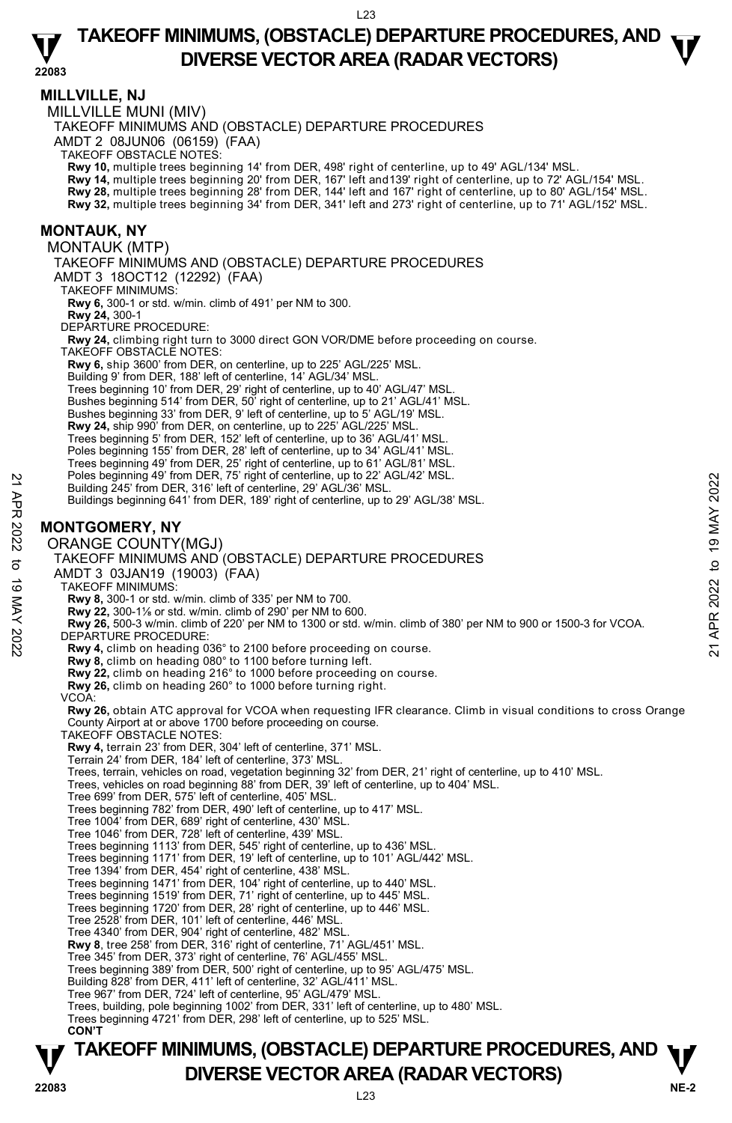### **TAKEOFF MINIMUMS, (OBSTACLE) DEPARTURE PROCEDURES, AND**  $\mathbf{\nabla}$ **DIVERSE VECTOR AREA (RADAR VECTORS)**

**22083** 

**MILLVILLE, NJ**  MILLVILLE MUNI (MIV) TAKEOFF MINIMUMS AND (OBSTACLE) DEPARTURE PROCEDURES AMDT 2 08JUN06 (06159) (FAA) TAKEOFF OBSTACLE NOTES: **Rwy 10,** multiple trees beginning 14' from DER, 498' right of centerline, up to 49' AGL/134' MSL.<br>**Rwy 14,** multiple trees beginning 20' from DER, 167' left and139' right of centerline, up to 72' AGL/154' MSL. **Rwy 28,** multiple trees beginning 28' from DER, 144' left and 167' right of centerline, up to 80' AGL/154' MSL. **Rwy 32,** multiple trees beginning 34' from DER, 341' left and 273' right of centerline, up to 71' AGL/152' MSL. **MONTAUK, NY**  MONTAUK (MTP) TAKEOFF MINIMUMS AND (OBSTACLE) DEPARTURE PROCEDURES AMDT 3 18OCT12 (12292) (FAA) TAKEOFF MINIMUMS: **Rwy 6,** 300-1 or std. w/min. climb of 491' per NM to 300. **Rwy 24,** 300-1 DEPARTURE PROCEDURE: **Rwy 24,** climbing right turn to 3000 direct GON VOR/DME before proceeding on course. TAKEOFF OBSTACLE NOTES: **Rwy 6,** ship 3600' from DER, on centerline, up to 225' AGL/225' MSL. Building 9' from DER, 188' left of centerline, 14' AGL/34' MSL. Trees beginning 10' from DER, 29' right of centerline, up to 40' AGL/47' MSL. Bushes beginning 514' from DER, 50' right of centerline, up to 21' AGL/41' MSL. Bushes beginning 33' from DER, 9' left of centerline, up to 5' AGL/19' MSL. **Rwy 24,** ship 990' from DER, on centerline, up to 225' AGL/225' MSL. Trees beginning 5' from DER, 152' left of centerline, up to 36' AGL/41' MSL. Poles beginning 155' from DER, 28' left of centerline, up to 34' AGL/41' MSL. Trees beginning 49' from DER, 25' right of centerline, up to 61' AGL/81' MSL. Poles beginning 49' from DER, 75' right of centerline, up to 22' AGL/42' MSL. Building 245' from DER, 316' left of centerline, 29' AGL/36' MSL. Buildings beginning 641' from DER, 189' right of centerline, up to 29' AGL/38' MSL. **MONTGOMERY, NY**  ORANGE COUNTY(MGJ) TAKEOFF MINIMUMS AND (OBSTACLE) DEPARTURE PROCEDURES AMDT 3 03JAN19 (19003) (FAA) TAKEOFF MINIMUMS: **Rwy 8,** 300-1 or std. w/min. climb of 335' per NM to 700. **Rwy 22,** 300-1⅛ or std. w/min. climb of 290' per NM to 600. **Rwy 26,** 500-3 w/min. climb of 220' per NM to 1300 or std. w/min. climb of 380' per NM to 900 or 1500-3 for VCOA. DEPARTURE PROCEDURE: **Rwy 4,** climb on heading 036° to 2100 before proceeding on course. **Rwy 8,** climb on heading 080° to 1100 before turning left. **Rwy 22,** climb on heading 216° to 1000 before proceeding on course. **Rwy 26,** climb on heading 260° to 1000 before turning right. VCOA: **Rwy 26,** obtain ATC approval for VCOA when requesting IFR clearance. Climb in visual conditions to cross Orange County Airport at or above 1700 before proceeding on course. TAKEOFF OBSTACLE NOTES: **Rwy 4,** terrain 23' from DER, 304' left of centerline, 371' MSL. Terrain 24' from DER, 184' left of centerline, 373' MSL. Trees, terrain, vehicles on road, vegetation beginning 32' from DER, 21' right of centerline, up to 410' MSL. Trees, vehicles on road beginning 88' from DER, 39' left of centerline, up to 404' MSL. Tree 699' from DER, 575' left of centerline, 405' MSL. Trees beginning 782' from DER, 490' left of centerline, up to 417' MSL. Tree 1004' from DER, 689' right of centerline, 430' MSL. Tree 1046' from DER, 728' left of centerline, 439' MSL. Trees beginning 1113' from DER, 545' right of centerline, up to 436' MSL. Trees beginning 1171' from DER, 19' left of centerline, up to 101' AGL/442' MSL. Tree 1394' from DER, 454' right of centerline, 438' MSL. Trees beginning 1471' from DER, 104' right of centerline, up to 440' MSL. Trees beginning 1519' from DER, 71' right of centerline, up to 445' MSL. Trees beginning 1720' from DER, 28' right of centerline, up to 446' MSL. Tree 2528' from DER, 101' left of centerline, 446' MSL. Tree 4340' from DER, 904' right of centerline, 482' MSL. **Rwy 8**, tree 258' from DER, 316' right of centerline, 71' AGL/451' MSL. Tree 345' from DER, 373' right of centerline, 76' AGL/455' MSL. Trees beginning 389' from DER, 500' right of centerline, up to 95' AGL/475' MSL. Building 828' from DER, 411' left of centerline, 32' AGL/411' MSL. Tree 967' from DER, 724' left of centerline, 95' AGL/479' MSL. Trees, building, pole beginning 1002' from DER, 331' left of centerline, up to 480' MSL. Trees beginning 4721' from DER, 298' left of centerline, up to 525' MSL. **CON'T**  Poles beginning 49 from DER, 18' left of centerline, 29' AGL/36' MSL.<br>
Building 245' from DER, 18' left of centerline, 29' AGL/36' MSL.<br>
Buildings beginning 641' from DER, 189' right of centerline, up to 29' AGL/38' MSL.<br>

### **NE-2** L23 **TAKEOFF MINIMUMS, (OBSTACLE) DEPARTURE PROCEDURES, AND**  $\Psi$ **P**<br>22083 **DIVERSE VECTOR AREA (RADAR VECTORS)**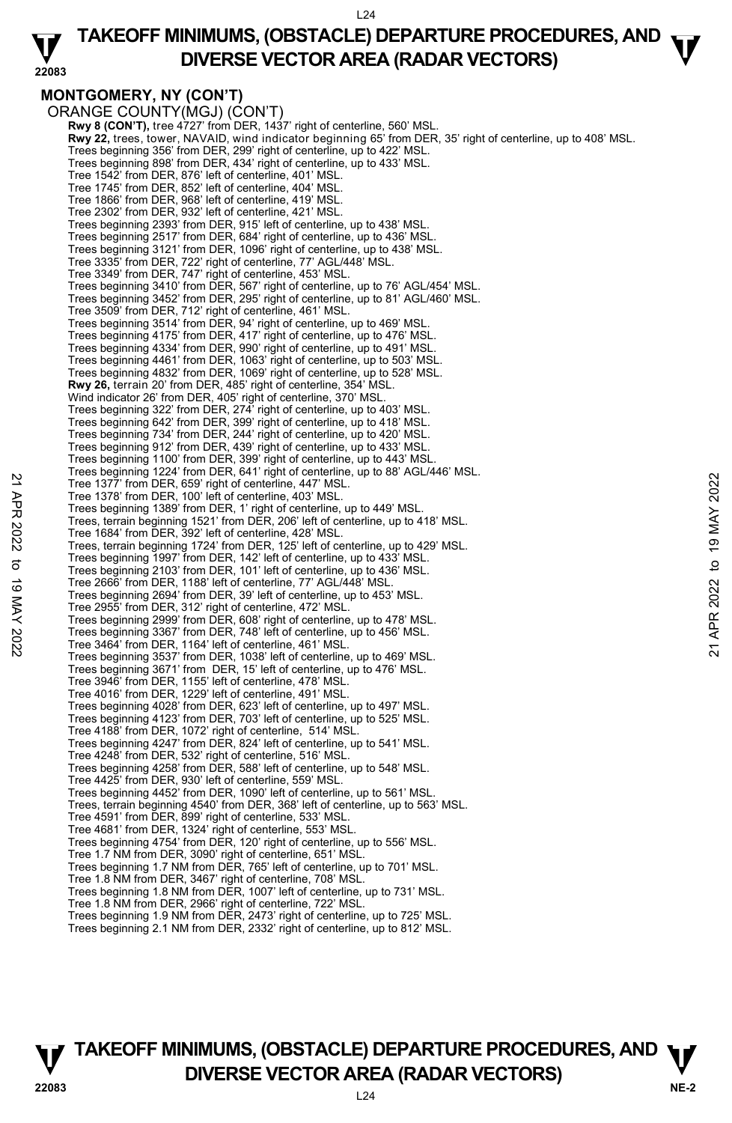$124$ 

#### **22083 TAKEOFF MINIMUMS, (OBSTACLE) DEPARTURE PROCEDURES, AND**  $\mathbf{\nabla}$ **DIVERSE VECTOR AREA (RADAR VECTORS)**

### **MONTGOMERY, NY (CON'T)**

ORANGE COUNTY(MGJ) (CON'T) **Rwy 8 (CON'T),** tree 4727' from DER, 1437' right of centerline, 560' MSL **Rwy 22,** trees, tower, NAVAID, wind indicator beginning 65' from DER, 35' right of centerline, up to 408' MSL. Trees beginning 356' from DER, 299' right of centerline, up to 422' MSL. Trees beginning 898' from DER, 434' right of centerline, up to 433' MSL. Tree 1542' from DER, 876' left of centerline, 401' MSL. Tree 1745' from DER, 852' left of centerline, 404' MSL. Tree 1866' from DER, 968' left of centerline, 419' MSL. Tree 2302' from DER, 932' left of centerline, 421' MSL. Trees beginning 2393' from DER, 915' left of centerline, up to 438' MSL. Trees beginning 2517' from DER, 684' right of centerline, up to 436' MSL. Trees beginning 3121' from DER, 1096' right of centerline, up to 438' MSL. Tree 3335' from DER, 722' right of centerline, 77' AGL/448' MSL. Tree 3349' from DER, 747' right of centerline, 453' MSL. Trees beginning 3410' from DER, 567' right of centerline, up to 76' AGL/454' MSL. Trees beginning 3452' from DER, 295' right of centerline, up to 81' AGL/460' MSL. Tree 3509' from DER, 712' right of centerline, 461' MSL. Trees beginning 3514' from DER, 94' right of centerline, up to 469' MSL. Trees beginning 4175' from DER, 417' right of centerline, up to 476' MSL. Trees beginning 4334' from DER, 990' right of centerline, up to 491' MSL. Trees beginning 4461' from DER, 1063' right of centerline, up to 503' MSL. Trees beginning 4832' from DER, 1069' right of centerline, up to 528' MSL. **Rwy 26,** terrain 20' from DER, 485' right of centerline, 354' MSL. Wind indicator 26' from DER, 405' right of centerline, 370' MSL. Trees beginning 322' from DER, 274' right of centerline, up to 403' MSL. Trees beginning 642' from DER, 399' right of centerline, up to 418' MSL. Trees beginning 734' from DER, 244' right of centerline, up to 420' MSL. Trees beginning 912' from DER, 439' right of centerline, up to 433' MSL. Trees beginning 1100' from DER, 399' right of centerline, up to 443' MSL Trees beginning 1224' from DER, 641' right of centerline, up to 88' AGL/446' MSL. Tree 1377' from DER, 659' right of centerline, 447' MSL. Tree 1378' from DER, 100' left of centerline, 403' MSL. Trees beginning 1389' from DER, 1' right of centerline, up to 449' MSL. Trees, terrain beginning 1521' from DER, 206' left of centerline, up to 418' MSL. Tree 1684' from DER, 392' left of centerline, 428' MSL. Trees, terrain beginning 1724' from DER, 125' left of centerline, up to 429' MSL. Trees beginning 1997' from DER, 142' left of centerline, up to 433' MSL. Trees beginning 2103' from DER, 101' left of centerline, up to 436' MSL. Tree 2666' from DER, 1188' left of centerline, 77' AGL/448' MSL. Trees beginning 2694' from DER, 39' left of centerline, up to 453' MSL. Tree 2955' from DER, 312' right of centerline, 472' MSL. Trees beginning 2999' from DER, 608' right of centerline, up to 478' MSL. Trees beginning 3367' from DER, 748' left of centerline, up to 456' MSL. Tree 3464' from DER, 1164' left of centerline, 461' MSL. Trees beginning 3537' from DER, 1038' left of centerline, up to 469' MSL. Trees beginning 3671' from DER, 15' left of centerline, up to 476' MSL. Tree 3946' from DER, 1155' left of centerline, 478' MSL. Tree 4016' from DER, 1229' left of centerline, 491' MSL. Trees beginning 4028' from DER, 623' left of centerline, up to 497' MSL. Trees beginning 4123' from DER, 703' left of centerline, up to 525' MSL. Tree 4188' from DER, 1072' right of centerline, 514' MSL. Trees beginning 4247' from DER, 824' left of centerline, up to 541' MSL. Tree 4248' from DER, 532' right of centerline, 516' MSL. Trees beginning 4258' from DER, 588' left of centerline, up to 548' MSL. Tree 4425' from DER, 930' left of centerline, 559' MSL. Trees beginning 4452' from DER, 1090' left of centerline, up to 561' MSL. Trees, terrain beginning 4540' from DER, 368' left of centerline, up to 563' MSL. Tree 4591' from DER, 899' right of centerline, 533' MSL. Tree 4681' from DER, 1324' right of centerline, 553' MSL. Trees beginning 4754' from DER, 120' right of centerline, up to 556' MSL. Tree 1.7 NM from DER, 3090' right of centerline, 651' MSL. Trees beginning 1.7 NM from DER, 765' left of centerline, up to 701' MSL. Tree 1.8 NM from DER, 3467' right of centerline, 708' MSL. Trees beginning 1.8 NM from DER, 1007' left of centerline, up to 731' MSL. Tree 1.8 NM from DER, 2966' right of centerline, 722' MSL. Trees beginning 1.9 NM from DER, 2473' right of centerline, up to 725' MSL. Trees beginning 2.1 NM from DER, 2332' right of centerline, up to 812' MSL. Tree 1377 from DER, 659 'right of centerline, 447 MSL.<br>
Tree 1377 from DER, 659 'right of centerline, 403' MSL.<br>
Tree beginning 1389 from DER, 11 right of centerline, up to 449' MSL.<br>
Trees beginning 1389' from DER, 2006'

**TAKEOFF MINIMUMS, (OBSTACLE) DEPARTURE PROCEDURES, AND**  $\Psi$ **P**<br>22083 **DIVERSE VECTOR AREA (RADAR VECTORS)**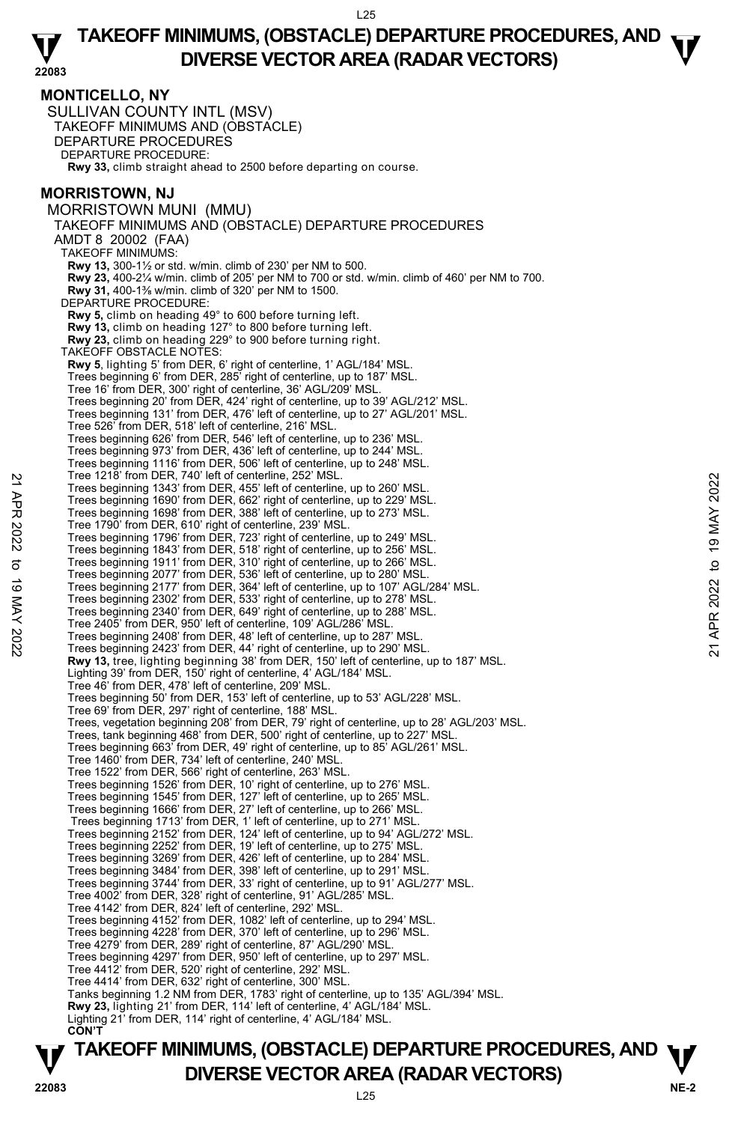#### **22083 TAKEOFF MINIMUMS, (OBSTACLE) DEPARTURE PROCEDURES, AND**  $\mathbf{\nabla}$ **DIVERSE VECTOR AREA (RADAR VECTORS)**

**MONTICELLO, NY**  SULLIVAN COUNTY INTL (MSV) TAKEOFF MINIMUMS AND (OBSTACLE) DEPARTURE PROCEDURES DEPARTURE PROCEDURE: **Rwy 33,** climb straight ahead to 2500 before departing on course. **MORRISTOWN, NJ**  MORRISTOWN MUNI (MMU) TAKEOFF MINIMUMS AND (OBSTACLE) DEPARTURE PROCEDURES AMDT 8 20002 (FAA) TAKEOFF MINIMUMS: **Rwy 13,** 300-1½ or std. w/min. climb of 230' per NM to 500. **Rwy 23,** 400-2¼ w/min. climb of 205' per NM to 700 or std. w/min. climb of 460' per NM to 700. **Rwy 31,** 400-1⅜ w/min. climb of 320' per NM to 1500. DEPARTURE PROCEDURE: **Rwy 5,** climb on heading 49° to 600 before turning left. **Rwy 13,** climb on heading 127° to 800 before turning left. **Rwy 23,** climb on heading 229° to 900 before turning right. TAKEOFF OBSTACLE NOTES: **Rwy 5**, lighting 5' from DER, 6' right of centerline, 1' AGL/184' MSL. Trees beginning 6' from DER, 285' right of centerline, up to 187' MSL. Tree 16' from DER, 300' right of centerline, 36' AGL/209' MSL. Trees beginning 20' from DER, 424' right of centerline, up to 39' AGL/212' MSL. Trees beginning 131' from DER, 476' left of centerline, up to 27' AGL/201' MSL. Tree 526' from DER, 518' left of centerline, 216' MSL. Trees beginning 626' from DER, 546' left of centerline, up to 236' MSL. Trees beginning 973' from DER, 436' left of centerline, up to 244' MSL. Trees beginning 1116' from DER, 506' left of centerline, up to 248' MSL. Tree 1218' from DER, 740' left of centerline, 252' MSL. Trees beginning 1343' from DER, 455' left of centerline, up to 260' MSL.<br>Trees beginning 1690' from DER, 662' right of centerline, up to 229' MSL.<br>Trees beginning 1698' from DER, 388' left of centerline, up to 273' MSL. Tree 1790' from DER, 610' right of centerline, 239' MSL. Trees beginning 1796' from DER, 723' right of centerline, up to 249' MSL. Trees beginning 1843' from DER, 518' right of centerline, up to 256' MSL.<br>Trees beginning 1911' from DER, 310' right of centerline, up to 266' MSL.<br>Trees beginning 2077' from DER, 356' left of centerline, up to 280' MSL.<br>T Trees beginning 2340' from DER, 649' right of centerline, up to 288' MSL. Tree 2405' from DER, 950' left of centerline, 109' AGL/286' MSL. Trees beginning 2408' from DER, 48' left of centerline, up to 287' MSL. Trees beginning 2423' from DER, 44' right of centerline, up to 290' MSL. **Rwy 13,** tree, lighting beginning 38' from DER, 150' left of centerline, up to 187' MSL. Lighting 39' from DER, 150' right of centerline, 4' AGL/184' MSL. Tree 46' from DER, 478' left of centerline, 209' MSL. Trees beginning 50' from DER, 153' left of centerline, up to 53' AGL/228' MSL. Tree 69' from DER, 297' right of centerline, 188' MSL. Trees, vegetation beginning 208' from DER, 79' right of centerline, up to 28' AGL/203' MSL. Trees, tank beginning 468' from DER, 500' right of centerline, up to 227' MSL. Trees beginning 663' from DER, 49' right of centerline, up to 85' AGL/261' MSL. Tree 1460' from DER, 734' left of centerline, 240' MSL. Tree 1522' from DER, 566' right of centerline, 263' MSL. Trees beginning 1526' from DER, 10' right of centerline, up to 276' MSL. Trees beginning 1545' from DER, 127' left of centerline, up to 265' MSL. Trees beginning 1666' from DER, 27' left of centerline, up to 266' MSL. Trees beginning 1713' from DER, 1' left of centerline, up to 271' MSL. Trees beginning 2152' from DER, 124' left of centerline, up to 94' AGL/272' MSL. Trees beginning 2252' from DER, 19' left of centerline, up to 275' MSL. Trees beginning 3269' from DER, 426' left of centerline, up to 284' MSL. Trees beginning 3484' from DER, 398' left of centerline, up to 291' MSL. Trees beginning 3744' from DER, 33' right of centerline, up to 91' AGL/277' MSL. Tree 4002' from DER, 328' right of centerline, 91' AGL/285' MSL. Tree 4142' from DER, 824' left of centerline, 292' MSL. Trees beginning 4152' from DER, 1082' left of centerline, up to 294' MSL. Trees beginning 4228' from DER, 370' left of centerline, up to 296' MSL. Tree 4279' from DER, 289' right of centerline, 87' AGL/290' MSL. Trees beginning 4297' from DER, 950' left of centerline, up to 297' MSL. Tree 4412' from DER, 520' right of centerline, 292' MSL. Tree 4414' from DER, 632' right of centerline, 300' MSL. Tanks beginning 1.2 NM from DER, 1783' right of centerline, up to 135' AGL/394' MSL. **Rwy 23,** lighting 21' from DER, 114' left of centerline, 4' AGL/184' MSL.<br>Lighting 21' from DER, 114' right of centerline, 4' AGL/184' MSL. **CON'T**  Tree 1218 from DER,  $740$  lent of centreline, 222 MSL.<br>
Trees beginning 1343' from DER, 455' left of centerline, up to 2260' MSL.<br>
Trees beginning 1690' from DER, 862' right of centerline, up to 273' MSL.<br>
Trees beginning

### **NE-2** L25 **TAKEOFF MINIMUMS, (OBSTACLE) DEPARTURE PROCEDURES, AND**  $\Psi$ **P**<br>22083 **DIVERSE VECTOR AREA (RADAR VECTORS)**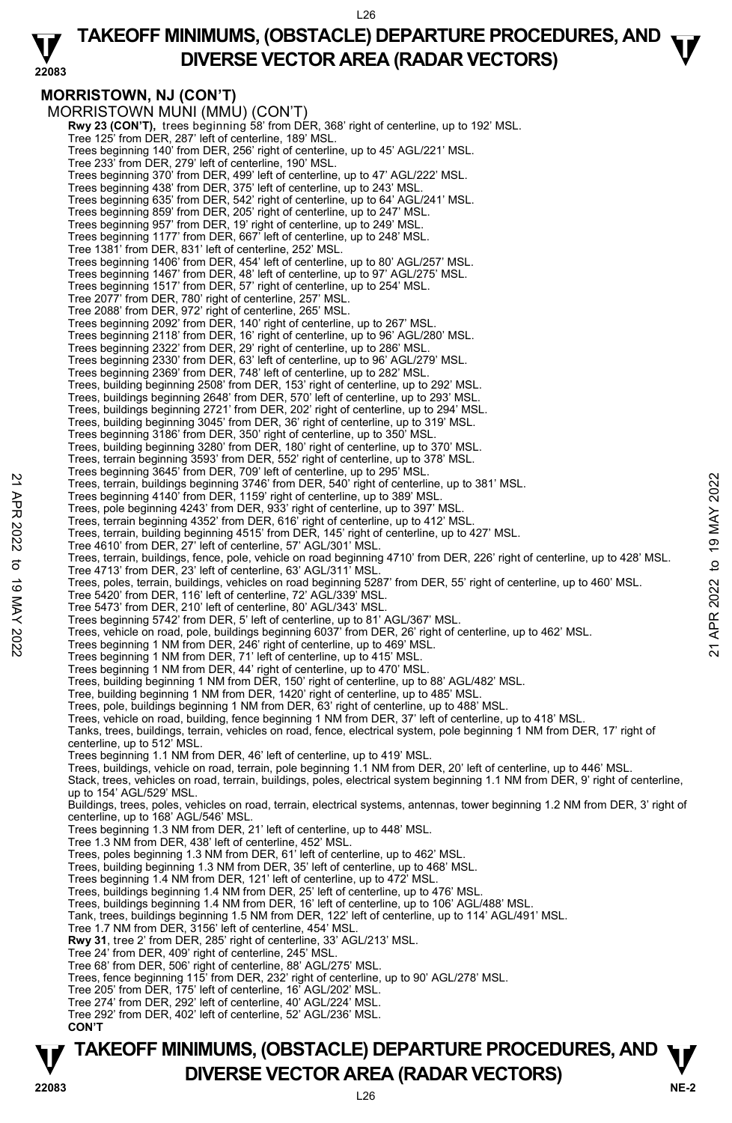#### **22083 TAKEOFF MINIMUMS, (OBSTACLE) DEPARTURE PROCEDURES, AND**  $\mathbf{\nabla}$ **DIVERSE VECTOR AREA (RADAR VECTORS)**

### **MORRISTOWN, NJ (CON'T)**

MORRISTOWN MUNI (MMU) (CON'T)  **Rwy 23 (CON'T),** trees beginning 58' from DER, 368' right of centerline, up to 192' MSL. Tree 125' from DER, 287' left of centerline, 189' MSL. Trees beginning 140' from DER, 256' right of centerline, up to 45' AGL/221' MSL. Tree 233' from DER, 279' left of centerline, 190' MSL. Trees beginning 370' from DER, 499' left of centerline, up to 47' AGL/222' MSL. Trees beginning 438' from DER, 375' left of centerline, up to 243' MSL. Trees beginning 635' from DER, 542' right of centerline, up to 64' AGL/241' MSL. Trees beginning 859' from DER, 205' right of centerline, up to 247' MSL. Trees beginning 957' from DER, 19' right of centerline, up to 249' MSL. Trees beginning 1177' from DER, 667' left of centerline, up to 248' MSL. Tree 1381' from DER, 831' left of centerline, 252' MSL. Trees beginning 1406' from DER, 454' left of centerline, up to 80' AGL/257' MSL. Trees beginning 1467' from DER, 48' left of centerline, up to 97' AGL/275' MSL. Trees beginning 1517' from DER, 57' right of centerline, up to 254' MSL. Tree 2077' from DER, 780' right of centerline, 257' MSL. Tree 2088' from DER, 972' right of centerline, 265' MSL. Trees beginning 2092' from DER, 140' right of centerline, up to 267' MSL. Trees beginning 2118' from DER, 16' right of centerline, up to 96' AGL/280' MSL. Trees beginning 2322' from DER, 29' right of centerline, up to 286' MSL. Trees beginning 2330' from DER, 63' left of centerline, up to 96' AGL/279' MSL. Trees beginning 2369' from DER, 748' left of centerline, up to 282' MSL. Trees, building beginning 2508' from DER, 153' right of centerline, up to 292' MSL. Trees, buildings beginning 2648' from DER, 570' left of centerline, up to 293' MSL. Trees, buildings beginning 2721' from DER, 202' right of centerline, up to 294' MSL. Trees, building beginning 3045' from DER, 36' right of centerline, up to 319' MSL. Trees beginning 3186' from DER, 350' right of centerline, up to 350' MSI Trees, building beginning 3280' from DER, 180' right of centerline, up to 370' MSL. Trees, terrain beginning 3593' from DER, 552' right of centerline, up to 378' MSL.<br>Trees beginning 3645' from DER, 709' left of centerline, up to 295' MSL. Trees, terrain, buildings beginning 3746' from DER, 540' right of centerline, up to 381' MSL. Trees beginning 4140' from DER, 1159' right of centerline, up to 389' MSL. Trees, pole beginning 4243' from DER, 933' right of centerline, up to 397' MSL. Trees, terrain beginning 4352' from DER, 616' right of centerline, up to 412' MSL. Trees, terrain, building beginning 4515' from DER, 145' right of centerline, up to 427' MSL. Tree 4610' from DER, 27' left of centerline, 57' AGL/301' MSL. Trees, terrain, buildings, fence, pole, vehicle on road beginning 4710' from DER, 226' right of centerline, up to 428' MSL. Tree 4713' from DER, 23' left of centerline, 63' AGL/311' MSL. Trees, poles, terrain, buildings, vehicles on road beginning 5287' from DER, 55' right of centerline, up to 460' MSL. Tree 5420' from DER, 116' left of centerline, 72' AGL/339' MSL. Tree 5473' from DER, 210' left of centerline, 80' AGL/343' MSL. Trees beginning 5742' from DER, 5' left of centerline, up to 81' AGL/367' MSL. Trees, vehicle on road, pole, buildings beginning 6037' from DER, 26' right of centerline, up to 462' MSL.<br>Trees beginning 1 NM from DER, 246' right of centerline, up to 469' MSL. Trees beginning 1 NM from DER, 71' left of centerline, up to 415' MSL. Trees beginning 1 NM from DER, 44' right of centerline, up to 470' MSL. Trees, building beginning 1 NM from DER, 150' right of centerline, up to 88' AGL/482' MSL. Tree, building beginning 1 NM from DER, 1420' right of centerline, up to 485' MSL. Trees, pole, buildings beginning 1 NM from DER, 63' right of centerline, up to 488' MSL. Trees, vehicle on road, building, fence beginning 1 NM from DER, 37' left of centerline, up to 418' MSL.<br>Tanks, trees, buildings, terrain, vehicles on road, fence, electrical system, pole beginning 1 NM from DER, 17' right centerline, up to 512' MSL. Trees beginning 1.1 NM from DER, 46' left of centerline, up to 419' MSL. Trees, buildings, vehicle on road, terrain, pole beginning 1.1 NM from DER, 20' left of centerline, up to 446' MSL. Stack, trees, vehicles on road, terrain, buildings, poles, electrical system beginning 1.1 NM from DER, 9' right of centerline, up to 154' AGL/529' MSL. Buildings, trees, poles, vehicles on road, terrain, electrical systems, antennas, tower beginning 1.2 NM from DER, 3' right of centerline, up to 168' AGL/546' MSL. Trees beginning 1.3 NM from DER, 21' left of centerline, up to 448' MSL. Tree 1.3 NM from DER, 438' left of centerline, 452' MSL. Trees, poles beginning 1.3 NM from DER, 61' left of centerline, up to 462' MSL. Trees, building beginning 1.3 NM from DER, 35' left of centerline, up to 468' MSL. Trees beginning 1.4 NM from DER, 121' left of centerline, up to 472' MSL. Trees, buildings beginning 1.4 NM from DER, 25' left of centerline, up to 476' MSL. Trees, buildings beginning 1.4 NM from DER, 16' left of centerline, up to 106' AGL/488' MSL. Tank, trees, buildings beginning 1.5 NM from DER, 122' left of centerline, up to 114' AGL/491' MSL. Tree 1.7 NM from DER, 3156' left of centerline, 454' MSL. **Rwy 31**, tree 2' from DER, 285' right of centerline, 33' AGL/213' MSL. Tree 24' from DER, 409' right of centerline, 245' MSL. Tree 68' from DER, 506' right of centerline, 88' AGL/275' MSL. Trees, fence beginning 115' from DER, 232' right of centerline, up to 90' AGL/278' MSL. Tree 205' from DER, 175' left of centerline, 16' AGL/202' MSL. Tree 274' from DER, 292' left of centerline, 40' AGL/224' MSL. Tree 292' from DER, 402' left of centerline, 52' AGL/236' MSL. **CON'T**  22 Trees, terrain, buildings beginning 3746 from DER, 540 right of centerline, up to 381' MSL.<br>
Trees, terrain, buildings beginning 3746 from DER, 540' right of centerline, up to 381' MSL.<br>
Trees, center in 19 MAY 2022 to

### **NE-2** L26 **TAKEOFF MINIMUMS, (OBSTACLE) DEPARTURE PROCEDURES, AND**  $\Psi$ **P**<br>22083 **DIVERSE VECTOR AREA (RADAR VECTORS)**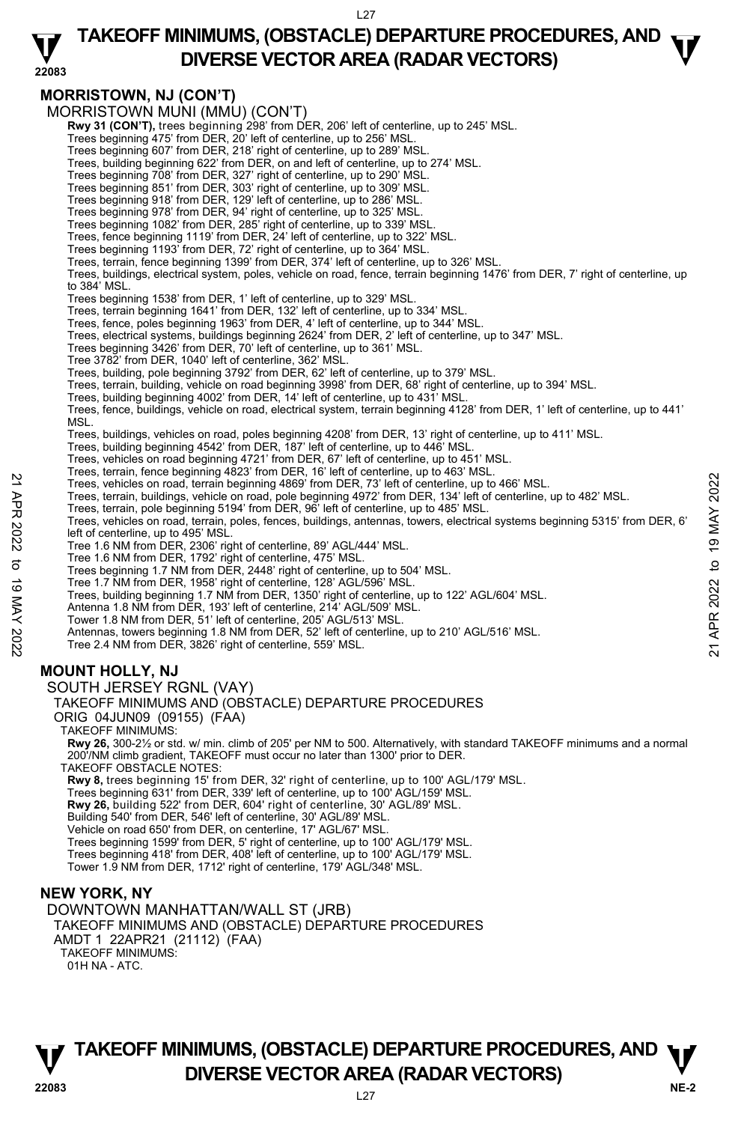### **TAKEOFF MINIMUMS, (OBSTACLE) DEPARTURE PROCEDURES, AND**  $\mathbf{\nabla}$ **DIVERSE VECTOR AREA (RADAR VECTORS)**



**Rwy 8,** trees beginning 15' from DER, 32' right of centerline, up to 100' AGL/179' MSL.

Trees beginning 631' from DER, 339' left of centerline, up to 100' AGL/159' MSL.

**Rwy 26,** building 522' from DER, 604' right of centerline, 30' AGL/89' MSL.

Building 540' from DER, 546' left of centerline, 30' AGL/89' MSL.

Vehicle on road 650' from DER, on centerline, 17' AGL/67' MSL. Trees beginning 1599' from DER, 5' right of centerline, up to 100' AGL/179' MSL.

Trees beginning 418' from DER, 408' left of centerline, up to 100' AGL/179' MSL.

Tower 1.9 NM from DER, 1712' right of centerline, 179' AGL/348' MSL.

### **NEW YORK, NY**

DOWNTOWN MANHATTAN/WALL ST (JRB) TAKEOFF MINIMUMS AND (OBSTACLE) DEPARTURE PROCEDURES AMDT 1 22APR21 (21112) (FAA) TAKEOFF MINIMUMS: 01H NA - ATC.

### **NE-2** L27 **TAKEOFF MINIMUMS, (OBSTACLE) DEPARTURE PROCEDURES, AND**  $\Psi$ **V**<br>22083 **DIVERSE VECTOR AREA (RADAR VECTORS)**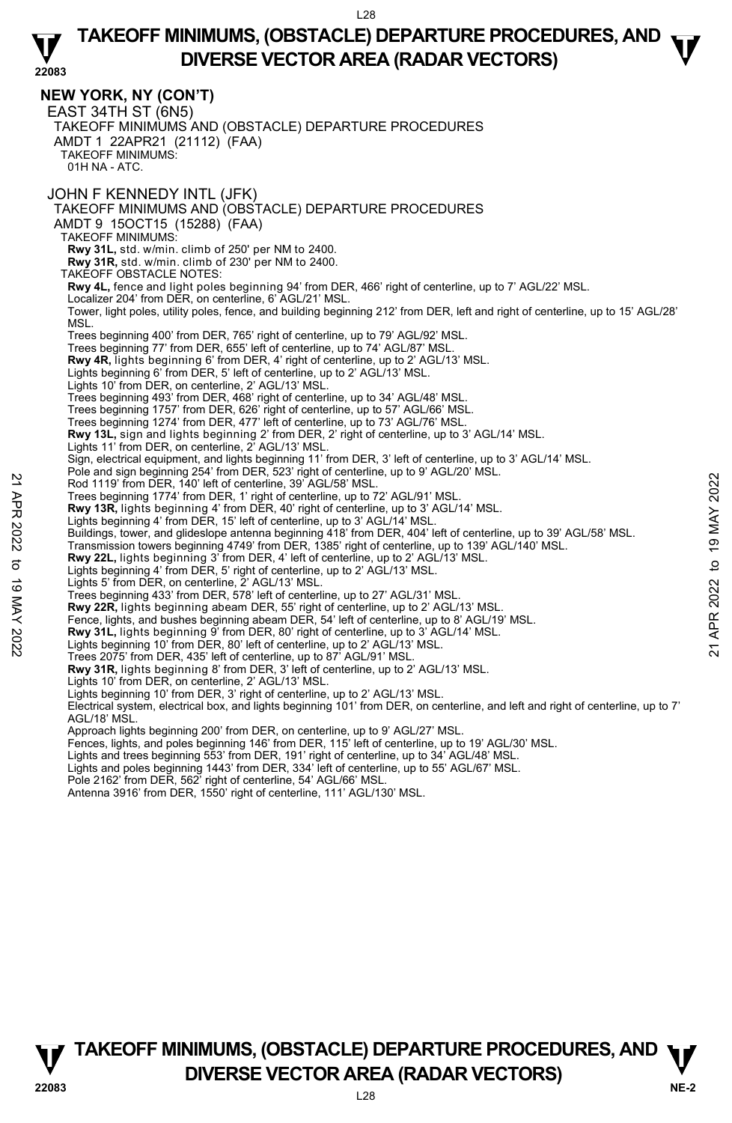### **22083 TAKEOFF MINIMUMS, (OBSTACLE) DEPARTURE PROCEDURES, AND**  $\mathbf{\nabla}$ **DIVERSE VECTOR AREA (RADAR VECTORS)**

**NEW YORK, NY (CON'T)**  EAST 34TH ST (6N5) TAKEOFF MINIMUMS AND (OBSTACLE) DEPARTURE PROCEDURES AMDT 1 22APR21 (21112) (FAA) TAKEOFF MINIMUMS: 01H NA - ATC. JOHN F KENNEDY INTL (JFK) TAKEOFF MINIMUMS AND (OBSTACLE) DEPARTURE PROCEDURES AMDT 9 15OCT15 (15288) (FAA) TAKEOFF MINIMUMS: **Rwy 31L,** std. w/min. climb of 250' per NM to 2400. **Rwy 31R,** std. w/min. climb of 230' per NM to 2400. TAKEOFF OBSTACLE NOTES: **Rwy 4L,** fence and light poles beginning 94' from DER, 466' right of centerline, up to 7' AGL/22' MSL. Localizer 204' from DER, on centerline, 6' AGL/21' MSL. Tower, light poles, utility poles, fence, and building beginning 212' from DER, left and right of centerline, up to 15' AGL/28' MSL. Trees beginning 400' from DER, 765' right of centerline, up to 79' AGL/92' MSL. Trees beginning 77' from DER, 655' left of centerline, up to 74' AGL/87' MSL. **Rwy 4R,** lights beginning 6' from DER, 4' right of centerline, up to 2' AGL/13' MSL. Lights beginning 6' from DER, 5' left of centerline, up to 2' AGL/13' MSL. Lights 10' from DER, on centerline, 2' AGL/13' MSL. Trees beginning 493' from DER, 468' right of centerline, up to 34' AGL/48' MSL. Trees beginning 1757' from DER, 626' right of centerline, up to 57' AGL/66' MSL. Trees beginning 1274' from DER, 477' left of centerline, up to 73' AGL/76' MSL. **Rwy 13L,** sign and lights beginning 2' from DER, 2' right of centerline, up to 3' AGL/14' MSL.<br>Lights 11' from DER, on centerline, 2' AGL/13' MSL. Sign, electrical equipment, and lights beginning 11' from DER, 3' left of centerline, up to 3' AGL/14' MSL. Pole and sign beginning 254' from DER, 523' right of centerline, up to 9' AGL/20' MSL. Rod 1119' from DER, 140' left of centerline, 39' AGL/58' MSL. Trees beginning 1774' from DER, 1' right of centerline, up to 72' AGL/91' MSL. **Rwy 13R,** lights beginning 4' from DER, 40' right of centerline, up to 3' AGL/14' MSL.<br>Lights beginning 4' from DER, 15' left of centerline, up to 3' AGL/14' MSL. Buildings, tower, and glideslope antenna beginning 418' from DER, 404' left of centerline, up to 39' AGL/58' MSL. Transmission towers beginning 4749' from DER, 1385' right of centerline, up to 139' AGL/140' MSL.<br>**Rwy 22L,** lights beginning 3' from DER, 4' left of centerline, up to 2' AGL/13' MSL. Lights beginning 4' from DER, 5' right of centerline, up to 2' AGL/13' MSL. Lights 5' from DER, on centerline, 2' AGL/13' MSL. Trees beginning 433' from DER, 578' left of centerline, up to 27' AGL/31' MSL. **Rwy 22R,** lights beginning abeam DER, 55' right of centerline, up to 2' AGL/13' MSL. Fence, lights, and bushes beginning abeam DER, 54' left of centerline, up to 8' AGL/19' MSL. **Rwy 31L,** lights beginning 9' from DER, 80' right of centerline, up to 3' AGL/14' MSL.<br>Lights beginning 10' from DER, 80' left of centerline, up to 2' AGL/13' MSL. Trees 2075' from DER, 435' left of centerline, up to 87' AGL/91' MSL. **Rwy 31R,** lights beginning 8' from DER, 3' left of centerline, up to 2' AGL/13' MSL. Lights 10' from DER, on centerline, 2' AGL/13' MSL. Lights beginning 10' from DER, 3' right of centerline, up to 2' AGL/13' MSL. Electrical system, electrical box, and lights beginning 101' from DER, on centerline, and left and right of centerline, up to 7' AGL/18' MSL. Approach lights beginning 200' from DER, on centerline, up to 9' AGL/27' MSL. Fences, lights, and poles beginning 146' from DER, 115' left of centerline, up to 19' AGL/30' MSL. Lights and trees beginning 553' from DER, 191' right of centerline, up to 34' AGL/48' MSL. Lights and poles beginning 1443' from DER, 334' left of centerline, up to 55' AGL/67' MSL. Pole 2162' from DER, 562' right of centerline, 54' AGL/66' MSL. Antenna 3916' from DER, 1550' right of centerline, 111' AGL/130' MSL. 22 A Using the Syring 120 of the Contentine, and the Contentine (CP AGL/13' MSL.<br>
Trees beginning 1774' from DER, 1' right of centerline, up to 72' AGL/91' MSL.<br> **Every 13R**, lights beginning 4' from DER, 40' right of cen

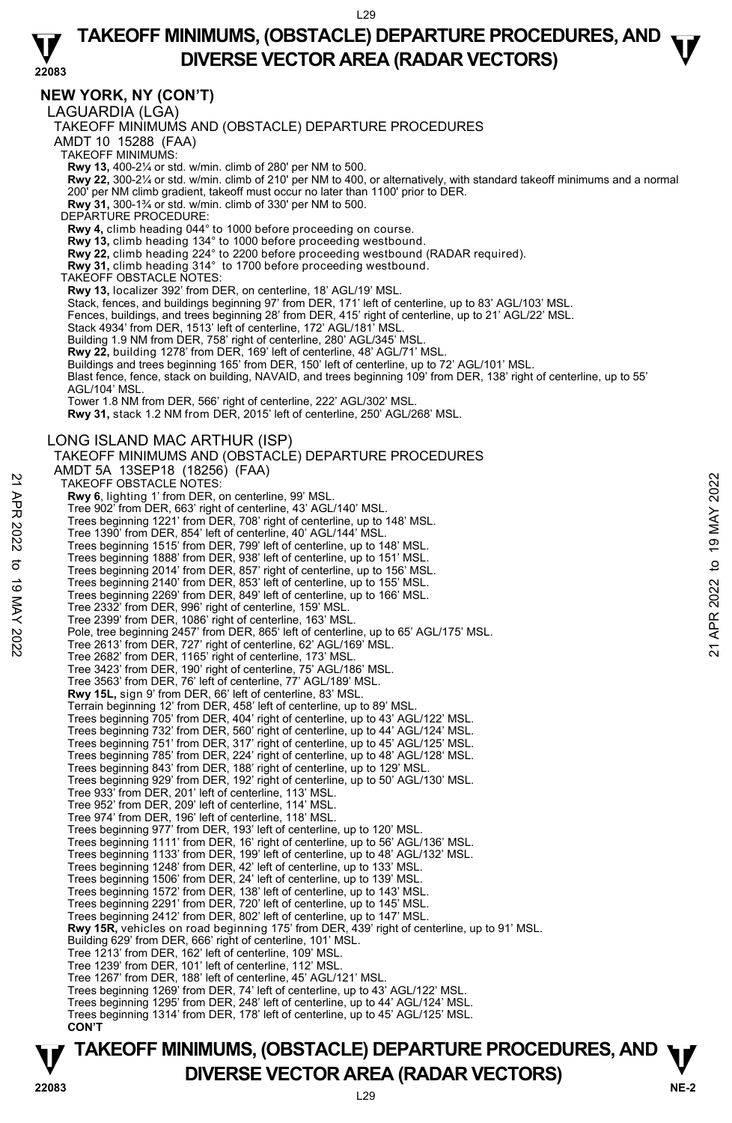### **TAKEOFF MINIMUMS, (OBSTACLE) DEPARTURE PROCEDURES, AND**  $\mathbf{\nabla}$ **DIVERSE VECTOR AREA (RADAR VECTORS)**

#### **22083 NEW YORK, NY (CON'T)**  LAGUARDIA (LGA) TAKEOFF MINIMUMS AND (OBSTACLE) DEPARTURE PROCEDURES AMDT 10 15288 (FAA) TAKEOFF MINIMUMS: **Rwy 13,** 400-2¼ or std. w/min. climb of 280' per NM to 500.<br>**Rwy 22,** 300-2¼ or std. w/min. climb of 210' per NM to 400, or alternatively, with standard takeoff minimums and a normal 200' per NM climb gradient, takeoff must occur no later than 1100' prior to DER. **Rwy 31,** 300-1¾ or std. w/min. climb of 330' per NM to 500. DEPARTURE PROCEDURE **Rwy 4,** climb heading 044° to 1000 before proceeding on course. **Rwy 13,** climb heading 134° to 1000 before proceeding westbound.<br>**Rwy 22,** climb heading 224° to 2200 before proceeding westbound (RADAR required).<br>**Rwy 31,** climb heading 314° to 1700 before proceeding westbound. TAKEOFF OBSTACLE NOTES: **Rwy 13,** localizer 392' from DER, on centerline, 18' AGL/19' MSL. Stack, fences, and buildings beginning 97' from DER, 171' left of centerline, up to 83' AGL/103' MSL. Fences, buildings, and trees beginning 28' from DER, 415' right of centerline, up to 21' AGL/22' MSL. Stack 4934' from DER, 1513' left of centerline, 172' AGL/181' MSL. Building 1.9 NM from DER, 758' right of centerline, 280' AGL/345' MSL.<br>**Rwy 22,** building 1278' from DER, 169' left of centerline, 48' AGL/71' MSL. Buildings and trees beginning 165' from DER, 150' left of centerline, up to 72' AGL/101' MSL. Blast fence, fence, stack on building, NAVAID, and trees beginning 109' from DER, 138' right of centerline, up to 55' AGL/104' MSL. Tower 1.8 NM from DER, 566' right of centerline, 222' AGL/302' MSL. **Rwy 31,** stack 1.2 NM from DER, 2015' left of centerline, 250' AGL/268' MSL. LONG ISLAND MAC ARTHUR (ISP) TAKEOFF MINIMUMS AND (OBSTACLE) DEPARTURE PROCEDURES AMDT 5A 13SEP18 (18256) (FAA) TAKEOFF OBSTACLE NOTES: **Rwy 6**, lighting 1' from DER, on centerline, 99' MSL. Tree 902' from DER, 663' right of centerline, 43' AGL/140' MSL. Trees beginning 1221' from DER, 708' right of centerline, up to 148' MSL. Tree 1390' from DER, 854' left of centerline, 40' AGL/144' MSL. Trees beginning 1515' from DER, 799' left of centerline, up to 148' MSL. Trees beginning 1888' from DER, 938' left of centerline, up to 151' MSL. Trees beginning 2014' from DER, 857' right of centerline, up to 156' MSL. Trees beginning 2140' from DER, 853' left of centerline, up to 155' MSL. Trees beginning 2269' from DER, 849' left of centerline, up to 166' MSL. Tree 2332' from DER, 996' right of centerline, 159' MSL. Tree 2399' from DER, 1086' right of centerline, 163' MSL Pole, tree beginning 2457' from DER, 865' left of centerline, up to 65' AGL/175' MSL. Tree 2613' from DER, 727' right of centerline, 62' AGL/169' MSL. Tree 2682' from DER, 1165' right of centerline, 173' MSL. Tree 3423' from DER, 190' right of centerline, 75' AGL/186' MSL. Tree 3563' from DER, 76' left of centerline, 77' AGL/189' MSL. **Rwy 15L,** sign 9' from DER, 66' left of centerline, 83' MSL. Terrain beginning 12' from DER, 458' left of centerline, up to 89' MSL. Trees beginning 705' from DER, 404' right of centerline, up to 43' AGL/122' MSL. Trees beginning 732' from DER, 560' right of centerline, up to 44' AGL/124' MSL. Trees beginning 751' from DER, 317' right of centerline, up to 45' AGL/125' MSL. Trees beginning 785' from DER, 224' right of centerline, up to 48' AGL/128' MSL. Trees beginning 843' from DER, 188' right of centerline, up to 129' MSL. Trees beginning 929' from DER, 192' right of centerline, up to 50' AGL/130' MSL. Tree 933' from DER, 201' left of centerline, 113' MSL. Tree 952' from DER, 209' left of centerline, 114' MSL. Tree 974' from DER, 196' left of centerline, 118' MSL. Trees beginning 977' from DER, 193' left of centerline, up to 120' MSL. Trees beginning 1111' from DER, 16' right of centerline, up to 56' AGL/136' MSL. Trees beginning 1133' from DER, 199' left of centerline, up to 48' AGL/132' MSL. Trees beginning 1248' from DER, 42' left of centerline, up to 133' MSL. Trees beginning 1506' from DER, 24' left of centerline, up to 139' MSL. Trees beginning 1572' from DER, 138' left of centerline, up to 143' MSL. Trees beginning 2291' from DER, 720' left of centerline, up to 145' MSL. Trees beginning 2412' from DER, 802' left of centerline, up to 147' MSL. **Rwy 15R,** vehicles on road beginning 175' from DER, 439' right of centerline, up to 91' MSL.<br>Building 629' from DER, 666' right of centerline, 101' MSL. Tree 1213' from DER, 162' left of centerline, 109' MSL. Tree 1239' from DER, 101' left of centerline, 112' MSL. Tree 1267' from DER, 188' left of centerline, 45' AGL/121' MSL. Trees beginning 1269' from DER, 74' left of centerline, up to 43' AGL/122' MSL. Trees beginning 1295' from DER, 248' left of centerline, up to 44' AGL/124' MSL. Trees beginning 1314' from DER, 178' left of centerline, up to 45' AGL/125' MSL. **CON'T**  TAKE OFF OBSTACLE NOTES:<br>
THE SURVENT TROM DER, on centerline, 99 MSL.<br>
Tree 902<sup>2</sup> from DER, 663' right of centerline, 43' AGL/140' MSL.<br>
Tree s beginning 1221' from DER, 708' right of centerline, up to 148' MSL.<br>
Tree s

### **NE-2** L29 **TAKEOFF MINIMUMS, (OBSTACLE) DEPARTURE PROCEDURES, AND**  $\Psi$ **P**<br>22083 **DIVERSE VECTOR AREA (RADAR VECTORS)**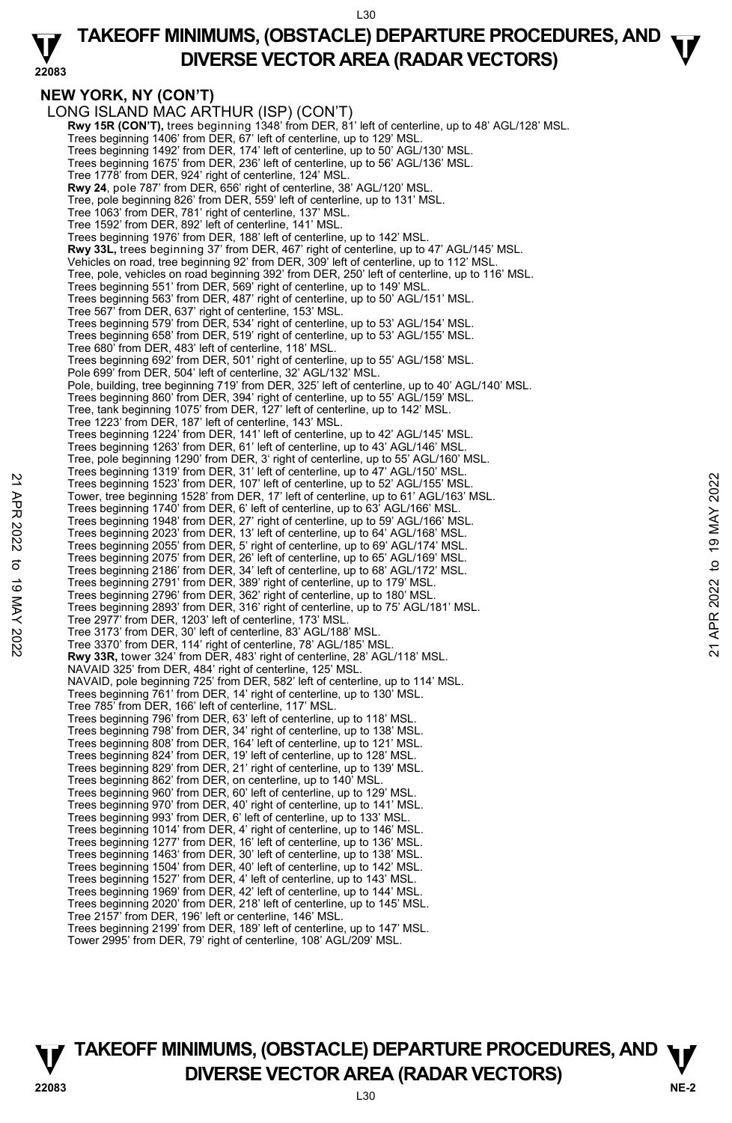### **22083 TAKEOFF MINIMUMS, (OBSTACLE) DEPARTURE PROCEDURES, AND**  $\mathbf{\nabla}$ **DIVERSE VECTOR AREA (RADAR VECTORS)**

## **NEW YORK, NY (CON'T)**

LONG ISLAND MAC ARTHUR (ISP) (CON'T)  **Rwy 15R (CON'T),** trees beginning 1348' from DER, 81' left of centerline, up to 48' AGL/128' MSL. Trees beginning 1406' from DER, 67' left of centerline, up to 129' MSL. Trees beginning 1492' from DER, 174' left of centerline, up to 50' AGL/130' MSL. Trees beginning 1675' from DER, 236' left of centerline, up to 56' AGL/136' MSL. Tree 1778' from DER, 924' right of centerline, 124' MSL. **Rwy 24**, pole 787' from DER, 656' right of centerline, 38' AGL/120' MSL. Tree, pole beginning 826' from DER, 559' left of centerline, up to 131' MSL. Tree 1063' from DER, 781' right of centerline, 137' MSL. Tree 1592' from DER, 892' left of centerline, 141' MSL. Trees beginning 1976' from DER, 188' left of centerline, up to 142' MSL. **Rwy 33L,** trees beginning 37' from DER, 467' right of centerline, up to 47' AGL/145' MSL. Vehicles on road, tree beginning 92' from DER, 309' left of centerline, up to 112' MSL. Tree, pole, vehicles on road beginning 392' from DER, 250' left of centerline, up to 116' MSL. Trees beginning 551' from DER, 569' right of centerline, up to 149' MSL. Trees beginning 563' from DER, 487' right of centerline, up to 50' AGL/151' MSL. Tree 567' from DER, 637' right of centerline, 153' MSL. Trees beginning 579' from DER, 534' right of centerline, up to 53' AGL/154' MSL. Trees beginning 658' from DER, 519' right of centerline, up to 53' AGL/155' MSL. Tree 680' from DER, 483' left of centerline, 118' MSL. Trees beginning 692' from DER, 501' right of centerline, up to 55' AGL/158' MSL. Pole 699' from DER, 504' left of centerline, 32' AGL/132' MSL. Pole, building, tree beginning 719' from DER, 325' left of centerline, up to 40' AGL/140' MSL. Trees beginning 860' from DER, 394' right of centerline, up to 55' AGL/159' MSL. Tree, tank beginning 1075' from DER, 127' left of centerline, up to 142' MSL. Tree 1223' from DER, 187' left of centerline, 143' MSL. Trees beginning 1224' from DER, 141' left of centerline, up to 42' AGL/145' MSL. Trees beginning 1263' from DER, 61' left of centerline, up to 43' AGL/146' MSL. Tree, pole beginning 1290' from DER, 3' right of centerline, up to 55' AGL/160' MSL. Trees beginning 1319' from DER, 31' left of centerline, up to 47' AGL/150' MSL. Trees beginning 1523' from DER, 107' left of centerline, up to 52' AGL/155' MSL. Tower, tree beginning 1528' from DER, 17' left of centerline, up to 61' AGL/163' MSL. Trees beginning 1740' from DER, 6' left of centerline, up to 63' AGL/166' MSL. Trees beginning 1948' from DER, 27' right of centerline, up to 59' AGL/166' MSL. Trees beginning 2023' from DER, 13' left of centerline, up to 64' AGL/168' MSL. Trees beginning 2055' from DER, 5' right of centerline, up to 69' AGL/174' MSL. Trees beginning 2075' from DER, 26' left of centerline, up to 65' AGL/169' MSL. Trees beginning 2186' from DER, 34' left of centerline, up to 68' AGL/172' MSL. Trees beginning 2791' from DER, 389' right of centerline, up to 179' MSL. Trees beginning 2796' from DER, 362' right of centerline, up to 180' MSL. Trees beginning 2893' from DER, 316' right of centerline, up to 75' AGL/181' MSL. Tree 2977' from DER, 1203' left of centerline, 173' MSL. Tree 3173' from DER, 30' left of centerline, 83' AGL/188' MSL. Tree 3370' from DER, 114' right of centerline, 78' AGL/185' MSL. **Rwy 33R,** tower 324' from DER, 483' right of centerline, 28' AGL/118' MSL. NAVAID 325' from DER, 484' right of centerline, 125' MSL. NAVAID, pole beginning 725' from DER, 582' left of centerline, up to 114' MSL. Trees beginning 761' from DER, 14' right of centerline, up to 130' MSL. Tree 785' from DER, 166' left of centerline, 117' MSL. Trees beginning 796' from DER, 63' left of centerline, up to 118' MSL. Trees beginning 798' from DER, 34' right of centerline, up to 138' MSL. Trees beginning 808' from DER, 164' left of centerline, up to 121' MSL. Trees beginning 824' from DER, 19' left of centerline, up to 128' MSL. Trees beginning 829' from DER, 21' right of centerline, up to 139' MSL. Trees beginning 862' from DER, on centerline, up to 140' MSL. Trees beginning 960' from DER, 60' left of centerline, up to 129' MSL. Trees beginning 970' from DER, 40' right of centerline, up to 141' MSL. Trees beginning 993' from DER, 6' left of centerline, up to 133' MSL. Trees beginning 1014' from DER, 4' right of centerline, up to 146' MSL. Trees beginning 1277' from DER, 16' left of centerline, up to 136' MSL. Trees beginning 1463' from DER, 30' left of centerline, up to 138' MSL. Trees beginning 1504' from DER, 40' left of centerline, up to 142' MSL. Trees beginning 1527' from DER, 4' left of centerline, up to 143' MSL. Trees beginning 1969' from DER, 42' left of centerline, up to 144' MSL. Trees beginning 2020' from DER, 218' left of centerline, up to 145' MSL. Tree 2157' from DER, 196' left or centerline, 146' MSL. Trees beginning 2199' from DER, 189' left of centerline, up to 147' MSL. Tower 2995' from DER, 79' right of centerline, 108' AGL/209' MSL. 22 Trees beginning 1523' from DER, 107' left of centerline, up to 52' AGL/155' MSL.<br>
Tower, tree beginning 1528' from DER, 17' left of centerline, up to 62' AGL/165' MSL.<br>
Trees beginning 1740' from DER, 6' left of centerl

### **NE-2** L30 **TAKEOFF MINIMUMS, (OBSTACLE) DEPARTURE PROCEDURES, AND**  $\Psi$ **P**<br> **DIVERSE VECTOR AREA (RADAR VECTORS)**<br>  $^{130}$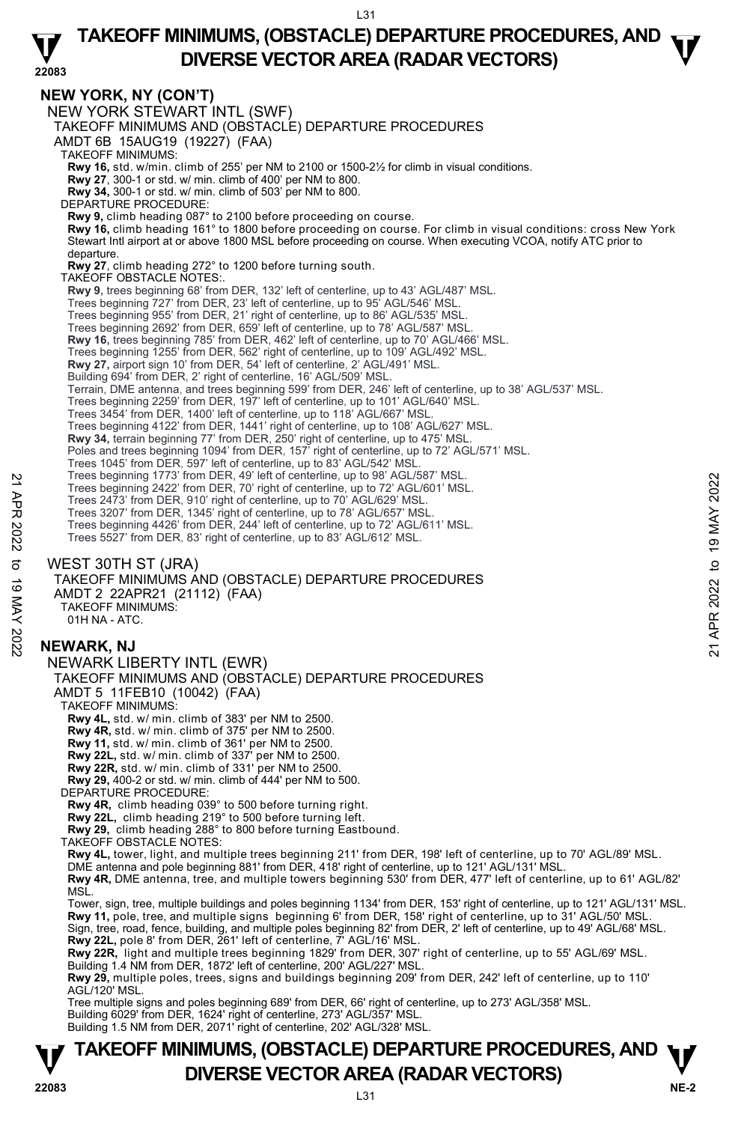### **TAKEOFF MINIMUMS, (OBSTACLE) DEPARTURE PROCEDURES, AND**  $\mathbf{\nabla}$ **DIVERSE VECTOR AREA (RADAR VECTORS)**

**22083 TAKEOFF MINIMUMS, (OBSTACLE) DEPARTURE PROCEDURES, AND**  $\Psi$ **DIVERSE VECTOR AREA (RADAR VECTORS) 22083 NEW YORK, NY (CON'T)**  NEW YORK STEWART INTL (SWF) TAKEOFF MINIMUMS AND (OBSTACLE) DEPARTURE PROCEDURES AMDT 6B 15AUG19 (19227) (FAA) TAKEOFF MINIMUMS: **Rwy 16,** std. w/min. climb of 255' per NM to 2100 or 1500-2½ for climb in visual conditions. **Rwy 27**, 300-1 or std. w/ min. climb of 400' per NM to 800. **Rwy 34,** 300-1 or std. w/ min. climb of 503' per NM to 800. DEPARTURE PROCEDURE: **Rwy 9,** climb heading 087° to 2100 before proceeding on course. **Rwy 16,** climb heading 161° to 1800 before proceeding on course. For climb in visual conditions: cross New York Stewart Intl airport at or above 1800 MSL before proceeding on course. When executing VCOA, notify ATC prior to departure. **Rwy 27**, climb heading 272° to 1200 before turning south. TAKEOFF OBSTACLE NOTES:. **Rwy 9,** trees beginning 68' from DER, 132' left of centerline, up to 43' AGL/487' MSL. Trees beginning 727' from DER, 23' left of centerline, up to 95' AGL/546' MSL. Trees beginning 955' from DER, 21' right of centerline, up to 86' AGL/535' MSL. Trees beginning 2692' from DER, 659' left of centerline, up to 78' AGL/587' MSL. **Rwy 16,** trees beginning 785' from DER, 462' left of centerline, up to 70' AGL/466' MSL.<br>Trees beginning 1255' from DER, 562' right of centerline, up to 109' AGL/492' MSL. **Rwy 27,** airport sign 10' from DER, 54' left of centerline, 2' AGL/491' MSL. Building 694' from DER, 2' right of centerline, 16' AGL/509' MSL. Terrain, DME antenna, and trees beginning 599' from DER, 246' left of centerline, up to 38' AGL/537' MSL. Trees beginning 2259' from DER, 197' left of centerline, up to 101' AGL/640' MSL. Trees 3454' from DER, 1400' left of centerline, up to 118' AGL/667' MSL. Trees beginning 4122' from DER, 1441' right of centerline, up to 108' AGL/627' MSL.<br>**Rwy 34,** terrain beginning 77' from DER, 250' right of centerline, up to 475' MSL. Poles and trees beginning 1094' from DER, 157<sup>T</sup> right of centerline, up to 72' AGL/571' MSL. Trees 1045' from DER, 597' left of centerline, up to 83' AGL/542' MSL. Trees beginning 1773' from DER, 49' left of centerline, up to 98' AGL/587' MSL. Trees beginning 2422' from DER, 70' right of centerline, up to 72' AGL/601' MSL. Trees 2473' from DER, 910' right of centerline, up to 70' AGL/629' MSL. Trees 3207' from DER, 1345' right of centerline, up to 78' AGL/657' MSL. Trees beginning 4426' from DER, 244' left of centerline, up to 72' AGL/611' MSL. Trees 5527' from DER, 83' right of centerline, up to 83' AGL/612' MSL. WEST 30TH ST (JRA) TAKEOFF MINIMUMS AND (OBSTACLE) DEPARTURE PROCEDURES AMDT 2 22APR21 (21112) (FAA) TAKEOFF MINIMUMS: 01H NA - ATC. **NEWARK, NJ**  NEWARK LIBERTY INTL (EWR) TAKEOFF MINIMUMS AND (OBSTACLE) DEPARTURE PROCEDURES AMDT 5 11FEB10 (10042) (FAA) TAKEOFF MINIMUMS: **Rwy 4L,** std. w/ min. climb of 383' per NM to 2500. **Rwy 4R,** std. w/ min. climb of 375' per NM to 2500. **Rwy 11,** std. w/ min. climb of 361' per NM to 2500. **Rwy 22L,** std. w/ min. climb of 337' per NM to 2500. **Rwy 22R,** std. w/ min. climb of 331' per NM to 2500. **Rwy 29,** 400-2 or std. w/ min. climb of 444' per NM to 500. DEPARTURE PROCEDURE: **Rwy 4R,** climb heading 039° to 500 before turning right. **Rwy 22L,** climb heading 219° to 500 before turning left. **Rwy 29,** climb heading 288° to 800 before turning Eastbound. TAKEOFF OBSTACLE NOTES: **Rwy 4L,** tower, light, and multiple trees beginning 211' from DER, 198' left of centerline, up to 70' AGL/89' MSL. DME antenna and pole beginning 881' from DER, 418' right of centerline, up to 121' AGL/131' MSL. **Rwy 4R,** DME antenna, tree, and multiple towers beginning 530' from DER, 477' left of centerline, up to 61' AGL/82' MSL. Tower, sign, tree, multiple buildings and poles beginning 1134' from DER, 153' right of centerline, up to 121' AGL/131' MSL. **Rwy 11,** pole, tree, and multiple signs beginning 6' from DER, 158' right of centerline, up to 31' AGL/50' MSL. Sign, tree, road, fence, building, and multiple poles beginning 82' from DER, 2' left of centerline, up to 49' AGL/68' MSL.<br>**Rwy 22L,** pole 8' from DER, 261' left of centerline, 7' AGL/16' MSL. **Rwy 22R,** light and multiple trees beginning 1829' from DER, 307' right of centerline, up to 55' AGL/69' MSL. Building 1.4 NM from DER, 1872' left of centerline, 200' AGL/227' MSL. **Rwy 29,** multiple poles, trees, signs and buildings beginning 209' from DER, 242' left of centerline, up to 110' AGL/120' MSL. Tree multiple signs and poles beginning 689' from DER, 66' right of centerline, up to 273' AGL/358' MSL. Building 6029' from DER, 1624' right of centerline, 273' AGL/357' MSL. Building 1.5 NM from DER, 2071' right of centerline, 202' AGL/328' MSL. Trees beginning 14/2' trom DER, 49' let of centerine, up to 8' AGL/601' MSL.<br>
Trees 2473' from DER, 910' right of centerline, up to 70' AGL/601' MSL.<br>
Trees 2027' from DER, 1345' right of centerline, up to 70' AGL/629' MSL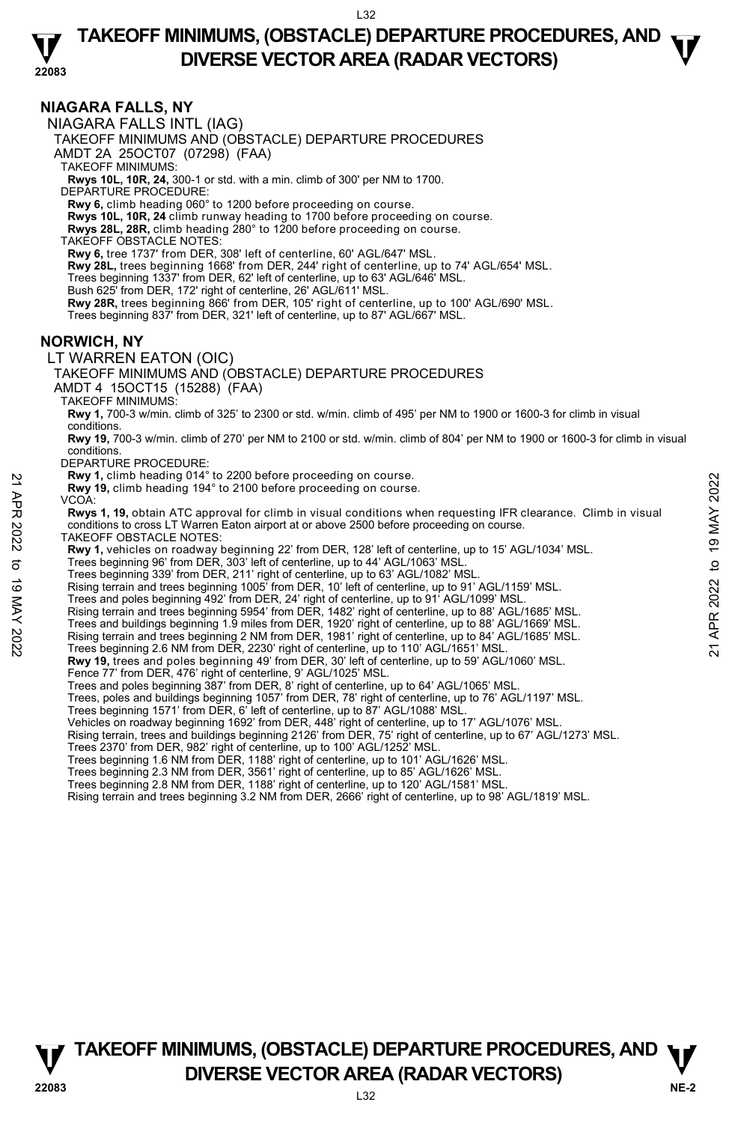### **TAKEOFF MINIMUMS, (OBSTACLE) DEPARTURE PROCEDURES, AND**  $\mathbf{\nabla}$ **DIVERSE VECTOR AREA (RADAR VECTORS)**

**22083** 

### **NIAGARA FALLS, NY**

NIAGARA FALLS INTL (IAG)

TAKEOFF MINIMUMS AND (OBSTACLE) DEPARTURE PROCEDURES

AMDT 2A 25OCT07 (07298) (FAA)

TAKEOFF MINIMUMS:

**Rwys 10L, 10R, 24,** 300-1 or std. with a min. climb of 300' per NM to 1700. DEPARTURE PROCEDURE:

**Rwy 6,** climb heading 060° to 1200 before proceeding on course.

**Rwys 10L, 10R, 24** climb runway heading to 1700 before proceeding on course. **Rwys 28L, 28R,** climb heading 280° to 1200 before proceeding on course.

TAKEOFF OBSTACLE NOTES:

**Rwy 6,** tree 1737' from DER, 308' left of centerline, 60' AGL/647' MSL.

**Rwy 28L,** trees beginning 1668' from DER, 244' right of centerline, up to 74' AGL/654' MSL.

Trees beginning 1337' from DER, 62' left of centerline, up to 63' AGL/646' MSL.

Bush 625' from DER, 172' right of centerline, 26' AGL/611' MSL.

**Rwy 28R,** trees beginning 866' from DER, 105' right of centerline, up to 100' AGL/690' MSL.

Trees beginning 837' from DER, 321' left of centerline, up to 87' AGL/667' MSL.

#### **NORWICH, NY**

### LT WARREN EATON (OIC)

TAKEOFF MINIMUMS AND (OBSTACLE) DEPARTURE PROCEDURES

AMDT 4 15OCT15 (15288) (FAA)

TAKEOFF MINIMUMS:

**Rwy 1,** 700-3 w/min. climb of 325' to 2300 or std. w/min. climb of 495' per NM to 1900 or 1600-3 for climb in visual conditions.

**Rwy 19,** 700-3 w/min. climb of 270' per NM to 2100 or std. w/min. climb of 804' per NM to 1900 or 1600-3 for climb in visual conditions.

DEPARTURE PROCEDURE:

**Rwy 1,** climb heading 014° to 2200 before proceeding on course.

**Rwy 19,** climb heading 194° to 2100 before proceeding on course.

VCOA: **Rwys 1, 19,** obtain ATC approval for climb in visual conditions when requesting IFR clearance. Climb in visual conditions to cross LT Warren Eaton airport at or above 2500 before proceeding on course. **EVALUATION**<br> **EVALUATION** Dealing 014° to 2100 before proceeding on course.<br> **POVICATION** INTO approval for climb in visual conditions to cross LT Warren Eaton airport at or above 2500 before proceeding on course.<br> **POVI** 

TAKEOFF OBSTACLE NOTES:

**Rwy 1,** vehicles on roadway beginning 22' from DER, 128' left of centerline, up to 15' AGL/1034' MSL.<br>Trees beginning 96' from DER, 303' left of centerline, up to 44' AGL/1063' MSL.

Trees beginning 339' from DER, 211' right of centerline, up to 63' AGL/1082' MSL.

Rising terrain and trees beginning 1005' from DER, 10' left of centerline, up to 91' AGL/1159' MSL.

Trees and poles beginning 492' from DER, 24' right of centerline, up to 91' AGL/1099' MSL.

Rising terrain and trees beginning 5954' from DER, 1482' right of centerline, up to 88' AGL/1685' MSL.

- Trees and buildings beginning 1.9 miles from DER, 1920' right of centerline, up to 88' AGL/1669' MSL.
- 
- 
- **Rwy 19,** trees and poles beginning 49' from DER, 30' left of centerline, up to 59' AGL/1060' MSL.
- Fence 77' from DER, 476' right of centerline, 9' AGL/1025' MSL.

Trees and poles beginning 387' from DER, 8' right of centerline, up to 64' AGL/1065' MSL.

Trees, poles and buildings beginning 1057' from DER, 78' right of centerline, up to 76' AGL/1197' MSL.

Trees beginning 1571' from DER, 6' left of centerline, up to 87' AGL/1088' MSL.

Vehicles on roadway beginning 1692' from DER, 448' right of centerline, up to 17' AGL/1076' MSL

Rising terrain, trees and buildings beginning 2126' from DER, 75' right of centerline, up to 67' AGL/1273' MSL.

Trees 2370' from DER, 982' right of centerline, up to 100' AGL/1252' MSL.

Trees beginning 1.6 NM from DER, 1188' right of centerline, up to 101' AGL/1626' MSL.<br>Trees beginning 2.3 NM from DER, 3561' right of centerline, up to 85' AGL/1626' MSL.

Trees beginning 2.8 NM from DER, 1188' right of centerline, up to 120' AGL/1581' MSL.

Rising terrain and trees beginning 3.2 NM from DER, 2666' right of centerline, up to 98' AGL/1819' MSL.

**NE-2** L32 **TAKEOFF MINIMUMS, (OBSTACLE) DEPARTURE PROCEDURES, AND**  $\Psi$ **P**<br>22083 **DIVERSE VECTOR AREA (RADAR VECTORS)**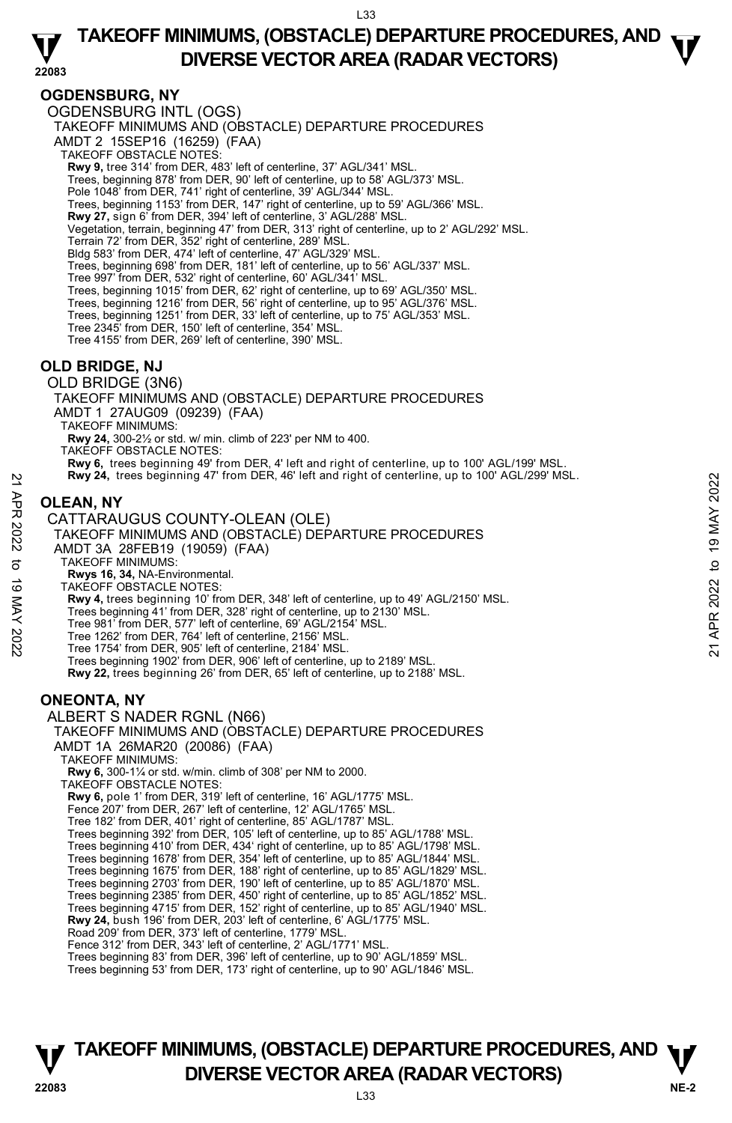### **22083 TAKEOFF MINIMUMS, (OBSTACLE) DEPARTURE PROCEDURES, AND**  $\mathbf{\nabla}$ **DIVERSE VECTOR AREA (RADAR VECTORS)**

### **OGDENSBURG, NY**

OGDENSBURG INTL (OGS)

TAKEOFF MINIMUMS AND (OBSTACLE) DEPARTURE PROCEDURES

AMDT 2 15SEP16 (16259) (FAA)

- TAKEOFF OBSTACLE NOTES:
- **Rwy 9,** tree 314' from DER, 483' left of centerline, 37' AGL/341' MSL.
- Trees, beginning 878' from DER, 90' left of centerline, up to 58' AGL/373' MSL.
- Pole 1048' from DER, 741' right of centerline, 39' AGL/344' MSL.
- Trees, beginning 1153' from DER, 147' right of centerline, up to 59' AGL/366' MSL.
- **Rwy 27,** sign 6' from DER, 394' left of centerline, 3' AGL/288' MSL.<br>Vegetation, terrain, beginning 47' from DER, 313' right of centerline, up to 2' AGL/292' MSL.
- 
- Terrain 72' from DER, 352' right of centerline, 289' MSL. Bldg 583' from DER, 474' left of centerline, 47' AGL/329' MSL.

Trees, beginning 698' from DER, 181' left of centerline, up to 56' AGL/337' MSL.

- Tree 997' from DER, 532' right of centerline, 60' AGL/341' MSL.
- 
- Trees, beginning 1015' from DER, 62' right of centerline, up to 69' AGL/350' MSL. Trees, beginning 1216' from DER, 56' right of centerline, up to 95' AGL/376' MSL.
- Trees, beginning 1251' from DER, 33' left of centerline, up to 75' AGL/353' MSL.
- Tree 2345' from DER, 150' left of centerline, 354' MSL.
- Tree 4155' from DER, 269' left of centerline, 390' MSL.

### **OLD BRIDGE, NJ**

OLD BRIDGE (3N6) TAKEOFF MINIMUMS AND (OBSTACLE) DEPARTURE PROCEDURES AMDT 1 27AUG09 (09239) (FAA) TAKEOFF MINIMUMS: **Rwy 24,** 300-2½ or std. w/ min. climb of 223' per NM to 400. TAKEOFF OBSTACLE NOTES: **Rwy 6,** trees beginning 49' from DER, 4' left and right of centerline, up to 100' AGL/199' MSL. **Rwy 24,** trees beginning 47' from DER, 46' left and right of centerline, up to 100' AGL/299' MSL. RWY 24, trees beginning 47' from DER, 48' left and right of centerline, up to 100' AGL/299' MSL.<br>
22<br> **OLEAN, NY**<br>
CATTARAUGUS COUNTY-OLEAN (OLE)<br>
TAKEOFF MINIMUMS AND (OBSTACLE) DEPARTURE PROCEDURES<br>
AMDIT 3A 28FEB19 (19

### **OLEAN, NY**

- CATTARAUGUS COUNTY-OLEAN (OLE)
- TAKEOFF MINIMUMS AND (OBSTACLE) DEPARTURE PROCEDURES
- AMDT 3A 28FEB19 (19059) (FAA)
- TAKEOFF MINIMUMS:
- **Rwys 16, 34,** NA-Environmental.
- TAKEOFF OBSTACLE NOTES:
- **Rwy 4,** trees beginning 10' from DER, 348' left of centerline, up to 49' AGL/2150' MSL.
- Trees beginning 41' from DER, 328' right of centerline, up to 2130' MSL.
- Tree 981' from DER, 577' left of centerline, 69' AGL/2154' MSL.
- Tree 1262' from DER, 764' left of centerline, 2156' MSL. Tree 1754' from DER, 905' left of centerline, 2184' MSL.
- 
- Trees beginning 1902' from DER, 906' left of centerline, up to 2189' MSL.
- **Rwy 22,** trees beginning 26' from DER, 65' left of centerline, up to 2188' MSL.

### **ONEONTA, NY**

ALBERT S NADER RGNL (N66) TAKEOFF MINIMUMS AND (OBSTACLE) DEPARTURE PROCEDURES AMDT 1A 26MAR20 (20086) (FAA) TAKEOFF MINIMUMS: **Rwy 6,** 300-1¼ or std. w/min. climb of 308' per NM to 2000. TAKEOFF OBSTACLE NOTES: **Rwy 6,** pole 1' from DER, 319' left of centerline, 16' AGL/1775' MSL. Fence 207' from DER, 267' left of centerline, 12' AGL/1765' MSL. Tree 182' from DER, 401' right of centerline, 85' AGL/1787' MSL. Trees beginning 392' from DER, 105' left of centerline, up to 85' AGL/1788' MSL. Trees beginning 410' from DER, 434' right of centerline, up to 85' AGL/1798' MSL. Trees beginning 1678' from DER, 354' left of centerline, up to 85' AGL/1844' MSL. Trees beginning 1675' from DER, 188' right of centerline, up to 85' AGL/1829' MSL. Trees beginning 2703' from DER, 190' left of centerline, up to 85' AGL/1870' MSL. Trees beginning 2385' from DER, 450' right of centerline, up to 85' AGL/1852' MSL.

Trees beginning 4715' from DER, 152' right of centerline, up to 85' AGL/1940' MSL.

- **Rwy 24,** bush 196' from DER, 203' left of centerline, 6' AGL/1775' MSL.
- Road 209' from DER, 373' left of centerline, 1779' MSL.
- Fence 312' from DER, 343' left of centerline, 2' AGL/1771' MSL.
- Trees beginning 83' from DER, 396' left of centerline, up to 90' AGL/1859' MSL.

Trees beginning 53' from DER, 173' right of centerline, up to 90' AGL/1846' MSL.

### **NE-2** L33 **TAKEOFF MINIMUMS, (OBSTACLE) DEPARTURE PROCEDURES, AND**  $\Psi$ **DIVERSE VECTOR AREA (RADAR VECTORS) 22083**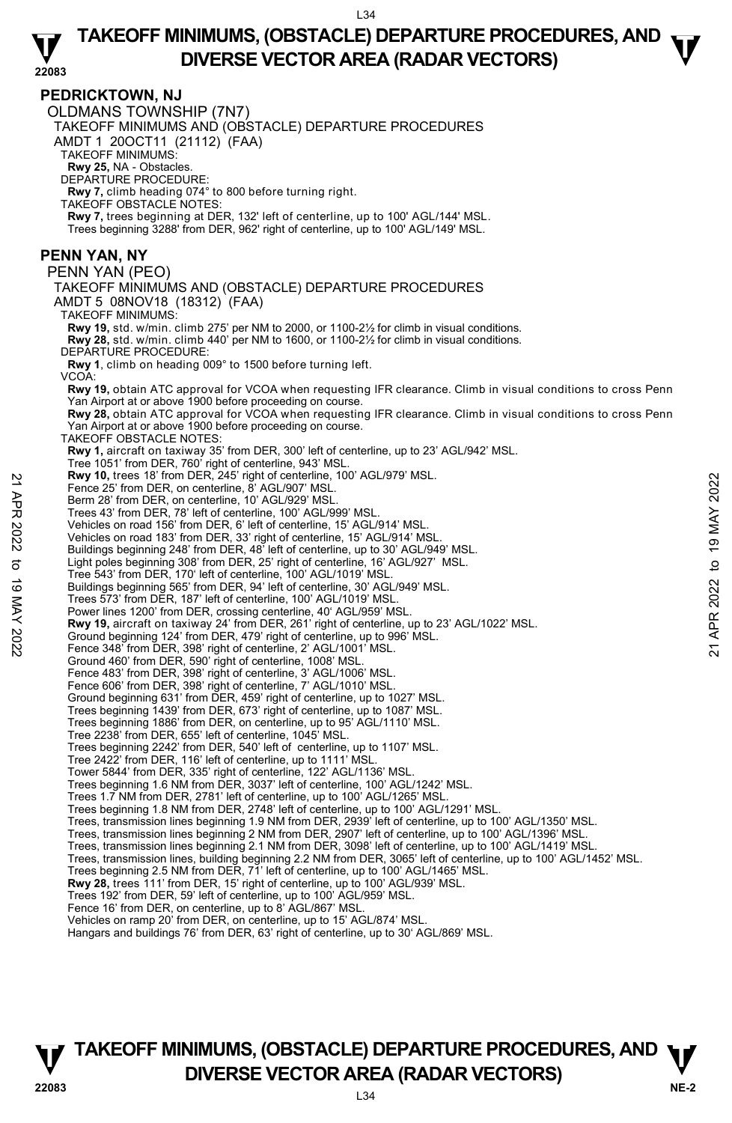### **TAKEOFF MINIMUMS, (OBSTACLE) DEPARTURE PROCEDURES, AND**  $\mathbf{\nabla}$ **DIVERSE VECTOR AREA (RADAR VECTORS)**

#### **PEDRICKTOWN, NJ**

**22083**  OLDMANS TOWNSHIP (7N7) TAKEOFF MINIMUMS AND (OBSTACLE) DEPARTURE PROCEDURES AMDT 1 20OCT11 (21112) (FAA) TAKEOFF MINIMUMS: **Rwy 25,** NA - Obstacles. DEPARTURE PROCEDURE: **Rwy 7,** climb heading 074° to 800 before turning right. TAKEOFF OBSTACLE NOTES: **Rwy 7,** trees beginning at DER, 132' left of centerline, up to 100' AGL/144' MSL. Trees beginning 3288' from DER, 962' right of centerline, up to 100' AGL/149' MSL. **PENN YAN, NY**  PENN YAN (PEO) TAKEOFF MINIMUMS AND (OBSTACLE) DEPARTURE PROCEDURES AMDT 5 08NOV18 (18312) (FAA) TAKEOFF MINIMUMS: **Rwy 19,** std. w/min. climb 275' per NM to 2000, or 1100-2½ for climb in visual conditions. **Rwy 28,** std. w/min. climb 440' per NM to 1600, or 1100-2½ for climb in visual conditions. DEPARTURE PROCEDURE: **Rwy 1**, climb on heading 009° to 1500 before turning left. VCOA: **Rwy 19,** obtain ATC approval for VCOA when requesting IFR clearance. Climb in visual conditions to cross Penn Yan Airport at or above 1900 before proceeding on course. **Rwy 28,** obtain ATC approval for VCOA when requesting IFR clearance. Climb in visual conditions to cross Penn Yan Airport at or above 1900 before proceeding on course. TAKEOFF OBSTACLE NOTES: **Rwy 1,** aircraft on taxiway 35' from DER, 300' left of centerline, up to 23' AGL/942' MSL. Tree 1051' from DER, 760' right of centerline, 943' MSL. **Rwy 10,** trees 18' from DER, 245' right of centerline, 100' AGL/979' MSL. Fence 25' from DER, on centerline, 8' AGL/907' MSL. Berm 28' from DER, on centerline, 10' AGL/929' MSI Trees 43' from DER, 78' left of centerline, 100' AGL/999' MSL. Vehicles on road 156' from DER, 6' left of centerline, 15' AGL/914' MSL. Vehicles on road 183' from DER, 33' right of centerline, 15' AGL/914' MSL. Buildings beginning 248' from DER, 48' left of centerline, up to 30' AGL/949' MSL. Light poles beginning 308' from DER, 25' right of centerline, 16' AGL/927' MSL. Tree 543' from DER, 170' left of centerline, 100' AGL/1019' MSL. Buildings beginning 565' from DER, 94' left of centerline, 30' AGL/949' MSL. Trees 573' from DER, 187' left of centerline, 100' AGL/1019' MSL. Power lines 1200' from DER, crossing centerline, 40' AGL/959' MSL. **Rwy 19,** aircraft on taxiway 24' from DER, 261' right of centerline, up to 23' AGL/1022' MSL. Ground beginning 124' from DER, 479' right of centerline, up to 996' MSL. Fence 348' from DER, 398' right of centerline, 2' AGL/1001' MSL. Ground 460' from DER, 590' right of centerline, 1008' MSL. Fence 483' from DER, 398' right of centerline, 3' AGL/1006' MSL. Fence 606' from DER, 398' right of centerline, 7' AGL/1010' MSL. Ground beginning 631' from DER, 459' right of centerline, up to 1027' MSL. Trees beginning 1439' from DER, 673' right of centerline, up to 1087' MSL. Trees beginning 1886' from DER, on centerline, up to 95' AGL/1110' MSL. Tree 2238' from DER, 655' left of centerline, 1045' MSL. Trees beginning 2242' from DER, 540' left of centerline, up to 1107' MSL. Tree 2422' from DER, 116' left of centerline, up to 1111' MSL. Tower 5844' from DER, 335' right of centerline, 122' AGL/1136' MSL. Trees beginning 1.6 NM from DER, 3037' left of centerline, 100' AGL/1242' MSL. Trees 1.7 NM from DER, 2781' left of centerline, up to 100' AGL/1265' MSL. Trees beginning 1.8 NM from DER, 2748' left of centerline, up to 100' AGL/1291' MSL. Trees, transmission lines beginning 1.9 NM from DER, 2939' left of centerline, up to 100' AGL/1350' MSL. Trees, transmission lines beginning 2 NM from DER, 2907' left of centerline, up to 100' AGL/1396' MSL. Trees, transmission lines beginning 2.1 NM from DER, 3098' left of centerline, up to 100' AGL/1419' MSL. Trees, transmission lines, building beginning 2.2 NM from DER, 3065' left of centerline, up to 100' AGL/1452' MSL. Trees beginning 2.5 NM from DER, 71' left of centerline, up to 100' AGL/1465' MSL. **Rwy 28,** trees 111' from DER, 15' right of centerline, up to 100' AGL/939' MSL.<br>Trees 192' from DER, 59' left of centerline, up to 100' AGL/959' MSL. Fence 16' from DER, on centerline, up to 8' AGL/867' MSL. Vehicles on ramp 20' from DER, on centerline, up to 15' AGL/874' MSL. Hangars and buildings 76' from DER, 63' right of centerline, up to 30' AGL/869' MSL. 225 form DER, on centerline, 8 GCl/997 MSL.<br>
Tence 25' from DER, on centerline, 8' AGL/929' MSL.<br>
Trees 43' from DER, on centerline, 10' AGL/929' MSL.<br>
Trees 43' from DER, 78' left of centerline, 15' AGL/914' MSL.<br>
Vehicl

### **NE-2** L34 **TAKEOFF MINIMUMS, (OBSTACLE) DEPARTURE PROCEDURES, AND**  $\Psi$ **P**<br> **DIVERSE VECTOR AREA (RADAR VECTORS)**<br>  $^{134}$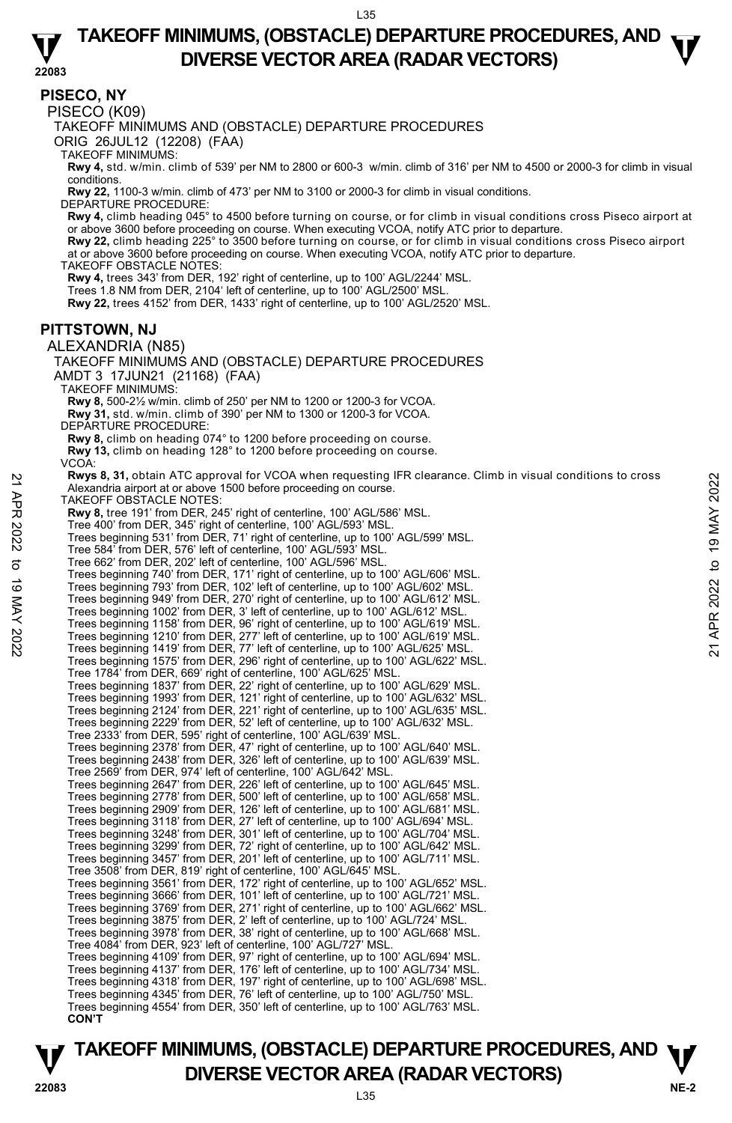### **TAKEOFF MINIMUMS, (OBSTACLE) DEPARTURE PROCEDURES, AND**  $\mathbf{\nabla}$ **DIVERSE VECTOR AREA (RADAR VECTORS)**

**22083 PISECO, NY**  PISECO (K09) TAKEOFF MINIMUMS AND (OBSTACLE) DEPARTURE PROCEDURES ORIG 26JUL12 (12208) (FAA) TAKEOFF MINIMUMS: **Rwy 4,** std. w/min. climb of 539' per NM to 2800 or 600-3 w/min. climb of 316' per NM to 4500 or 2000-3 for climb in visual conditions. **Rwy 22,** 1100-3 w/min. climb of 473' per NM to 3100 or 2000-3 for climb in visual conditions. DEPARTURE PROCEDURE: **Rwy 4,** climb heading 045° to 4500 before turning on course, or for climb in visual conditions cross Piseco airport at<br>or above 3600 before proceeding on course. When executing VCOA, notify ATC prior to departure. **Rwy 22,** climb heading 225° to 3500 before turning on course, or for climb in visual conditions cross Piseco airport at or above 3600 before proceeding on course. When executing VCOA, notify ATC prior to departure. TAKEOFF OBSTACLE NOTES: **Rwy 4,** trees 343' from DER, 192' right of centerline, up to 100' AGL/2244' MSL. Trees 1.8 NM from DER, 2104' left of centerline, up to 100' AGL/2500' MSL. **Rwy 22,** trees 4152' from DER, 1433' right of centerline, up to 100' AGL/2520' MSL. **PITTSTOWN, NJ**  ALEXANDRIA (N85) TAKEOFF MINIMUMS AND (OBSTACLE) DEPARTURE PROCEDURES AMDT 3 17JUN21 (21168) (FAA) TAKEOFF MINIMUMS: **Rwy 8,** 500-2½ w/min. climb of 250' per NM to 1200 or 1200-3 for VCOA. **Rwy 31,** std. w/min. climb of 390' per NM to 1300 or 1200-3 for VCOA. DEPARTURE PROCEDURE **Rwy 8,** climb on heading 074° to 1200 before proceeding on course. **Rwy 13,** climb on heading 128° to 1200 before proceeding on course. VCOA:  **Rwys 8, 31,** obtain ATC approval for VCOA when requesting IFR clearance. Climb in visual conditions to cross Alexandria airport at or above 1500 before proceeding on course. TAKEOFF OBSTACLE NOTES: **Rwy 8,** tree 191' from DER, 245' right of centerline, 100' AGL/586' MSL. Tree 400' from DER, 345' right of centerline, 100' AGL/593' MSL. Trees beginning 531' from DER, 71' right of centerline, up to 100' AGL/599' MSL. Tree 584' from DER, 576' left of centerline, 100' AGL/593' MSL. Tree 662' from DER, 202' left of centerline, 100' AGL/596' MSL. Trees beginning 740' from DER, 171' right of centerline, up to 100' AGL/606' MSL. Trees beginning 793' from DER, 102' left of centerline, up to 100' AGL/602' MSL. Trees beginning 949' from DER, 270' right of centerline, up to 100' AGL/612' MSL. Trees beginning 1002' from DER, 3' left of centerline, up to 100' AGL/612' MSL. Trees beginning 1158' from DER, 96' right of centerline, up to 100' AGL/619' MSL. Trees beginning 1210' from DER, 277' left of centerline, up to 100' AGL/619' MSL. Trees beginning 1419' from DER, 77' left of centerline, up to 100' AGL/625' MSL. Trees beginning 1575' from DER, 296' right of centerline, up to 100' AGL/622' MSL. Tree 1784' from DER, 669' right of centerline, 100' AGL/625' MSL. Trees beginning 1837' from DER, 22' right of centerline, up to 100' AGL/629' MSL. Trees beginning 1993' from DER, 121' right of centerline, up to 100' AGL/632' MSL. Trees beginning 2124' from DER, 221' right of centerline, up to 100' AGL/635' MSL. Trees beginning 2229' from DER, 52' left of centerline, up to 100' AGL/632' MSL. Tree 2333' from DER, 595' right of centerline, 100' AGL/639' MSL. Trees beginning 2378' from DER, 47' right of centerline, up to 100' AGL/640' MSL. Trees beginning 2438' from DER, 326' left of centerline, up to 100' AGL/639' MSL. Tree 2569' from DER, 974' left of centerline, 100' AGL/642' MSL. Trees beginning 2647' from DER, 226' left of centerline, up to 100' AGL/645' MSL. Trees beginning 2778' from DER, 500' left of centerline, up to 100' AGL/658' MSL. Trees beginning 2909' from DER, 126' left of centerline, up to 100' AGL/681' MSL. Trees beginning 3118' from DER, 27' left of centerline, up to 100' AGL/694' MSL. Trees beginning 3248' from DER, 301' left of centerline, up to 100' AGL/704' MSL. Trees beginning 3299' from DER, 72' right of centerline, up to 100' AGL/642' MSL. Trees beginning 3457' from DER, 201' left of centerline, up to 100' AGL/711' MSL. Tree 3508' from DER, 819' right of centerline, 100' AGL/645' MSL. Trees beginning 3561' from DER, 172' right of centerline, up to 100' AGL/652' MSL. Trees beginning 3666' from DER, 101' left of centerline, up to 100' AGL/721' MSL. Trees beginning 3769' from DER, 271' right of centerline, up to 100' AGL/662' MSL. Trees beginning 3875' from DER, 2' left of centerline, up to 100' AGL/724' MSL. Trees beginning 3978' from DER, 38' right of centerline, up to 100' AGL/668' MSL. Tree 4084' from DER, 923' left of centerline, 100' AGL/727' MSL. Trees beginning 4109' from DER, 97' right of centerline, up to 100' AGL/694' MSL. Trees beginning 4137' from DER, 176' left of centerline, up to 100' AGL/734' MSL. Trees beginning 4318' from DER, 197' right of centerline, up to 100' AGL/698' MSL. Trees beginning 4345' from DER, 76' left of centerline, up to 100' AGL/750' MSL. Trees beginning 4554' from DER, 350' left of centerline, up to 100' AGL/763' MSL. Reviews 8, 31, otialn ATC approval for VCOA when requesting I-I-R clearance. Climb in visual conditions to cross<br>  $\frac{1}{2}$  TAKEOFF OBSTACLE NOTES:<br>
The 400' from DER, 245' right of centerline, 100' AGL/598' MSL.<br>
Tree 50

**NE-2** L35 **TAKEOFF MINIMUMS, (OBSTACLE) DEPARTURE PROCEDURES, AND**  $\Psi$ **DIVERSE VECTOR AREA (RADAR VECTORS) 22083**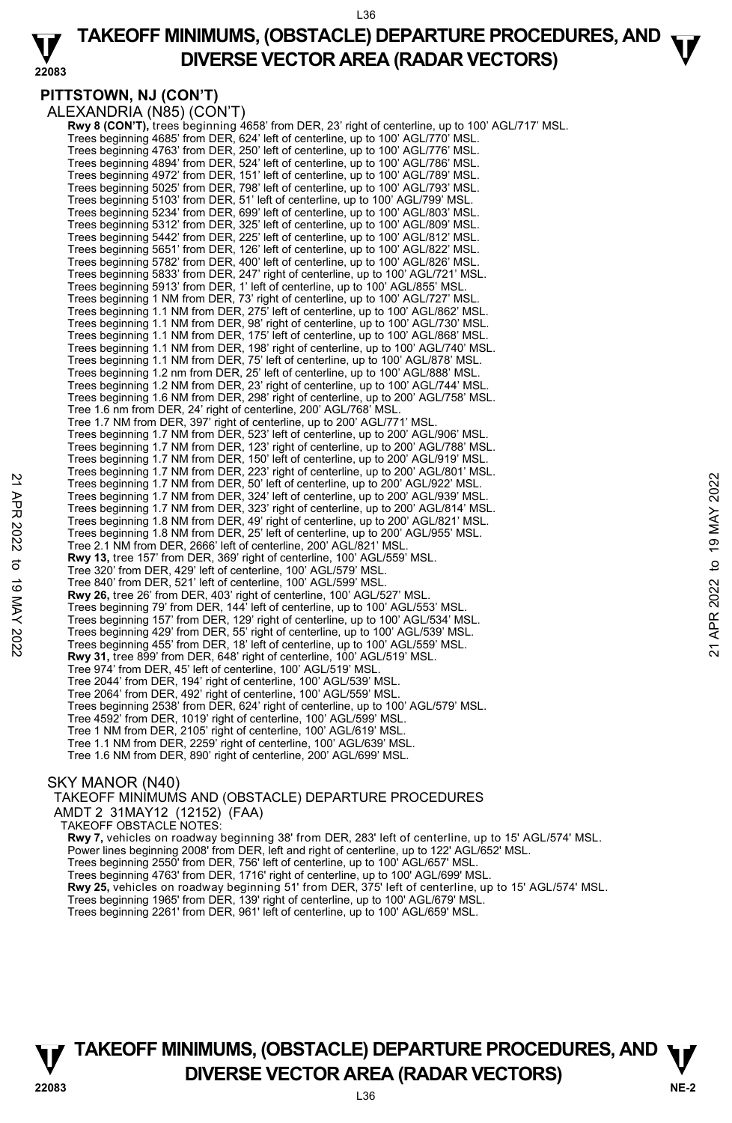### **TAKEOFF MINIMUMS, (OBSTACLE) DEPARTURE PROCEDURES, AND**  $\mathbf{\nabla}$ **DIVERSE VECTOR AREA (RADAR VECTORS)**

### **PITTSTOWN, NJ (CON'T)**

**22083** 

ALEXANDRIA (N85) (CON'T)

**Rwy 8 (CON'T),** trees beginning 4658' from DER, 23' right of centerline, up to 100' AGL/717' MSL.<br>Trees beginning 4685' from DER, 624' left of centerline, up to 100' AGL/770' MSL. Trees beginning 4763' from DER, 250' left of centerline, up to 100' AGL/776' MSL. Trees beginning 4894' from DER, 524' left of centerline, up to 100' AGL/786' MSL. Trees beginning 4972' from DER, 151' left of centerline, up to 100' AGL/789' MSL. Trees beginning 5025' from DER, 798' left of centerline, up to 100' AGL/793' MSL. Trees beginning 5103' from DER, 51' left of centerline, up to 100' AGL/799' MSL. Trees beginning 5234' from DER, 699' left of centerline, up to 100' AGL/803' MSL. Trees beginning 5312' from DER, 325' left of centerline, up to 100' AGL/809' MSL. Trees beginning 5442' from DER, 225' left of centerline, up to 100' AGL/812' MSL. Trees beginning 5651' from DER, 126' left of centerline, up to 100' AGL/822' MSL. Trees beginning 5782' from DER, 400' left of centerline, up to 100' AGL/826' MSL. Trees beginning 5833' from DER, 247' right of centerline, up to 100' AGL/721' MSL. Trees beginning 5913' from DER, 1' left of centerline, up to 100' AGL/855' MSL. Trees beginning 1 NM from DER, 73' right of centerline, up to 100' AGL/727' MSL. Trees beginning 1.1 NM from DER, 275' left of centerline, up to 100' AGL/862' MSL. Trees beginning 1.1 NM from DER, 98' right of centerline, up to 100' AGL/730' MSL. Trees beginning 1.1 NM from DER, 175' left of centerline, up to 100' AGL/868' MSL Trees beginning 1.1 NM from DER, 198' right of centerline, up to 100' AGL/740' MSL. Trees beginning 1.1 NM from DER, 75' left of centerline, up to 100' AGL/878' MSL. Trees beginning 1.2 nm from DER, 25' left of centerline, up to 100' AGL/888' MSL. Trees beginning 1.2 NM from DER, 23' right of centerline, up to 100' AGL/744' MSL. Trees beginning 1.6 NM from DER, 298' right of centerline, up to 200' AGL/758' MSL. Tree 1.6 nm from DER, 24' right of centerline, 200' AGL/768' MSL. Tree 1.7 NM from DER, 397' right of centerline, up to 200' AGL/771' MSL. Trees beginning 1.7 NM from DER, 523' left of centerline, up to 200' AGL/906' MSL. Trees beginning 1.7 NM from DER, 123' right of centerline, up to 200' AGL/788' MSL. Trees beginning 1.7 NM from DER, 150' left of centerline, up to 200' AGL/919' MSL. Trees beginning 1.7 NM from DER, 223' right of centerline, up to 200' AGL/801' MSL. Trees beginning 1.7 NM from DER, 50' left of centerline, up to 200' AGL/922' MSL. Trees beginning 1.7 NM from DER, 324' left of centerline, up to 200' AGL/939' MSL. Trees beginning 1.7 NM from DER, 323' right of centerline, up to 200' AGL/814' MSL. Trees beginning 1.8 NM from DER, 49' right of centerline, up to 200' AGL/821' MSL. Trees beginning 1.8 NM from DER, 25' left of centerline, up to 200' AGL/955' MSL. Tree 2.1 NM from DER, 2666' left of centerline, 200' AGL/821' MSL. **Rwy 13,** tree 157' from DER, 369' right of centerline, 100' AGL/559' MSL. Tree 320' from DER, 429' left of centerline, 100' AGL/579' MSL. Tree 840' from DER, 521' left of centerline, 100' AGL/599' MSL. **Rwy 26,** tree 26' from DER, 403' right of centerline, 100' AGL/527' MSL. Trees beginning 79' from DER, 144' left of centerline, up to 100' AGL/553' MSL. Trees beginning 157' from DER, 129' right of centerline, up to 100' AGL/534' MSL. Trees beginning 429' from DER, 55' right of centerline, up to 100' AGL/539' MSL. Trees beginning 455' from DER, 18' left of centerline, up to 100' AGL/559' MSL. **Rwy 31,** tree 899' from DER, 648' right of centerline, 100' AGL/519' MSL. Tree 974' from DER, 45' left of centerline, 100' AGL/519' MSL. Tree 2044' from DER, 194' right of centerline, 100' AGL/539' MSL. Tree 2064' from DER, 492' right of centerline, 100' AGL/559' MSL. Trees beginning 2538' from DER, 624' right of centerline, up to 100' AGL/579' MSL. Tree 4592' from DER, 1019' right of centerline, 100' AGL/599' MSL. Tree 1 NM from DER, 2105' right of centerline, 100' AGL/619' MSL. Tree 1.1 NM from DER, 2259' right of centerline, 100' AGL/639' MSL. Tree 1.6 NM from DER, 890' right of centerline, 200' AGL/699' MSL. 22 Trees beginning 1.7 NM from DER, 50' left of centerline, up to 200' AGL/922' MSL.<br>
Trees beginning 1.7 NM from DER, 329' right of centerline, up to 200' AGL/932' MSL.<br>
Trees beginning 1.7 NM from DER, 323' right of cent

SKY MANOR (N40)

TAKEOFF MINIMUMS AND (OBSTACLE) DEPARTURE PROCEDURES

AMDT 2 31MAY12 (12152) (FAA) TAKEOFF OBSTACLE NOTES:

**Rwy 7,** vehicles on roadway beginning 38' from DER, 283' left of centerline, up to 15' AGL/574' MSL.<br>Power lines beginning 2008' from DER, left and right of centerline, up to 122' AGL/652' MSL. Trees beginning 2550' from DER, 756' left of centerline, up to 100' AGL/657' MSL. Trees beginning 4763' from DER, 1716' right of centerline, up to 100' AGL/699' MSL. **Rwy 25,** vehicles on roadway beginning 51' from DER, 375' left of centerline, up to 15' AGL/574' MSL.<br>Trees beginning 1965' from DER, 139' right of centerline, up to 100' AGL/679' MSL. Trees beginning 2261' from DER, 961' left of centerline, up to 100' AGL/659' MSL.

### **NE-2** L36 **TAKEOFF MINIMUMS, (OBSTACLE) DEPARTURE PROCEDURES, AND**  $\Psi$ **DIVERSE VECTOR AREA (RADAR VECTORS) 22083**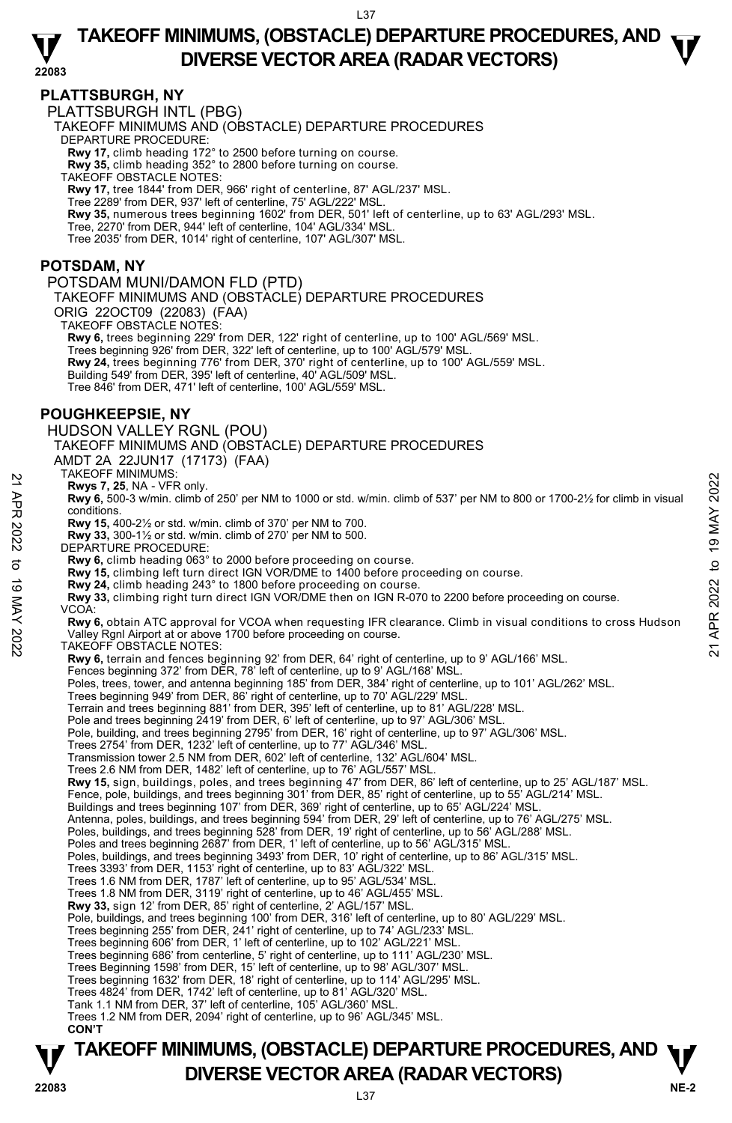### **22083 TAKEOFF MINIMUMS, (OBSTACLE) DEPARTURE PROCEDURES, AND**  $\mathbf{\nabla}$ **DIVERSE VECTOR AREA (RADAR VECTORS)**

### **PLATTSBURGH, NY**

PLATTSBURGH INTL (PBG)

TAKEOFF MINIMUMS AND (OBSTACLE) DEPARTURE PROCEDURES

DEPARTURE PROCEDURE:

**Rwy 17,** climb heading 172° to 2500 before turning on course. **Rwy 35,** climb heading 352° to 2800 before turning on course.

TAKEOFF OBSTACLE NOTES:

**Rwy 17,** tree 1844' from DER, 966' right of centerline, 87' AGL/237' MSL.

Tree 2289' from DER, 937' left of centerline, 75' AGL/222' MSL. **Rwy 35,** numerous trees beginning 1602' from DER, 501' left of centerline, up to 63' AGL/293' MSL.

Tree, 2270' from DER, 944' left of centerline, 104' AGL/334' MSL.

Tree 2035' from DER, 1014' right of centerline, 107' AGL/307' MSL.

### **POTSDAM, NY**

POTSDAM MUNI/DAMON FLD (PTD) TAKEOFF MINIMUMS AND (OBSTACLE) DEPARTURE PROCEDURES ORIG 22OCT09 (22083) (FAA) TAKEOFF OBSTACLE NOTES: **Rwy 6,** trees beginning 229' from DER, 122' right of centerline, up to 100' AGL/569' MSL. Trees beginning 926' from DER, 322' left of centerline, up to 100' AGL/579' MSL. **Rwy 24,** trees beginning 776' from DER, 370' right of centerline, up to 100' AGL/559' MSL.<br>Building 549' from DER, 395' left of centerline, 40' AGL/509' MSL. Tree 846' from DER, 471' left of centerline, 100' AGL/559' MSL. **POUGHKEEPSIE, NY**  HUDSON VALLEY RGNL (POU) TAKEOFF MINIMUMS AND (OBSTACLE) DEPARTURE PROCEDURES AMDT 2A 22JUN17 (17173) (FAA) TAKEOFF MINIMUMS: **Rwys 7, 25**, NA - VFR only. **Rwy 6,** 500-3 w/min. climb of 250' per NM to 1000 or std. w/min. climb of 537' per NM to 800 or 1700-2½ for climb in visual conditions. **Rwy 15,** 400-2½ or std. w/min. climb of 370' per NM to 700. **Rwy 33,** 300-1½ or std. w/min. climb of 270' per NM to 500. DEPARTURE PROCEDURE: **Rwy 6,** climb heading 063° to 2000 before proceeding on course. **Rwy 15,** climbing left turn direct IGN VOR/DME to 1400 before proceeding on course. **Rwy 24,** climb heading 243° to 1800 before proceeding on course. **Rwy 33,** climbing right turn direct IGN VOR/DME then on IGN R-070 to 2200 before proceeding on course. VCOA: **Rwy 6,** obtain ATC approval for VCOA when requesting IFR clearance. Climb in visual conditions to cross Hudson Valley Rgnl Airport at or above 1700 before proceeding on course. TAKEOFF OBSTACLE NOTES: **Rwy 6,** terrain and fences beginning 92' from DER, 64' right of centerline, up to 9' AGL/166' MSL.<br>Fences beginning 372' from DER, 78' left of centerline, up to 9' AGL/168' MSL. Poles, trees, tower, and antenna beginning 185' from DER, 384' right of centerline, up to 101' AGL/262' MSL. Trees beginning 949' from DER, 86' right of centerline, up to 70' AGL/229' MSL. Terrain and trees beginning 881' from DER, 395' left of centerline, up to 81' AGL/228' MSL. Pole and trees beginning 2419' from DER, 6' left of centerline, up to 97' AGL/306' MSL Pole, building, and trees beginning 2795' from DER, 16' right of centerline, up to 97' AGL/306' MSL. Trees 2754' from DER, 1232' left of centerline, up to 77' AGL/346' MSL. Transmission tower 2.5 NM from DER, 602' left of centerline, 132' AGL/604' MSL. Trees 2.6 NM from DER, 1482' left of centerline, up to 76' AGL/557' MSL. **Rwy 15,** sign, buildings, poles, and trees beginning 47' from DER, 86' left of centerline, up to 25' AGL/187' MSL.<br>Fence, pole, buildings, and trees beginning 301' from DER, 85' right of centerline, up to 55' AGL/214' MSL Buildings and trees beginning 107' from DER, 369' right of centerline, up to 65' AGL/224' MSL. Antenna, poles, buildings, and trees beginning 594' from DER, 29' left of centerline, up to 76' AGL/275' MSL.<br>Poles, buildings, and trees beginning 528' from DER, 19' right of centerline, up to 56' AGL/288' MSL. Poles and trees beginning 2687' from DER, 1' left of centerline, up to 56' AGL/315' MSL. Poles, buildings, and trees beginning 3493' from DER, 10' right of centerline, up to 86' AGL/315' MSL. Trees 3393' from DER, 1153' right of centerline, up to 83' AGL/322' MSL. Trees 1.6 NM from DER, 1787' left of centerline, up to 95' AGL/534' MSL. Trees 1.8 NM from DER, 3119' right of centerline, up to 46' AGL/455' MSL. **Rwy 33,** sign 12' from DER, 85' right of centerline, 2' AGL/157' MSL.<br>Pole, buildings, and trees beginning 100' from DER, 316' left of centerline, up to 80' AGL/229' MSL. Trees beginning 255' from DER, 241' right of centerline, up to 74' AGL/233' MSL. Trees beginning 606' from DER, 1' left of centerline, up to 102' AGL/221' MSL. Trees beginning 686' from centerline, 5' right of centerline, up to 111' AGL/230' MSL. Trees Beginning 1598' from DER, 15' left of centerline, up to 98' AGL/307' MSL. Trees beginning 1632' from DER, 18' right of centerline, up to 114' AGL/295' MSL. Trees 4824' from DER, 1742' left of centerline, up to 81' AGL/320' MSL. Tank 1.1 NM from DER, 37' left of centerline, 105' AGL/360' MSL. Trees 1.2 NM from DER, 2094' right of centerline, up to 96' AGL/345' MSL.  **CON'T EXAMPLE 19 MAY 2022**<br> **ENDIVERENT MINIMUMEDIATION**<br> **ENDIVERENT APPONENT CONDUCT AND CONDUCT CONDUCT CONDUCT CONDUCT CONDUCT CONDUCT CONDUCT CONDUCT CONDUCT CONDUCT CONDUCT CONDUCT CONDUCT CONDUCT CONDUCT CONDUCT CONDUCT** 

# **TAKEOFF MINIMUMS, (OBSTACLE) DEPARTURE PROCEDURES, AND**  $\Psi$ **P**<br>22083 **DIVERSE VECTOR AREA (RADAR VECTORS)**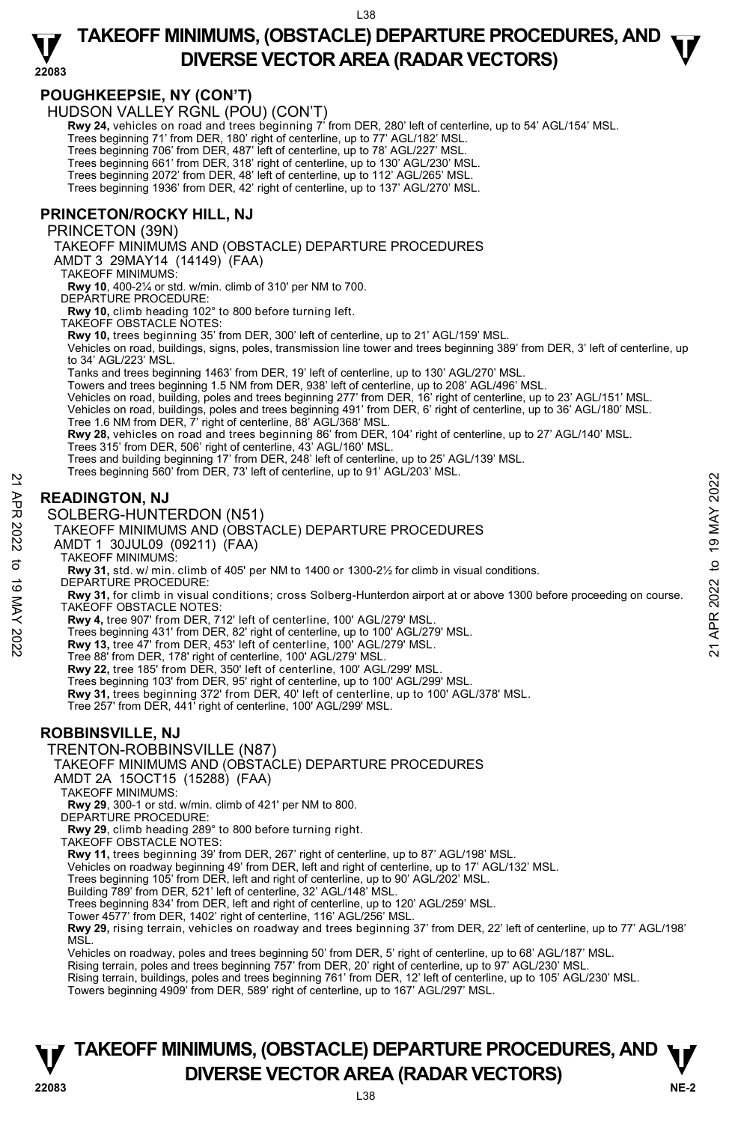### **22083 TAKEOFF MINIMUMS, (OBSTACLE) DEPARTURE PROCEDURES, AND**  $\mathbf{\nabla}$ **DIVERSE VECTOR AREA (RADAR VECTORS)**

### **POUGHKEEPSIE, NY (CON'T)**

HUDSON VALLEY RGNL (POU) (CON'T)

 **Rwy 24,** vehicles on road and trees beginning 7' from DER, 280' left of centerline, up to 54' AGL/154' MSL. Trees beginning 71' from DER, 180' right of centerline, up to 77' AGL/182' MSL.

Trees beginning 706' from DER, 487' left of centerline, up to 78' AGL/227' MSL.

Trees beginning 661' from DER, 318' right of centerline, up to 130' AGL/230' MSL. Trees beginning 2072' from DER, 48' left of centerline, up to 112' AGL/265' MSL.

Trees beginning 1936' from DER, 42' right of centerline, up to 137' AGL/270' MSL.

### **PRINCETON/ROCKY HILL, NJ**

#### PRINCETON (39N)

TAKEOFF MINIMUMS AND (OBSTACLE) DEPARTURE PROCEDURES

AMDT 3 29MAY14 (14149) (FAA)

TAKEOFF MINIMUMS:

**Rwy 10**, 400-2¼ or std. w/min. climb of 310' per NM to 700.

DEPARTURE PROCEDURE:

**Rwy 10,** climb heading 102° to 800 before turning left.

TAKEOFF OBSTACLE NOTES:

**Rwy 10,** trees beginning 35' from DER, 300' left of centerline, up to 21' AGL/159' MSL.

Vehicles on road, buildings, signs, poles, transmission line tower and trees beginning 389' from DER, 3' left of centerline, up to 34' AGL/223' MSL.

Tanks and trees beginning 1463' from DER, 19' left of centerline, up to 130' AGL/270' MSL.

Towers and trees beginning 1.5 NM from DER, 938' left of centerline, up to 208' AGL/496' MSL. Vehicles on road, building, poles and trees beginning 277' from DER, 16' right of centerline, up to 23' AGL/151' MSL. Vehicles on road, buildings, poles and trees beginning 491' from DER, 6' right of centerline, up to 36' AGL/180' MSL. Tree 1.6 NM from DER, 7' right of centerline, 88' AGL/368' MSL.

**Rwy 28,** vehicles on road and trees beginning 86' from DER, 104' right of centerline, up to 27' AGL/140' MSL. Trees 315' from DER, 506' right of centerline, 43' AGL/160' MSL.

Trees and building beginning 17' from DER, 248' left of centerline, up to 25' AGL/139' MSL.

Trees beginning 560' from DER, 73' left of centerline, up to 91' AGL/203' MSL.

### **READINGTON, NJ**

#### SOLBERG-HUNTERDON (N51)

TAKEOFF MINIMUMS AND (OBSTACLE) DEPARTURE PROCEDURES

AMDT 1 30JUL09 (09211) (FAA)

TAKEOFF MINIMUMS:

**Rwy 31,** std. w/ min. climb of 405' per NM to 1400 or 1300-2½ for climb in visual conditions. DEPARTURE PROCEDURE:

**Rwy 31,** for climb in visual conditions; cross Solberg-Hunterdon airport at or above 1300 before proceeding on course. TAKEOFF OBSTACLE NOTES: **READINGTON, NJ**<br>  $\frac{25}{20}$ <br> **READINGTON, NJ**<br>  $\frac{25}{20}$ <br>  $\frac{25}{20}$ <br>  $\frac{25}{20}$ <br>  $\frac{25}{20}$ <br>  $\frac{25}{20}$ <br>  $\frac{25}{20}$ <br>  $\frac{25}{20}$ <br>  $\frac{25}{20}$ <br>  $\frac{25}{20}$ <br>  $\frac{25}{20}$ <br>  $\frac{25}{20}$ <br>  $\frac{25}{20}$ <br>  $\frac{25}{20}$ <br>  $\frac$ 

**Rwy 4,** tree 907' from DER, 712' left of centerline, 100' AGL/279' MSL.

Trees beginning 431' from DER, 82' right of centerline, up to 100' AGL/279' MSL. **Rwy 13,** tree 47' from DER, 453' left of centerline, 100' AGL/279' MSL.

Tree 88' from DER, 178' right of centerline, 100' AGL/279' MSL.

**Rwy 22,** tree 185' from DER, 350' left of centerline, 100' AGL/299' MSL.

Trees beginning 103' from DER, 95' right of centerline, up to 100' AGL/299' MSL.<br>**Rwy 31,** trees beginning 372' from DER, 40' left of centerline, up to 100' AGL/378' MSL.

Tree 257' from DER, 441' right of centerline, 100' AGL/299' MSL.

#### **ROBBINSVILLE, NJ**

### TRENTON-ROBBINSVILLE (N87)

TAKEOFF MINIMUMS AND (OBSTACLE) DEPARTURE PROCEDURES

AMDT 2A 15OCT15 (15288) (FAA)

TAKEOFF MINIMUMS:

**Rwy 29**, 300-1 or std. w/min. climb of 421' per NM to 800.

DEPARTURE PROCEDURE:

**Rwy 29**, climb heading 289° to 800 before turning right.

TAKEOFF OBSTACLE NOTES:

**Rwy 11,** trees beginning 39' from DER, 267' right of centerline, up to 87' AGL/198' MSL.

Vehicles on roadway beginning 49' from DER, left and right of centerline, up to 17' AGL/132' MSL.

Trees beginning 105' from DER, left and right of centerline, up to 90' AGL/202' MSL.

Building 789' from DER, 521' left of centerline, 32' AGL/148' MSL.

Trees beginning 834' from DER, left and right of centerline, up to 120' AGL/259' MSL.

Tower 4577' from DER, 1402' right of centerline, 116' AGL/256' MSL.

**Rwy 29,** rising terrain, vehicles on roadway and trees beginning 37' from DER, 22' left of centerline, up to 77' AGL/198'<br>MSL.

Vehicles on roadway, poles and trees beginning 50' from DER, 5' right of centerline, up to 68' AGL/187' MSL.

Rising terrain, poles and trees beginning 757' from DER, 20' right of centerline, up to 97' AGL/230' MSL.<br>Rising terrain, buildings, poles and trees beginning 761' from DER, 12' left of centerline, up to 105' AGL/230' MSL.

Towers beginning 4909' from DER, 589' right of centerline, up to 167' AGL/297' MSL.

## **TAKEOFF MINIMUMS, (OBSTACLE) DEPARTURE PROCEDURES, AND**  $\Psi$ **P**<br> **DIVERSE VECTOR AREA (RADAR VECTORS)**<br>  $^{138}$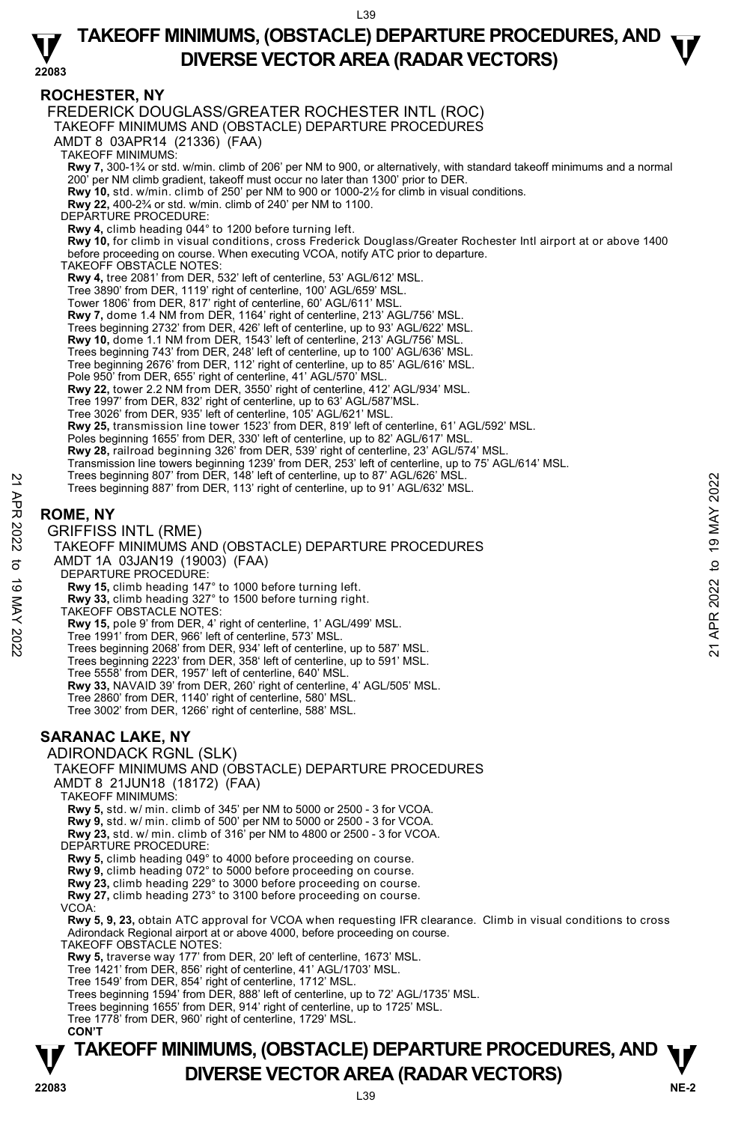#### **22083 TAKEOFF MINIMUMS, (OBSTACLE) DEPARTURE PROCEDURES, AND**  $\mathbf{\nabla}$ **DIVERSE VECTOR AREA (RADAR VECTORS)**

### **ROCHESTER, NY**

FREDERICK DOUGLASS/GREATER ROCHESTER INTL (ROC)

TAKEOFF MINIMUMS AND (OBSTACLE) DEPARTURE PROCEDURES

AMDT 8 03APR14 (21336) (FAA)

TAKEOFF MINIMUMS:

**Rwy 7,** 300-1¾ or std. w/min. climb of 206' per NM to 900, or alternatively, with standard takeoff minimums and a normal  $'$  per NM climb gradient, takeoff must occur no later than 1300' prior to DER.

**Rwy 10,** std. w/min. climb of 250' per NM to 900 or 1000-2½ for climb in visual conditions.

**Rwy 22,** 400-2¾ or std. w/min. climb of 240' per NM to 1100.

DEPARTURE PROCEDURE

**Rwy 4,** climb heading 044° to 1200 before turning left.

**Rwy 10,** for climb in visual conditions, cross Frederick Douglass/Greater Rochester Intl airport at or above 1400 before proceeding on course. When executing VCOA, notify ATC prior to departure.

TAKEOFF OBSTACLE NOTES:

**Rwy 4,** tree 2081' from DER, 532' left of centerline, 53' AGL/612' MSL.

- 
- Tree 3890' from DER, 1119' right of centerline, 100' AGL/659' MSL. Tower 1806' from DER, 817' right of centerline, 60' AGL/611' MSL.
- **Rwy 7,** dome 1.4 NM from DER, 1164' right of centerline, 213' AGL/756' MSL.

Trees beginning 2732' from DER, 426' left of centerline, up to 93' AGL/622' MSL.

**Rwy 10,** dome 1.1 NM from DER, 1543' left of centerline, 213' AGL/756' MSL.

Trees beginning 743' from DER, 248' left of centerline, up to 100' AGL/636' MSL. Tree beginning 2676' from DER, 112' right of centerline, up to 85' AGL/616' MSL.

- 
- Pole 950' from DER, 655' right of centerline, 41' AGL/570' MSL.

**Rwy 22,** tower 2.2 NM from DER, 3550' right of centerline, 412' AGL/934' MSL.

Tree 1997' from DER, 832' right of centerline, up to 63' AGL/587'MSL.

Tree 3026' from DER, 935' left of centerline, 105' AGL/621' MSL.

**Rwy 25,** transmission line tower 1523' from DER, 819' left of centerline, 61' AGL/592' MSL.

Poles beginning 1655' from DER, 330' left of centerline, up to 82' AGL/617' MSL.

**Rwy 28,** railroad beginning 326' from DER, 539' right of centerline, 23' AGL/574' MSL.

- Transmission line towers beginning 1239' from DER, 253' left of centerline, up to 75' AGL/614' MSL.<br>Trees beginning 807' from DER, 148' left of centerline, up to 87' AGL/626' MSL.
- Trees beginning 887' from DER, 113' right of centerline, up to 91' AGL/632' MSL.

### **ROME, NY**

GRIFFISS INTL (RME) TAKEOFF MINIMUMS AND (OBSTACLE) DEPARTURE PROCEDURES AMDT 1A 03JAN19 (19003) (FAA) DEPARTURE PROCEDURE: **Rwy 15,** climb heading 147° to 1000 before turning left. **Rwy 33,** climb heading 327° to 1500 before turning right. TAKEOFF OBSTACLE NOTES: **Rwy 15,** pole 9' from DER, 4' right of centerline, 1' AGL/499' MSL. Tree 1991' from DER, 966' left of centerline, 573' MSL. Trees beginning 2068' from DER, 934' left of centerline, up to 587' MSL. Trees beginning 2223' from DER, 358' left of centerline, up to 591' MSL. Tree 5558' from DER, 1957' left of centerline, 640' MSL. **Rwy 33,** NAVAID 39' from DER, 260' right of centerline, 4' AGL/505' MSL. Tree 2860' from DER, 1140' right of centerline, 580' MSL. Tree 3002' from DER, 1266' right of centerline, 588' MSL. **SARANAC LAKE, NY**  ADIRONDACK RGNL (SLK) TAKEOFF MINIMUMS AND (OBSTACLE) DEPARTURE PROCEDURES AMDT 8 21JUN18 (18172) (FAA) TAKEOFF MINIMUMS: **Rwy 5,** std. w/ min. climb of 345' per NM to 5000 or 2500 - 3 for VCOA. **Rwy 9,** std. w/ min. climb of 500' per NM to 5000 or 2500 - 3 for VCOA. **Rwy 23,** std. w/ min. climb of 316' per NM to 4800 or 2500 - 3 for VCOA. DEPARTURE PROCEDURE **Rwy 5,** climb heading 049° to 4000 before proceeding on course. **Rwy 9,** climb heading 072° to 5000 before proceeding on course. **Rwy 23,** climb heading 229° to 3000 before proceeding on course. **Rwy 27,** climb heading 273° to 3100 before proceeding on course. VCOA: **Rwy 5, 9, 23,** obtain ATC approval for VCOA when requesting IFR clearance. Climb in visual conditions to cross Adirondack Regional airport at or above 4000, before proceeding on course. TAKEOFF OBSTACLE NOTES: **Rwy 5,** traverse way 177' from DER, 20' left of centerline, 1673' MSL. Tree 1421' from DER, 856' right of centerline, 41' AGL/1703' MSL. Tree 1549' from DER, 854' right of centerline, 1712' MSL. Trees beginning 807 from DER, 148' left of centerline, up to 87' AGL/632' MSL.<br>
21 Trees beginning 887' from DER, 113' right of centerline, up to 91' AGL/632' MSL.<br>
22 GRIFFISS INTL (RME)<br>
22 TAKEOFF MINIMUMS AND (OBSTACLE

Trees beginning 1594' from DER, 888' left of centerline, up to 72' AGL/1735' MSL.

Trees beginning 1655' from DER, 914' right of centerline, up to 1725' MSL.

Tree 1778' from DER, 960' right of centerline, 1729' MSL. **CON'T** 

# **TAKEOFF MINIMUMS, (OBSTACLE) DEPARTURE PROCEDURES, AND**  $\Psi$ **DIVERSE VECTOR AREA (RADAR VECTORS) 22083**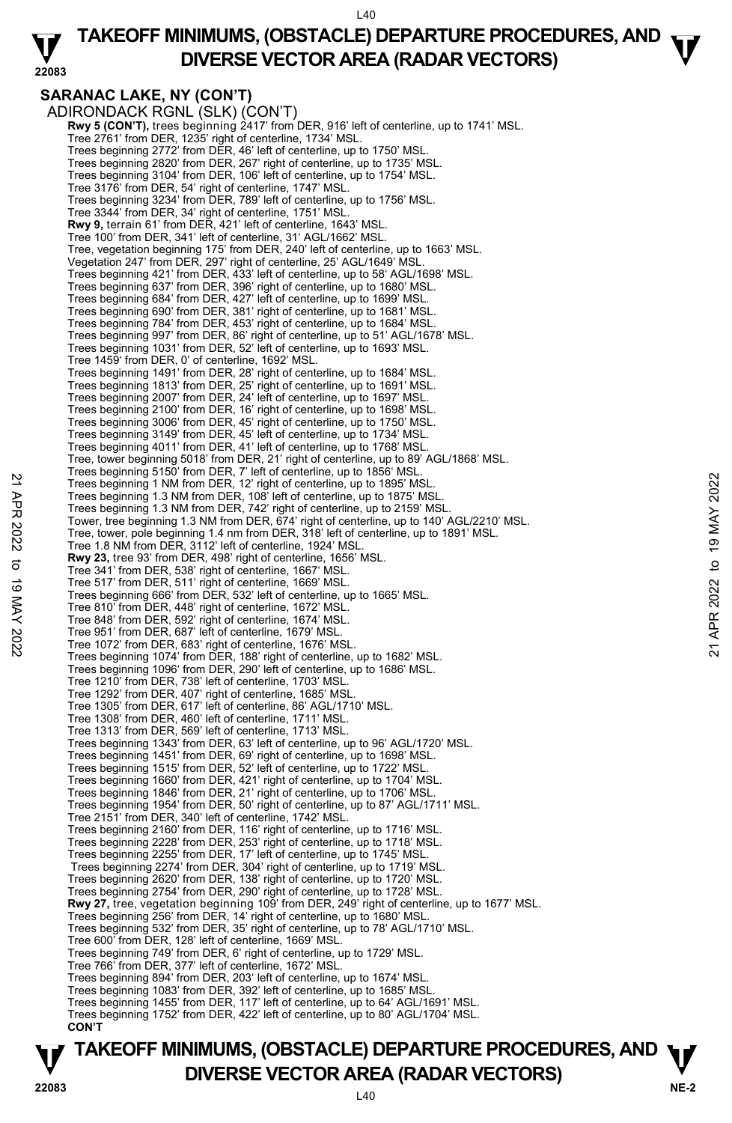$140$ 

#### **22083 TAKEOFF MINIMUMS, (OBSTACLE) DEPARTURE PROCEDURES, AND**  $\mathbf{\nabla}$ **DIVERSE VECTOR AREA (RADAR VECTORS)**

### **SARANAC LAKE, NY (CON'T)**

ADIRONDACK RGNL (SLK) (CON'T) **Rwy 5 (CON'T),** trees beginning 2417' from DER, 916' left of centerline, up to 1741' MSL. Tree 2761' from DER, 1235' right of centerline, 1734' MSL. Trees beginning 2772' from DER, 46' left of centerline, up to 1750' MSL. Trees beginning 2820' from DER, 267' right of centerline, up to 1735' MSL. Trees beginning 3104' from DER, 106' left of centerline, up to 1754' MSL. Tree 3176' from DER, 54' right of centerline, 1747' MSL. Trees beginning 3234' from DER, 789' left of centerline, up to 1756' MSL. Tree 3344' from DER, 34' right of centerline, 1751' MSL. **Rwy 9,** terrain 61' from DER, 421' left of centerline, 1643' MSL. Tree 100' from DER, 341' left of centerline, 31' AGL/1662' MSL. Tree, vegetation beginning 175' from DER, 240' left of centerline, up to 1663' MSL. Vegetation 247' from DER, 297' right of centerline, 25' AGL/1649' MSL. Trees beginning 421' from DER, 433' left of centerline, up to 58' AGL/1698' MSL. Trees beginning 637' from DER, 396' right of centerline, up to 1680' MSL. Trees beginning 684' from DER, 427' left of centerline, up to 1699' MSL. Trees beginning 690' from DER, 381' right of centerline, up to 1681' MSL. Trees beginning 784' from DER, 453' right of centerline, up to 1684' MSL. Trees beginning 997' from DER, 86' right of centerline, up to 51' AGL/1678' MSL. Trees beginning 1031' from DER, 52' left of centerline, up to 1693' MSL. Tree 1459' from DER, 0' of centerline, 1692' MSL. Trees beginning 1491' from DER, 28' right of centerline, up to 1684' MSL. Trees beginning 1813' from DER, 25' right of centerline, up to 1691' MSL.<br>Trees beginning 2007' from DER, 24' left of centerline, up to 1697' MSL.<br>Trees beginning 2100' from DER, 16' right of centerline, up to 1698' MSL. Trees beginning 3006' from DER, 45' right of centerline, up to 1750' MSL. Trees beginning 3149' from DER, 45' left of centerline, up to 1734' MSL. Trees beginning 4011' from DER, 41' left of centerline, up to 1768' MSL. Tree, tower beginning 5018' from DER, 21' right of centerline, up to 89' AGL/1868' MSL. Trees beginning 5150' from DER, 7' left of centerline, up to 1856' MSL. Trees beginning 1 NM from DER, 12' right of centerline, up to 1895' MSL. Trees beginning 1.3 NM from DER, 108' left of centerline, up to 1875' MSL. Trees beginning 1.3 NM from DER, 742' right of centerline, up to 2159' MSL. Tower, tree beginning 1.3 NM from DER, 674' right of centerline, up to 140' AGL/2210' MSL. Tree, tower, pole beginning 1.4 nm from DER, 318' left of centerline, up to 1891' MSL. Tree 1.8 NM from DER, 3112' left of centerline, 1924' MSL. **Rwy 23,** tree 93' from DER, 498' right of centerline, 1656' MSL. Tree 341' from DER, 538' right of centerline, 1667' MSL. Tree 517' from DER, 511' right of centerline, 1669' MSL. Trees beginning 666' from DER, 532' left of centerline, up to 1665' MSL. Tree 810' from DER, 448' right of centerline, 1672' MSL. Tree 848' from DER, 592' right of centerline, 1674' MSL. Tree 951' from DER, 687' left of centerline, 1679' MSL. Tree 1072' from DER, 683' right of centerline, 1676' MSL. Trees beginning 1074' from DER, 188' right of centerline, up to 1682' MSL. Trees beginning 1096' from DER, 290' left of centerline, up to 1686' MSL. Tree 1210' from DER, 738' left of centerline, 1703' MSL. Tree 1292' from DER, 407' right of centerline, 1685' MSL. Tree 1305' from DER, 617' left of centerline, 86' AGL/1710' MSL. Tree 1308' from DER, 460' left of centerline, 1711' MSL. Tree 1313' from DER, 569' left of centerline, 1713' MSL. Trees beginning 1343' from DER, 63' left of centerline, up to 96' AGL/1720' MSL. Trees beginning 1451' from DER, 69' right of centerline, up to 1698' MSL. Trees beginning 1515' from DER, 52' left of centerline, up to 1722' MSL. Trees beginning 1660' from DER, 421' right of centerline, up to 1704' MSL. Trees beginning 1846' from DER, 21' right of centerline, up to 1706' MSL. Trees beginning 1954' from DER, 50' right of centerline, up to 87' AGL/1711' MSL. Tree 2151' from DER, 340' left of centerline, 1742' MSL. Trees beginning 2160' from DER, 116' right of centerline, up to 1716' MSL. Trees beginning 2228' from DER, 253' right of centerline, up to 1718' MSL. Trees beginning 2255' from DER, 17' left of centerline, up to 1745' MSL. Trees beginning 2274' from DER, 304' right of centerline, up to 1719' MSL. Trees beginning 2620' from DER, 138' right of centerline, up to 1720' MSL. Trees beginning 2754' from DER, 290' right of centerline, up to 1728' MSL.<br>**Rwy 27,** tree, vegetation beginning 109' from DER, 249' right of centerline, up to 1677' MSL. Trees beginning 256' from DER, 14' right of centerline, up to 1680' MSL. Trees beginning 532' from DER, 35' right of centerline, up to 78' AGL/1710' MSL. Tree 600' from DER, 128' left of centerline, 1669' MSL. Trees beginning 749' from DER, 6' right of centerline, up to 1729' MSL. Tree 766' from DER, 377' left of centerline, 1672' MSL. Trees beginning 894' from DER, 203' left of centerline, up to 1674' MSL. Trees beginning 1083' from DER, 392' left of centerline, up to 1685' MSL. Trees beginning 1455' from DER, 117' left of centerline, up to 64' AGL/1691' MSL. Trees beginning 1752' from DER, 422' left of centerline, up to 80' AGL/1704' MSL. **CON'T**  22 Trees beginning 1 NM from DER, 12 right of centerline, up to 1895 MSL.<br>
Trees beginning 1 NM from DER, 12' right of centerline, up to 1875' MSL.<br>
Trees beginning 1.3 NM from DER, 742' right of centerline, up to 1875' M

### **NE-2** L40 **TAKEOFF MINIMUMS, (OBSTACLE) DEPARTURE PROCEDURES, AND**  $\Psi$ **P**<br>22083 **DIVERSE VECTOR AREA (RADAR VECTORS)**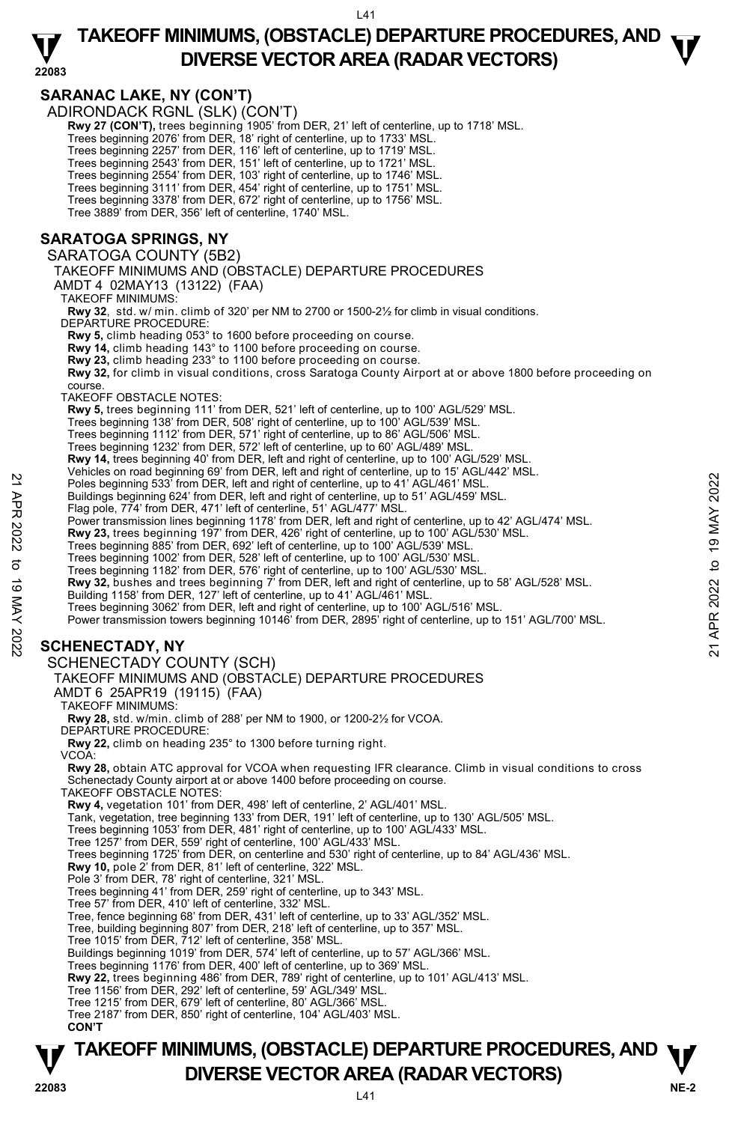### **22083 TAKEOFF MINIMUMS, (OBSTACLE) DEPARTURE PROCEDURES, AND**  $\mathbf{\nabla}$ **DIVERSE VECTOR AREA (RADAR VECTORS)**

### **SARANAC LAKE, NY (CON'T)**

ADIRONDACK RGNL (SLK) (CON'T)

**Rwy 27 (CON'T),** trees beginning 1905' from DER, 21' left of centerline, up to 1718' MSL.<br>Trees beginning 2076' from DER, 18' right of centerline, up to 1733' MSL.

Trees beginning 2257' from DER, 116' left of centerline, up to 1719' MSL.<br>Trees beginning 2543' from DER, 151' left of centerline, up to 1721' MSL.<br>Trees beginning 2554' from DER, 103' right of centerline, up to 1746' MSL.

Trees beginning 3111' from DER, 454' right of centerline, up to 1751' MSL.

Trees beginning 3378' from DER, 672' right of centerline, up to 1756' MSL.

Tree 3889' from DER, 356' left of centerline, 1740' MSL.

### **SARATOGA SPRINGS, NY**

SARATOGA COUNTY (5B2)

TAKEOFF MINIMUMS AND (OBSTACLE) DEPARTURE PROCEDURES

AMDT 4 02MAY13 (13122) (FAA)

TAKEOFF MINIMUMS:

**Rwy 32**, std. w/ min. climb of 320' per NM to 2700 or 1500-2½ for climb in visual conditions. DEPARTURE PROCEDURE:

**Rwy 5,** climb heading 053° to 1600 before proceeding on course.

**Rwy 14,** climb heading 143° to 1100 before proceeding on course.

**Rwy 23,** climb heading 233° to 1100 before proceeding on course.

**Rwy 32,** for climb in visual conditions, cross Saratoga County Airport at or above 1800 before proceeding on course.

TAKEOFF OBSTACLE NOTES:

**Rwy 5,** trees beginning 111' from DER, 521' left of centerline, up to 100' AGL/529' MSL.

Trees beginning 138' from DER, 508' right of centerline, up to 100' AGL/539' MSL.

Trees beginning 1112' from DER, 571' right of centerline, up to 86' AGL/506' MSL.

Trees beginning 1232' from DER, 572' left of centerline, up to 60' AGL/489' MSL.

**Rwy 14,** trees beginning 40' from DER, left and right of centerline, up to 100' AGL/529' MSL.

Vehicles on road beginning 69' from DER, left and right of centerline, up to 15' AGL/442' MSL.<br>Poles beginning 533' from DER, left and right of centerline, up to 41' AGL/461' MSL.

Buildings beginning 624' from DER, left and right of centerline, up to 51' AGL/459' MSL.

Flag pole, 774' from DER, 471' left of centerline, 51' AGL/477' MSL.<br>Power transmission lines beginning 1178' from DER, left and right of centerline, up to 42' AGL/474' MSL.

**Rwy 23,** trees beginning 197' from DER, 426' right of centerline, up to 100' AGL/530' MSL.

Trees beginning 885' from DER, 692' left of centerline, up to 100' AGL/539' MSL.

Trees beginning 1002' from DER, 528' left of centerline, up to 100' AGL/530' MSL.

Trees beginning 1182' from DER, 576' right of centerline, up to 100' AGL/530' MSL.

**Rwy 32,** bushes and trees beginning 7' from DER, left and right of centerline, up to 58' AGL/528' MSL.

Building 1158' from DER, 127' left of centerline, up to 41' AGL/461' MSL

Trees beginning 3062' from DER, left and right of centerline, up to 100' AGL/516' MSL.

Power transmission towers beginning 10146' from DER, 2895' right of centerline, up to 151' AGL/700' MSL. Poles beginning 533 from DER, left and right of centerline, up to 41' AGL/461' MSL.<br>
Buildings beginning 633' from DER, left and right of centerline, up to 51' AGL/461' MSL.<br>
Fig pole, 774' from DER, are are prime to the c

### **SCHENECTADY, NY**

SCHENECTADY COUNTY (SCH)

TAKEOFF MINIMUMS AND (OBSTACLE) DEPARTURE PROCEDURES

AMDT 6 25APR19 (19115) (FAA)

TAKEOFF MINIMUMS:

**Rwy 28,** std. w/min. climb of 288' per NM to 1900, or 1200-2½ for VCOA. DEPARTURE PROCEDURE:

**Rwy 22,** climb on heading 235° to 1300 before turning right.

VCOA:

**Rwy 28,** obtain ATC approval for VCOA when requesting IFR clearance. Climb in visual conditions to cross Schenectady County airport at or above 1400 before proceeding on course.

TAKEOFF OBSTACLE NOTES:

**Rwy 4,** vegetation 101' from DER, 498' left of centerline, 2' AGL/401' MSL.

Tank, vegetation, tree beginning 133' from DER, 191' left of centerline, up to 130' AGL/505' MSL.

Trees beginning 1053' from DER, 481' right of centerline, up to 100' AGL/433' MSL.

Tree 1257' from DER, 559' right of centerline, 100' AGL/433' MSL.

Trees beginning 1725' from DER, on centerline and 530' right of centerline, up to 84' AGL/436' MSL.

**Rwy 10,** pole 2' from DER, 81' left of centerline, 322' MSL.

Pole 3' from DER, 78' right of centerline, 321' MSL.

Trees beginning 41' from DER, 259' right of centerline, up to 343' MSL. Tree 57' from DER, 410' left of centerline, 332' MSL.

Tree, fence beginning 68' from DER, 431' left of centerline, up to 33' AGL/352' MSL.

Tree, building beginning 807' from DER, 218' left of centerline, up to 357' MSL. Tree 1015' from DER, 712' left of centerline, 358' MSL.

Buildings beginning 1019' from DER, 574' left of centerline, up to 57' AGL/366' MSL.

Trees beginning 1176' from DER, 400' left of centerline, up to 369' MSL.

**Rwy 22,** trees beginning 486' from DER, 789' right of centerline, up to 101' AGL/413' MSL.

Tree 1156' from DER, 292' left of centerline, 59' AGL/349' MSL.

Tree 1215' from DER, 679' left of centerline, 80' AGL/366' MSL.

Tree 2187' from DER, 850' right of centerline, 104' AGL/403' MSL.

**CON'T** 

### **NE-2** L41 **TAKEOFF MINIMUMS, (OBSTACLE) DEPARTURE PROCEDURES, AND**  $\Psi$ **P**<br>22083 **DIVERSE VECTOR AREA (RADAR VECTORS)**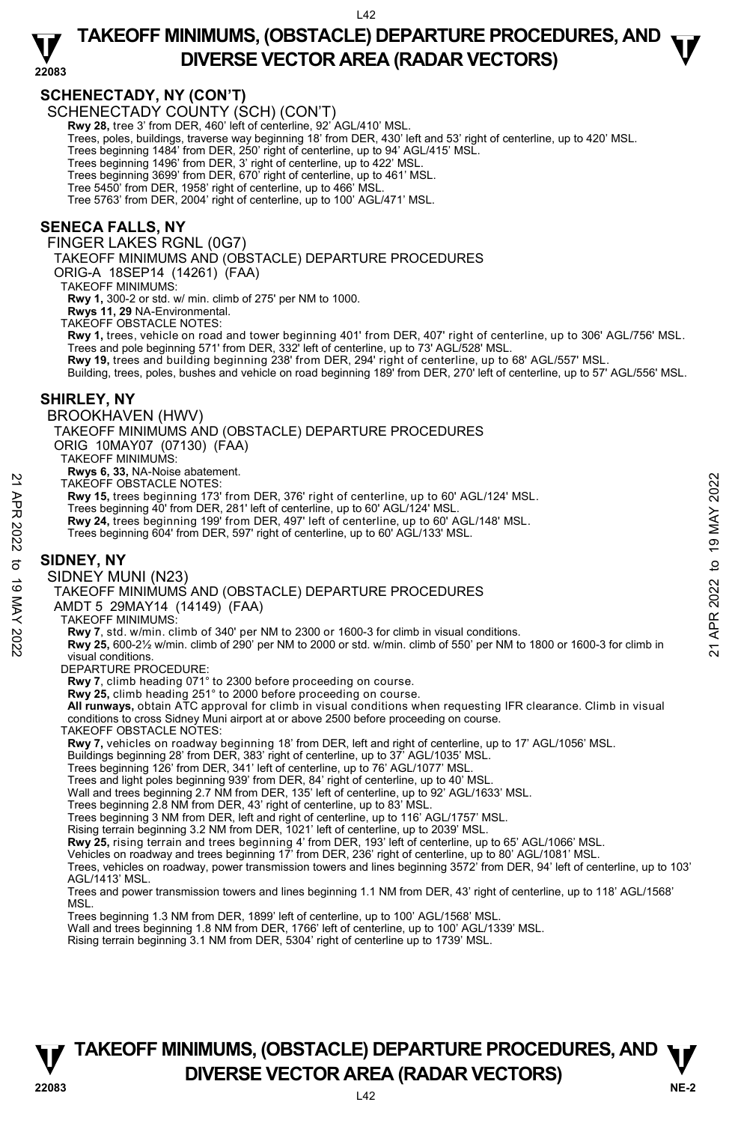$142$ 

### **22083 TAKEOFF MINIMUMS, (OBSTACLE) DEPARTURE PROCEDURES, AND**  $\mathbf{\nabla}$ **DIVERSE VECTOR AREA (RADAR VECTORS)**

### **SCHENECTADY, NY (CON'T)**

SCHENECTADY COUNTY (SCH) (CON'T) **Rwy 28,** tree 3' from DER, 460' left of centerline, 92' AGL/410' MSL. Trees, poles, buildings, traverse way beginning 18' from DER, 430' left and 53' right of centerline, up to 420' MSL. Trees beginning 1484' from DER, 250' right of centerline, up to 94' AGL/415' MSL. Trees beginning 1496' from DER, 3' right of centerline, up to 422' MSL. Trees beginning 3699' from DER, 670' right of centerline, up to 461' MSL. Tree 5450' from DER, 1958' right of centerline, up to 466' MSL. Tree 5763' from DER, 2004' right of centerline, up to 100' AGL/471' MSL. **SENECA FALLS, NY** 

FINGER LAKES RGNL (0G7)

TAKEOFF MINIMUMS AND (OBSTACLE) DEPARTURE PROCEDURES

ORIG-A 18SEP14 (14261) (FAA)

TAKEOFF MINIMUMS:

**Rwy 1,** 300-2 or std. w/ min. climb of 275' per NM to 1000.

**Rwys 11, 29** NA-Environmental.

TAKEOFF OBSTACLE NOTES:

**Rwy 1,** trees, vehicle on road and tower beginning 401' from DER, 407' right of centerline, up to 306' AGL/756' MSL.<br>Trees and pole beginning 571' from DER, 332' left of centerline, up to 73' AGL/528' MSL.

**Rwy 19,** trees and building beginning 238' from DER, 294' right of centerline, up to 68' AGL/557' MSL.

Building, trees, poles, bushes and vehicle on road beginning 189' from DER, 270' left of centerline, up to 57' AGL/556' MSL.

#### **SHIRLEY, NY**

BROOKHAVEN (HWV)

TAKEOFF MINIMUMS AND (OBSTACLE) DEPARTURE PROCEDURES

ORIG 10MAY07 (07130) (FAA)

TAKEOFF MINIMUMS:

**Rwys 6, 33,** NA-Noise abatement. TAKEOFF OBSTACLE NOTES:

**Rwy 15,** trees beginning 173' from DER, 376' right of centerline, up to 60' AGL/124' MSL.

Trees beginning 40' from DER, 281' left of centerline, up to 60' AGL/124' MSL.<br>**Rwy 24,** trees beginning 199' from DER, 497' left of centerline, up to 60' AGL/148' MSL.

Trees beginning 604' from DER, 597' right of centerline, up to 60' AGL/133' MSL.

### **SIDNEY, NY**

SIDNEY MUNI (N23)

TAKEOFF MINIMUMS AND (OBSTACLE) DEPARTURE PROCEDURES

AMDT 5 29MAY14 (14149) (FAA)

TAKEOFF MINIMUMS:

**Rwy 7**, std. w/min. climb of 340' per NM to 2300 or 1600-3 for climb in visual conditions.

**Rwy 25,** 600-2½ w/min. climb of 290' per NM to 2000 or std. w/min. climb of 550' per NM to 1800 or 1600-3 for climb in visual conditions. TAKEOFF OBSTACLE NOTES:<br>
TRAVEOFF OBSTACLE NOTES:<br>
TRAVEOFF OBSTACLE NOTES:<br>
Trees beginning 173' from DER, 376' right of centerline, up to 60' AGL/124' MSL.<br>
Trees beginning 404' from DER, 497' left of centerline, up to 6

DEPARTURE PROCEDURE:

**Rwy 7**, climb heading 071° to 2300 before proceeding on course. **Rwy 25,** climb heading 251° to 2000 before proceeding on course.

**All runways,** obtain ATC approval for climb in visual conditions when requesting IFR clearance. Climb in visual conditions to cross Sidney Muni airport at or above 2500 before proceeding on course.

TAKEOFF OBSTACLE NOTES:

**Rwy 7,** vehicles on roadway beginning 18' from DER, left and right of centerline, up to 17' AGL/1056' MSL.

Buildings beginning 28' from DER, 383' right of centerline, up to 37' AGL/1035' MSL. Trees beginning 126' from DER, 341' left of centerline, up to 76' AGL/1077' MSL.

Trees and light poles beginning 939' from DER, 84' right of centerline, up to 40' MSL.

Wall and trees beginning 2.7 NM from DER, 135' left of centerline, up to 92' AGL/1633' MSL.

Trees beginning 2.8 NM from DER, 43' right of centerline, up to 83' MSL.

Trees beginning 3 NM from DER, left and right of centerline, up to 116' AGL/1757' MSL.

Rising terrain beginning 3.2 NM from DER, 1021' left of centerline, up to 2039' MSL.

**Rwy 25,** rising terrain and trees beginning 4' from DER, 193' left of centerline, up to 65' AGL/1066' MSL.<br>Vehicles on roadway and trees beginning 17' from DER, 236' right of centerline, up to 80' AGL/1081' MSL.

Trees, vehicles on roadway, power transmission towers and lines beginning 3572' from DER, 94' left of centerline, up to 103' AGL/1413' MSL.

Trees and power transmission towers and lines beginning 1.1 NM from DER, 43' right of centerline, up to 118' AGL/1568' MSL.

Trees beginning 1.3 NM from DER, 1899' left of centerline, up to 100' AGL/1568' MSL.

Wall and trees beginning 1.8 NM from DER, 1766' left of centerline, up to 100' AGL/1339' MSL.<br>Rising terrain beginning 3.1 NM from DER, 5304' right of centerline up to 1739' MSL.

### **NE-2** L42 **TAKEOFF MINIMUMS, (OBSTACLE) DEPARTURE PROCEDURES, AND**  $\Psi$ **P**<br>22083 **DIVERSE VECTOR AREA (RADAR VECTORS)**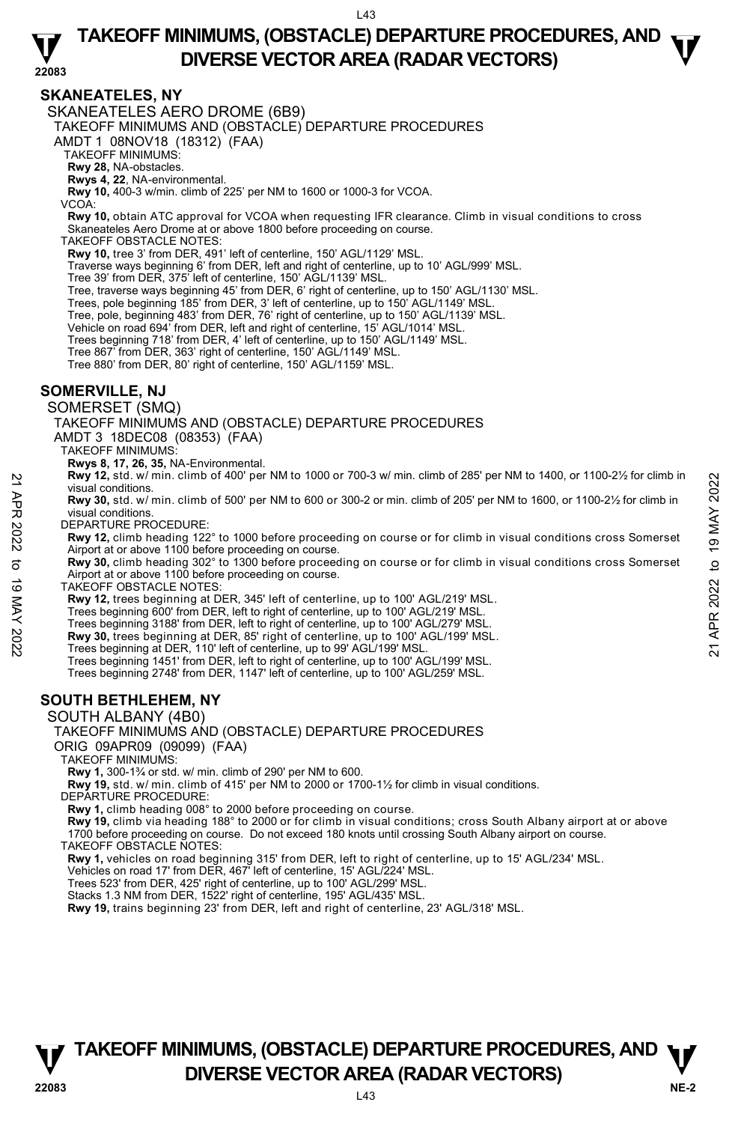### **22083 TAKEOFF MINIMUMS, (OBSTACLE) DEPARTURE PROCEDURES, AND**  $\mathbf{\nabla}$ **DIVERSE VECTOR AREA (RADAR VECTORS)**

#### **SKANEATELES, NY**

SKANEATELES AERO DROME (6B9)

TAKEOFF MINIMUMS AND (OBSTACLE) DEPARTURE PROCEDURES

AMDT 1 08NOV18 (18312) (FAA)

TAKEOFF MINIMUMS:

**Rwy 28,** NA-obstacles.

**Rwys 4, 22**, NA-environmental.

**Rwy 10,** 400-3 w/min. climb of 225' per NM to 1600 or 1000-3 for VCOA.

VCOA:

**Rwy 10,** obtain ATC approval for VCOA when requesting IFR clearance. Climb in visual conditions to cross Skaneateles Aero Drome at or above 1800 before proceeding on course.

TAKEOFF OBSTACLE NOTES:

**Rwy 10,** tree 3' from DER, 491' left of centerline, 150' AGL/1129' MSL.

Traverse ways beginning 6' from DER, left and right of centerline, up to 10' AGL/999' MSL.

Tree 39' from DER, 375' left of centerline, 150' AGL/1139' MSL.

Tree, traverse ways beginning 45' from DER, 6' right of centerline, up to 150' AGL/1130' MSL.

Trees, pole beginning 185' from DER, 3' left of centerline, up to 150' AGL/1149' MSL.

Tree, pole, beginning 483' from DER, 76' right of centerline, up to 150' AGL/1139' MSL.

Vehicle on road 694' from DER, left and right of centerline, 15' AGL/1014' MSL.

Trees beginning 718' from DER, 4' left of centerline, up to 150' AGL/1149' MSL.

Tree 867' from DER, 363' right of centerline, 150' AGL/1149' MSL.

Tree 880' from DER, 80' right of centerline, 150' AGL/1159' MSL.

#### **SOMERVILLE, NJ**

SOMERSET (SMQ)

TAKEOFF MINIMUMS AND (OBSTACLE) DEPARTURE PROCEDURES

AMDT 3 18DEC08 (08353) (FAA)

TAKEOFF MINIMUMS:

**Rwys 8, 17, 26, 35,** NA-Environmental.

**Rwy 12,** std. w/ min. climb of 400' per NM to 1000 or 700-3 w/ min. climb of 285' per NM to 1400, or 1100-2½ for climb in visual conditions.

**Rwy 30,** std. w/ min. climb of 500' per NM to 600 or 300-2 or min. climb of 205' per NM to 1600, or 1100-2½ for climb in visual conditions.

DEPARTURE PROCEDURE:

**Rwy 12,** climb heading 122° to 1000 before proceeding on course or for climb in visual conditions cross Somerset Airport at or above 1100 before proceeding on course. **EXAMP 12.** However that in the proceeding on course of or climb in visual conditions.<br>
Wisual conditions.<br> **PV APR 2022** to 19 MAY 2002 to 19 MAY 20022 or min. climb of 205' per NM to 1600, or 1100-21/<sub>2</sub> for climb in<br>
V

**Rwy 30,** climb heading 302° to 1300 before proceeding on course or for climb in visual conditions cross Somerset Airport at or above 1100 before proceeding on course.

TAKEOFF OBSTACLE NOTES:

**Rwy 12,** trees beginning at DER, 345' left of centerline, up to 100' AGL/219' MSL.

Trees beginning 600' from DER, left to right of centerline, up to 100' AGL/219' MSL.

Trees beginning 3188' from DER, left to right of centerline, up to 100' AGL/279' MSL.

**Rwy 30,** trees beginning at DER, 85' right of centerline, up to 100' AGL/199' MSL.<br>Trees beginning at DER, 110' left of centerline, up to 99' AGL/199' MSL.

Trees beginning 1451' from DER, left to right of centerline, up to 100' AGL/199' MSL.

Trees beginning 2748' from DER, 1147' left of centerline, up to 100' AGL/259' MSL.

### **SOUTH BETHLEHEM, NY**

SOUTH ALBANY (4B0)

#### TAKEOFF MINIMUMS AND (OBSTACLE) DEPARTURE PROCEDURES

ORIG 09APR09 (09099) (FAA)

TAKEOFF MINIMUMS:

**Rwy 1,** 300-1¾ or std. w/ min. climb of 290' per NM to 600.

**Rwy 19,** std. w/ min. climb of 415' per NM to 2000 or 1700-1½ for climb in visual conditions.

DEPARTURE PROCEDURE

**Rwy 1,** climb heading 008° to 2000 before proceeding on course.

**Rwy 19,** climb via heading 188° to 2000 or for climb in visual conditions; cross South Albany airport at or above 1700 before proceeding on course. Do not exceed 180 knots until crossing South Albany airport on course.

TAKEOFF OBSTACLE NOTES:

**Rwy 1,** vehicles on road beginning 315' from DER, left to right of centerline, up to 15' AGL/234' MSL.

Vehicles on road 17' from DER, 467' left of centerline, 15' AGL/224' MSL.

Trees 523' from DER, 425' right of centerline, up to 100' AGL/299' MSL. Stacks 1.3 NM from DER, 1522' right of centerline, 195' AGL/435' MSL.

**Rwy 19,** trains beginning 23' from DER, left and right of centerline, 23' AGL/318' MSL.

## **TAKEOFF MINIMUMS, (OBSTACLE) DEPARTURE PROCEDURES, AND**  $\Psi$ **P**<br>22083 **DIVERSE VECTOR AREA (RADAR VECTORS)**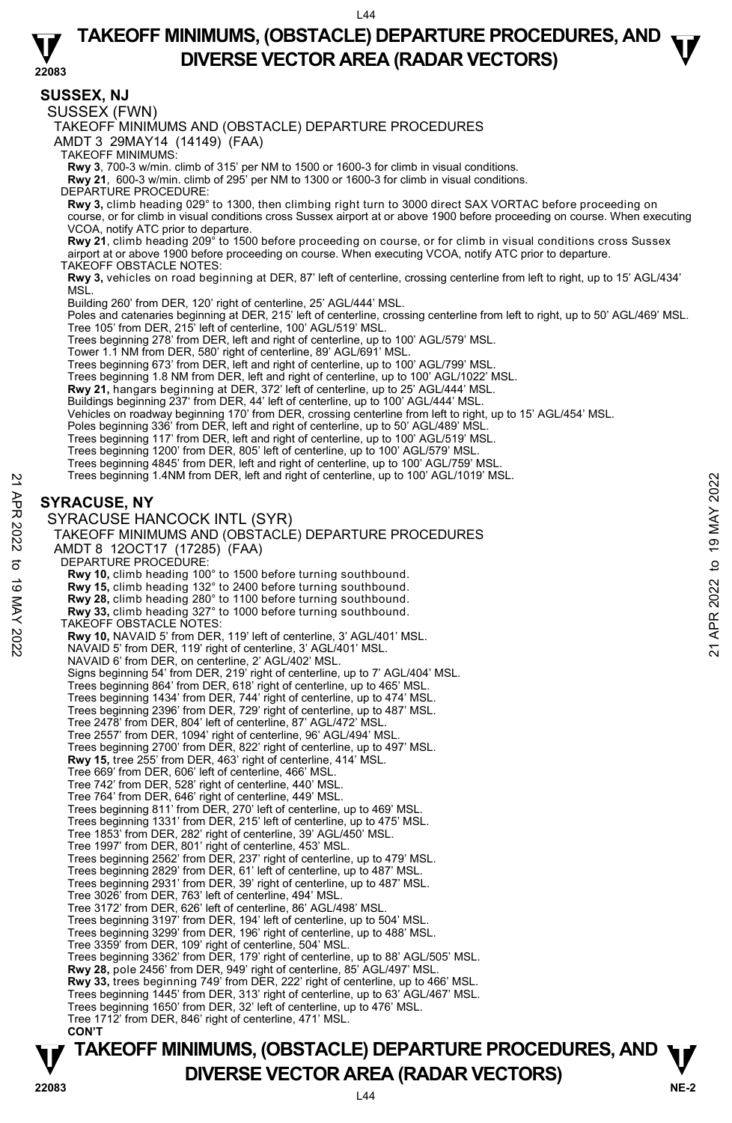### **TAKEOFF MINIMUMS, (OBSTACLE) DEPARTURE PROCEDURES, AND**  $\mathbf{\nabla}$ **DIVERSE VECTOR AREA (RADAR VECTORS)**

**22083 SUSSEX, NJ**  SUSSEX (FWN) TAKEOFF MINIMUMS AND (OBSTACLE) DEPARTURE PROCEDURES AMDT 3 29MAY14 (14149) (FAA) TAKEOFF MINIMUMS: **Rwy 3**, 700-3 w/min. climb of 315' per NM to 1500 or 1600-3 for climb in visual conditions. **Rwy 21**, 600-3 w/min. climb of 295' per NM to 1300 or 1600-3 for climb in visual conditions. DEPARTURE PROCEDURE: **Rwy 3,** climb heading 029° to 1300, then climbing right turn to 3000 direct SAX VORTAC before proceeding on course, or for climb in visual conditions cross Sussex airport at or above 1900 before proceeding on course. When executing VCOA, notify ATC prior to departure. **Rwy 21**, climb heading 209° to 1500 before proceeding on course, or for climb in visual conditions cross Sussex airport at or above 1900 before proceeding on course. When executing VCOA, notify ATC prior to departure. TAKEOFF OBSTACLE NOTES: **Rwy 3,** vehicles on road beginning at DER, 87' left of centerline, crossing centerline from left to right, up to 15' AGL/434' MSL. Building 260' from DER, 120' right of centerline, 25' AGL/444' MSL. Poles and catenaries beginning at DER, 215' left of centerline, crossing centerline from left to right, up to 50' AGL/469' MSL. Tree 105' from DER, 215' left of centerline, 100' AGL/519' MSL. Trees beginning 278' from DER, left and right of centerline, up to 100' AGL/579' MSL. Tower 1.1 NM from DER, 580' right of centerline, 89' AGL/691' MSL. Trees beginning 673' from DER, left and right of centerline, up to 100' AGL/799' MSL Trees beginning 1.8 NM from DER, left and right of centerline, up to 100' AGL/1022' MSL. **Rwy 21,** hangars beginning at DER, 372' left of centerline, up to 25' AGL/444' MSL. Buildings beginning 237' from DER, 44' left of centerline, up to 100' AGL/444' MSL. Vehicles on roadway beginning 170' from DER, crossing centerline from left to right, up to 15' AGL/454' MSL. Poles beginning 336' from DER, left and right of centerline, up to 50' AGL/489' MSL.<br>Trees beginning 117' from DER, left and right of centerline, up to 100' AGL/519' MSL. Trees beginning 1200' from DER, 805' left of centerline, up to 100' AGL/579' MSL. Trees beginning 4845' from DER, left and right of centerline, up to 100' AGL/759' MSL. Trees beginning 1.4NM from DER, left and right of centerline, up to 100' AGL/1019' MSL. **SYRACUSE, NY**  SYRACUSE HANCOCK INTL (SYR) TAKEOFF MINIMUMS AND (OBSTACLE) DEPARTURE PROCEDURES AMDT 8 12OCT17 (17285) (FAA) DEPARTURE PROCEDURE: **Rwy 10,** climb heading 100° to 1500 before turning southbound. **Rwy 15,** climb heading 132° to 2400 before turning southbound. **Rwy 28,** climb heading 280° to 1100 before turning southbound. **Rwy 33,** climb heading 327° to 1000 before turning southbound. TAKEOFF OBSTACLE NOTES: **Rwy 10,** NAVAID 5' from DER, 119' left of centerline, 3' AGL/401' MSL. NAVAID 5' from DER, 119' right of centerline, 3' AGL/401' MSL. NAVAID 6' from DER, on centerline, 2' AGL/402' MSL. Signs beginning 54' from DER, 219' right of centerline, up to 7' AGL/404' MSL. Trees beginning 864' from DER, 618' right of centerline, up to 465' MSL. Trees beginning 1434' from DER, 744' right of centerline, up to 474' MSL. Trees beginning 2396' from DER, 729' right of centerline, up to 487' MSL. Tree 2478' from DER, 804' left of centerline, 87' AGL/472' MSL. Tree 2557' from DER, 1094' right of centerline, 96' AGL/494' MSL. Trees beginning 2700' from DER, 822' right of centerline, up to 497' MSL. **Rwy 15,** tree 255' from DER, 463' right of centerline, 414' MSL. Tree 669' from DER, 606' left of centerline, 466' MSL. Tree 742' from DER, 528' right of centerline, 440' MSL. Tree 764' from DER, 646' right of centerline, 449' MSL. Trees beginning 811' from DER, 270' left of centerline, up to 469' MSL. Trees beginning 1331' from DER, 215' left of centerline, up to 475' MSL. Tree 1853' from DER, 282' right of centerline, 39' AGL/450' MSL. Tree 1997' from DER, 801' right of centerline, 453' MSL. Trees beginning 2562' from DER, 237' right of centerline, up to 479' MSL. Trees beginning 2829' from DER, 61' left of centerline, up to 487' MSL. Trees beginning 2931' from DER, 39' right of centerline, up to 487' MSL. Tree 3026' from DER, 763' left of centerline, 494' MSL. Tree 3172' from DER, 626' left of centerline, 86' AGL/498' MSL. Trees beginning 3197' from DER, 194' left of centerline, up to 504' MSL. Trees beginning 3299' from DER, 196' right of centerline, up to 488' MSL. Tree 3359' from DER, 109' right of centerline, 504' MSL. Trees beginning 3362' from DER, 179' right of centerline, up to 88' AGL/505' MSL. **Rwy 28,** pole 2456' from DER, 949' right of centerline, 85' AGL/497' MSL. **Rwy 33,** trees beginning 749' from DER, 222' right of centerline, up to 466' MSL. Trees beginning 1445' from DER, 313' right of centerline, up to 63' AGL/467' MSL. Trees beginning 1650' from DER, 32' left of centerline, up to 476' MSL. Tree 1712' from DER, 846' right of centerline, 471' MSL. **CON'T**  Trees beginning 1.4NM from DER, left and right of centerline, up to 100' AGL/1019' MSL.<br>
22 SYRACUSE HANCOCK INTL (SYR)<br>
TAKEOFF MINIMUMS AND (OBSTACLE) DEPARTURE PROCEDURES<br>
22 TAKEOFF MINIMUMS AND (OBSTACLE) DEPARTURE P

### **NE-2** L44 **TAKEOFF MINIMUMS, (OBSTACLE) DEPARTURE PROCEDURES, AND**  $\Psi$ **P**<br>22083 **DIVERSE VECTOR AREA (RADAR VECTORS)**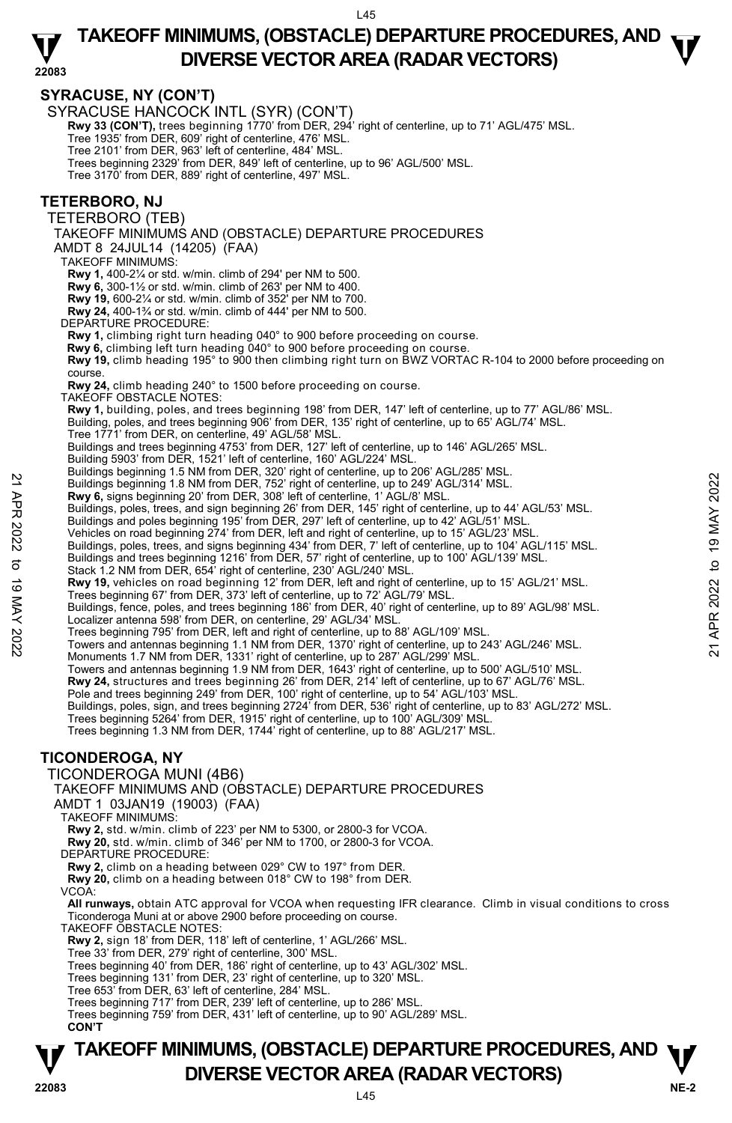$145$ 

## **TAKEOFF MINIMUMS, (OBSTACLE) DEPARTURE PROCEDURES, AND**  $\mathbf{\nabla}$ **DIVERSE VECTOR AREA (RADAR VECTORS)**

#### **22083 SYRACUSE, NY (CON'T)**  SYRACUSE HANCOCK INTL (SYR) (CON'T) **Rwy 33 (CON'T),** trees beginning 1770' from DER, 294' right of centerline, up to 71' AGL/475' MSL.<br>Tree 1935' from DER, 609' right of centerline, 476' MSL. Tree 2101' from DER, 963' left of centerline, 484' MSL. Trees beginning 2329' from DER, 849' left of centerline, up to 96' AGL/500' MSL. Tree 3170' from DER, 889' right of centerline, 497' MSL. **TETERBORO, NJ**  TETERBORO (TEB) TAKEOFF MINIMUMS AND (OBSTACLE) DEPARTURE PROCEDURES AMDT 8 24JUL14 (14205) (FAA) TAKEOFF MINIMUMS: **Rwy 1,** 400-2¼ or std. w/min. climb of 294' per NM to 500. **Rwy 6,** 300-1½ or std. w/min. climb of 263' per NM to 400. **Rwy 19,** 600-2¼ or std. w/min. climb of 352' per NM to 700. **Rwy 24,** 400-1¾ or std. w/min. climb of 444' per NM to 500. DEPARTURE PROCEDURE: **Rwy 1,** climbing right turn heading 040° to 900 before proceeding on course. **Rwy 6,** climbing left turn heading 040° to 900 before proceeding on course. **Rwy 19,** climb heading 195° to 900 then climbing right turn on BWZ VORTAC R-104 to 2000 before proceeding on course. **Rwy 24,** climb heading 240° to 1500 before proceeding on course. TAKEOFF OBSTACLE NOTES: **Rwy 1,** building, poles, and trees beginning 198' from DER, 147' left of centerline, up to 77' AGL/86' MSL. Building, poles, and trees beginning 906' from DER, 135' right of centerline, up to 65' AGL/74' MSL. Tree 1771' from DER, on centerline, 49' AGL/58' MSL. Buildings and trees beginning 4753' from DER, 127' left of centerline, up to 146' AGL/265' MSL. Building 5903' from DER, 1521' left of centerline, 160' AGL/224' MSL. Buildings beginning 1.5 NM from DER, 320' right of centerline, up to 206' AGL/285' MSL.<br>Buildings beginning 1.8 NM from DER, 752' right of centerline, up to 249' AGL/314' MSL. **Rwy 6,** signs beginning 20' from DER, 308' left of centerline, 1' AGL/8' MSL. Buildings, poles, trees, and sign beginning 26' from DER, 145' right of centerline, up to 44' AGL/53' MSL.<br>Buildings and poles beginning 195' from DER, 297' left of centerline, up to 42' AGL/51' MSL. Vehicles on road beginning 274' from DER, left and right of centerline, up to 15' AGL/23' MSL. Buildings, poles, trees, and signs beginning 434' from DER, 7' left of centerline, up to 104' AGL/115' MSL.<br>Buildings and trees beginning 1216' from DER, 57' right of centerline, up to 100' AGL/139' MSL. Stack 1.2 NM from DER, 654' right of centerline, 230' AGL/240' MSL **Rwy 19,** vehicles on road beginning 12' from DER, left and right of centerline, up to 15' AGL/21' MSL. Trees beginning 67' from DER, 373' left of centerline, up to 72' AGL/79' MSL. Buildings, fence, poles, and trees beginning 186' from DER, 40' right of centerline, up to 89' AGL/98' MSL. Localizer antenna 598' from DER, on centerline, 29' AGL/34' MSL. Trees beginning 795' from DER, left and right of centerline, up to 88' AGL/109' MSL. Towers and antennas beginning 1.1 NM from DER, 1370' right of centerline, up to 243' AGL/246' MSL. Monuments 1.7 NM from DER, 1331' right of centerline, up to 287' AGL/299' MSL. Towers and antennas beginning 1.9 NM from DER, 1643' right of centerline, up to 500' AGL/510' MSL. **Rwy 24,** structures and trees beginning 26' from DER, 214' left of centerline, up to 67' AGL/76' MSL.<br>Pole and trees beginning 249' from DER, 100' right of centerline, up to 54' AGL/103' MSL. Buildings, poles, sign, and trees beginning 2724' from DER, 536' right of centerline, up to 83' AGL/272' MSL. Trees beginning 5264' from DER, 1915' right of centerline, up to 100' AGL/309' MSL. Trees beginning 1.3 NM from DER, 1744' right of centerline, up to 88' AGL/217' MSL. **TICONDEROGA, NY**  TICONDEROGA MUNI (4B6) TAKEOFF MINIMUMS AND (OBSTACLE) DEPARTURE PROCEDURES AMDT 1 03JAN19 (19003) (FAA) TAKEOFF MINIMUMS: **Rwy 2,** std. w/min. climb of 223' per NM to 5300, or 2800-3 for VCOA. **Rwy 20,** std. w/min. climb of 346' per NM to 1700, or 2800-3 for VCOA. DEPARTURE PROCEDURE: 22 Buildings beginning 1.8 NM from DER, 752 right of centerline, up to 249 'AGL/314' MSL.<br>
22 Buildings beginning 20' from DER, 752 right of centerline, up to 249 'AGL/314' MSL.<br>
22 Ruildings and poles, trees, and sign be

**Rwy 2,** climb on a heading between 029° CW to 197° from DER.

**Rwy 20,** climb on a heading between 018° CW to 198° from DER.

VCOA:

**All runways,** obtain ATC approval for VCOA when requesting IFR clearance. Climb in visual conditions to cross Ticonderoga Muni at or above 2900 before proceeding on course.

TAKEOFF OBSTACLE NOTES:

**Rwy 2,** sign 18' from DER, 118' left of centerline, 1' AGL/266' MSL.

Tree 33' from DER, 279' right of centerline, 300' MSL.

Trees beginning 40' from DER, 186' right of centerline, up to 43' AGL/302' MSL. Trees beginning 131' from DER, 23' right of centerline, up to 320' MSL.

Tree 653' from DER, 63' left of centerline, 284' MSL.

Trees beginning 717' from DER, 239' left of centerline, up to 286' MSL.

Trees beginning 759' from DER, 431' left of centerline, up to 90' AGL/289' MSL. **CON'T** 

### **NE-2** L45 **TAKEOFF MINIMUMS, (OBSTACLE) DEPARTURE PROCEDURES, AND**  $\Psi$ **P**<br>22083 **DIVERSE VECTOR AREA (RADAR VECTORS)**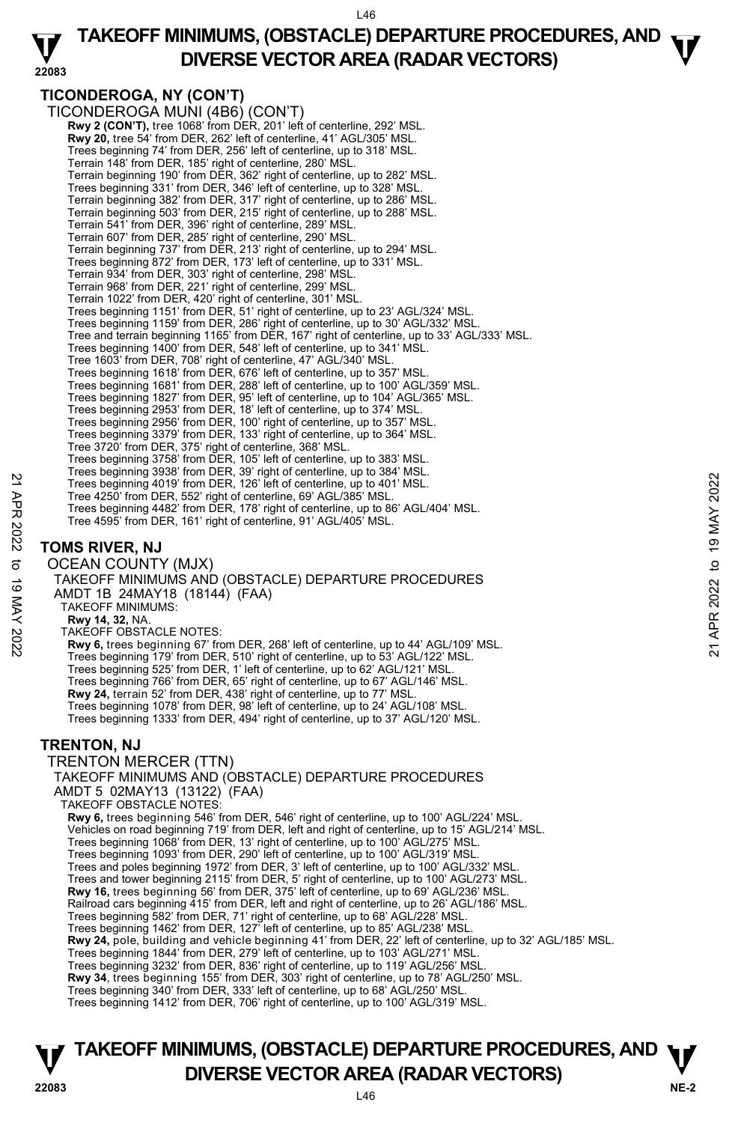#### **22083 TAKEOFF MINIMUMS, (OBSTACLE) DEPARTURE PROCEDURES, AND**  $\mathbf{\nabla}$ **DIVERSE VECTOR AREA (RADAR VECTORS)**

### **TICONDEROGA, NY (CON'T)**

TICONDEROGA MUNI (4B6) (CON'T) **Rwy 2 (CON'T),** tree 1068' from DER, 201' left of centerline, 292' MSL. **Rwy 20,** tree 54' from DER, 262' left of centerline, 41' AGL/305' MSL. Trees beginning 74' from DER, 256' left of centerline, up to 318' MSL. Terrain 148' from DER, 185' right of centerline, 280' MSL. Terrain beginning 190' from DER, 362' right of centerline, up to 282' MSL. Trees beginning 331' from DER, 346' left of centerline, up to 328' MSL. Terrain beginning 382' from DER, 317' right of centerline, up to 286' MSL. Terrain beginning 503' from DER, 215' right of centerline, up to 288' MSL. Terrain 541' from DER, 396' right of centerline, 289' MSL. Terrain 607' from DER, 285' right of centerline, 290' MSL. Terrain beginning 737' from DER, 213' right of centerline, up to 294' MSL. Trees beginning 872' from DER, 173' left of centerline, up to 331' MSL. Terrain 934' from DER, 303' right of centerline, 298' MSL. Terrain 968' from DER, 221' right of centerline, 299' MSL. Terrain 1022' from DER, 420' right of centerline, 301' MSL. Trees beginning 1151' from DER, 51' right of centerline, up to 23' AGL/324' MSL. Trees beginning 1159' from DER, 286' right of centerline, up to 30' AGL/332' MSL. Tree and terrain beginning 1165' from DER, 167' right of centerline, up to 33' AGL/333' MSL. Trees beginning 1400' from DER, 548' left of centerline, up to 341' MSL. Tree 1603' from DER, 708' right of centerline, 47' AGL/340' MSL. Trees beginning 1618' from DER, 676' left of centerline, up to 357' MSL. Trees beginning 1681' from DER, 288' left of centerline, up to 100' AGL/359' MSL. Trees beginning 1827' from DER, 95' left of centerline, up to 104' AGL/365' MSL. Trees beginning 2953' from DER, 18' left of centerline, up to 374' MSL. Trees beginning 2956' from DER, 100' right of centerline, up to 357' MSL. Trees beginning 3379' from DER, 133' right of centerline, up to 364' MSL. Tree 3720' from DER, 375' right of centerline, 368' MSL. Trees beginning 3758' from DER, 105' left of centerline, up to 383' MSL. Trees beginning 3938' from DER, 39' right of centerline, up to 384' MSL. Trees beginning 4019' from DER, 126' left of centerline, up to 401' MSL. Tree 4250' from DER, 552' right of centerline, 69' AGL/385' MSL. Trees beginning 4482' from DER, 178' right of centerline, up to 86' AGL/404' MSL. Tree 4595' from DER, 161' right of centerline, 91' AGL/405' MSL.

### **TOMS RIVER, NJ**

OCEAN COUNTY (MJX) TAKEOFF MINIMUMS AND (OBSTACLE) DEPARTURE PROCEDURES AMDT 1B 24MAY18 (18144) (FAA) TAKEOFF MINIMUMS: **Rwy 14, 32,** NA. TAKEOFF OBSTACLE NOTES: **Rwy 6,** trees beginning 67' from DER, 268' left of centerline, up to 44' AGL/109' MSL. Trees beginning 179' from DER, 510' right of centerline, up to 53' AGL/122' MSL. Trees beginning 525' from DER, 1' left of centerline, up to 62' AGL/121' MSL. Trees beginning 766' from DER, 65' right of centerline, up to 67' AGL/146' MSL. **Rwy 24,** terrain 52' from DER, 438' right of centerline, up to 77' MSL. Trees beginning 1078' from DER, 98' left of centerline, up to 24' AGL/108' MSL. Trees beginning 1333' from DER, 494' right of centerline, up to 37' AGL/120' MSL. **TRENTON, NJ**  TRENTON MERCER (TTN) TAKEOFF MINIMUMS AND (OBSTACLE) DEPARTURE PROCEDURES AMDT 5 02MAY13 (13122) (FAA) TAKEOFF OBSTACLE NOTES: **Rwy 6,** trees beginning 546' from DER, 546' right of centerline, up to 100' AGL/224' MSL. Vehicles on road beginning 719' from DER, left and right of centerline, up to 15' AGL/214' MSL. Trees beginning 1068' from DER, 13' right of centerline, up to 100' AGL/275' MSL. Trees beginning 1093' from DER, 290' left of centerline, up to 100' AGL/319' MSL. Trees and poles beginning 1972' from DER, 3' left of centerline, up to 100' AGL/332' MSL. Trees and tower beginning 2115' from DER, 5' right of centerline, up to 100' AGL/273' MSL. Trees beginning 4019' from DER, 126' left of centerline, up to 401' MSL.<br>
Trees beginning 4019' from DER, 126' left of centerline, up to 401' MSL.<br>
Trees beginning 4019' from DER, 126' left of centerline, up to 86' AGL/404

**Rwy 16,** trees beginning 56' from DER, 375' left of centerline, up to 69' AGL/236' MSL.<br>Railroad cars beginning 415' from DER, left and right of centerline, up to 26' AGL/186' MSL.

Trees beginning 582' from DER, 71' right of centerline, up to 68' AGL/228' MSL.

Trees beginning 1462' from DER, 127' left of centerline, up to 85' AGL/238' MSL.<br>**Rwy 24,** pole, building and vehicle beginning 41' from DER, 22' left of centerline, up to 32' AGL/185' MSL.

Trees beginning 1844' from DER, 279' left of centerline, up to 103' AGL/271' MSL.

Trees beginning 3232' from DER, 836' right of centerline, up to 119' AGL/256' MSL. **Rwy 34**, trees beginning 155' from DER, 303' right of centerline, up to 78' AGL/250' MSL.

Trees beginning 340' from DER, 333' left of centerline, up to 68' AGL/250' MSL.

Trees beginning 1412' from DER, 706' right of centerline, up to 100' AGL/319' MSL.

### **NE-2** L46 **TAKEOFF MINIMUMS, (OBSTACLE) DEPARTURE PROCEDURES, AND**  $\Psi$ **P**<br>22083 **DIVERSE VECTOR AREA (RADAR VECTORS)**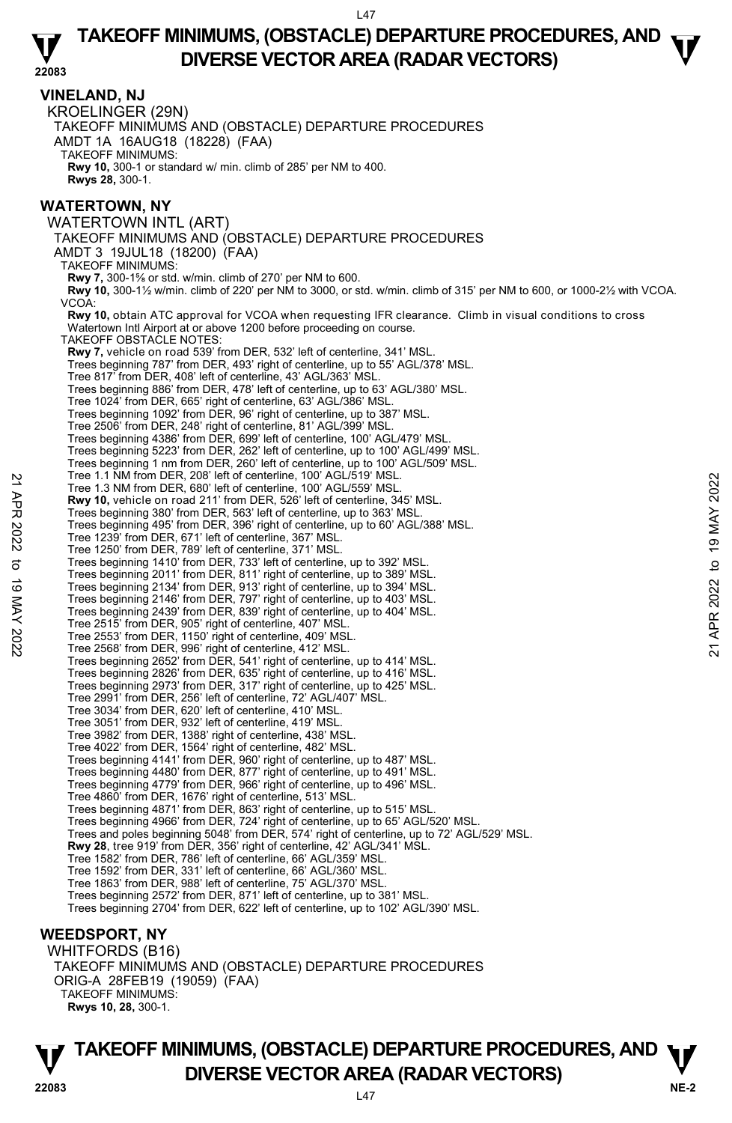$147$ 

#### **22083 TAKEOFF MINIMUMS, (OBSTACLE) DEPARTURE PROCEDURES, AND**  $\mathbf{\nabla}$ **DIVERSE VECTOR AREA (RADAR VECTORS)**

**VINELAND, NJ**  KROELINGER (29N) TAKEOFF MINIMUMS AND (OBSTACLE) DEPARTURE PROCEDURES AMDT 1A 16AUG18 (18228) (FAA) TAKEOFF MINIMUMS: **Rwy 10,** 300-1 or standard w/ min. climb of 285' per NM to 400. **Rwys 28,** 300-1. **WATERTOWN, NY**  WATERTOWN INTL (ART) TAKEOFF MINIMUMS AND (OBSTACLE) DEPARTURE PROCEDURES AMDT 3 19JUL18 (18200) (FAA) TAKEOFF MINIMUMS: **Rwy 7,** 300-1⅝ or std. w/min. climb of 270' per NM to 600. **Rwy 10,** 300-1½ w/min. climb of 220' per NM to 3000, or std. w/min. climb of 315' per NM to 600, or 1000-2½ with VCOA. VCOA: **Rwy 10,** obtain ATC approval for VCOA when requesting IFR clearance. Climb in visual conditions to cross Watertown Intl Airport at or above 1200 before proceeding on course. TAKEOFF OBSTACLE NOTES: **Rwy 7,** vehicle on road 539' from DER, 532' left of centerline, 341' MSL. Trees beginning 787' from DER, 493' right of centerline, up to 55' AGL/378' MSL. Tree 817' from DER, 408' left of centerline, 43' AGL/363' MSL. Trees beginning 886' from DER, 478' left of centerline, up to 63' AGL/380' MSL. Tree 1024' from DER, 665' right of centerline, 63' AGL/386' MSL. Trees beginning 1092' from DER, 96' right of centerline, up to 387' MSL. Tree 2506' from DER, 248' right of centerline, 81' AGL/399' MSL. Trees beginning 4386' from DER, 699' left of centerline, 100' AGL/479' MSL. Trees beginning 5223' from DER, 262' left of centerline, up to 100' AGL/499' MSL. Trees beginning 1 nm from DER, 260' left of centerline, up to 100' AGL/509' MSL. Tree 1.1 NM from DER, 208' left of centerline, 100' AGL/519' MSL. Tree 1.3 NM from DER, 680' left of centerline, 100' AGL/559' MSL. **Rwy 10,** vehicle on road 211' from DER, 526' left of centerline, 345' MSL. Trees beginning 380' from DER, 563' left of centerline, up to 363' MSL. Trees beginning 495' from DER, 396' right of centerline, up to 60' AGL/388' MSL. Tree 1239' from DER, 671' left of centerline, 367' MSL. Tree 1250' from DER, 789' left of centerline, 371' MSL. Trees beginning 1410' from DER, 733' left of centerline, up to 392' MSL. Trees beginning 2011' from DER, 811' right of centerline, up to 389' MSL. Trees beginning 2134' from DER, 913' right of centerline, up to 394' MSL. Trees beginning 2146' from DER, 797' right of centerline, up to 403' MSL. Trees beginning 2439' from DER, 839' right of centerline, up to 404' MSL. Tree 2515' from DER, 905' right of centerline, 407' MSL. Tree 2553' from DER, 1150' right of centerline, 409' MSL. Tree 2568' from DER, 996' right of centerline, 412' MSL. Trees beginning 2652' from DER, 541' right of centerline, up to 414' MSL. Trees beginning 2826' from DER, 635' right of centerline, up to 416' MSL. Trees beginning 2973' from DER, 317' right of centerline, up to 425' MSL. Tree 2991' from DER, 256' left of centerline, 72' AGL/407' MSL. Tree 3034' from DER, 620' left of centerline, 410' MSL. Tree 3051' from DER, 932' left of centerline, 419' MSL. Tree 3982' from DER, 1388' right of centerline, 438' MSL. Tree 4022' from DER, 1564' right of centerline, 482' MSL. Trees beginning 4141' from DER, 960' right of centerline, up to 487' MSL. Trees beginning 4480' from DER, 877' right of centerline, up to 491' MSL. Trees beginning 4779' from DER, 966' right of centerline, up to 496' MSL. Tree 4860' from DER, 1676' right of centerline, 513' MSL. Trees beginning 4871' from DER, 863' right of centerline, up to 515' MSL. Trees beginning 4966' from DER, 724' right of centerline, up to 65' AGL/520' MSL. Trees and poles beginning 5048' from DER, 574' right of centerline, up to 72' AGL/529' MSL. **Rwy 28**, tree 919' from DER, 356' right of centerline, 42' AGL/341' MSL. Tree 1582' from DER, 786' left of centerline, 66' AGL/359' MSL. Tree 1592' from DER, 331' left of centerline, 66' AGL/360' MSL. Tree 1863' from DER, 988' left of centerline, 75' AGL/370' MSL. Trees beginning 2572' from DER, 871' left of centerline, up to 381' MSL. Trees beginning 2704' from DER, 622' left of centerline, up to 102' AGL/390' MSL. **WEEDSPORT, NY**  WHITFORDS (B16) Tree 1.3 NM from DER, 880' left of centerline, 100' AGL/559' MSL.<br>
Tree 1.3 NM from DER, 680' left of centerline, 100' AGL/559' MSL.<br> **Rwy 10**, vehicle on road 211' from DER, 526' left of centerline, up to 363' MSL.<br>
Tree

TAKEOFF MINIMUMS AND (OBSTACLE) DEPARTURE PROCEDURES ORIG-A 28FEB19 (19059) (FAA) TAKEOFF MINIMUMS: **Rwys 10, 28,** 300-1.

**NE-2** L47 **TAKEOFF MINIMUMS, (OBSTACLE) DEPARTURE PROCEDURES, AND**  $\Psi$ **P**<br>22083 **DIVERSE VECTOR AREA (RADAR VECTORS)**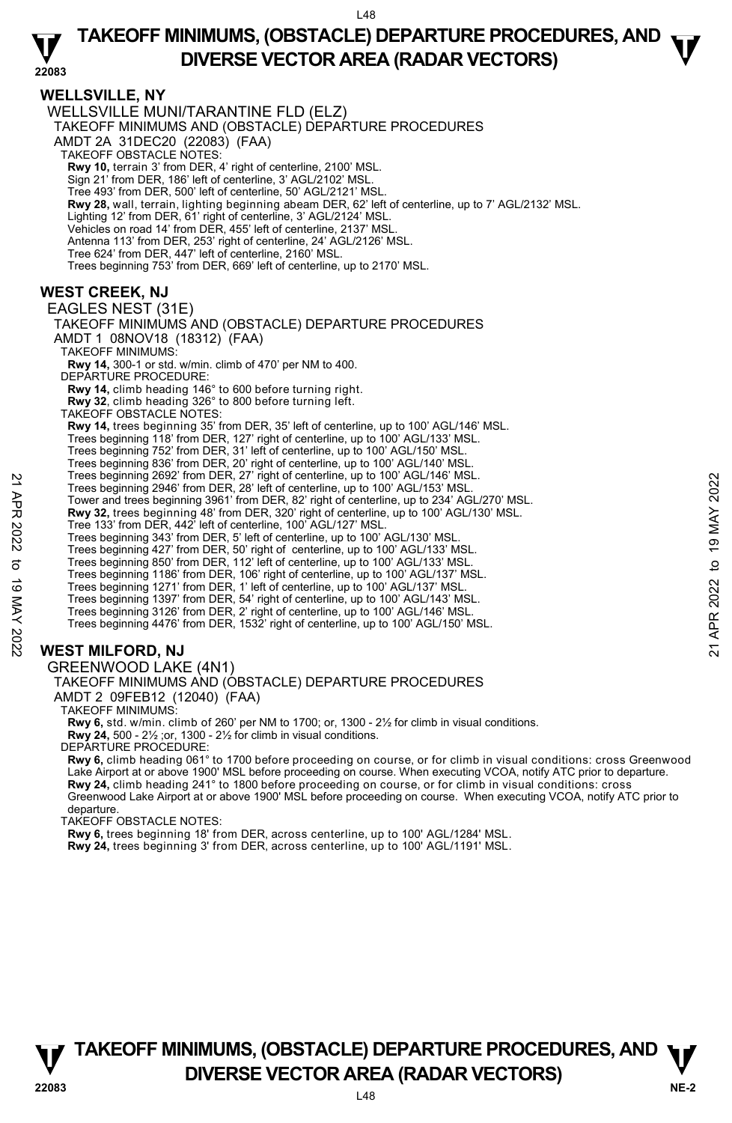### **22083 TAKEOFF MINIMUMS, (OBSTACLE) DEPARTURE PROCEDURES, AND**  $\mathbf{\nabla}$ **DIVERSE VECTOR AREA (RADAR VECTORS)**

**WELLSVILLE, NY**  WELLSVILLE MUNI/TARANTINE FLD (ELZ) TAKEOFF MINIMUMS AND (OBSTACLE) DEPARTURE PROCEDURES AMDT 2A 31DEC20 (22083) (FAA) TAKEOFF OBSTACLE NOTES: **Rwy 10,** terrain 3' from DER, 4' right of centerline, 2100' MSL. Sign 21' from DER, 186' left of centerline, 3' AGL/2102' MSL. Tree 493' from DER, 500' left of centerline, 50' AGL/2121' MSL. **Rwy 28,** wall, terrain, lighting beginning abeam DER, 62' left of centerline, up to 7' AGL/2132' MSL. Lighting 12' from DER, 61' right of centerline, 3' AGL/2124' MSL. Vehicles on road 14' from DER, 455' left of centerline, 2137' MSL. Antenna 113' from DER, 253' right of centerline, 24' AGL/2126' MSL. Tree 624' from DER, 447' left of centerline, 2160' MSL. Trees beginning 753' from DER, 669' left of centerline, up to 2170' MSL. **WEST CREEK, NJ**  EAGLES NEST (31E) TAKEOFF MINIMUMS AND (OBSTACLE) DEPARTURE PROCEDURES AMDT 1 08NOV18 (18312) (FAA) TAKEOFF MINIMUMS: **Rwy 14,** 300-1 or std. w/min. climb of 470' per NM to 400. DEPARTURE PROCEDURE: **Rwy 14,** climb heading 146° to 600 before turning right. **Rwy 32**, climb heading 326° to 800 before turning left. TAKEOFF OBSTACLE NOTES: **Rwy 14,** trees beginning 35' from DER, 35' left of centerline, up to 100' AGL/146' MSL. Trees beginning 118' from DER, 127' right of centerline, up to 100' AGL/133' MSL. Trees beginning 752' from DER, 31' left of centerline, up to 100' AGL/150' MSL. Trees beginning 836' from DER, 20' right of centerline, up to 100' AGL/140' MSI Trees beginning 2692' from DER, 27' right of centerline, up to 100' AGL/146' MSL. Trees beginning 2946' from DER, 28' left of centerline, up to 100' AGL/153' MSL. Tower and trees beginning 3961' from DER, 82' right of centerline, up to 234' AGL/270' MSL. **Rwy 32,** trees beginning 48' from DER, 320' right of centerline, up to 100' AGL/130' MSL. Tree 133' from DER, 442' left of centerline, 100' AGL/127' MSL. Trees beginning 343' from DER, 5' left of centerline, up to 100' AGL/130' MSL. Trees beginning 427' from DER, 50' right of centerline, up to 100' AGL/133' MSL.<br>Trees beginning 850' from DER, 112' left of centerline, up to 100' AGL/133' MSL.<br>Trees beginning 1186' from DER, 106' right of centerline, u Trees beginning 1271' from DER, 1' left of centerline, up to 100' AGL/137' MSL. Trees beginning 1397' from DER, 54' right of centerline, up to 100' AGL/143' MSL. Trees beginning 3126' from DER, 2' right of centerline, up to 100' AGL/146' MSL. Trees beginning 4476' from DER, 1532' right of centerline, up to 100' AGL/150' MSL. Trees beginning 2992' from DER, 27' right of centerline, up to 100' AGL/145° MSL.<br>
Tower and trees beginning 3961' from DER, 82' right of centerline, up to 100' AGL/153° MSL.<br> **EVALUATION 1998** Tom DER, 1920' right of cen

### **WEST MILFORD, NJ**

#### GREENWOOD LAKE (4N1) TAKEOFF MINIMUMS AND (OBSTACLE) DEPARTURE PROCEDURES AMDT 2 09FEB12 (12040) (FAA)

TAKEOFF MINIMUMS:

**Rwy 6,** std. w/min. climb of 260' per NM to 1700; or, 1300 - 2½ for climb in visual conditions. **Rwy 24,** 500 - 2½ ;or, 1300 - 2½ for climb in visual conditions. DEPARTURE PROCEDURE:

**Rwy 6,** climb heading 061° to 1700 before proceeding on course, or for climb in visual conditions: cross Greenwood Lake Airport at or above 1900' MSL before proceeding on course. When executing VCOA, notify ATC prior to departure. **Rwy 24,** climb heading 241° to 1800 before proceeding on course, or for climb in visual conditions: cross Greenwood Lake Airport at or above 1900' MSL before proceeding on course. When executing VCOA, notify ATC prior to departure.

TAKEOFF OBSTACLE NOTES:

**Rwy 6,** trees beginning 18' from DER, across centerline, up to 100' AGL/1284' MSL.

**Rwy 24,** trees beginning 3' from DER, across centerline, up to 100' AGL/1191' MSL.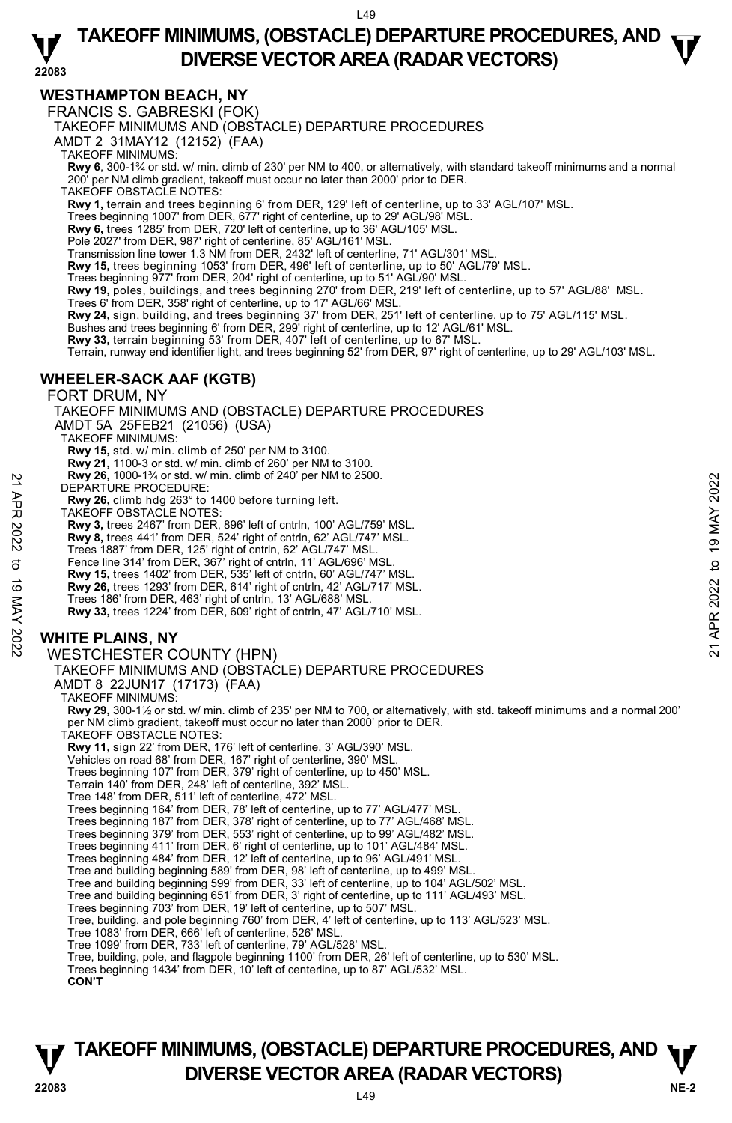$149$ 

#### **22083 TAKEOFF MINIMUMS, (OBSTACLE) DEPARTURE PROCEDURES, AND**  $\mathbf{\nabla}$ **DIVERSE VECTOR AREA (RADAR VECTORS)**

### **WESTHAMPTON BEACH, NY**

FRANCIS S. GABRESKI (FOK)

TAKEOFF MINIMUMS AND (OBSTACLE) DEPARTURE PROCEDURES

AMDT 2 31MAY12 (12152) (FAA)

TAKEOFF MINIMUMS:

**Rwy 6**, 300-1¾ or std. w/ min. climb of 230' per NM to 400, or alternatively, with standard takeoff minimums and a normal per NM climb gradient, takeoff must occur no later than 2000' prior to DER.

TAKEOFF OBSTACLE NOTES:

**Rwy 1,** terrain and trees beginning 6' from DER, 129' left of centerline, up to 33' AGL/107' MSL.

Trees beginning 1007' from DER, 677' right of centerline, up to 29' AGL/98' MSL.<br>**Rwy 6,** trees 1285' from DER, 720' left of centerline, up to 36' AGL/105' MSL.

Pole 2027' from DER, 987' right of centerline, 85' AGL/161' MSL.

Transmission line tower 1.3 NM from DER, 2432' left of centerline, 71' AGL/301' MSL.

**Rwy 15,** trees beginning 1053' from DER, 496' left of centerline, up to 50' AGL/79' MSL.

Trees beginning 977' from DER, 204' right of centerline, up to 51' AGL/90' MSL.

- **Rwy 19,** poles, buildings, and trees beginning 270' from DER, 219' left of centerline, up to 57' AGL/88' MSL.<br>Trees 6' from DER, 358' right of centerline, up to 17' AGL/66' MSL.
- 

**Rwy 24,** sign, building, and trees beginning 37' from DER, 251' left of centerline, up to 75' AGL/115' MSL.

Bushes and trees beginning 6' from DER, 299' right of centerline, up to 12' AGL/61' MSL.

**Rwy 33,** terrain beginning 53' from DER, 407' left of centerline, up to 67' MSL.

Terrain, runway end identifier light, and trees beginning 52' from DER, 97' right of centerline, up to 29' AGL/103' MSL.

### **WHEELER-SACK AAF (KGTB)**

### FORT DRUM, NY

TAKEOFF MINIMUMS AND (OBSTACLE) DEPARTURE PROCEDURES

AMDT 5A 25FEB21 (21056) (USA) TAKEOFF MINIMUMS:

**Rwy 15,** std. w/ min. climb of 250' per NM to 3100.

- **Rwy 21,** 1100-3 or std. w/ min. climb of 260' per NM to 3100. **Rwy 26,** 1000-1¾ or std. w/ min. climb of 240' per NM to 2500.
- DEPARTURE PROCEDURE:
- **Rwy 26,** climb hdg 263° to 1400 before turning left. TAKEOFF OBSTACLE NOTES:

**Rwy 3,** trees 2467' from DER, 896' left of cntrln, 100' AGL/759' MSL.

**Rwy 8,** trees 441' from DER, 524' right of cntrln, 62' AGL/747' MSL.

Trees 1887' from DER, 125' right of cntrln, 62' AGL/747' MSL. Fence line 314' from DER, 367' right of cntrln, 11' AGL/696' MSL.

- **Rwy 15,** trees 1402' from DER, 535' left of cntrln, 60' AGL/747' MSL.
- **Rwy 26,** trees 1293' from DER, 614' right of cntrln, 42' AGL/717' MSL. DEPARTURE PROCEDURE:<br>
DEPARTURE PROCEDURE:<br>
TAKEOFF OBSTACLE NOTES:<br>
TAW 26, climb hdg 263° to 1400 before turning left.<br>
TAKEOFF OBSTACLE NOTES:<br>
Rwy 3, trees 1867 from DER, 524' right of cntrln, 100' AGL/759' MSL.<br>
Rwy
	- Trees 186' from DER, 463' right of cntrln, 13' AGL/688' MSL.
	- **Rwy 33,** trees 1224' from DER, 609' right of cntrln, 47' AGL/710' MSL.

### **WHITE PLAINS, NY**

#### WESTCHESTER COUNTY (HPN)

TAKEOFF MINIMUMS AND (OBSTACLE) DEPARTURE PROCEDURES

AMDT 8 22JUN17 (17173) (FAA)

TAKEOFF MINIMUMS:

**Rwy 29,** 300-1½ or std. w/ min. climb of 235' per NM to 700, or alternatively, with std. takeoff minimums and a normal 200' per NM climb gradient, takeoff must occur no later than 2000' prior to DER.

TAKEOFF OBSTACLE NOTES:

**Rwy 11,** sign 22' from DER, 176' left of centerline, 3' AGL/390' MSL.

Vehicles on road 68' from DER, 167' right of centerline, 390' MSL. Trees beginning 107' from DER, 379' right of centerline, up to 450' MSL.

Terrain 140' from DER, 248' left of centerline, 392' MSL.

Tree 148' from DER, 511' left of centerline, 472' MSL.<br>Trees beginning 164' from DER, 78' left of centerline, up to 77' AGL/477' MSL.<br>Trees beginning 187' from DER, 378' right of centerline, up to 77' AGL/468' MSL.

Trees beginning 379' from DER, 553' right of centerline, up to 99' AGL/482' MSL.

Trees beginning 411' from DER, 6' right of centerline, up to 101' AGL/484' MSL. Trees beginning 484' from DER, 12' left of centerline, up to 96' AGL/491' MSL.

Tree and building beginning 589' from DER, 98' left of centerline, up to 499' MSL.

Tree and building beginning 599' from DER, 33' left of centerline, up to 104' AGL/502' MSL. Tree and building beginning 651' from DER, 3' right of centerline, up to 111' AGL/493' MSL.

Trees beginning 703' from DER, 19' left of centerline, up to 507' MSL.

Tree, building, and pole beginning 760' from DER, 4' left of centerline, up to 113' AGL/523' MSL.

Tree 1083' from DER, 666' left of centerline, 526' MSL. Tree 1099' from DER, 733' left of centerline, 79' AGL/528' MSL.

Tree, building, pole, and flagpole beginning 1100' from DER, 26' left of centerline, up to 530' MSL.

Trees beginning 1434' from DER, 10' left of centerline, up to 87' AGL/532' MSL.

**CON'T**

### **NE-2** L49 **TAKEOFF MINIMUMS, (OBSTACLE) DEPARTURE PROCEDURES, AND**  $\Psi$ **P**<br>22083 **DIVERSE VECTOR AREA (RADAR VECTORS)**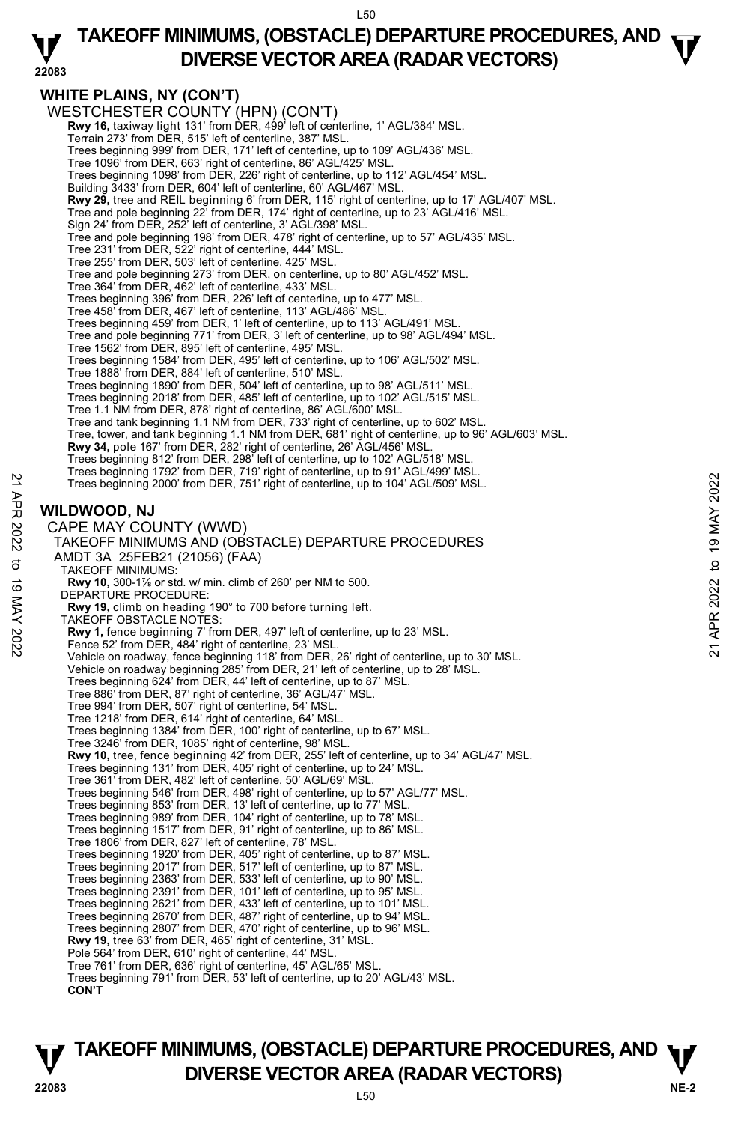### **22083 TAKEOFF MINIMUMS, (OBSTACLE) DEPARTURE PROCEDURES, AND**  $\mathbf{\nabla}$ **DIVERSE VECTOR AREA (RADAR VECTORS)**

### **WHITE PLAINS, NY (CON'T)**

WESTCHESTER COUNTY (HPN) (CON'T) **Rwy 16,** taxiway light 131' from DER, 499<sup>'</sup> left of centerline, 1' AGL/384' MSL Terrain 273' from DER, 515' left of centerline, 387' MSL. Trees beginning 999' from DER, 171' left of centerline, up to 109' AGL/436' MSL. Tree 1096' from DER, 663' right of centerline, 86' AGL/425' MSL. Trees beginning 1098' from DER, 226' right of centerline, up to 112' AGL/454' MSL. Building 3433' from DER, 604' left of centerline, 60' AGL/467' MSL.  **Rwy 29,** tree and REIL beginning 6' from DER, 115' right of centerline, up to 17' AGL/407' MSL. Tree and pole beginning 22' from DER, 174' right of centerline, up to 23' AGL/416' MSL. Sign 24' from DER, 252' left of centerline, 3' AGL/398' MSL. Tree and pole beginning 198' from DER, 478' right of centerline, up to 57' AGL/435' MSL. Tree 231' from DER, 522' right of centerline, 444' MSL. Tree 255' from DER, 503' left of centerline, 425' MSL. Tree and pole beginning 273' from DER, on centerline, up to 80' AGL/452' MSL. Tree 364' from DER, 462' left of centerline, 433' MSL. Trees beginning 396' from DER, 226' left of centerline, up to 477' MSL. Tree 458' from DER, 467' left of centerline, 113' AGL/486' MSL. Trees beginning 459' from DER, 1' left of centerline, up to 113' AGL/491' MSL. Tree and pole beginning 771' from DER, 3' left of centerline, up to 98' AGL/494' MSL. Tree 1562' from DER, 895' left of centerline, 495' MSL. Trees beginning 1584' from DER, 495' left of centerline, up to 106' AGL/502' MSL. Tree 1888' from DER, 884' left of centerline, 510' MSL. Trees beginning 1890' from DER, 504' left of centerline, up to 98' AGL/511' MSL. Trees beginning 2018' from DER, 485' left of centerline, up to 102' AGL/515' MSL. Tree 1.1 NM from DER, 878' right of centerline, 86' AGL/600' MSL. Tree and tank beginning 1.1 NM from DER, 733' right of centerline, up to 602' MSL. Tree, tower, and tank beginning 1.1 NM from DER, 681' right of centerline, up to 96' AGL/603' MSL. **Rwy 34,** pole 167' from DER, 282' right of centerline, 26' AGL/456' MSL. Trees beginning 812' from DER, 298' left of centerline, up to 102' AGL/518' MSL. Trees beginning 1792' from DER, 719' right of centerline, up to 91' AGL/499' MSL. Trees beginning 2000' from DER, 751' right of centerline, up to 104' AGL/509' MSL. **WILDWOOD, NJ**  CAPE MAY COUNTY (WWD) TAKEOFF MINIMUMS AND (OBSTACLE) DEPARTURE PROCEDURES AMDT 3A 25FEB21 (21056) (FAA) TAKEOFF MINIMUMS: **Rwy 10,** 300-1⅞ or std. w/ min. climb of 260' per NM to 500. DEPARTURE PROCEDURE: **Rwy 19,** climb on heading 190° to 700 before turning left. TAKEOFF OBSTACLE NOTES: **Rwy 1,** fence beginning 7' from DER, 497' left of centerline, up to 23' MSL.<br>Fence 52' from DER, 484' right of centerline, 23' MSL. Vehicle on roadway, fence beginning 118' from DER, 26' right of centerline, up to 30' MSL. Vehicle on roadway beginning 285' from DER, 21' left of centerline, up to 28' MSL. Trees beginning 624' from DER, 44' left of centerline, up to 87' MSL. Tree 886' from DER, 87' right of centerline, 36' AGL/47' MSL. Tree 994' from DER, 507' right of centerline, 54' MSL. Tree 1218' from DER, 614' right of centerline, 64' MSL. Trees beginning 1384' from DER, 100' right of centerline, up to 67' MSL. Tree 3246' from DER, 1085' right of centerline, 98' MSL. **Rwy 10,** tree, fence beginning 42' from DER, 255' left of centerline, up to 34' AGL/47' MSL.<br>Trees beginning 131' from DER, 405' right of centerline, up to 24' MSL. Tree 361' from DER, 482' left of centerline, 50' AGL/69' MSL. Trees beginning 546' from DER, 498' right of centerline, up to 57' AGL/77' MSL. Trees beginning 853' from DER, 13' left of centerline, up to 77' MSL. Trees beginning 989' from DER, 104' right of centerline, up to 78' MSL. Trees beginning 1517' from DER, 91' right of centerline, up to 86' MSL. Tree 1806' from DER, 827' left of centerline, 78' MSL. Trees beginning 1920' from DER, 405' right of centerline, up to 87' MSL. Trees beginning 2017' from DER, 517' left of centerline, up to 87' MSL. Trees beginning 2363' from DER, 533' left of centerline, up to 90' MSL. Trees beginning 2391' from DER, 101' left of centerline, up to 95' MSL. Trees beginning 2621' from DER, 433' left of centerline, up to 101' MSL. Trees beginning 2670' from DER, 487' right of centerline, up to 94' MSL. Trees beginning 2807' from DER, 470' right of centerline, up to 96' MSL. **Rwy 19,** tree 63' from DER, 465' right of centerline, 31' MSL. Pole 564' from DER, 610' right of centerline, 44' MSL. Tree 761' from DER, 636' right of centerline, 45' AGL/65' MSL. Trees beginning 791' from DER, 53' left of centerline, up to 20' AGL/43' MSL. **CON'T**  Trees beginning 2000' from DER, 751 right of centerline, up to 104 AGL/509' MSL.<br>
22 Trees beginning 2000' from DER, 751 right of centerline, up to 104 AGL/509' MSL.<br>
22 CAPE MAY COUNTY (WWD)<br>
TAKEOFF MINIMUMS AND (OBSTACL

**NE-2** L50 **TAKEOFF MINIMUMS, (OBSTACLE) DEPARTURE PROCEDURES, AND**  $\Psi$ **DIVERSE VECTOR AREA (RADAR VECTORS) 22083**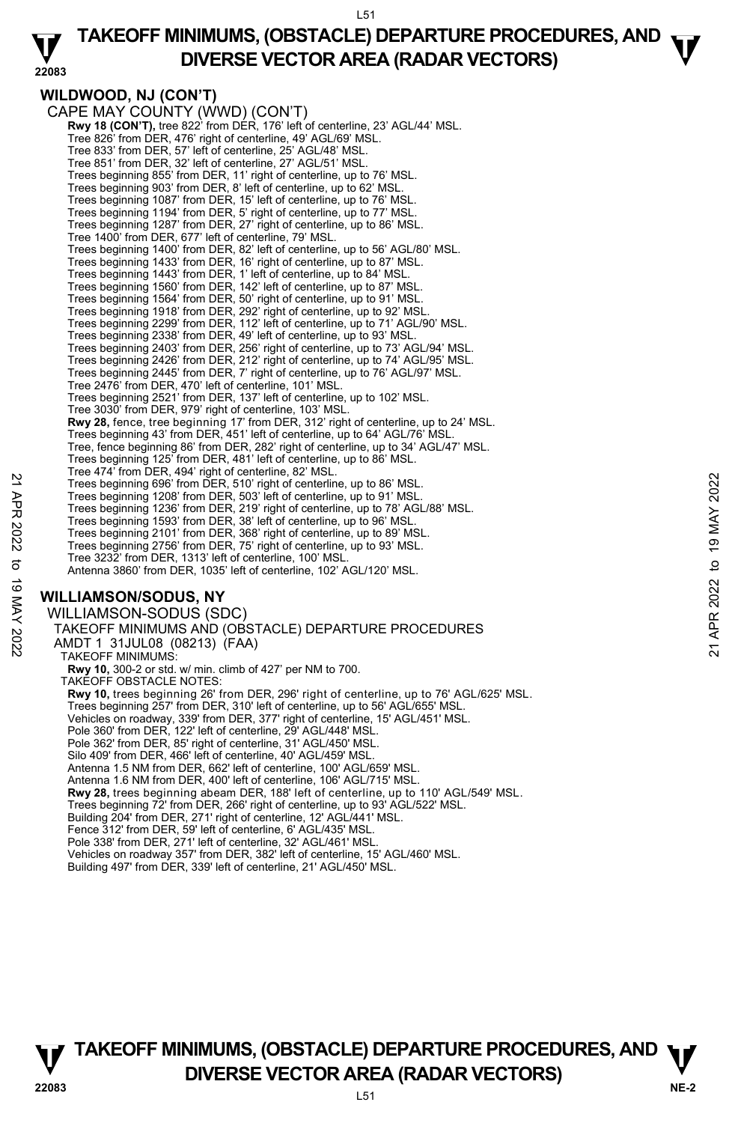#### **22083 TAKEOFF MINIMUMS, (OBSTACLE) DEPARTURE PROCEDURES, AND**  $\mathbf{\nabla}$ **DIVERSE VECTOR AREA (RADAR VECTORS)**

## **WILDWOOD, NJ (CON'T)**

CAPE MAY COUNTY (WWD) (CON'T)  **Rwy 18 (CON'T),** tree 822' from DER, 176' left of centerline, 23' AGL/44' MSL. Tree 826' from DER, 476' right of centerline, 49' AGL/69' MSL. Tree 833' from DER, 57' left of centerline, 25' AGL/48' MSL. Tree 851' from DER, 32' left of centerline, 27' AGL/51' MSL. Trees beginning 855' from DER, 11' right of centerline, up to 76' MSL. Trees beginning 903' from DER, 8' left of centerline, up to 62' MSL. Trees beginning 1087' from DER, 15' left of centerline, up to 76' MSL. Trees beginning 1194' from DER, 5' right of centerline, up to 77' MSL. Trees beginning 1287' from DER, 27' right of centerline, up to 86' MSL. Tree 1400' from DER, 677' left of centerline, 79' MSL. Trees beginning 1400' from DER, 82' left of centerline, up to 56' AGL/80' MSL. Trees beginning 1433' from DER, 16' right of centerline, up to 87' MSL. Trees beginning 1443' from DER, 1' left of centerline, up to 84' MSL. Trees beginning 1560' from DER, 142' left of centerline, up to 87' MSL. Trees beginning 1564' from DER, 50' right of centerline, up to 91' MSL. Trees beginning 1918' from DER, 292' right of centerline, up to 92' MSL. Trees beginning 2299' from DER, 112' left of centerline, up to 71' AGL/90' MSL. Trees beginning 2338' from DER, 49' left of centerline, up to 93' MSL. Trees beginning 2403' from DER, 256' right of centerline, up to 73' AGL/94' MSL. Trees beginning 2426' from DER, 212' right of centerline, up to 74' AGL/95' MSL. Trees beginning 2445' from DER, 7' right of centerline, up to 76' AGL/97' MSL. Tree 2476' from DER, 470' left of centerline, 101' MSL. Trees beginning 2521' from DER, 137' left of centerline, up to 102' MSL. Tree 3030' from DER, 979' right of centerline, 103' MSL. **Rwy 28,** fence, tree beginning 17' from DER, 312' right of centerline, up to 24' MSL.<br>Trees beginning 43' from DER, 451' left of centerline, up to 64' AGL/76' MSL. Tree, fence beginning 86' from DER, 282' right of centerline, up to 34' AGL/47' MSL. Trees beginning 125' from DER, 481' left of centerline, up to 86' MSL. Tree 474' from DER, 494' right of centerline, 82' MSL. Trees beginning 696' from DER, 510' right of centerline, up to 86' MSL. Trees beginning 1208' from DER, 503' left of centerline, up to 91' MSL. Trees beginning 1236' from DER, 219' right of centerline, up to 78' AGL/88' MSL. Trees beginning 1593' from DER, 38' left of centerline, up to 96' MSL. Trees beginning 2101' from DER, 368' right of centerline, up to 89' MSL. Trees beginning 2756' from DER, 75' right of centerline, up to 93' MSL. Tree 3232' from DER, 1313' left of centerline, 100' MSL. Antenna 3860' from DER, 1035' left of centerline, 102' AGL/120' MSL. **WILLIAMSON/SODUS, NY**  WILLIAMSON-SODUS (SDC) TAKEOFF MINIMUMS AND (OBSTACLE) DEPARTURE PROCEDURES AMDT 1 31JUL08 (08213) (FAA) TAKEOFF MINIMUMS: **Rwy 10,** 300-2 or std. w/ min. climb of 427' per NM to 700. TAKEOFF OBSTACLE NOTES: **Rwy 10,** trees beginning 26' from DER, 296' right of centerline, up to 76' AGL/625' MSL. Trees beginning 257' from DER, 310' left of centerline, up to 56' AGL/655' MSL. Vehicles on roadway, 339' from DER, 377' right of centerline, 15' AGL/451' MSL. Pole 360' from DER, 122' left of centerline, 29' AGL/448' MSL. Pole 362' from DER, 85' right of centerline, 31' AGL/450' MSL. Silo 409' from DER, 466' left of centerline, 40' AGL/459' MSL. Antenna 1.5 NM from DER, 662' left of centerline, 100' AGL/659' MSL. Antenna 1.6 NM from DER, 400' left of centerline, 106' AGL/715' MSL.  **Rwy 28,** trees beginning abeam DER, 188' left of centerline, up to 110' AGL/549' MSL. Trees beginning 72' from DER, 266' right of centerline, up to 93' AGL/522' MSL. Building 204' from DER, 271' right of centerline, 12' AGL/441' MSL. Fence 312' from DER, 59' left of centerline, 6' AGL/435' MSL. Pole 338' from DER, 271' left of centerline, 32' AGL/461' MSL 22 Trees beginning 696' from DER, 510' right of centerline, up to 86' MSL.<br>
Trees beginning 696' from DER, 510' right of centerline, up to 86' MSL.<br>
Trees beginning 1208' from DER, 219' right of centerline, up to 78' AGL/8

Vehicles on roadway 357' from DER, 382' left of centerline, 15' AGL/460' MSL. Building 497' from DER, 339' left of centerline, 21' AGL/450' MSL.

**NE-2** L51 **TAKEOFF MINIMUMS, (OBSTACLE) DEPARTURE PROCEDURES, AND**  $\Psi$ **DIVERSE VECTOR AREA (RADAR VECTORS) 22083**